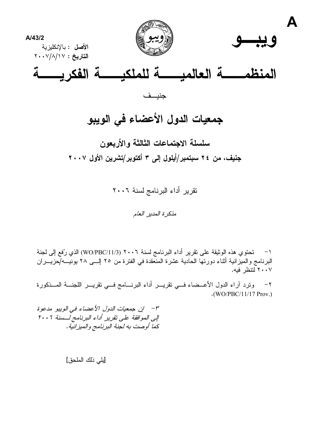

# جمعيات الدول الأعضاء في الويبو

سلسلة الاجتماعات الثالثة والأربعون جنيف، من ٢٤ سبتمبر/أيلول إلى ٣ أكتوبر/تشرين الأول ٢٠٠٧

تقرير أداء البرنامج لسنة ٢٠٠٦

مذكرة المدبر العامر

1– تحتوي هذه الوثيقة على تقرير أداء البرنامج لسنة ٢٠٠٦ (WO/PBC/11/3) الذي رُفع إلى لجنة البرنامج والميزانية أثناء دورتها الحادية عشرة المنعقدة في الفترة من ٢٥ إلـــى ٢٨ يونيـــه/حزيــــران ٢٠٠٧ لنتظر فيه.

ونرد أراء الدول الأعــضاء فـــي نقريـــر أداء البرنــــامج فـــي نقريـــر اللـجنـــة المـــذكورة  $-7$  $\cdot$ (WO/PBC/11/17 Prov.)

٣- - إن جمعيات الدول الأعضاء في الويبو مدعوة إلى الموافقة على تقرير أداء البرنامج لسسنة ٢٠٠٦ كما أوصت به لجنة البرنامج والميزانية.

[يلي ذلك الملحق]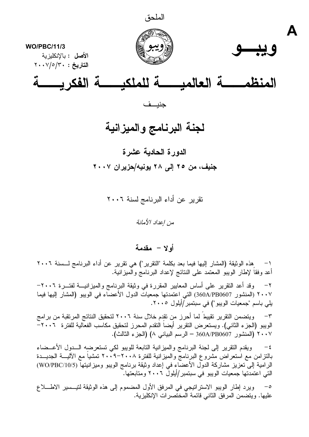

**WO/PBC/11/3** الأصل : بالانكليزية  $Y \cdot Y / o / Y \cdot : \mathcal{F}$ التاريخ





جنيف

# لجنة البرنامج والميزانية

# الدورة الحادية عشرة جنيف، من ٢٥ إلى ٢٨ يونيه/حزيران ٢٠٠٧

تقرير عن أداء البرنامج لسنة ٢٠٠٦

من إعداد الأمانة

أولا - مقدمة

هذه الوثيقة (المشار إليها فيما بعد بكلمة "النقرير") هي تقرير عن أداء البرنامج لـــسنة ٢٠٠٦  $-1$ أعد وفقاً لإطار الويبو المعتمد على النتائج لإعداد البرنامج والْميزانية.

وقد أعد النقرير على أساس المعايير المقررة في وثيقة البرنامج والمبزانيـــة لفتـــرة ٢٠٠٦- $-7$ ٢٠٠٧ (المنشور 360A/PB0607) التي اعتمدتها جمعيات الدول الأعضاء في الويبو (المشار إليها فيما يلي باسم "جمعيات الويبو") في سبتمبر/أيلول ٢٠٠٥.

ويتضمن النقرير تقييط لما أحرز من تقدم خلال سنة ٢٠٠٦ لتحقيق النتائج المرتقبة من برامج  $-\tau$ الويبو (الجزء الثاني). ويستعرض التقرير أيضاً التقدم المحرز لتحقيق مكاسب الفعالية للفترة ٢٠٠٦ – ٢٠٠٧ (المنشور 360A/PB0607 – الرسم البياني ٨) (الجزء الثالث).

ويقدم النقرير إلىي لجنة البرنامج والميزانية النابعة للويبو لكى تستعرضه السدول الأعسضاء  $-\xi$ بالنزامن مع استعراض مُشْروع البرنامجّ والميزانية للفترة ٢٠٠٨-٢٠. ٢ تمشياً مع الآليـــة الـجديـــدة الرامية إلى تعزيز مشاركة الدول الأعضاء في إعداد وثيقة برنامج الويبو وميزانيتها (WO/PBC/10/5) التي اعتمدتها جمعيات الويبو في سبتمبر/أيلولّ ٢٠٠٦ ومتابعتها.

ويرد إطار الويبو الاستراتيجي في المرفق الأول المضموم إلى هذه الوثيقة لتيــسير الاطــــلاع  $-\circ$ عليها. ويتضمن المرفق الثاني فائمة الْمختَّصرات الإنكليزية.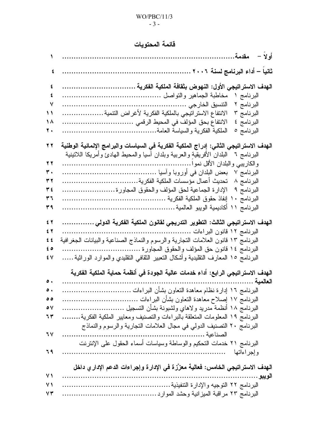### $WO/PBC/11/3$  $-3-$

# فائمة المحتويات

|                                                                                     | أولاً –<br>مقدمة                                                                                                                                                                                                                                                                                                                                                                                                                                                                                                                                                                                                                                                                    |
|-------------------------------------------------------------------------------------|-------------------------------------------------------------------------------------------------------------------------------------------------------------------------------------------------------------------------------------------------------------------------------------------------------------------------------------------------------------------------------------------------------------------------------------------------------------------------------------------------------------------------------------------------------------------------------------------------------------------------------------------------------------------------------------|
| ٤                                                                                   | ثانيا – أداء البرنامج لسنة ٢٠٠٦                                                                                                                                                                                                                                                                                                                                                                                                                                                                                                                                                                                                                                                     |
| ٤<br>٤<br>٧<br>$\mathbf{1}$<br>1 ^<br>۲.<br>$\bf{y}$<br>27<br>۳.<br>37<br>۽ ٣<br>۳٦ | الهدف الاستراتيجي الأول: النهوض بثقافة الملكية الفكرية<br>.<br>مخاطبة الجماهير والنواصل<br>البرنامج ۱<br>البرنامج ٢<br>النتسيق الخارجي ………<br>الانتفاع الاستر اتيجى بالملكية الفكرية لأغراض التنمية<br>البرنامج ٣<br>الانتفاع بحق المؤلف في المحيط الرقمي<br>البرنامج ٤<br>.<br>الملكية الفكرية والسياسة العامة<br>البرنامج ٥<br>.<br>.<br>الـهدف الاستراتيجي الثاني: إدراج الملكية الفكرية في السياسات والبرامج الإنمائية الوطنية<br>البلدان الأفريقية والعربية وبلدان أسيا والمحيط المهادئ وأمريكا اللانينية<br>البرنامج ٦<br>والكاريبي والبلدان الأقل نموا<br>تحديث أعمال مؤسسات الملكية الفكرية<br>البرنامج ۸<br>.<br>البرنامج ٩   الإدارة الجماعية لحق المؤلف والحقوق المجاورة |
| ۳۹<br>5 <sup>7</sup><br>$5$ $\gamma$<br>5.5<br>60<br>٤V                             | البرنامج ١١<br>الهدف الاستراتيجي الثالث: التطوير التدريجي لقانون الملكية الفكرية الدولي<br>البرنامج ١٢ قانون البراءات<br>البرنامج ١٣ قانون العلامات التجارية والرسوم والنماذج الصناعية والبيانات الجغرافية<br>البرنامج ١٤ قانون حق المؤلف والحقوق المجاورة …<br>البرنامج ١٥ المعارف النقليدية وأشكال التعبير الثقافي النقليدي والموارد الوراثية                                                                                                                                                                                                                                                                                                                                     |
| $\bullet$ .<br>$\circ$<br>$\circ$ $\vee$<br>٦٣<br>7 V<br>٦٩                         | الـهدف الاستراتيجي الرابـع: أداء خدمات عالية الجودة في أنظمة حمايـة الملكية الفكريـة<br><b>الملكم</b> ، 4<br>البرنامج ١٧ إصلاح معاهدة التعاون بشأن البراءات<br>البرنامج ١٨ أنظمة مدريد ولاهاي ولشبونة بشأن التسجيل<br>البرنامج ١٩ المعلومات المنعلقة بالبراءات والنصنيف ومعايير الملكية الفكرية<br>البرنامج ٢٠ التصنيف الدولي في مجال العلامات التجارية والرسوم والنماذج<br>الصناعبة .<br>البرنامج ٢١ خدمات التحكيم والوساطة وسياسات أسماء الحقول علىي الإنترنت                                                                                                                                                                                                                     |
| 71<br>$\vee$<br>۷۳                                                                  | وإجراءاتها<br>الـهدف الاستراتيجي الخامس: فعالية معزّزة في الإدارة وإجراءات الدعم الإدار ي داخل<br>الويبو<br>البرنامج ٢٢ النوجيه والإدارة النتفيذية.<br>.<br>البرنامج ٢٣ مراقبة الميزانية وحشد الموارد<br>.                                                                                                                                                                                                                                                                                                                                                                                                                                                                          |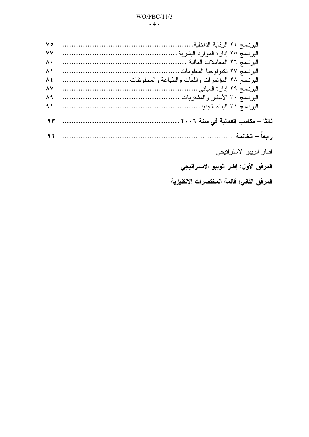# $WO/PBC/11/3$

#### $-4-$

| ه ۷      |                                           |
|----------|-------------------------------------------|
| ٧V       |                                           |
| ۸.       |                                           |
| $\wedge$ |                                           |
| Λ٤       |                                           |
| ۸۷       |                                           |
| ۸۹       |                                           |
| $\eta$   |                                           |
| 97       |                                           |
| 97       |                                           |
|          | إطار الويبو الاستراتيجي                   |
|          | المرفق الأول: إطار الويبو الاستراتيجي     |
|          | المرفق الثاني: قائمة المختصرات الإنكليزية |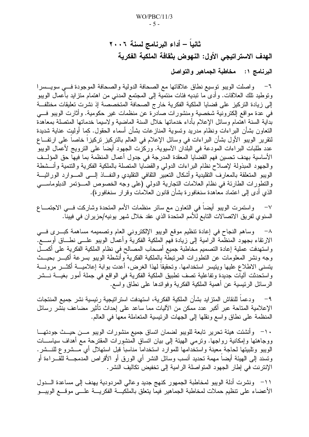ثانياً – أداء البرنامج لسنة ٢٠٠٦ الهدف الاستراتيجي الأول: النهوض بثقافة الملكية الفكرية

البرنامج ١: مخاطبة الجماهير والتواصل

٦− واصلت الويبو نوسيع نطاق علاقاتها مع الصحافة الدولية والصحافة الموجودة فـــي سويـــسرا وتوطيد نلك العلاقات. وأدى ما تبديه فئات منتمية إلى المجتمع المدني من اهتمام متزايد بأعمال الويبو إلى زيادة التركيز على قضايا الملكية الفكرية خارج الصحافة المتخصصة إذ نشرت تعليقات مختلفـــة في عدة مواقع إلكترونية شخصية ومنشورات صادرة عن منظمات غير حكومية. وأثارت الويبو فـــي بداية السنة اهتمام وسائل الإعلام بأداء خدماتها خلال السنة الماضية ولاسيما خدماتها المتصلة بمعاهدة النعاون بشأن البراءات ونظام مدريد وتسوية المنازعات بشأن أسماء الحقول. كما أوليت عناية شديدة لنقرير الويبو الأول بشأن البراءات في وسائل الإعلام في العالم بالتركيز تركيزا خاصا على ارتفــاع عدد طلبات البراءات المودعة في البلدان الأسيوية. وركزت الجهود أيضـاً علـي الترويج لأعمال الويبو الأساسية بهدف تحسين فهم القضايا المعقدة المدرجة في جدول أعمال المنظمة بما فيهاً حق المؤلسف والجهود المبذولة لإصلاح نظام البراءات الدولبي والقضايا المتصلة بالملكية الفكرية والتنمية وأنـــشطة الويبو المتعلقة بالمعارف التقليدية وأشكال التعبير الثقافي التقليدي والنفاذ إلسى المسوارد الوراثيسة والتطورات الطارئة في نظام العلامات التجارية الدولي (على وجه الخصوص المسؤتمر الدبلوماسي الذي أدى إلى اعتماد معاهدة سنغافورة بشأن قانون العلامات وقر ار سنغافورة).

واستمرت الويبو أيضا في النعاون مع سائر منظمات الأمم المتحدة وشاركت فسي الاجتمـــاع  $-<sup>1</sup>$ السنوي لفريق الاتصالات التابع للأمم المتحدة الذي عقد خلال شهر يونيه/حزير ان في فيينا.

^− وساهم النجاح في إعادة نتظيم موقع الويبو الإلكتروني العام وتصميمه مساهمة كبـــرى فـــي الارنقاء بجهود المنظمة الرامية إلى زيادة فهم الملكية الفكرية وأعمال الويبو علـــي نطـــاق أوســــع. واستهدفت عملية إعادة التصميم مخاطبة جميع أصحاب المصالح في نظام الملكية الفكرية على أكمـــل وجه ونشر المعلومات عن التطورات المرتبطَّة بالملكية الفكرية وأنشطة الويبو بسرعة أكبـــر بحيـــث يتسنى الاطلاع عليها ويتيسر استخدامها. وتحقيقاً لـهذا الغرض، أعدت بوابة إعلاميـــة أكثـــر مرونــــة واستحدثت آليات جديدة وتفاعلية تصف تطبيق الملكية الفكرية في الواقع في جملة أمور بغيــــة نـــشر الرسائل الرئيسية عن أهمية الملكية الفكرية وفوائدها على نطاق واسع.

ودعما للنقاش المتزايد بشأن الملكية الفكرية، استهدفت استراتيجية رئيسية نشر جميع المنتجات  $-9$ الإعلامية المتاحة عبر أكبر عدد ممكن من الآليات مما ساعد على إحداث تأثير مضاعف بنشر رسائل المنظمة على نطاق واسع ونقلها إلى الجهات الرئيسية المتعاملة معها في العالم.

١٠– وأنشئت هيئة تحرير تابعة للويبو لضمان اتساق جميع منشورات الويبو مـــن حيـــث جودتهـــا ووجاهتها وإمكانية رواجها. ونرمى الهيئة إلى بيان انساق المنشورات المقترحة مع أهداف سياســـات الويبو وتلبيتها لحاجة معينة واستخدامها للموارد استخداماً مناسباً قبل استهلال أي مـــشروع للنـــشر . ونسند إلى المهيئة أيضاً مهمة نحديد أنسب وسائل النشر أي الورق أو الأقراص المدمجـــة للقـــراءة أو الإنترنت في إطار الجهود المنواصلة الرامية إلى تخفيض تكاليف النشر .

1١– ونشرت أدلة الويبو لمخاطبة الجمهور كنهج جديد وعالى المردودية بهدف إلى مساعدة السدول الأعضاء على نتظيم حملات لمخاطبة الجماهير فيما يتعلق بالملكيـــة الفكريــــة علــــى موقــــع الويبـــو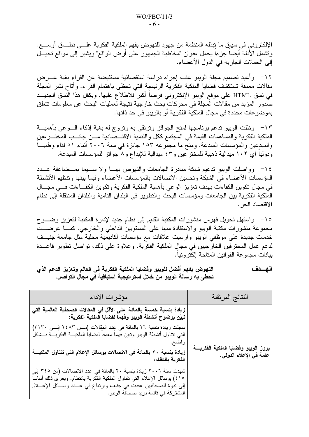الإلكتروني في سياق ما نبذله المنظمة من جهود للنهوض بفهم الملكية الفكرية علـــي نطـــاق أوســــع. ونشمل الأدلة أيضا جزءا بحمل عنوان "مخاطبة الجمهور على أرض الواقع" ويشير إلىي مواقع نحيـــل إلى الحملات الجارية في الدول الأعضاء.

١٢– وأعيد تصميم مجلة الويبو عقب إجراء دراسة استقصائية مستفيضة عن القراء بغية عـــرض مقالات معمقة تستكشف قضايا الملكية الفكرية الرئيسية التي تحظى باهتمام القراء. وأتاح نشر المجلة في نسق HTML على موقع الويبو الإلكتروني فرصاً أكبر للاطلاع عليها. ويكفل هذا النسق الجديــد صدور المزيد من مقالات المجلة في محركات بحث خارجية نتيجة لعمليات البحث عن معلومات تتعلق بموضوعات محددة في مجال الملكية الفكرية أو بالويبو في حد ذاتها.

١٣– وظلت الويبو ندعم برنامجها لمنح الجوائز ونرنقي به ونروج له بغية إذكاء الـــوعي بأهميـــة الملكية الفكرية والمساهمات القيمة في المجتمع ككل والنتمية الاقتــصادية مــن جانــب المختـــرعين والمبدعين والمؤسسات المبدعة. ومنح ما مجموعه ١٥٣ جائزة في سنة ٢٠٠٦ أثناء ٥١ لقاء وطنيساً ودوليا أي ١٠٢ ميدالية ذهبية للمختر عين و٤٣ ميدالية للإبداع و٨ جوائز للمؤسسات المبدعة.

١٤ - وواصلت الويبو ندعيم شبكة مبادرة الجامعات والنهوض بهــا ولا ســـيما بمـــضاعفة عـــدد المؤسسات الأعضاء في الشبكة وتحسين الاتصالات بالمؤسسات الأعضاء وفيما بينها وتنظيم الأنشطة في مجال تكوين الكفاءات بهدف تعزيز الوعي بأهمية الملكية الفكرية وتكوين الكفاءات فسي مجـــال الملكية الفكرية بين الجامعات ومؤسسات البحث والنطوير في البلدان النامية والبلدان المنتقلة إلى نظام الاقتصاد الحر .

١٥– واستهل تحويل فهرس منشورات المكتبة القديم إلى نظام جديد لإدارة المكتبة لتعزيز وضـــوح مجموعة منشورات مكتبة الويبو والاستفادة منها على المستويين الداخلي والخارجي. كمـــا عرضـــت خدمات جديدة على موظفى الويبو وأرسيت علاقات مع مؤسسات أكاديمية محلية مثل جامعة جنيــف لدعم عمل المحترفين الخارجيين في مجالٍ الملكية الفكرية. وعلاوة على ذلك، تواصل تطوير قاعـــدة بيانات مجموعة القوانين المتاحة إلكتر ونباً.

النهوض بفهم أفضل للويبو وفضايا الملكية الفكرية في العالم وتعزيز الدعم الذي الهسدف تحظى به رسالة الويبو من خلال استراتيجية استباقية في مجال التواصل.

| مؤشرات الأداء                                                                                                                                                                                                                                                    | النتائج المرتقبة                                                   |
|------------------------------------------------------------------------------------------------------------------------------------------------------------------------------------------------------------------------------------------------------------------|--------------------------------------------------------------------|
| زيادة بنسبة خمسة بالمائة على الأقل في المقالات الصحفية العالمية التي<br>تبيّن بوضوح أنشطة الويبو وفهماً لقضايا الّملكية الفكرية:                                                                                                                                 |                                                                    |
| سجلت زيادة بنسبة ٢٦ بالمائة في عِدد المقالات (مــن ٢٤٨٣ إلـــى ٣١٣٠)<br>التي نتناول أنشطة الويبو ونبين فهما معمقا لقضايا الملكيـــة الفكريـــة بـــشكل                                                                                                           |                                                                    |
| و اضح.<br>زيادة بنسبة ٢٠ بالمائة في الاتصالات بوسائل الإعلام التي تتناول الملكيـــة<br>الفكرية بانتظام:                                                                                                                                                          | بروز الويبو وقضايا الملكية الفكريــــة<br>عامـة في الإعلام الدولي. |
| شهدت سنة ٢٠٠٦ زيادة بنسبة ٢٠ بالمائة في عدد الاتصالات (من ٣٤٥ إلى<br>١٥٪) بوسائل الإعلام التي نتناول الملكية الفكرية بانتظام. ويعزى ذلك أساسا<br>إلى ندوة للصحافيين عقدت في جنيف وارتفاع في عـــدد وســـائل الإعــــلام<br>المشتركة في قائمة بريد صحافة الويبو . |                                                                    |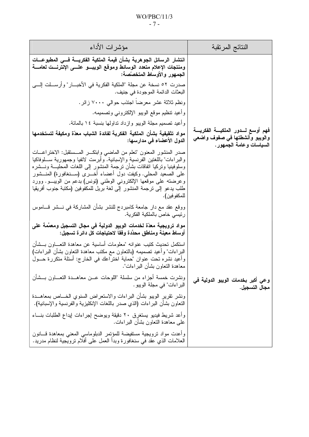### $WO/PBC/11/3$  $-7-$

| مؤشرات الأداء                                                                                                                                                                                                                                                                                                                                                                                                                                                                 | النتائج المرنقبة                                                                              |
|-------------------------------------------------------------------------------------------------------------------------------------------------------------------------------------------------------------------------------------------------------------------------------------------------------------------------------------------------------------------------------------------------------------------------------------------------------------------------------|-----------------------------------------------------------------------------------------------|
| انتشار الرسائل الجوهرية بشأن قيمة الملكية الفكريسة فسى المطبوعسات<br>ومنتجات الإعلام متعدد الوسائط وموقع الويبسو علسى الإنترنست لعامسة<br>الجمهور والأوساط المتخصصة:                                                                                                                                                                                                                                                                                                          |                                                                                               |
| صدرت ٥٢ نسخة عن مجلة "الملكية الفكرية في الأخبـــار" وأرســـلت إلــــي<br>البعثات الدائمة الموجودة في جنيف.                                                                                                                                                                                                                                                                                                                                                                   |                                                                                               |
| ونظم ثلاثة عشر معرضا اجتذب حوالبي ٧٠٠٠ زائر .                                                                                                                                                                                                                                                                                                                                                                                                                                 |                                                                                               |
| وأعيد نتظيم موقع الويبو الإلكتروني وتصميمه.                                                                                                                                                                                                                                                                                                                                                                                                                                   |                                                                                               |
| وأعيد تصميم مجلَّة الويبو وازداد تداولها بنسبة ١٤ بالمائة.                                                                                                                                                                                                                                                                                                                                                                                                                    |                                                                                               |
| مواد تثقيفية بشأن الملكية الفكرية لفائدة الشباب معدّة ومكيفة لتستخدمها<br>الدول الأعضاء في مدارسها:                                                                                                                                                                                                                                                                                                                                                                           | فهم أوسع لسدور الملكيسة الفكريسة<br>والويبو وأنشطتها فى صفوف واضعى<br>السياسات وعامة الجمهور. |
| صدر المنشور المعنون "تعلُّم من الماضـي وابنكـــر المــــستقبل: الاختراعــــات<br>والبر اءات" باللغتين الفرنسية والإسبانية. وأبرمت لاتفيا وجمهورية ســـلوفاكيا<br>وسلوفينيا ونركيا انفاقات بشأن نرجمة المنشور إلى اللغات المحليسة ونسشره<br>على الصعيد المحلي. وكيفت دول أعضاء أخـــري (ســـنغافورة) المنـــشور<br>وعرضته على موقعها الإلكتروني الوطني (تونس) بدعم من الويبـــو. وورد<br>طلب يدعو إلى ترجمة المنشور إلى لغة بريل للمكفوفين (مكتبة جنوب أفريقيا<br>للمكفو فين). |                                                                                               |
| ووقع عقد مع دار جامعة كامبردج للنشر بشأن المشاركة في نــــشر قــــاموس<br>رئيسي خاص بالملكية الفكرية.                                                                                                                                                                                                                                                                                                                                                                         |                                                                                               |
| مواد ترويجية معدّة لخدمات الويبو الدولية في مجال التسجيل ومعمّمة على<br>أوساط معينة ومناطق محدّدة وفقا لاحتياجات كل دائرة تسجيل:                                                                                                                                                                                                                                                                                                                                              |                                                                                               |
| استكمل تحديث كتيب عنوانه "معلومات أساسية عن معاهدة التعـــاون بـــشأن<br>البراءات" وأعيد نصميمه (بالنعاون مع مكتب معاهدة النعاون بشأن البراءات)<br>وأعيد نشره نحت عنوان "حماية اختراعك في الخارج: أسئلة متكررة حـــول<br>معاهدة النعاون بشأن البر اءات".                                                                                                                                                                                                                      |                                                                                               |
| ونشرت خمسة أجزاء من سلسلة "اللوحات عـــن معاهـــدة النعــــاون بـــشأن<br>البراءات" في مجلة الويبو .                                                                                                                                                                                                                                                                                                                                                                          | وعي أكبر بخدمات الويبو الدولية في<br>مجال التسجيل.                                            |
| ونشر نقرير الويبو بشأن البراءات والاستعراض السنوي الخـــاص بمعاهـــدة<br>النعاون بشأن البراءات (الذي صدر باللغات الإنكليزية والفرنسية والإسبانية).                                                                                                                                                                                                                                                                                                                            |                                                                                               |
| وأعد شريط فيديو يستغرق ٢٠ دقيقة ويوضح إجراءات إيداع الطلبات بنساء<br>على معاهدة النعاون بشأن البراءات.                                                                                                                                                                                                                                                                                                                                                                        |                                                                                               |
| وأعدت مواد نرويجية مستفيضة للمؤنمر الدبلوماسي المعني بمعاهدة قسانون<br>العلامات الذي عقد في سنغافورة وبدأ العمل على أفلام نرويجية لنظام مدريد.                                                                                                                                                                                                                                                                                                                                |                                                                                               |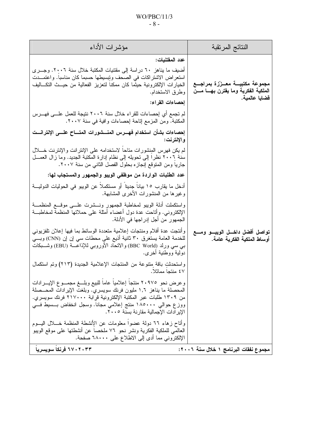### $WO/PBC/11/3$  $-8-$

| النتائج المرنقبة                                                                                          | مؤشرات الأداء                                                                                                                                                                                                                                                                                                                                                                                                                                                                                                                                                                                                                                                                                                                                                                                                                                                                                                                                                                                                                                                                                                                                                                                                                                                                                                                                                                                                                                                                                                                                            |
|-----------------------------------------------------------------------------------------------------------|----------------------------------------------------------------------------------------------------------------------------------------------------------------------------------------------------------------------------------------------------------------------------------------------------------------------------------------------------------------------------------------------------------------------------------------------------------------------------------------------------------------------------------------------------------------------------------------------------------------------------------------------------------------------------------------------------------------------------------------------------------------------------------------------------------------------------------------------------------------------------------------------------------------------------------------------------------------------------------------------------------------------------------------------------------------------------------------------------------------------------------------------------------------------------------------------------------------------------------------------------------------------------------------------------------------------------------------------------------------------------------------------------------------------------------------------------------------------------------------------------------------------------------------------------------|
| عدد المقتنيات:<br>مجموعة مكتبيــة معــززة بمراجــع<br>الملكية الفكرية وما يقترن بهسا مسن<br>فضايا عالمية. | أضيف ما يناهز ٦٠ دراسة إلى مقتنيات المكتبة خلال سنة ٠٠.٢٠. وجـــري<br>استعر اض الاشتر اكات في الصحف وتِبسيطها حسبما كان مناسبا. واعتمـــدت<br>الخيارات الإلكترونية حيثما كان ممكنا لتعزيز الفعالية من حيـــث النكـــاليف<br>وطرق الاستخدام.<br>إحصاءات القراء:<br>لم تجمع أي إحصاءات للقراء خلال سنة ٢٠٠٦ نتيجة للعمل علـــى فهـــرس                                                                                                                                                                                                                                                                                                                                                                                                                                                                                                                                                                                                                                                                                                                                                                                                                                                                                                                                                                                                                                                                                                                                                                                                                     |
| والإنترنت:<br>تواصل أفضل داخــل الويبــو ومـــع<br>أوساط الملكية الفكرية عامة.                            | المكتبة. ومن المزمع إناحة إحصاءات وافية في سنة ٢٠٠٧.<br>إحصاءات بشأن استخدام فهــرس المنـــشورات المتـــاح علـــى الإنترانـــت<br>لم يكن فهرس المُنشورات متاحا لاستخدامه على الإنترانت والإنترنت خــــلال<br>سنة ٢٠٠٦ نظرًا إلى تحويله إلى نظام إدارة المكتبة الجديد. وما زال العمـــل<br>جاريا ومن المتوقع إنجازه بحلول الفصل الثاني من سنة ٢٠٠٧.<br>عدد الطلبات الواردة من موظفي الويبو والجمهور والمستجاب لها:<br>أدخل ما يقارب ١٥ بيانا جدينا أو مستكملا عن الويبو في الحوليات الدوليــــة<br>وغيرها من المنشورات الأخرى المشابهة.<br>واستكملت أدلة الويبو لمخاطبة الجمهور ونسشرت علسى موقسع المنظمـــة<br>الإلكترونـي. وأناحت عدة دول أعضاء أمثلة علـي حملاتـها المنظمة لمخاطبـــة<br>الجمهور من أجل إدراجها في الأدلة.<br>وأنتجت عدة أفلام ومنتجات إعلامية متعددة الوسائط بما فيها إعلان نلفزيوني<br>للخدمة العامة يستغرق ٣٠ ثانية أذيع على محطات سي إن إن (CNN) وبـــي<br>بي سي ورلد (BBC World) والاتحاد الأوروبي للإذاعــــة (EBU) وشــــبكات<br>دولية ووطنية أخرى.<br>واستحدثتٍ باقة مِتنوعة من المنتجات الإعلامية الجديدة (٢١٣) وتم استكمال<br>٤٧ منتحا مماثلا.<br>وعرض نحو ٢٠٩٧٥ منتجا إعلاميا عاما للبيع وبلــغ مجمــوع الإيـــرادات<br>المحصلة ما يناهز ١,٦ مليون فرنك سويسري. وبلغت الإيرادات المحـــصلة<br>من ١٣٠٩ طلبات عبر المكتبة الإلكترونية قُرِابة ٢١٧٠٠٠ فرنك سويسري.<br>ووزع حوالي ١٨٥٠٠٠ منتج إعلامي مجانا. وسجل انخفاض بـــسيط فــــي<br>الإير ادات الإجمالية مقارنة بسنة ٢٠٠٥.<br>وأتاح زهاء ٦٦ دولة عضوا معلومات عن الإنشطة المنظمة خـــلال اليـــوم<br>العالمي للملكية الفكرية ونشر نحو ٧٦ ملخصا عن أنشطتها على موقع الويبو |
| مجموع نفقات البرنامج ١ خلال سنة ٢٠٠٦:                                                                     | الإلكتروني مما أدى إلى الاطلاع على ٦٨٠٠٠ صفحة.<br>۲۷۰۲۰۳۳ فرنکا سویسریا                                                                                                                                                                                                                                                                                                                                                                                                                                                                                                                                                                                                                                                                                                                                                                                                                                                                                                                                                                                                                                                                                                                                                                                                                                                                                                                                                                                                                                                                                  |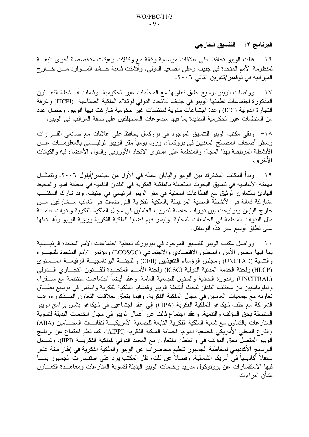البرنامج ٢: التنسيق الخارجي

١٦– ظلت الويبو تحافظ على علاقات مؤسسية وثيقة مع وكالات وهيئات متخصصة أخرى تابعـــة لمنظومة الأمم المتحدة في جنيف وعلى الصعيد الدولي. وأنشئت شعبة حـــشد المـــوارد مـــن خـــار ج الميز انية في نوفمبر/تشرين الثاني ٢٠٠٦.

١٧– وواصلت الويبو نوسيع نطاق نعاونها مع المنظمات غير الحكومية. وشملت أنـــشطة النعـــاون المذكورة اجتماعات نظمتها الويبو في جنيف للاتحاد الدولي لوكلاء الملكية الصناعية (FICPI) وغرفة النجارة الدولية (ICC) وعدة اجتماعات سنوية لمنظمات غير حكومية شاركت فيها الويبو. وحصل عدد من المنظمات غير الحكومية الجديدة بما فيها مجموعات المستهلكين على صفة المراقب في الويبو .

١٨– وبقى مكتب الويبو للتنسيق الموجود في بروكسل بحافظ على علاقات مع صانعي القـــرارات وسائر أصحاب المصالح المعنيين في بروكسل. وزود يوميا مقر الويبو الرئيـــسي بالمعلومــــات عـــن الأنشطة المرتبطة بهذا المجال والمنظمة على مستوى الاتحاد الأوروبي والدول الأعضاء فيه والكيانات الأخر ي.

١٩ – وبدأ المكتب المشترك بين الويبو واليابان عمله في الأول من سبتمبر/أيلول ٢٠٠٦. وتتمثــل مهمته الأساسية في نتسيق البحوث المتصلة بالملكية الفكرية في البلدان النامية في منطقة آسيا والمحيط الهادئ بالتعاون الوثيق مع القطاعات المعنية في مقر الويبو الرئيسي في جنيف. وقد شارك المكتــب مشاركة فعالة في الأنشطة المحلية المرتبطة بالملكية الفكرية التي ضمت في الغالب مـــشاركين مـــن خارج اليابان وتراوحت بين دورات خاصة لتدريب العاملين في مجال الملكية الفكرية وندوات عامــــة مثل الندوات المنظمة في الجامعات المحلية. ونيسر فهم قضايا الملكية الفكرية ورؤية الويبو وأهــدافها على نطاق أوسع عبر هذه الوسائل.

٢٠– وواصل مكتب الويبو للتتسيق الموجود في نيويورك تغطية اجتماعات الأمم المتحدة الرئيـــسية بما فيها مجلس الأمن والمجلس الاقتصادي والاجتماعي (ECOSOC) ومؤتمر الأمم المتحدة للتجـــارة والتنمية (UNCTAD) ومجلس الرؤساء التنفيذيين (CEB) واللجنسة البرنامجيسة الرفيعسة المسستوى (HLCP) ولجنة الخدمة المدنية الدولية (ICSC) ولجنة الأمـــم المتحـــدة للقــــانون التجــــاري الــــدولي (UNCITRAL) والدورة الحادية والستون للجمعية العامة. وعقد أيضاً اجتماعات منتظمة مع ســفراء ودبلوماسيين من مختلف البلدان لبحث أنشطة الويبو وقضايا الملكية الفكرية واستمر في توسيع نطــاق تعاونه مع جمعيات العاملين في مجال الملكية الفكرية. وفيما يتعلق بعلاقات التعاون المـــذكورة، أدت الشراكة مع حلف شيكاغو للملكية الفكرية (CIPA) إلى عقد اجتماعين في شيكاغو بشأن برامج الويبو المتصلة بحق المؤلف والتنمية. وعقد اجتماع ثالث عن أعمال الويبو في مجال الخدمات البديلة لتسوية المنازعات بالتعاون مع شعبة الملكية الفكرية التابعة للجمعية الأمريكيـــة لنقابــــات المحــــامين (ABA) و الفر ع المحلي الأمريكي للجمعية الدولية لحماية الملكية الفكرية (AIPPI). كما نظم اجتماع عن برنامج الويبو المتصلُّ بحق المؤلف في واشنطن بالنعاون مع المعهد الدولي للملكية الفكريــــة (IIPI). وشــــملّ البرنامج الأكاديمي لمخاطبة الجمهور نتظيم محاضرات عن الويبو والملكية الفكرية في إطار ستة عشر محفلا أكاديميا في أمريكا الشمالية. وفضلا عن ذلك، ظل المكتب يرد على استفسارات الجمهور بمـــا فيها الاستفسارات عن برونوكول مدريد وخدمات الويبو البديلة لتسوية المنازعات ومعاهــدة النعـــاون بشأن البر اءات.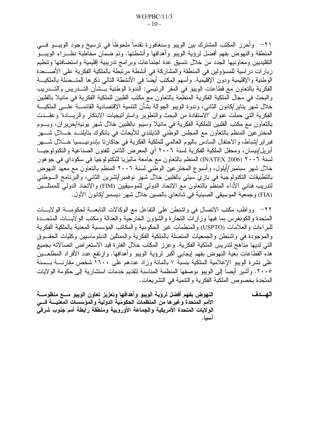٢١– وأحرز المكتب المشترك بين الويبو وسنغافورة تقدماً ملحوظاً في ترسيخ وجود الويبـــو فــــي المنطقة والنهوض بفهم أفضل لرؤية الويبو وأهدافها وأنشطتها. وتم ضمان مخاطبة نظــراء الويبــو النقليديين ومعاونيها الجدد من خلال نتسيق عدة اجتماعات وبرامج تدريبية إقليمية واستضافتها ونتظيم زيارات دراسية للمسؤولين في المنطقة والمشاركة في أنشطة مرتبطة بالملكية الفكرية على الأصــــعدة الوطنية والإقليمية ودون الإقليمية. وأسهم المكتب أيضاً في الأنشطة النالي ذكرها المتــصلة بالملكيـــة الفكرية بالنعاون مع قطاعات الويبو في المقر الرئيسي: الندوة الوطنية بـــشأن التــــدريس والتــــدريب والبحث في مجال الملكية الفكرية المنظمة بالتعاون مع مكتب الفلبين للملكية الفكرية في مانيلا بالفلبين خلال شهر يناير/كانون الثانبي، وندوة الويبو الجوالة بشأن الننمية الاقتصادية القائمــــة علــــي الملكيــــة الفكرية التي حملت عنوان "الاستفادة من البحث والتطوير واستراتيجيات الابتكار والريسادة" وعقـــدت بالتعاون مع مكتب الفلبين للملكية الفكرية في مانيلا وسيبو بالفلبين خلال شهر يونيه/حزيران، ويسوم المخترعين المنظم بالنعاون مع المجلس الوطني النايلندي للأبحاث في بانكوك بنايلنـــد خــــلال شــــهر فبر اير /شباط، والاحتفال السادس باليوم العالمي للملكية الفكرية في جاكارنا بإندونيـــسيا خـــــلال شــــهر أبريل/نيسان، ومحفل الملكية الفكرية لسنة ٢٠٠٦ أي المعرض الثامن للفنون الصناعية والتكنولوجيــا لسنة ٢٠٠٦ (INATEX 2006) المنظم بالتعاون مع جامعة ماليزيا للتكنولوجيا في سكوداي في جوهور خلال شهر سبتمبر/أيلول، وأسبوع المخترعين الوطني لسنة ٢٠٠٦ المنظم بالتعاون مع معهد النهوض بالتطبيقات النكنولوجية في بازي سيتي بالفلبين خلال شهر نوفمبر/تشرين الثاني، والبرنامج السوطني لندريب فناني الأداء المنظم بالنعاون مع الاتحاد الدولي للموسيقيين (FIM) والاتحاد الدولي للممثلــين (FIA) وجمعية الموسيقى الصينية في شانغاي بالصين خلال شهر ديسمبر/كانون الأول.

٢٢– وواظب مكتب الاتصال في واشنطن على التفاعل مع الوكالات النابعـــة لحكومـــة الولايـــات المتحدة والكونغرس بما فيها وزارات النجارة والشؤون الخارجية والعدالة ومكتب الولايسات المتحسدة للبراءات والعلامات (USPTO) والمنظمات غير الحكومية والمكانب المؤسسية المعنية بالملكية الفكرية والموجودة في واشنطن والجمعيات المتصلة بالملكية الفكرية والممثلين الدبلوماسيين وكليات الحقسوق التي لديها مناهج لتدريس الملكية الفكرية. وعزز المكتب خلال الفترة قيد الاستعراض اتصالاته بجميع هذه القطاعات بغية النهوض بفهم إيجابي أكبر لرؤية الويبو وأهدافها. وارتفع عدد الأفراد المطلعــين على نشرة الويبو الإعلامية السلكية بنسبة ٧ بالمائة وزاد عددهم على ١٦٠٠ شخص مقارنسة بسسنة ٢٠٠٥. وأشير أيضا إلى الويبو بوصفها المنظمة المناسبة لتقديم خدمات استشارية إلى حكومة الولايات المتحدة بخصوص الملكية الفكرية والنتمية في التشريعات.

الهسدف النهوض بفهم أفضل لرؤية الويبو وأهدافها وتعزيز تعاون الويبو مسع منظومسة الأمم المتحدة وغيرها من المنظمات الحكومية الدولية والمؤسسات المعنيسة فسي الولايات المتحدة الأمريكية والجماعة الأوروبية ومنطقة رابطة أمم جنوب شرقى أسبا.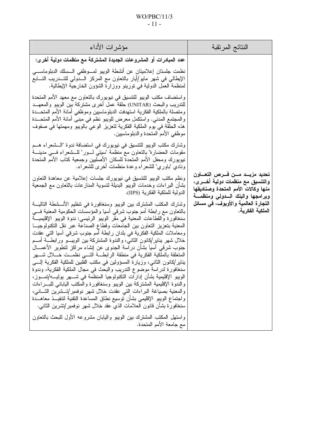| مؤشرات الأداء                                                                                                                                                                                                                                                                                                                                                                                                                                                                                                                                                                                                                                                                                                                                                                                                                                                                                                                                                                                                                                                                                                                                                                             | النتائج المرتقبة                                                                                                                                     |
|-------------------------------------------------------------------------------------------------------------------------------------------------------------------------------------------------------------------------------------------------------------------------------------------------------------------------------------------------------------------------------------------------------------------------------------------------------------------------------------------------------------------------------------------------------------------------------------------------------------------------------------------------------------------------------------------------------------------------------------------------------------------------------------------------------------------------------------------------------------------------------------------------------------------------------------------------------------------------------------------------------------------------------------------------------------------------------------------------------------------------------------------------------------------------------------------|------------------------------------------------------------------------------------------------------------------------------------------------------|
| عدد المبادرات أو المشروعات الجديدة المشتركة مع منظمات دولية أخر ي:<br>نظمت جلستان إعلاميتان عن أنشطة الويبو لمسوظفي السسلك الدبلوماسي<br>الإيطالي في شهر مايو/أيار بالنعاون مع المركز الــــدولي للتــــدريب التــــابـع<br>لمنظمة العمل الدولية في نورينو ووزارة الشؤون الخارجية الإيطالية.                                                                                                                                                                                                                                                                                                                                                                                                                                                                                                                                                                                                                                                                                                                                                                                                                                                                                              |                                                                                                                                                      |
| واستضاف مكتب الويبو للتتسيق في نيويورك بالتعاون مع معهد الأمم المتحدة<br>للتدريب والبحث (UNITAR) حلقة عمل أخرى مشتركة بين الويبو والمعهــد<br>ومتصلة بالملكية الفكرية استهدفت الدبلوماسيين وموظفى أمانة الأمم المتحـــدة<br>والمُجتمع المدني. واستكمل معرض للويبو نظم في مبنى أمانة الأمم المتحــدة<br>هذه الحلقة في يوم الملكية الفكرية لتعزيز الوعي بالويبو ومهمتها في صفوف<br>موظفى الأمم المتحدة والدبلوماسيين.                                                                                                                                                                                                                                                                                                                                                                                                                                                                                                                                                                                                                                                                                                                                                                       |                                                                                                                                                      |
| وشارك مكتب الويبو للتتسيق في نيويورك في استضافة ندوة "الـــشعراء هـــم<br>مقومات الحضارة" بالنعاون مع منظمة "سيتي لـــور" للـــشعراء فـــي مدينـــة<br>نيويورك ومحفل الأمم المتحدة للسكان الأصليين وجمعية كتاب الأمم المتحدة<br>ونادي "باوري" للشعراء وعدة منظمات أخرى للشعراء.                                                                                                                                                                                                                                                                                                                                                                                                                                                                                                                                                                                                                                                                                                                                                                                                                                                                                                           |                                                                                                                                                      |
| ونظم مكتب الويبو للتنسيق في نيويورك جلسات إعلامية عن معاهدة النعاون<br>بشأن البراءات وخدمات الويبو البديلة لتسوية المنازعات بالتعاون مع الجمعية<br>الدولية للملكية الفكرية (IIPS).                                                                                                                                                                                                                                                                                                                                                                                                                                                                                                                                                                                                                                                                                                                                                                                                                                                                                                                                                                                                        | تحديد مزيــد مـــن فـــرص التعــــاون<br>والتنسيق مع منظمات دولية أخـــرى،<br>منها وكالات الأمم المتحدة وصناديقها<br>وبرامجها والبنك السدولى ومنظمسة |
| وشارك المكتب المشترك بين الويبو وسنغافورة في تنظيم الأنـــشطة الناليـــة<br>بالنعاون مع رابطة أمم جنوب شرقي أسيا والمؤسسات الحكومية المعنية فسي<br>سنغافورة والقطاعات المعنية في مقر الويبو الرئيسي: ندوة الويبو الإقليميـــة<br>المعنية بتعزيز التعاون بين الجامعات وقطاع الصناعة عبر نقل التكنولوجيـــا<br>ومعاملات الملكية الفكرية في بلدان رابطة أمم جنوب شرقبي أسيا التبي عقدت<br>خلال شهر يناير/كانون الثانبي، والندوة المشتركة بين الويبـــو ورابطـــة أمـــم<br>جنوب شرقي أسيا بشأن دراسة الجدوى عن إنشاء مراكز لنطوير الأعمـــال<br>المتعلقة بالملكية الفكرية في منطقة الرابطـــة التــــى نظمـــت خـــــلال شـــــهر<br>يناير إكانون الثاني، وزيارة المسؤولين في مكتب الفلبين للملكية الفكرية إلــــى<br>سنغافورة لدراسة موضوع التدريب والبحث في مجال الملكية الفكرية، وندوة<br>الويبو الإقليمية بشأن إدارات التكنولوجيا المنظمة في شـــهر بوليــــه/تمـــوز،<br>والندوة الإقليمية المشتركة ببن الويبو وسنغافورة والمكتب الياباني للبسراءات<br>والمعنية بصياغة البراءات التي عقدت خلال شهر نوفمبر /تـــشرين الشـــانـي،<br>واجتماع الويبو الإقليمي بشأن نوسيع نطاق المساعدة النقنية لتنفيـــذ معاهــــدة<br>سنغافورة بشأن قانون العلامات الذي عقد خلال شهر نوفمبر/تشرين الثاني. | التجارة العالمية والأوبوف، في مسائل<br>الملكية الفكرية.                                                                                              |
| واستهل المكتب المشترك ببين الويبو واليابان مشروعه الأول للبحث بالتعاون<br>مع جامعة الأمم المتحدة.                                                                                                                                                                                                                                                                                                                                                                                                                                                                                                                                                                                                                                                                                                                                                                                                                                                                                                                                                                                                                                                                                         |                                                                                                                                                      |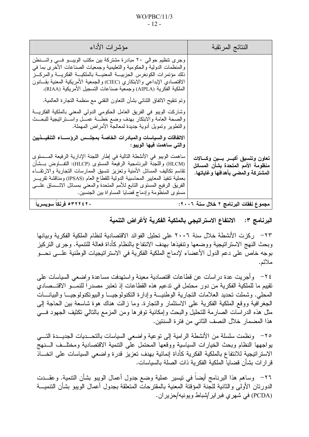$WO/PBC/11/3$  $-12-$ 

| مؤشرات الأداء                                                                                                                                                                                                                                                                                                                                                                                                                                       | النتائج المرتقبة                                                                                                  |
|-----------------------------------------------------------------------------------------------------------------------------------------------------------------------------------------------------------------------------------------------------------------------------------------------------------------------------------------------------------------------------------------------------------------------------------------------------|-------------------------------------------------------------------------------------------------------------------|
| وجرى تنظيم حوالى ٢٠ مبادرة مشتركة بين مكتب الويبـــو فـــى واشـــنطن<br>والمنظمات الدولية والحكومية والتعليمية وجمعيات الصناعات الأخرى بما في<br>ذلك مؤتمرات الكونغرس الحزبيسة المعنيسة بالملكيسة الفكريسة والمركسز<br>الاقتصادي الإبداعي والابتكاري (CIEC) والجمعية الأمريكية المعنية بقــانون<br>الملكية الفكرية (AIPLA) وجمعية صناعات التسجيل الأمريكية (RIAA).                                                                                  |                                                                                                                   |
| وتم تنقيح الاتفاق الثنائـي بشأن النعاون النقنـي مـع منظمة النـجارة الـعالمية.                                                                                                                                                                                                                                                                                                                                                                       |                                                                                                                   |
| وشاركت الويبو في الفريق العامل الحكومي الدولمي المعنى بالملكية الفكريــــة<br>والصحة العامة والابنكار بهدف وضع خطسة عمسل واسستراتيجية للبحسث<br>والنطوير ونمويل أدوية جديدة لمعالجة الأمراض المهملة.                                                                                                                                                                                                                                                |                                                                                                                   |
| الاتفاقات والسياسات والمبادرات الخاصة بمجلس الرؤســاء التنفيــذيين<br>والتي ساهمت فيها الويبو:                                                                                                                                                                                                                                                                                                                                                      |                                                                                                                   |
| ساهمت الويبو في الأنشطة التالية في إطار اللجنة الإدارية الرفيعة المـــستوى<br>(HLCM) واللجنة البرنامجية الرفيعة المستوى (HLCP): التفــاوض بــشأن<br>نقاسم نكاليف المسائل الأمنية ونعزيز ننسبق الممارسات النجارية والارنقــاء<br>بعملية نتفيذ المعايير المحاسبية الدولية للقطاع العام (IPSAS) ومناقشة تقريـــر<br>الفريق الرفيع المستوى النابع للأمم المنحدة والمعنى بمسائل الاتـــساق علــــي<br>مستوى المنظومة وإدماج قضايا المساواة ببين الجنسين. | تعاون وتنسيق أكبـــر بـــين وكــــالات<br>منظومة الأمم المتحدة بشأن المسائل<br>المشتركة والمضى بأهدافها وغاياتها. |
| ۶۳۲۲٤۲۰ فرنکا سویسریا                                                                                                                                                                                                                                                                                                                                                                                                                               | مجموع نفقات البرنامج ٢ خلال سنة ٢٠٠٦:                                                                             |

البرنامج ٣: الانتفاع الاستراتيجي بالملكية الفكرية لأغراض التنمية

٢٣– ركزت الأنشطة خلال سنة ٢٠٠٦ على تحليل الفوائد الاقتصادية لنظام الملكية الفكرية وبيانها وبحث النهج الاستر انيجية ووضعها ونتفيذها بهدف الانتفاع بالنظام كأداة فعالة للتنمية. وجرى التركيز بوجه خاصٍّ على دعم الدول الأعضاء لإدماج الملكية الفكرِّية في الاستر اتيجيات الوطنية علـــي نحـــو ملائم.

٢٤– وأجريت عدة دراسات عن قطاعات اقتصادية معينة واستهدفت مساعدة وإضعى السياسات على تقييم ما للملكية الفكرية من دور محتمل في تدعيم هذه القطاعات إذ تعتبر مصدرا للنمـــو الاقتـــصـادي المحلي. وشملت تحديد العلامات التجارية الوطنيـــة وإدارة التكنولوجيـــا والبيوتكنولوجيــا والبيانـــات الْجغرافية ووقع الملكية الفكرية على الاستثمار والتجارة. وما زالت هناك هوة شاسعة بين الحاجة إلى مثل هذه الدراسات الصارمة للتحليل والبحث وإمكانية توفرها ومن المزمع بالتالي تكثيف الجهود فسي هذا المضمار خلال النصف الثاني من فترة السنتين.

٢٥– ونظمت سلسلة من الأنشطة الرامية إلى نوعية واضعي السياسات بالتحـــديات الجديـــدة التــــي يواجهها النظام وبحث الخيارات السياسية ووقعها المحتمل على التنمية الاقتصادية ومختلف السنهج الاستر انتبجية للانتفاع بالملكية الفكرية كأداة إنمائية بهدف تعزيز قدرة واضعى السياسات على اتخـــاذ قر ار ات بشأن قضبايا الملكية الفكر ية ذات الصلة بالسياسات.

٢٦– وساهم هذا البرنامج أيضا في نيسير عملية وضع جدول أعمال الويبو بشأن التنمية. وعقــدت الدورتان الأولى والثانية للجنة المؤقتة المعنية بالمقترحات المتعلقة بجدول أعمال الويبو بشأن التتميـــة (PCDA) في شهري فبر اير/شباط ويونيه/حزير ان.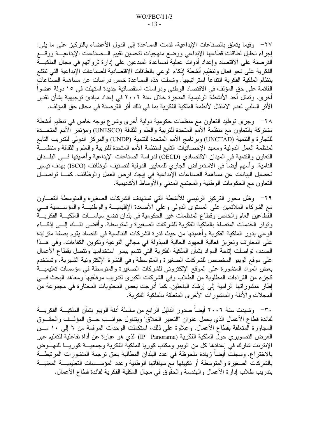٢٧– وفيما يتعلق بالصناعات الإبداعية، قدمت المساعدة إلى الدول الأعضاء بالتركيز على ما يلي: إجراء تحليل لطاقات قطاعها الإبداعي ووضع منهجيات لتحسين تقييم السصناعات الإبداعيـــة ووقـــع القرصنة على الاقتصاد وإعداد أدوات عملية لمساعدة المبدعين على إدارة ثرواتهم في مجال الملكيـــة الفكرية على نحو فعال ونتظيم أنشطة إذكاء الوعى بالطاقات الاقتصادية للصناعات الإبداعية التي تنتفع بنظام الملكية الفكرية انتفاعاً استراتيجيا. وشملت هذه المساعدة خمس دراسات عن مساهمة الصناعات القائمة على حق المؤلف في الاقتصاد الوطني ودراسات استقصائية جديدة استهلت في ١٥ دولة عضوا أخر ى. وتمثَّل أحد الأنشطة الرئيسية المنجزة خلال سنة ٢٠٠٦ في إعداد مبادئ توجيهية بشأن تقدير الأثر السلبي لعدم الامتثال لأنظمة الملكية الفكرية بما في ذلك أثر القرصنة في مجال حق المؤلف.

٢٨− وجرى نوطيد النعاون مع منظمات حكومية دولية أخرى وشرع بوجه خاص في نتظيم أنشطة مشتركة بالنعاون مع منظمة الأمم المتحدة للتربية والعلم والثقافة (UNESCO) ومؤتمر الأمم المتحـــدة للتجارة والتنمية (UNCTAD) وبرنامج الأمم المتحدة للتنمية (UNDP) والمركز الدولي للتدريب التابع لمنظمة العمل الدولية ومعهد الإحصائيات النابع لمنظمة الأمم المتحدة للتربية والعلم والثقافة ومنظمـــة النعاون والتنمية في المبدان الاقتصادي (OECD) لدراسة الصناعات الإبداعية وأهميتها فـــي البلـــدان النامية. وأسهم أيضا في الاستعراض الجاري للمعايير الدولية لتصنيف الوظائف (ISCO) بهدف تيسير تحصيل البيانات عن مساهمة الصناعات الإبداعية في إيجاد فرص العمل والوظائف. كمـــا تواصـــل النعاون مع الحكومات الوطنية والمجتمع المدنبي والأوساط الأكاديمية.

٢٩– وظل محور النركيز الرئيسي للأنشطة التي تستهدف الشركات الصغيرة والمتوسطة التعـــاون مع الشركاء الملائمين على المستوى الدولي وعلى الأصعدة الإقليميــــة والوطنيــــة والمؤســـسية فــــي القطاعين العام والخاص وقطاع المنظمات غير الحكومية في بلدان نضع سياســـات الملكيـــة الفكريـــة وتوفر الخدمات المتصلة بالملكية الفكرية للشركات الصغيرة والمتوسطة. وأفضى ذلــك إلـــي إذكـــاء الوعي بدور الملكية الفكرية وأهميتها من حيث قدرة الشركات النتافسية في اقتصاد يقوم بصفة متزايدة على المعارف وتعزيز فعالية الجهود الحالية المبذولة في مجالي التوعية وتكوين الكفاءات. وفي هــذا الصدد، نواصلت إناحة المواد بشأن الملكية الفكرية التي نتسم بيسر استخدامها ونتصل بقطاع الأعمال على موقع الويبو المخصص للشركات الصغيرة والمتوسطة وفي النشرة الإلكترونية الشهرية. وتستخدم بعض المواد المنشورة على الموقع الإلكتروني للشركات الصغيرة والمتوسطة في مؤسسات تعليميـــة كجزء من القراءات المطلوبة من الطلاب وفي الشركات الكبرى لتدريب موظفيها ومعاهد البحث فسي إطار منشور اتها الرامية إلى إرشاد الباحثين. كما أدرجت بعض المحتويات المختارة في مجموعة من المجلات والأدلة والمنشورات الأخرى المتعلقة بالملكية الفكرية.

٣٠— وشهدت سنة ٢٠٠٦ أيضاً صدور الدليل الرابع من سلسلة أدلة الويبو بشأن الملكيـــة الفكريـــة لفائدة قطاع الأعمال الذي يحمل عنوان "التعبير الخلاق" ويتناول جوانـــب حـــق المؤلـــف والحقـــوق المجاورة المتعلقة بقطاع الأعمال. وعلاوة على ذلك، استكملت الوحدات المرقمة من ٦ إلى ١٠ مــن العرض التصويري حول الملكية الفكرية (IP Panorama) الذي هو عبارة عن أداة تفاعلية للتعليم عبر الإنترنت شارك في إعدادها كل من الويبو ومكتب كوريا للملكية الفكرية وجمعيــــة كوريـــــا للنهــــوض بالاختراع. وسجلت أيضا زيادة ملحوظة في عدد البلدان المطالبة بحق ترجمة المنشورات المرتبطة بالشركات الصغيرة والمنوسطة أو نكييفها مع سياقاتها الوطنية وعدد المؤســسات التعليميـــة المعنيـــة بتدريب طلاب إدار ة الأعمال والهندسة والحقوق في مجال المكلية الفكرية لفائدة قطاع الأعمال.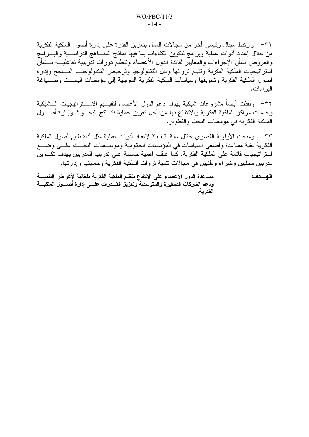٣١– وارتبط مجال رئيسي آخر من مجالات العمل بتعزيز القدرة على إدارة أصول الملكية الفكرية من خلال إعداد أدوات عملية وبرامج لنكوين الكفاءات بما فيها نماذج المنساهج الدراسسية والبسرامج والعروض بشأن الإجراءات والمعايير لفائدة الدول الأعضاء ونتظيم دورات ندريبية نفاعليـــة بـــشأن استراتيجيات الملكية الفكرية وتقييم ثرواتها ونقل التكنولوجيا وترخيص التكنولوجيـــا النــــاجح وإدارة أصول الملكية الفكرية وتسويقها وسياسات الملكية الفكرية الموجهة إلى مؤسسات البحــث وصــــياغة الدر اءات.

٣٢– ونفذت أيضا مشروعات شبكية بهدف دعم الدول الأعضاء لتقيـــيم الاســـنرانتيجيات الـــشبكية وخدمات مراكز الملكية الفكرية والانتفاع بها من أجل تعزيز حماية نتـــائج البحـــوث وإدارة أصــــول الملكية الفكر ية في مؤسسات البحث و النطوير .

٣٣– ومنحت الأولوية القصوى خلال سنة ٢٠٠٦ لإعداد أدوات عملية مثل أداة تقييم أصول الملكية الفكرية بغية مساعدة واضعى السياسات في المؤسسات الحكومية ومؤسسات البحــث علـــى وضــــع استر اتيجيات قائمة على الملكية الفكرية. كما علقت أهمية حاسمة على تدريب المدربين بهدف تكسوين مدربين محليين وخبراء وطنيين في مجالات نتمية ثروات الملكية الفكرية وحمايتها وإدارتها.

مساعدة الدول الأعضاء على الانتفاع بنظام الملكية الفكرية بفعّالية لأغراض التنميــــة الهسدف ودعم الشركات الصغيرة والمتوسطة وتعزيز القسدرات علسى إدارة أصسول الملكيسة الفكر سة.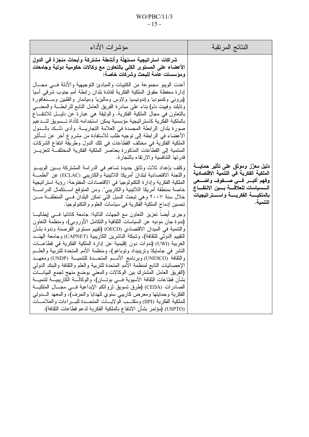## $WO/PBC/11/3$  $-15-$

| مؤشرات الأداء                                                                                                                                                                                                                                                                                                                                                                                                                                                                                                                                                                                                                                                                                                                                                                                                                                                                                                                                                                                                                                                                                            | النتائج المرنقبة                                                                                                                                                                                  |
|----------------------------------------------------------------------------------------------------------------------------------------------------------------------------------------------------------------------------------------------------------------------------------------------------------------------------------------------------------------------------------------------------------------------------------------------------------------------------------------------------------------------------------------------------------------------------------------------------------------------------------------------------------------------------------------------------------------------------------------------------------------------------------------------------------------------------------------------------------------------------------------------------------------------------------------------------------------------------------------------------------------------------------------------------------------------------------------------------------|---------------------------------------------------------------------------------------------------------------------------------------------------------------------------------------------------|
| شراكات استراتيجية مستهلّة وأنشطة مشتركة وأبحاث منجزة في الدول<br>الأعضاء على المستوى الكلي بالتعاون مع وكالات حكومية دولية وجامعات<br>ومؤسسات عامة للبحث وشركات خاصة:                                                                                                                                                                                                                                                                                                                                                                                                                                                                                                                                                                                                                                                                                                                                                                                                                                                                                                                                    |                                                                                                                                                                                                   |
| أعدت الويبو مجموعة من الكتيبات والمبادئ التوجيهية والأدلة فسي مجـــال<br>إدار ة محفظة حقوق الملكية الفكرية لفائدة بلدان رابطة أمم جنوب شرقي آسيا<br>(بروني وكمبوديا وإندونيسيا ولاوس وماليزيا وميانمار والفلبين وســنغافورة<br>وتايلند وفييت نام) بناء علىي مبادرة الفريق العامل النابع للرابطة والمعنسي<br>بالنعاون في مجال الملكية الفكرية. والوثيقة هي عبارة عن دليـــل للانتفـــاع<br>بالملكية الفكرية كاستر اتيجية مؤسسية يمكن استخدامه كأداة تـــسويق لتـــدعيم<br>صورة بلدان الرابطة المجسدة في العلامة التجاريـــة. وأدى ذلــك بالـــدول<br>الأعضاء في الرابطة إلى نوجيه طلب للاستفادة من مشروع أخر  عن تـــأثير<br>الملكية الفكرية في مختلف القطاعات في تلك الدول وطريقة انتفاع الشركات<br>المنتمية إلى القطاعات المذكورة بعناصر الملكية الفكرية المختلفـــة لتعزيـــز<br>قدرتها التنافسية والارتقاء بالتجارة.                                                                                                                                                                                                                                                                                  |                                                                                                                                                                                                   |
| وكلف بإعداد ثلاث وثائق جديدة تساهم في الدراسة المشتركة بسين الويبسو<br>واللجنة الاقتصادية لبلدان أمريكا اللاتينية والكاريبي (ECLAC) عن "أنظمـــة<br>الملكية الفكرية وإدارة النكنولوجيا في الاقتصادات المفتوحة: رؤية استراتيجية<br>خاصة بمنطقة أمريكا اللاتينية والكاريبي". ومن المتوقع اســـتكمال الدراســــة<br>خلال سنة ٢٠٠٧ وهي تبحث السبل التي تمكن البلدان فــي المنطقـــة مـــن<br>تحسين إدماج الملكية الفكرية في سياسات العلوم والتكنولوجيا.                                                                                                                                                                                                                                                                                                                                                                                                                                                                                                                                                                                                                                                      | دليل معزز وموثق على تأثير حمايــــة<br>الملكية الفكرية في التنمية الاقتصادية<br>وفهم أكبسر فسى صسفوف واضسعى<br>السسياسات للعلاقسة بسين الانتفــاع<br>بالملكيسة الفكريسة واسستراتيجيات<br>التنمية. |
| وجرى ايضا نعزيز النعاون مع الجهات التالية: جامعة كانانيا فسي إيطاليـــا<br>(ندوة جان مونيه عن السياسات الثقافية والنكامل الأوروبي)، ومنظمة النعاون<br>والنتمية في الميدان الاقتصادي (OECD) (نقييم مستوى القرصنة وندوة بشأن<br>النقييم الدولي للثقافة)، وشبكة الناشرين الكاريبية (CAPNET) وجامعة الهنـــد<br>الغربية (UWI) (ندوات دون إقليمية عن إدارة الملكية الفكرية في قطاعـــات<br>النشر في جامايكا وترينيداد وتوباغو)، ومنظمة الأمم المتحدة للتربية والعلـــم<br>والثقافة (UNESCO) وبرنامج الأمــم المتحــدة للتنميــة (UNDP) ومعهــد<br>الإحصائيات النابع لمنظمة الأمم المتحدة للنربية والعلم والثقافة والبنك الدولمي<br>(الفريق العامل المشترك بين الوكالات والمعنى بوضع منهج لجمع البيانسات<br>بشأن قطاعات الثقافة الأسيوية فـــي بوتــــان)، والوكالــــة الكاريبيــــة لتتميــــة<br>الصادرات (CEDA) (طرق تسويق ثرواتكم الإبداعية فـــي مجـــال الملكيـــة<br>الفكرية وحمايتها ومعرض كاريبي سنوي للهدايا والحرف)، والمعهد الــــدولي<br>للملكية الفكرية (IIPI) ومكتــب الولايـــات المتحـــدة للبــــراءات والعلامــــات<br>(USPTO) (مؤتمر بشأن الانتفاع بالملكية الفكرية لدعم قطاعات الثقافة). |                                                                                                                                                                                                   |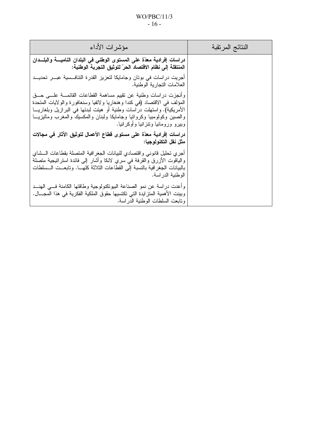## $WO/PBC/11/3$  $-16-$

| مؤشرات الأداء                                                                                                                                                                                                                                                                                                                                  | النتائج المرتقبة |
|------------------------------------------------------------------------------------------------------------------------------------------------------------------------------------------------------------------------------------------------------------------------------------------------------------------------------------------------|------------------|
| دراسات إفرادية معدّة على المستوى الوطني في البلدان الناميــــة والبلـــدان<br>المنتقلة إلى نظام الاقتصاد الحرّ لتوثيق التجربة الوطنية:                                                                                                                                                                                                         |                  |
| أجريت دراسات في بوتان وجامايكا لتعزيز القدرة التنافـــسية عبــــر تحديـــد<br>  العلامات التجارية الوطنية.                                                                                                                                                                                                                                     |                  |
| وأنجزت دراسات وطنية عن تقييم مساهمة القطاعات القائمـــة علـــي حـــق<br>المؤلف في الاقتصاد (في كندا وهنغاريا ولاتفيا وسنغافورة والولايات المتحدة<br>الأمريكية). واستهلت دراسات وطنية أو هيئت لبدئها في البرازيل وبلغاريـــا<br>والصين وكولومبيا وكرواتيا وجامايكا ولبنان والمكسيك والمغرب وماليزيـــا<br>  وببيرو ورومانيا ونتزانيا وأوكرانيا. |                  |
| دراسات إفرادية معدّة على مستوى فطاع الأعمال لتوثيق الآثار في مجالات<br>  مثل نقل التكنولوجيا:                                                                                                                                                                                                                                                  |                  |
| أجري تحليل قانوني واقتصادي للبيانات الجغر افية المتصلة بقطاعات السشاي<br>والياقوت الأزرق والقرفة في سري لانكا وأشار إلى فائدة استراتيجية متصلة<br>بالبيانات الجغر افية بالنسبة إلى القطاعات الثلاثة كلهـــا. وتابعــت الـــسلطات<br>  الوطنية الدراسة.                                                                                         |                  |
| وأعدت دراسة عن نمو الصناعة البيونكنولوجية وطاقتها الكامنة فسي الهنـــد<br>وبينت الأهمية المتزايدة التي تكتسيها حقوق الملكية الفكرية في هذا المجـــال.<br>ونابعت السلطات الوطنية الدراسة.                                                                                                                                                       |                  |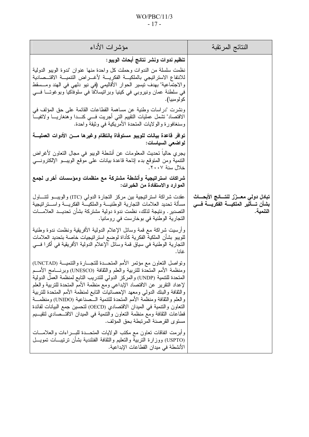| مؤشرات الأداء                                                                                                                                                                                                                                                                                                                                                                                                                                                                                                                                                                                                                                                                                                                                                                                                                                                                     | النتائج المرنقبة                                                                        |
|-----------------------------------------------------------------------------------------------------------------------------------------------------------------------------------------------------------------------------------------------------------------------------------------------------------------------------------------------------------------------------------------------------------------------------------------------------------------------------------------------------------------------------------------------------------------------------------------------------------------------------------------------------------------------------------------------------------------------------------------------------------------------------------------------------------------------------------------------------------------------------------|-----------------------------------------------------------------------------------------|
| تنظيم ندوات ونشر نتائج أبحاث الويبو:                                                                                                                                                                                                                                                                                                                                                                                                                                                                                                                                                                                                                                                                                                                                                                                                                                              |                                                                                         |
| نظمت سلسلة من الندوات وحملت كل واحدة منها عنوان "ندوة الويبو الدولية<br>للانتفاع الاستر اتيجى بالملكيــــة الفكريــــة لأغــــراض النتميــــة الاقتـــصـادية<br>والاجتماعية" بهدف نتيسير الحوار الأقاليمي (في نيو دلمهي في الهند ومـــسقط<br>في سلطنة عمان ونيروبي في كينيا وبرانيسلافا في سلوفاكيا وبوغوتـــا فــــي<br>كولومبيا).                                                                                                                                                                                                                                                                                                                                                                                                                                                                                                                                               |                                                                                         |
| ونشرت "در اسات وطنية عن مساهمة القطاعات القائمة على حق المؤلف في<br>الاقتصاد" تشمل عمليات التقييم التي أجريت فسي كنــدا وهنغاريـــا ولاتفيـــا<br>وسنغافورة والولايات المتحدة الأمريكية في وثيقة واحدة.                                                                                                                                                                                                                                                                                                                                                                                                                                                                                                                                                                                                                                                                           |                                                                                         |
| توافر فاعدة بيانات للويبو مستوفاة بانتظام وغيرها مـــن الأدوات العمليــــة<br>لواضعى السياسات:                                                                                                                                                                                                                                                                                                                                                                                                                                                                                                                                                                                                                                                                                                                                                                                    |                                                                                         |
| يجر ي حاليا تحديث المعلومات عن أنشطة الويبو في مجال النعاون لأغراض<br>التتمية ومن المتوقع بدء إناحة قاعدة بيانات علىي موقع الويبـــو الإلكترونــــي<br>خلال سنة ٢٠٠٧.                                                                                                                                                                                                                                                                                                                                                                                                                                                                                                                                                                                                                                                                                                             |                                                                                         |
| شراكات استراتيجية وأنشطة مشتركة مع منظمات ومؤسسات أخرى لجمع<br>الموارد والاستفادة من الخبرات:                                                                                                                                                                                                                                                                                                                                                                                                                                                                                                                                                                                                                                                                                                                                                                                     |                                                                                         |
| عقدت شراكة استراتيجية بين مركز النجارة الدولمي (ITC) والويبـــو لنتـــــاول<br>مسألة تحديد العلامات التجارية الوطنيـــة والملكيـــة الفكريــــة واســـنر اتيجية<br>التصدير . ونتيجة لذلك، نظمت ندوة دولية مشتركة بشأن تحديــد العلامـــات<br>النجارية الوطنية في بوخارست في رومانيا.                                                                                                                                                                                                                                                                                                                                                                                                                                                                                                                                                                                              | تبادل دولى معــزز لنتـــائج الأبحـــاث<br>بشأن تسأثير الملكيسة الفكريسة فسي<br>التنمية. |
| وأرسيت شراكة مع قمة وسائل الإعلام الدولية الأفريقية ونظمت ندوة وطنية<br>للويبو بشأن الملكية الفكرية كأداة لوضع استراتيجيات خاصة بتحديد العلامات<br>التجارية الوطنية في سياق قمة وسائل الإعلام الدولية الأفريقية في أكرا فـــي<br>غانا.                                                                                                                                                                                                                                                                                                                                                                                                                                                                                                                                                                                                                                            |                                                                                         |
| ونواصل النعاون مع مؤتمر الأمم المتحــدة للنجـــارة والنتميـــة (UNCTAD)<br>ومنظمة الأمم المتحدة للتربية والعلم والثقافة (UNESCO) وبرنسامج الأمسم<br>المتحدة للتتمية (UNDP) والمركز الدولي للتدريب التابع لمنظمة العمل الدولية<br>لإعداد النقرير عن الاقتصاد الإبداعي ومع منظمة الأمم المتحدة للتربية والعلم<br>والثقافة والبنك الدولمي ومعهد الإحصائيات النابع لمنظمة الأمم المتحدة للتربية<br>والعلم والثقافة ومنظمة الأمم المتحدة للتنمية الـــصناعية (UNIDO) ومنظمـــة<br>النعاون والتنمية في الميدان الاقتصادي (OECD) لتحسين جمع البيانات لفائدة<br>قطاعات الثقافة ومع منظمة التعاون والنتمية في الميدان الاقتـــصـادي لنتقيـــيم<br>مستوى القرصنة المرتبطة بحق المؤلف.<br>وأبرمت انفاقات نعاون مع مكتب الولايات المتحـــدة للبــــراءات والعلامــــات<br>(USPTO) ووزارة النربية والنعليم والثقافة الفنلندية بشأن نرنيبـــات نمويـــل<br>الأنشطة في ميدان القطاعات الإبداعية. |                                                                                         |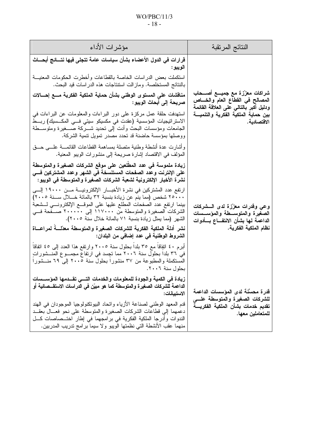# $WO/PBC/11/3$  $-18-$

| مؤشرات الأداء                                                                                                                                                                                                                                                                                                                                           | النتائج المرتقبة                                                                                               |
|---------------------------------------------------------------------------------------------------------------------------------------------------------------------------------------------------------------------------------------------------------------------------------------------------------------------------------------------------------|----------------------------------------------------------------------------------------------------------------|
| قرارات في الدول الأعضاء بشأن سياسات عامة تتجلى فيها نتـــائـج أبحــــاث<br>الويبو :                                                                                                                                                                                                                                                                     |                                                                                                                |
| استكملت بعض الدراسات الخاصة بالقطاعات وأخطرت الحكومات المعنيسة<br>بالنتائج المستخلصة. وماز الت استتناجات هذه الدر اسات قيد البحث.                                                                                                                                                                                                                       |                                                                                                                |
| مناقشات على المستوى الوطني بشأن حماية الملكية الفكرية مـــع إحــــالات<br>صريحة إلى أبحاث الويبو :                                                                                                                                                                                                                                                      | شراكات معزّزة مع جميـــع أصـــحاب<br>المصالح في القطاع العام والخساص<br>ودليل أكبر بالتالي على العلاقة القائمة |
| استهدفت حلقة عمل مركزة على دور البراءات والمعلومات عن البراءات في<br>الاستر اتيجيات المؤسسية (عقدت في مكسيكو سيتي فـــي المكـــسيك) ربـــط<br>الجامعات ومؤسسات البحث وأدت إلىي تحديد شــــركة صــــغيرة ومتوســـطة<br>ووصلها بمؤسسة حاضنة قد تحدد مصدر تمويل نتمية الشركة.                                                                              | بين حماية الملكية الفكرية والتنميــــة<br>الاقتصادية.                                                          |
| وأشارت عدة أنشطة وطنية متصلة بمساهمة القطاعات القائمـــة علـــي حـــق<br>المؤلف في الاقتصاد إشارة صريحة إلى منشورات الويبو المعنية.                                                                                                                                                                                                                     |                                                                                                                |
| زيادة ملموسة في عدد المطلعين على موقع الشركات الصغيرة والمتوسطة<br>على الإنترنت وعدد الصفحات المستنسخة في الشهر وعدد المشتركين فـــي<br>نشرة الأخبار الإلكترونية لشعبة الشركات الصغيرة والمتوسطة في الويبو:                                                                                                                                             |                                                                                                                |
| ارتفع عدد المشتركين في نشرة الأخبـــار الإلكترونيـــة مـــن ١٩٠٠٠ إلــــى<br>٢٥٠٠٠ شخص (مما ينم عن زيادة بنسبة ٣٢ بالمائة خــــلال ســـنة ٢٠٠٥)<br>بينما ارتفع عدد الصفحات المطلع عليها على الموقـــع الإلكترونــــي لـــشعبة<br>الشركات الصغيرة والمتوسطة من ١١٧٠٠٠ إلى ٢٠٠٠٠٠ صـــفحة فـــي<br>الشهر (مما يمثل زيادة بنسبة ٧١ بالمائة خلال سنة ٢٠٠٥). | وعى وقدرات معزّزة لدى الـــشركات<br>الصغيرة والمتوســطة والمؤســسات<br>الداعمة لها بشأن الانتفــاع بــأدوات    |
| نشر أدلة الملكية الفكرية للشركات الصغيرة والمتوسطة معدّلـــة لمراعـــاة<br>الشروط الوطنية في عدد إضافي من البلدان:                                                                                                                                                                                                                                      | نظام الملكية الفكرية.                                                                                          |
| أبرم ٤٠ انفِاقًا مع ٣٥ بلدًا بـحلول سنة ٢٠٠٥ وارتفع هذا العدد إلى ٤٥ انفاقًا<br>في ٣٦ بلدا بحلول سنة ٢٠٠٦ مما تجِسد في ارتفاع مجمــوع المنـــشوراتٍ<br>المستكملة والمطبوعة من ٣٧ منشورًا بـحلول سنة ٢٠٠٥ إلى ٦٩ منـــشورًا<br>بحلول سنة ٢٠٠٦.                                                                                                           |                                                                                                                |
| زيادة في الكمية والجودة للمعلومات والخدمات التسي تقـــدمها المؤســـسات<br>الداعمة للشركات الصغيرة والمتوسطة كما هو مبيّن في الدراسات الاستقـــصائية أو<br>الاستبيانات:                                                                                                                                                                                  | قدرة محسَّنة لدى المؤسسات الداعمة                                                                              |
| قدم المعهد الوطنبي لصناعة الأزياء واتحاد البيونكنولوجيا الموجودان في الهند<br>دعمهما إلى قطاعات الشركات الصغيرة والمتوسطة على نحو فعــال بعقــد<br>الندوات وأدرجا الملكية الفكرية في برامجهما في إطار اختـــصاصات كـــل<br>منهما عقب الأنشطة التي نظمتها الويبو ولا سيما برامج تدريب المدربين.                                                          | للشركات الصغيرة والمتوسطة علسى<br>تقديم خدمات بشأن الملكية الفكريسة<br>للمتعاملين معها.                        |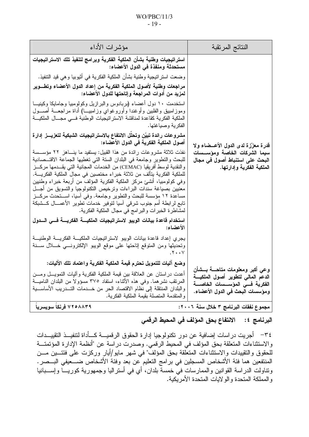#### $WO/PBC/11/3$  $-19-$

| مؤشرات الأداء                                                                                                                                                                                                                                                                                                                                                                                                                                                                                                                                                                                                                                                    | النتائج المرتقبة                                                                                                                            |
|------------------------------------------------------------------------------------------------------------------------------------------------------------------------------------------------------------------------------------------------------------------------------------------------------------------------------------------------------------------------------------------------------------------------------------------------------------------------------------------------------------------------------------------------------------------------------------------------------------------------------------------------------------------|---------------------------------------------------------------------------------------------------------------------------------------------|
| استر اتيجيات وطنية بشأن الملكية الفكرية وبرامج لتنفيذ تلك الاستر اتيجيات<br>مستحدثة ومنفذة في الدول الأعضاء:                                                                                                                                                                                                                                                                                                                                                                                                                                                                                                                                                     |                                                                                                                                             |
| وضعت استر انيجية وطنية بشأن الملكية الفكرية في أثيوبيا وهي قيد التنفيذ.                                                                                                                                                                                                                                                                                                                                                                                                                                                                                                                                                                                          |                                                                                                                                             |
| مراجعات وطنية لأصول الملكية الفكرية من إعداد الدول الأعضاء وتطـــوير<br>لمزيد من أدوات المراجعة وإتاحتها للدول الأعضاء:                                                                                                                                                                                                                                                                                                                                                                                                                                                                                                                                          |                                                                                                                                             |
| استخدمت ١٠ دول أعضاء (بربادوس والبرازيل وكولومبيا وجامايكا وكينيـــا<br>وموزلمبيق والفلبين وأوغندا وأوروغواي وزامبيـــا) أداة مراجعـــة أصــــول<br>الملكية الفكرية كقاعدة لمناقشة الاستر اتيجيات الوطنية فسى مجسال الملكيسة<br>الفكرية وصياغتها.                                                                                                                                                                                                                                                                                                                                                                                                                |                                                                                                                                             |
| مشروعات رائدة تبيّن وتحلل الانتفاع بالاستراتيجيات الشبكية لتعزيـــز إدارة<br>أصول الملكية الفكرية في الدول الأعضاء:                                                                                                                                                                                                                                                                                                                                                                                                                                                                                                                                              | قدرة معزّزة لدى الدول الأعــضاء ولا                                                                                                         |
| نفذت ثلاثة مشروعات رائدة من هذا القبيل: يستفيد ما ينــــاهز ٢٢ مؤســـسة<br>للبحث والتطوير وجامعة في البلدان السنة التي تغطيها الجماعة الاقتــصادية<br>والنقدية لوسط أفريقيا (CEMAC) من الخدمات المجانية التي يقـــدمها مركــــز<br>للملكية الفكرية يتألف من ثلاثة خبر اء مختصين في مجال الملكية الفكريــــة.<br>وفي كولومبيا، أُنشئ مركز الملكية الفكرية المؤلف من أربعة خبراء وطنيين<br>معنيين بصياغة سندات البراءات وترخيص التكنولوجيا والتسويق من أجـــل<br>مساعدة ١٢ مؤسسة للبحث والتطوير وجامعة. وفي أسيا، اســـنحدث مركـــز<br>نابع لرابطة أمم جنوب شرقبي أسيا لتوفير خدمات نطوير الأعمـــال كـــشبكة<br>لمشاطرة الخبرات والبرامج في مجال الملكية الفكرية. | سيما الشركات الخاصة ومؤســسات<br>البحث على استنباط أصول في مجال<br>الملكية الفكرية وإدارتها.                                                |
| استخدام فاعدة بيانات الويبو لاستراتيجيات الملكيسة الفكريسة فسي السدول<br>الأعضاء:                                                                                                                                                                                                                                                                                                                                                                                                                                                                                                                                                                                |                                                                                                                                             |
| يجري إعداد قاعدة بيانات الويبو لاستر اتيجيات الملكيــــة الفكريــــة الوطنيــــة<br>وتحديثها ومن المنوقع إناحتها على موقع الويبو الإلكترونـــي خــــلال ســــنة<br>.7.7                                                                                                                                                                                                                                                                                                                                                                                                                                                                                          |                                                                                                                                             |
| وضع آليات للتمويل تحترم فيمة الملكية الفكرية واعتماد تلك الآليات:<br>أعدت در استان عن العلاقة بين قيمة الملكية الفكرية وأليات التمويـــل ومـــن<br>المرتقب نشرهما. وفي هذه الأنثاء، استفاد ٣٧٥ مسؤولا من البلدان الناميـــة<br>والبلدان المنتقلة إلى نظام الاقتصاد الحر من خـــدمات التـــدريب الأساســـية<br>و المنقدمة المتصلة بقيمة الملكية الفكرية.                                                                                                                                                                                                                                                                                                          | وعى أكبر ومعلومات متاحـــة بـــشأن<br>الدعم المالى لتطوير أصول الملكيسة<br>الفكرية فسى المؤسسسات الخاصسة<br>ومؤسسات البحث في الدول الأعضاء. |
| ۷۲۰۸۸۳۹ فرنکا سویسریا                                                                                                                                                                                                                                                                                                                                                                                                                                                                                                                                                                                                                                            | مجموع نفقات البرنامج ٣ خلال سنة ٢٠٠٦:                                                                                                       |

# البرنامج ٤: الانتفاع بحق المؤلف في المحيط الرقمي

٣٤– أجريت در اسات إضافية عن دور تكنولوجيا إدارة الحقوق الرقميـــة كـــأداة لتنفيـــذ التقييـــدات والاستثناءات المتعلقة بحق المؤلف في المحيط الرقمي. وصدرت دراسة عن "أنظمة الإدارة المؤتمتـــة لْلْحقوق والنقييدات والاستثناءات المتعلَّقة بحق المُؤلفَّ" في شهر مايو/أيار وركزت علَى فئنسين مـــن المنتفعين هما فئة الأشخاص المسجلين في برامج التعليم عن بعد وفئةُ الأشخاص ضــــعيفي البـــصر . ونتاولت الدراسة القوانين والممارسات فيَّ خمسةٌ بلدان، أي في أستراليا وجمهورية كوريــــاً وإســــبانيا و المملكة المتحدة و الو لابات المتحدة الأمر بكبة.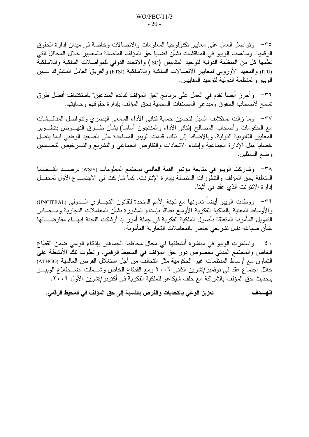٣٥– وتواصل العمل على معابير نكنولوجيا المعلومات والاتصالات وخاصة في ميدان إدارة الحقوق الرقمية. وساهمت الويبو في المناقشات بشأن قضايا حق المؤلف المتصلة بالمعايير خلال المحافل التي نظمها كل من المنظمة الدولية لتوحيد المقاييس (ISO) والاتحاد الدولمي للمواصلات السلكية واللاسلكية (ITU) والمعهد الأوروبي لمعايير الاتصالات السلكية واللاسلكية (ETSI) والفريق العامل المشترك بـــين الويبو والمنظمة الدولية لتوحيد المقاييس.

٣٦– وأحرز أيضاً تقدم في العمل على برنامج "حق المؤلف لفائدة المبدعين" باستكشاف أفضل طرق تسمح لأصحاب الحقوق ومبدعي المصنفات المحمية بحق المؤلف بإدارة حقوقهم وحمايتها.

٣٧– وما زالت تستكشف السبل لتحسين حماية فناني الأداء السمعي البصري وتتواصل المناقسشات مع الحكومات وأصحاب المصالح (فنانو الأداء والمنتجون أساسا) بشأن طـــرق النهـــوض بتطـــوير الْمَعايير القانونية الدولية. وبالإضَّافةُ إلى ذلك، قدمت الويبو المساعدة على الصعيد الوطني فيما يتصل بقضايا مثل الإدارة الجماعية وإنشاء الاتحادات والتفاوض الجماعى والتشريع والتسرخيص لتحسسين وضـع الممثلين.

٣٨ - وشاركت الويبو في متابعة مؤتمر القمة العالمي لمجتمع المعلومات (WSIS) برصـــد القـــضايا المتعلقة بحق المؤلف والتطورات المتصلة بإدارة الإنترنت. كما شاركت في الاجتمـــاع الأول لمحفـــل إدار ة الإنترنت الذي عقد في أثينا.

٣٩- ووطدت الويبو أيضا نعاونها مع لجنة الأمم المتحدة للقانون النجـــاري الـــدولي (UNCITRAL) والأوساط المعنية بالملكية الفكرية الأوسع نطاقآ بإسداء المشورة بشأن المعاملات التجارية ومـــصادر التمويل المأمونة المتعلقة بأصول الملكية الفكرية في جملة أمور إذ أوشكت اللجنة إنهـــاء مفاوضــــاتها بشأن صياغة دليل تشريعي خاص بالمعاملات التجارية المأمونة.

· ٤- واستمرت الويبو في مباشرة أنشطتها في مجال مخاطبة الجماهير بإذكاء الوعي ضمن القطاع الخاص والمجتمع المدنى بخصوص دور حق المؤلف في المحيط الرقمي. وانطوت تلك الأنشطة على النعاون مع أوساط المنظمات غير الحكومية مثل النحالف من أجل استغلال الفرص العالمية (ATHGO) خلال اجتماع عقد في نوفمبر/تشرين الثاني ٢٠٠٦ ومع القطاع الخاص وشـــملت اضـــطلاع الويبـــو بتحديث حق المؤلف بالشراكة مع حلف شيكاغو للملكية الفكرية في أكتوبر /تشرين الأول ٢٠٠٦.

الهسدف تعزيز الوعي بالتحديات والفرص بالنسبة إلى حق المؤلف في المحيط الرقمي.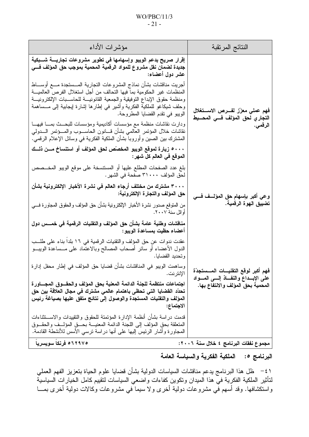#### $WO/PBC/11/3$  $-21-$

| مؤشرات الأداء                                                                                                                                                                                                                                                                                                                                                                                                                 | النتائج المرتقبة                                                               |
|-------------------------------------------------------------------------------------------------------------------------------------------------------------------------------------------------------------------------------------------------------------------------------------------------------------------------------------------------------------------------------------------------------------------------------|--------------------------------------------------------------------------------|
| إقرار صريح بدعم الويبو وإسهامها في تطوير مشروعات تجاريسة شسبكية<br>جديدة لضمان نقل مشروع للمواد الرقمية المحمية بموجب حق المؤلف فسي<br>عشر دول أعضاء:                                                                                                                                                                                                                                                                         |                                                                                |
| أجريت مناقشات بشأن نماذج المشروعات النجارية المـــسنجدة مــــع أوســــاط<br>المنظمات غير الحكومية بما فيها التحالف من أجل استغلال الفرص العالميــــة<br>ومنظمة حقوق الإبداع التوفيقية والجمعية القانونيـــة للحاســـبات الإلكترونيـــة<br>وحلف شيكاغو للملكية الفكرية وأشير في إطارها إشارة إيجابية إلى مـــساهمة<br>الويبو في تقدم القضايا المطروحة.<br>ودارت نقاشات منظمة مع مؤسسات أكاديمية ومؤسسات للبحــث بمـــا فيهـــا | فهم عملى معزّز لفـــرص الاســـتغلال<br>التجاري لحق المؤلف فـــي المحـــيط      |
| نقاشات خلال المؤتمر العالمي بشأن قسانون الحاســـوب والمــــؤتمر الـــــدولمي<br>المشترك بين الصين وأوروبا بشأن الملكية الفكرية في وسائل الإعلام الرقمي.                                                                                                                                                                                                                                                                       | الرقمي.                                                                        |
| ۰۰۰ زيارة لموقع الويبو المخصّص لحق المؤلف أو استنساخ مــن ذلــك<br>الموقع في العالم كل شهر :                                                                                                                                                                                                                                                                                                                                  |                                                                                |
| بلغ عدد الصفحات المطلع عليها أو المستتسخة على موقع الويبو المخـــصص<br>لحق المؤلف ٣١٠٠٠ صفحة في الشهر .                                                                                                                                                                                                                                                                                                                       |                                                                                |
| ٣٠٠٠ مشترك من مختلف أرجاء العالم في نشرة الأخبار الإلكترونية بشأن<br>حق المؤلف والتجارة الإلكترونية:                                                                                                                                                                                                                                                                                                                          | وعي أكبر بإسهام حق المؤلــف فـــي                                              |
| من المتوقع صدور نشرة الأخبار الإلكترونية بشأن حق المؤلف والحقوق المجاورة فسي<br>أوائل سنة ٢٠٠٧.                                                                                                                                                                                                                                                                                                                               | تضييق الهوة الرقمية.                                                           |
| مناقشات وطنية عامة بشأن حق المؤلف والنقنيات الرقمية في خمـــس دول<br>أعضاء حظيت بمساعدة الويبو :                                                                                                                                                                                                                                                                                                                              |                                                                                |
| عقدت ندوات عن حق المؤلف والتقنيات الرقمية في ١٦ بلدا بناء على طلـب<br>الدول الأعضاء أو سائر أصحاب المصالح وبالاعتماد على مـــساعدة الويبـــو<br>وتحديد القضايا.                                                                                                                                                                                                                                                               |                                                                                |
| وساهمت الويبو في المناقشات بشأن قضايا حق المؤلف في إطار محفل إدارة<br>الإنترنت.                                                                                                                                                                                                                                                                                                                                               | فهم أكبر لوقع التقنيسات المسستجدّة<br>على الإبــداع والنفــاذ إلـــى المـــواد |
| اجتماعات منتظمة للجنة الدائمة المعنية بحق المؤلف والحقسوق المجساورة<br>تحدّد القضايا التي تحظي باهتمام عالمي مشترك في مجال العلاقة بين حق<br>المؤلف والنقنيات المستجدة والوصول إلى نتائج متفق عليها بصياغة رئيس<br>الاجتماع:                                                                                                                                                                                                  | المحمية بحق المؤلف والانتفاع بها.                                              |
| قدمت در اسة بشأن أنظمة الإدارة المؤتمتة للحقوق والتقييدات والاســـتثناءات<br>المتعلقة بحق المؤلف إلى اللجنة الدائمة المعنيسة بحسق المؤلسف والحقسوق<br>المجاورة وأشار الرئيس إليها على أنها دراسة نرسى الأسس للأنشطة القادمة.                                                                                                                                                                                                  |                                                                                |
|                                                                                                                                                                                                                                                                                                                                                                                                                               |                                                                                |

مجموع نفقات البرنامج ٤ خلال سنة ٢٠٠٦:

1۲۹۷۰ه فرنکا سویسریا

البرنامج 0: الملكية الفكرية والسياسة العامة

٤١ – ظل هذا البرنامج يدعم مناقشات السياسات الدولية بشأن قضايا علوم الحياة بتعزيز الفهم العملي لتأثير الملكية الفكرية في هذا الميدان ونكوين كفاءات واضعي السياسات لتقييم كامل الخيارات السياسية واستكشافها. وقد أسهم فّي مشروعات دولية أخرى ولا سيما ّفي مشروعات وكالات دولية أخرى بمـــا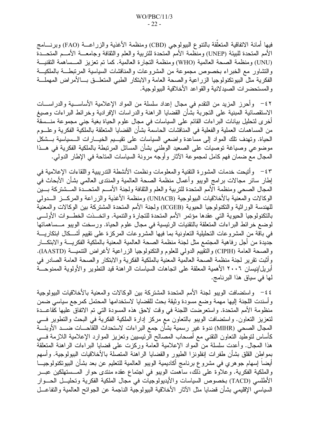فيها أمانة الاتفاقية المتعلقة بالنتوع الببيولوجي (CBD) ومنظمة الأغذية والزراعـــة (FAO) وبرنــــامج الأمم المتحدة للبيئة (UNEP) ومنظمة الأمم المتحدة للتربية والعلم والثقافة وجامعـــة الأمـــم المتحـــدة (UNU) ومنظمة الصحة العالمية (WHO) ومنظمة التجارة العالمية. كما تم تعزيز المـساهمة التقنيــة والتشاور مع الخبراء بخصوص مجموعة من المشروعات والمناقشات السياسية المرتبطـــة بالملكيـــة الفكرية مثل البيونكنولوجيا الزراعية والصحة العامة والابتكار الطبي المنعلــق بـــالأمراض المهملـــة و المستحضر ات الصبدلانية و القو اعد الأخلاقية البيو لو جية.

٤٢– وأحرز المزيد من النقدم في مجال إعداد سلسلة من المواد الإعلامية الأساســـية والدراســـات الاستقصائية المبنية على التجربة بشأن القضايا الراهنة والدراسات الإفرادية وخرائط البراءات وصبغ أخرى لتحليل بيانات البراءات القائم على السياسات في مجال علوم الحياة بغية جنى مجموعة منـــسقة من المساهمات العملية والفعلية في المناقشات الحاسمة بشأن القضايا المتعلقة بالملكية الفكرية وعلـــوم الحياة. وتهدف نلك المواد إلى مساعدة واضعى السياسات على تقيـــيم الخيـــارات الـــسياسية بـــشكل موضوعي وصياغة توصيات على الصعيد الوطني بشأن المسائل المرتبطة بالملكية الفكرية في هــذا المجال مع ضمان فهم كامل لمجموعة الآثار وأوجه مرونة السياسات المناحة في الإطار الدولي.

٤٣ - وأُنيحت خدمات المشورة النقنية والمعلومات ونظمت الأنشطة الندريبية واللقاءات الإعلامية في إطار سائر مجالات برامج الويبو وأعمال منظمة الصحة العالمية والمنتدى العالمي بشأن الأبحاث في المجال الصحى ومنظمة الأمم المتحدة للتربية والعلم والنقافة ولجنة الأمسم المتحسدة المسشنركة بسين الوكالات والمعنية بالأخلاقيات البيولوجية (UNIACB) ومنظمة الأغذية والزراعة والمركـــز الــــدولمي للهندسة الور اثية و النكنو لو جيا الحيو ية (ICGEB) و لجنة الأمم المتحدة المشتر كة بين الو كالات و المعنية بالنكنولوجيا الحيوية التي عقدها مؤتمر الأمم المتحدة للتجارة والتنمية. واتخـــذت الخطـــوات الأولــــي لوضع خرائط البراءات المتعلقة بالتقنيات الرئيسية في مجال علوم الحياة. ورسخت الويبو مـــساهماتها في باقة من المشروعات التحليلية التعاونية بما فيها المشروعات المركزة على نقييم أشــكال ابتكاريـــة جديدة من أجل رفاهية المجتمع مثل لجنة منظمة الصحة العالمية المعنية بالملكية الفكريسة والابتكسار والصحة العامة (CIPIH) والتقييم الدولي للعلوم والتكنولوجيا الزراعية لأغراض التنميـــة (IAASTD). وأثبت تقرير لجنة منظمة الصحة العالمية المعنية بالملكية الفكرية والابتكار والصحة العامة الصادر في أبريل/نيسان ٢٠٠٦ الأهمية المعلقة على اتجاهات السياسات الراهنة قيد التطوير والأولوية الممنوحـــة لَّها في سياق هذا البرنامج.

٤٤ - واستضافت الويبو لجنة الأمم المتحدة المشتركة بين الوكالات والمعنية بالأخلاقيات البيولوجية وأسندت اللجنة إليها مهمة وضع مسودة وثيقة بحث للقضايا لاستخدامها المحتمل كمرجع سياسي ضمن منظومة الأمم المتحدة. واستعرضت اللجنة في وقت لاحق هذه المسودة التي تم الاتفاق عليها كقاعــدة لتعزيز التعاون. واستضافت الويبو بالتعاون مع مركز إدارة الملكية الفكرية في البحث والتطوير فسي المجال الصحي (MIHR) ندوة غير رسمية بشأن جمع البراءات لاستحداث اللقاحـــات ضـــد الأوبئـــة كأساس لتوطيد النعاون النقنبي مع أصحاب المصالح الرئيسيين ونعزيز الموارد الإعلامية اللازمة فسي هذا المجال. وأعدت سلسلة من المواد الإعلامية العامة وركزت على فضايا البراءات الراهنة المتعلقة بمو اطن القلق بشأن طفر ات إنفلونز ا الطيور والقضايا الر اهنة المتصلة بالأخلاقيات البيولوجية. وأسهم أيضاً إسهام جوهري في مشروع برنامج أكاديمية الويبو العالمية للنعليم عن بعد بشأن البيونكنولوجيـــا والملكية الفكرية. وعلاوة على ذلك، ساهمت الويبو في اجتماع عقده منتدى حوار المــستهلكين عبـــر الأطلسي (TACD) بخصوص السياسات والأيديولوجيات في مجال الملكية الفكرية وتحليــل الحـــوار السباسي الإقليمي بشأن قضايا مثل الآثار الأخلاقية البيولوجية الناجمة عن الجوائح العالمية والنفاعـــل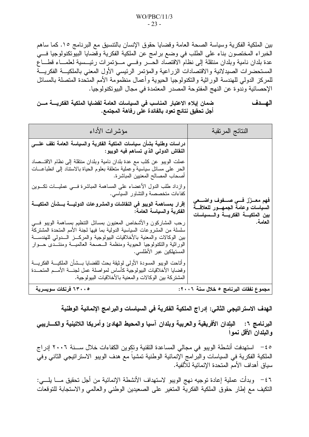بين الملكية الفكرية وسياسة الصحة العامة وقضايا حقوق الإنسان بالنتسيق مع البرنامج ١٥. كما ساهم الخبراء المختصون بناء على الطلب في وضع برامج عن الملكية الفكرية وقضايا البيوتكنولوجيا في عدة بلدان نامية وبلدان منتقلة إلىى نظام الاقتصاد الحــــر وفــــي مـــؤتمرات رئيـــسية لعلمـــاء قطــــاع المستحضرات الصيدلانية والاقتصادات الزراعية والمؤتمر الرئيسي الأول المعنى بالملكيـــة الفكريـــة للمركز الدولي للهندسة الوراثية والنكنولوجيا الحيوية وأعمال منظمومة الأمم المتحدة المتصلة بالمسائل الإحصائية وندوة عن النهج المفتوحة المصدر المعتمدة في مجال البيوتكنولوجيا.

ضمان إيلاء الاعتبار المناسب في السياسات العامة لقضايا الملكية الفكريــــة مـــن الهسدف أجل تحقيق نتائج تعود بالفائدة على رفاهة المجتمع.

| النتائج المرتقبة                                                                                                      | مؤشرات الأداء                                                                                                                                                                                                                                                                                                                         |
|-----------------------------------------------------------------------------------------------------------------------|---------------------------------------------------------------------------------------------------------------------------------------------------------------------------------------------------------------------------------------------------------------------------------------------------------------------------------------|
|                                                                                                                       | دراسات وطنية بشأن سياسات الملكية الفكرية والسياسة العامة تقف علــــى<br>النقاش الدولي الذي تساهم فيه الويبو :                                                                                                                                                                                                                         |
|                                                                                                                       | عملت الويبو عن كثب مع عدة بلدان نامية وبلدان منتقلة إلى نظام الاقتـــصـاد<br>الحر على مسائل سياسية وعملية متعلقة بعلوم الحياة بالاستناد إلىي انطباعـــات<br>  أصحاب المصالح المعنيين المباشرة.                                                                                                                                        |
|                                                                                                                       | وازداد طلب الدول الأعضاء على المساهمة المباشرة فسي عمليـــات تكــــوين<br>كفاءات متخصصة والتشاور السياسي.                                                                                                                                                                                                                             |
| فهم معــزز فـــي صـــفوف واضـــعي<br>السياسات وعامة الجمهــور للعلاقـــة<br>بين الملكيــــة الفكريــــة والــــسياسات | إقرار بمساهمة الويبو في النقاشات والمشروعات الدوليــــة بـــشأن الملكيــــة<br>الفكرية والسياسة العامة:                                                                                                                                                                                                                               |
| العامة.                                                                                                               | رحب المشاركون والأشخاص المعنيون بمسائل النتظيم بمساهمة الويبو فسي<br>سلسلة من المشروعات السياسية الدولية بما فيها لجنة الأمم المتحدة المشتركة<br>بين الوكالات والمعنية بالأخلاقيات البيولوجية والمركـــز الــــدولـي للـهندســــة<br>الوراثية والتكنولوجيا الحيوية ومنظمة السصحة العالميسة ومنتسدى حسوار<br>  المستهلكين عبر الأطلسي. |
|                                                                                                                       | وأناحت الويبو المسودة الأولى لوثيقة بحث للقضايا بسشأن الملكيسة الفكريسة<br>وقضايا الأخلاقيات البيولوجية كأساس لمواصلة عمل لجنسة الأمسم المتحسدة<br>المشتركة بين الوكالات والمعنية بالأخلاقيات البيولوجية.                                                                                                                             |
| مجموع نفقات البرنامج ٥ خلال سنة ٢٠٠٦:                                                                                 | 1۳۰۰٥ فرنكات سويسرية                                                                                                                                                                                                                                                                                                                  |

الـهدف الاستراتيجي الثاني: إدراج الملكية الفكرية في السياسات والبرامج الإنمائية الوطنية

البرنامج ٦: البلدان الأفريقية والعربية وبلدان آسيا والمحيط الهادئ وأمريكا اللاتينية والكساريبي و البلدان الأقل نمو ا

٤٥ – استهدفت أنشطة الويبو في مجالي المساعدة التقنية ونكوين الكفاءات خلال ســــنة ٢٠٠٦ إدر اج الملكية الفكرية في السياسات والبرامج الإنمائية الوطنية تمشيا مع هدف الويبو الاستراتيجي الثاني وفي سباق أهداف الأمم المتحدة الإنمائية للألفية.

٤٦ - وبدأت عملية إعادة توجيه نهج الويبو لاستهداف الأنشطة الإنمائية من أجل تحقيق مـــا يلــــى: النكيف مع إطار حقوق الملكية الفكرية المتغير على الصعيدين الوطنبي والعالمي والاستجابة للتوقعات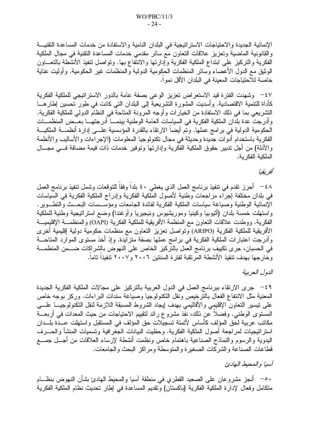الإنمائية الجديدة والاحتياجات الاستراتيجية في البلدان النامية والاستفادة من خدمات المساعدة التقنيسة والقانونية الماضية وتعزيز علاقات التعاون مع سائر مقدمي خدمات المساعدة التقنية في مجال الملكية الفكرية والتركيز على ابنداع الملكية الفكرية وإدارتها والانتفاع بها. ونواصل نتفيذ الأنشطة بالنعـــاون الوثيق مع الدول الأعضاء وسائر المنظمات الحكومية الدولية والمنظمات غير الحكومية. وأوليت عناية خاصة للاحتياجات المعينة في البلدان الأقل نمواً.

٤٧ - وشهدت الفترة قيد الاستعراض تعزيز الوعى بصفة عامة بالدور الاستراتيجي للملكية الفكرية كأداة للتنمية الاقتصادية. وأسديت المشورة التشريعية إلى البلدان التي كانت في طور تحسين إطارهـــا التشريعي بما في ذلك الاستفادة من الخيارات وأوجه المرونة المتاحة في النظام الدولي للملكية الفكرية. وأدرجت عدة بلدان الملكية الفكرية في السياسات العامة الوطنية بينمـــا أدرجتهـــا بعـــض المنظمـــات الحكومية الدولية في برامج عملها. وتم أيضا الارتقاء بالقدرة المؤسسية علـــي إدارة أنظمـــة الملكيـــة الفكرية باستخدام أدوات جديدة وحديثة في مجال تكنولوجيا المعلومات (الإجراءات والأساليب والأنظمة والأدلة) من أجل ندبير حقوق الملكية الفكرية وإدارتها ونوفير خدمات ذات قيمة مضافة فسي مجـــال الملكية الفكر بة.

#### أفر بقبا

٤٨ - أحرز نقدم في نتفيذ برنامج العمل الذي يغطي ٤٠ بلداً وفقاً للتوقعات وشمل تنفيذ برنامج العمل في بلدان مختلفة إجراء مراجعات وطنية لأصول الملكية الفكرية وإدراج الملكية الفكرية في السياسات الإنمائية الوطنية وصياغة سياسات الملكية الفكرية لفائدة الجامعات ومؤسـسات البحــث والنطــوير . واستهلت خمسة بلدان (أثيوبيا وكينيا وموريشيوس ونيجيريا وأوغندا) وضع استرانيجية وطنية للملكية الفكرية. ووطدت علاقات التعاون مع المنظمة الأفريقية للملكية الفكرية (OAPI) والمنظمـــة الإقليميـــة الأفريقية للملكية الفكرية (ARIPO) وتواصل تعزيز التعاون مع منظمات حكومية دولية إقليمية أخرى وأدرجت اعتبارات الملكية الفكرية في برامج عملها بصفة متزايدة. وإذ أخذ مستوى الموارد المتاحـــة في الحسبان، جرى تكييف برنامج العمل بالتركيز الخاص على النهوض بالشراكات ضــــمن المنظمـــة وخارجها بهدف تنفيذ الأنشطة المرتقبة لفترة السنتين ٢٠٠٦ و٢٠٠٧ تنفيذا تاما.

# الدول العربية

٤٩ - جرى الارتقاء ببرنامج العمل في الدول العربية بالتركيز على مجالات الملكية الفكرية الجديدة المعنية مثل الانتفاع الفعال بالترخيص ونقل التكنولوجيا وصياغة سندات البراءات. وركز بوجه خاص على نيسير النعاون الإقليمي والأقاليمي بهدف إيجاد الشروط المسبقة اللازمة لنقل النكنولوجيـــا علــــي المستوى الوطني. وفضلا عن ذلك، نفذ مشروع رائد لنقيبم الاحتياجات من حيث المعدات في أربعــــة مكانب عربية لحق المؤلف كأساس لأتمتة تسجيلات حق المؤلف في المستقبل واستهلت عــدة بلــدان استر انيجيات لمراجعة أصول الملكية الفكرية. وحظيت البيانات الجغر افية وتسميات المنشأ والحــــرف البدوية والرسوم والنماذج الصناعية باهتمام خاص ونظمت أنشطة لإرساء العلاقات من أجــل جمـــع قطاعات الصناعة والشركات الصغيرة والمنوسطة ومراكز البحث والجامعات.

آسيا والمحيط الهادئ

. ○− أنجز مشروعان على الصعيد القطري في منطقة آسيا والمحيط المهادئ بشأن النهوض بنظـــام متكامل وفعال لإدارة الملكية الفكرية (باكستان) وتقديم المساعدة في إطار تحديث نظام الملكية الفكرية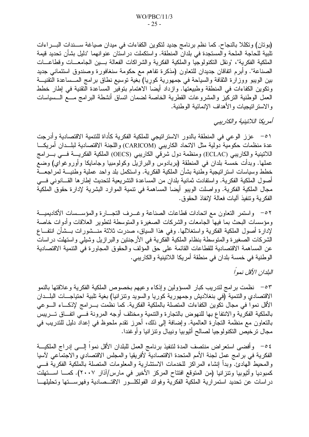(بوتان) وتكللا بالنجاح. كما نظم برنامج جديد لنكوين الكفاءات في ميدان صياغة ســندات البـــراءات تلبية للحاجة الملحة والمستجدة في بلدان المنطقة. واستكملت در استان عنو انهما "دليل بشأن تحديد قيمة الملكية الفكرية"، "ونقل التكنولوجيا والملكية الفكرية والشراكات الفعالة بسين الجامعسات وقطاعسات الصناعة". وأبرم اتفاقان جديدان للتعاون (مذكرة تفاهم مع حكومة سنغافورة وصندوق استئماني جديد بين الويبو ووزارة الثقافة والسياحة في جمهورية كوريا) بغية توسيع نطاق برامج المــساعدة التقنيـــة ونكوين الكفاءات في المنطقة وطبيعتها. وازداد أيضا الاهتمام بتوفير المساعدة التقنية في إطار خطط العمل الوطنية التركيز والمشروعات القطرية الخاصة لضمان انساق أنشطة البرامج مـــع الـــسياسات و الاسنر انبجيات و الأهداف الإنمائية الوطنية.

أمريكا اللاتينية والكاريبي

٥١ – عزز الوعي في المنطقة بالدور الاستراتيجي للملكية الفكرية كأداة للتنمية الاقتصادية وأدرجت عدة منظمات حكومية دولية مثل الاتحاد الكاريبي (CARICOM) واللجنة الاقتصادية لبلــدان أمريكـــا اللاتينية والكاريبي (ECLAC) ومنظمة دول شرقي الكاريبي (OECS) الملكية الفكريـــة فـــي بـــرامج عملها. وبدأت خمسة بلدان في المنطقة (بربادوس والبرازيل وكولومبيا وجامايكا وأوروغواي) وضع خطط وسياسات استراتيجية وطنية بشأن الملكية الفكرية. واستكمل بلد واحد عملية وطنيـــة لمراجعـــة أصول الملكية الفكرية. واستفادت ثمانية بلدان من المساعدة التشريعية لتحديث إطارها القـــانونـي فـــي مجال الملكية الفكرية. وواصلت الويبو أيضا المساهمة في نتمية الموارد البشرية لإدارة حقوق الملكية الفكر ية و تنفيذ آليات فعالة لإنفاذ الحقوق.

٥٢ - واستمر النعاون مع انحادات قطاعات الصناعة وغــرف النجـــارة والمؤســسات الأكاديميـــة ومؤسسات البحث بما فيها الجامعات والشركات الصغيرة والمتوسطة لتطوير العلاقات وأدوات خاصة لإدارة أصول الملكية الفكرية واستغلالها. وفي هذا السياق، صدرت ثلاثة منـــشورات بـــشأن انتفـــاع الشركات الصغيرة والمنوسطة بنظام الملكية الفكرية في الأرجنتين والبرازيل وشيلي واستهلت دراسات عن المساهمة الاقتصادية للقطاعات القائمة على حق المؤلف والحقوق المجاورة في التنمية الاقتصادية الوطنية في خمسة بلدان في منطقة أمريكا اللاتينية والكاريبي.

البلدان الأقل نمواً

٥٣ - نظمت برامج لندريب كبار المسؤولين وإذكاء وعيهم بخصوص الملكية الفكرية وعلاقتها بالنمو الاقتصادي والتنمية (في بنغلاديش وجمهورية كوريا والسويد ونتزانيا) بغية تلبية احتياجـــات البلـــدان الأقل نمواً في مجال نكوين الكفاءات المتصلة بالملكية الفكرية. كما نظمت بـــرامج لإذكــــاء الــــوعي بالملكية الفكرية والانتفاع بها للنهوض بالنجارة والنتمية ومختلف أوجه المرونة فسى اتفاق تسريبس بالتعاون مع منظمة النجارة العالمية. وإضافة إلى ذلك، أحرز نقدم ملحوظ في إعداد دليل للندريب في مجال نرخيص النكنولوجيا لصالح أثيوبيا ونيبال ونتزانيا وأوغندا.

٥٤ - وأفضى استعراض منتصف المدة لتنفيذ برنامج العمل للبلدان الأقل نموا إلـــي إدراج الملكيـــة الفكرية في برامج عمل لجنة الأمم المتحدة الاقتصادية لأفريقيا والمجلس الاقتصادي والاجتماعي لآسيا والمحيط الهادئ. وبدأ إنشاء المراكز للخدمات الاستشارية والمعلومات المنصلة بالملكية الفكرية فسي كمبوديا وأثيوبيا وتنزانيا (من المتوقع افتتاح المركز الأخير في مارس/آذار ٢٠٠٧). كمـــا اســـتهلت دراسات عن تحديد استمرارية الملكية الفكرية وفوائد الفولكلور الاقتسصادية وفهرستها وتحليلها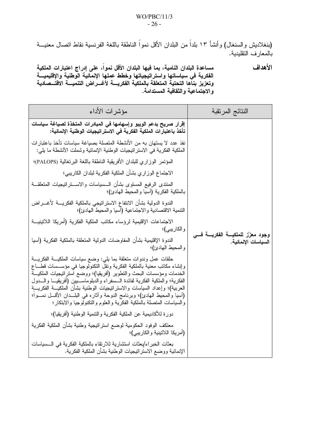(بنغلاديش والسنغال) وأنشأ ١٣ بلداً من البلدان الأقل نمواً الناطقة باللغة الفرنسية نقاط انصال معنيـــة بالمعار ف التقليدية.

مساعدة البلدان النامية، بما فيها البلدان الأقل نمواً، على إدراج اعتبارات الملكية الأهداف سعت المستقبل المستقبل المستقبل المستوفين المستقبل المستقبل المستقبل المستقبل المستقبل.<br>الفكرية في سياساتها واستراتيجياتها وخطط عملها الإنمائية الوطنية والإقليميـــة<br>وتعزيز بناها التحتية المتعلقة بالملكية الفكريـــة لأغـــ والاجتماعية والثقافية المستدامة.

| مؤشرات الأداء                                                                                                                                                                                                                                                                                                                                                                                                                                                                                                                                                     | النتائج المرتقبة                          |
|-------------------------------------------------------------------------------------------------------------------------------------------------------------------------------------------------------------------------------------------------------------------------------------------------------------------------------------------------------------------------------------------------------------------------------------------------------------------------------------------------------------------------------------------------------------------|-------------------------------------------|
| إقرار صريح بدعم الويبو وإسهامها في المبادرات المتخذة لصياغة سياسات<br>تأخذ باعتبارات الملكية الفكرية في الاستراتيجيات الوطنية الإنمائية:                                                                                                                                                                                                                                                                                                                                                                                                                          |                                           |
| نفذ عدد لا يستهان به من الأنشطة المتصلة بصياغة سياسات تأخذ باعتبارات<br>الملكية الفكرية في الاستر اتيجيات الوطنية الإنمائية وشملت الأنشطة ما يلي:                                                                                                                                                                                                                                                                                                                                                                                                                 |                                           |
| المؤتمر الوزاري للبلدان الأفريقية الناطقة باللغة البرتغالية (PALOPS)؛                                                                                                                                                                                                                                                                                                                                                                                                                                                                                             |                                           |
| الاجتماع الوز اري بشأن الملكية الفكرية لبلدان الكاريبي؛                                                                                                                                                                                                                                                                                                                                                                                                                                                                                                           |                                           |
| المنتدى الرفيع المستوى بشأن السسياسات والاســـنز انيجيات المتعلقـــة<br>بالملكية الفكرية (آسيا والمحيط الهادئ)؛                                                                                                                                                                                                                                                                                                                                                                                                                                                   |                                           |
| الندوة الدولية بشأن الانتفاع الاستراتيجي بالملكية الفكريــــة لأغــــراض<br>التنمية الاقتصادية والاجتماعية (أسيا والمحيط الهادئ)؛                                                                                                                                                                                                                                                                                                                                                                                                                                 |                                           |
| الاجتماعات الإقليمية لرؤساء مكاتب الملكية الفكرية (أمريكا اللاتينيـــة<br>و الكاريبي)؛                                                                                                                                                                                                                                                                                                                                                                                                                                                                            | وجود معزّز للملكيــــة الفكريــــة فــــى |
| الندوة الإقليمية بشأن المفاوضات الدولية المتعلقة بالملكية الفكرية (آسيا<br>والمحيط المهادئ)؛                                                                                                                                                                                                                                                                                                                                                                                                                                                                      | السياسات الإنمائية.                       |
| حلقات عمل وندوات منعلقة بما يلي: وضع سياسات الملكيـــة الفكريــــة<br>وإنشاء مكانب معنية بالملكية الفكرية ونقل النكنولوجيا في مؤســـسات قطــــاع<br>الخدمات ومؤسسات البحث والنطوير (أفريقيا)؛ ووضع استرانيجيات الملكيـــة<br>الفكرية؛ والملكية الفكرية لفائدة الـــسفراء والدبلوماســـــــيين (أفريقيــــــا والــــــدول<br>العربية)؛ وإعداد السياسات والاستراتيجيات الوطنية بشأن الملكيـــة الفكريــــة<br>(أسيا والمحيط الهادئ)؛ وبرنامج الدوحة وأثاره في البلـــدان الأقــــل نمــــوا؛<br>والسياسات المتصلة بالملكية الفكرية والعلوم والنكنولوجيا والابتكار؛ |                                           |
| دورة للأكاديمية عن الملكية الفكرية والنتمية الوطنية (أفريقيا)؛                                                                                                                                                                                                                                                                                                                                                                                                                                                                                                    |                                           |
| معتكف الوفود الحكومية لوضع استر انيجية وطنية بشأن الملكية الفكرية<br>(أمريكا اللاتينية والكاريبي)؛                                                                                                                                                                                                                                                                                                                                                                                                                                                                |                                           |
| بعثات الخبر اء/بعثات استشارية للارتقاء بالملكية الفكرية في الــسياسات<br>الإنمائية ووضع الاستر اتيجيات الوطنية بشأن الملكية الفكرية.                                                                                                                                                                                                                                                                                                                                                                                                                              |                                           |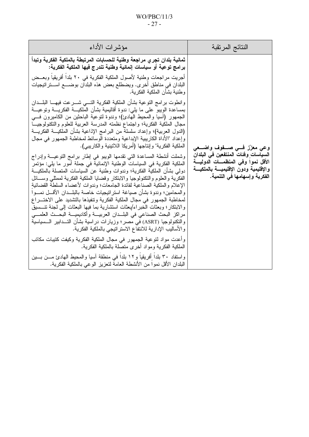# $WO/PBC/11/3$  $-27-$

| مؤشرات الأداء                                                                                                                                                                                                                                                                                                                                                                                                                                                                                                                                                                                                                                                                                                                                                                                                                                                   | النتائج المرتقبة                                                                                                                                     |
|-----------------------------------------------------------------------------------------------------------------------------------------------------------------------------------------------------------------------------------------------------------------------------------------------------------------------------------------------------------------------------------------------------------------------------------------------------------------------------------------------------------------------------------------------------------------------------------------------------------------------------------------------------------------------------------------------------------------------------------------------------------------------------------------------------------------------------------------------------------------|------------------------------------------------------------------------------------------------------------------------------------------------------|
| ثمانية بلدان تجري مراجعة وطنية للحسابات المرتبطة بالملكية الفكرية وتبدأ<br>بر امج توعية أو سياسات إنمائية وطنية تندرج فيها الملكية الفكرية:                                                                                                                                                                                                                                                                                                                                                                                                                                                                                                                                                                                                                                                                                                                     |                                                                                                                                                      |
| أجريت مر اجعات وطنية لأصول الملكية الفكرية في ٢٠ بلدا أفريقيا وبعــض<br>البلدان في مناطق أخرى. ويضطلع بعض هذه البلدان بوضــــع اســـنر انيجيات<br>وطنية بشأن الملكية الفكرية.                                                                                                                                                                                                                                                                                                                                                                                                                                                                                                                                                                                                                                                                                   |                                                                                                                                                      |
| وانطوت برامج النوعية بشأن الملكية الفكرية التسي شـــرعت فيهـــا البلـــدان<br>بمساعدة الويبو على ما يلي: ندوة أقاليمية بشأن الملكيـــة الفكريــــة ونوعيـــة<br>الْجُمْهُور (أسْيًا والْمُحْيِطْ الْمَهَادِئِ)؛ وندوة لتوعية الباحثين من الكاميرون فسي<br>مجال الملكية الفكرية؛ واجتماع نظمته المدرسة العربية للعلوم والنكنولوجيــا<br>(الدول العربية)؛ وإعداد سلسلة من البرامج الإذاعية بشأن الملكيـــة الفكريــــة<br>وإعداد "الأداة الكاريبية الإبداعية ومتعددة الوسائط لمخاطبة الجمهور في مجال<br>الملكية الفكرية" وإنتاجها (أمريكا اللاتينية والكاريبي).                                                                                                                                                                                                                                                                                                   | وعی معزّز فسی صنفوف واضنعی                                                                                                                           |
| وشملت أنشطة المساعدة التي نقدمها الويبو في إطار برامج التوعيـــة وإدراج<br>الملكية الفكرية في السياسات الوطنية الإنمائية في جملة أمور ما يلي: مؤتمر<br>دولمي بشأن الملكية الفكرية؛ وندوات وطنية عن السياسات المتصلة بالملكيـــة<br>الفكرية والعلوم والنكنولوجيا والابنكار وقضايا الملكية الفكرية لممثلي وســـائل<br>الإعلام والملكية الصناعية لفائدة الجامعات؛ وندوات لأعضاء السلطة القضائية<br>والمحامين؛ وندوة بشأن صياغة استر انيجيات خاصة بالبلــدان الأقـــل نمـــوا<br>لمخاطبة الجمهور في مجال الملكية الفكرية وتتفيذها بالتشديد على الاختـــراع<br>والابتكار؛ وبعثات الخبراء/بعثات استشارية بما فيها البعثات إلى لجنة تتـــسيق<br>مراكز البحث الصناعي في البلــدان العربيـــة وأكاديميـــة البحـــث العلمـــي<br>والتكنولوجيا (ASRT) في مصر ؛ وزيارات دراسية بشأن التـــدابير الــــسياسية<br>والأساليب الإدارية للانتفاع الاستر اتيجي بالملكية الفكرية. | السياسات وفئات المنتفعين في البلدان<br>الأقل نموا وفى المنظمـــات الدوليـــة<br>والإقليمية ودون الإقليميسة بالملكيسة<br>الفكرية وإسهامها في التنمية. |
| وأعدت مواد لنوعية الجمهور في مجال الملكية الفكرية وكيفت كتيبات مكاتب<br>الملكية الفكرية ومواد أخرى متصلة بالملكية الفكرية.<br>واستفاد ٣٠ بلدًا أَفريقيا و١٢ بلدًا في منطقة أسيا والمحيط الهادئ مـــن بـــين<br>البلدان الأقل نموًا من الأنشطة العامة لتعزيز الوعي بالملكية الفكرية.                                                                                                                                                                                                                                                                                                                                                                                                                                                                                                                                                                             |                                                                                                                                                      |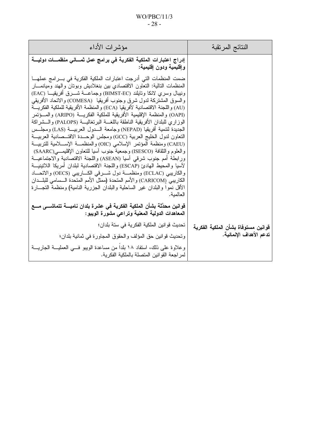# $WO/PBC/11/3$  $-28-$

| مؤشرات الأداء                                                                                                                                                                                                                                                                                                                                                                                                                                                                                                                                                                                                                                                                                                                                                                                                                                                                                                                                                                                                                                                                                                                                                                                                                                                                         | النتائج المرتقبة                    |
|---------------------------------------------------------------------------------------------------------------------------------------------------------------------------------------------------------------------------------------------------------------------------------------------------------------------------------------------------------------------------------------------------------------------------------------------------------------------------------------------------------------------------------------------------------------------------------------------------------------------------------------------------------------------------------------------------------------------------------------------------------------------------------------------------------------------------------------------------------------------------------------------------------------------------------------------------------------------------------------------------------------------------------------------------------------------------------------------------------------------------------------------------------------------------------------------------------------------------------------------------------------------------------------|-------------------------------------|
| إدراج اعتبارات الملكية الفكرية في برامج عمل ثمساني منظمسات دوليسة<br>وإقليمية ودون إقليمية:                                                                                                                                                                                                                                                                                                                                                                                                                                                                                                                                                                                                                                                                                                                                                                                                                                                                                                                                                                                                                                                                                                                                                                                           |                                     |
| ضمت المنظمات التي أدرجت اعتبار ات الملكية الفكرية في بـــر امج عملهــــا<br>المنظمات النالية: النعاون الاقتصادي بين بنغلاديش وبونان والهند وميانمـــار<br>ونيبال وسرى لانكا ونايلند (BIMST-EC) وجماعـــة شـــــرق أفريقيـــا (EAC)<br>والسوق المشتركة لدول شرق وجنوب أفريقيا  (COMESA) والاتحاد الأفريقي<br>(AU) و اللجنة الاقتصادية لأفر يقيا (ECA) و المنظمة الأفر يقية للملكية الفكر يــــة<br>(OAPI) والمنظمة الإقليمية الأفريقية للملكية الفكريـــة (ARIPO) والمـــؤتمر<br>الوزاري للبلدان الأفريقية الناطقة باللغـــة البرنغاليـــة (PALOPS) والـــشراكة<br>الجديدة لنتمية أفريقيا (NEPAD) وجامعة السدول العربيسة (LAS) ومجلسس<br>النعاون لدول الخليج العربية (GCC) ومجلس الوحــدة الاقتــصادية العربيـــة<br>(CAEU) ومنظمة المؤتمر الإسلامي (OIC) والمنظمـــة الإســــلامية للتربيـــة<br>والعلوم والثقافة (ISESCO) وجمعية جنوب أسيا للنعاون الإقليمـــي(SAARC)<br>ورابطة أمم جنوب شرقي أسيا (ASEAN) واللجنة الاقتصادية والاجتماعيـــة<br>لآسيا والمحيط الهادئ (ESCAP) واللجنة الاقتصادية لبلدان أمريكا اللاتينيـــة<br>والكاريبي (ECLAC) ومنظمــــة دول شـــــرقي الكــــاريبي (OECS) والاتحــــاد<br>الكاريبي (CARICOM) والأمم المتحدة (ممثل الأمم المتحدة الـــسامي للبلـــدان<br>الأقل نموا والبلدان غير الساحلية والبلدان الجزرية النامية) ومنظمة النجـــارة<br>العالمية. |                                     |
| قوانين محدِّثة بشأن الملكية الفكرية في عشرة بلدان ناميــــة تتماشــــي مــــع<br>المعاهدات الدولية المعنية وتراعي مشورة الويبو:                                                                                                                                                                                                                                                                                                                                                                                                                                                                                                                                                                                                                                                                                                                                                                                                                                                                                                                                                                                                                                                                                                                                                       |                                     |
| تحديث قو انين الملكية الفكرية في ستة بلدان؛                                                                                                                                                                                                                                                                                                                                                                                                                                                                                                                                                                                                                                                                                                                                                                                                                                                                                                                                                                                                                                                                                                                                                                                                                                           | قوانين مستوفاة بشأن الملكية الفكرية |
| وتحديث قوانين حق المؤلف والحقوق المجاورة في ثمانية بلدان؛                                                                                                                                                                                                                                                                                                                                                                                                                                                                                                                                                                                                                                                                                                                                                                                                                                                                                                                                                                                                                                                                                                                                                                                                                             | تدعم الأهداف الإنمائية.             |
| وعلاوة على ذلك، استفاد ١٨ بلدا من مساعدة الويبو فسي العمليـــة الجاريــــة<br>لمر اجعة القوانين المتصلة بالملكية الفكر ية.                                                                                                                                                                                                                                                                                                                                                                                                                                                                                                                                                                                                                                                                                                                                                                                                                                                                                                                                                                                                                                                                                                                                                            |                                     |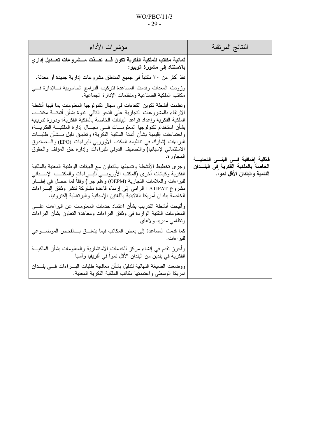## $WO/PBC/11/3$  $-29-$

| مؤشرات الأداء                                                                                                                                                                                                                                                                                                                                                                                                                                                                                                                                                            | النتائج المرتقبة                                                     |
|--------------------------------------------------------------------------------------------------------------------------------------------------------------------------------------------------------------------------------------------------------------------------------------------------------------------------------------------------------------------------------------------------------------------------------------------------------------------------------------------------------------------------------------------------------------------------|----------------------------------------------------------------------|
| ثمانية مكاتب للملكية الفكرية تكون قسد نفسذت مسشروعات تعسديل إدارى<br>بالاستناد إلى مشورة الويبو:<br>نفذ أكثر من ٣٠ مكتبا في جميع المناطق مشروعات إدارية جديدة أو معدلة.                                                                                                                                                                                                                                                                                                                                                                                                  |                                                                      |
| وزودت المعدات وقدمت المساعدة لتركيب البرامج الحاسوبية لــــلإدارة فــــي<br>مكانب الملكية الصناعية ومنظمات الإدارة الجماعية.                                                                                                                                                                                                                                                                                                                                                                                                                                             |                                                                      |
| ونظمت أنشطة تكوين الكفاءات في مجال تكنولوجيا المعلومات بما فيها أنشطة<br>الارتقاء بالمشروعات النجارية على النحو النالي: ندوة بشأن أتمتـــة مكاتـــب<br>الملكية الفكرية وإعداد قواعد البيانات الخاصة بالملكية الفكرية؛ ودورة تدريبية<br>بشأن استخدام تكنولوجيا المعلومـــات فــــى مجــــال إدارة الملكيــــة الفكريــــة؛<br>و اجتماعات إقليمية بشأن أتمتة الملكية الفكرية؛ وتطبيق دليل بـــشأن طلبـــات<br>البراءات (شارك في نتظيمه المكتب الأوروبي للبراءات (EPO) والـــصندوق<br>الاستئماني لإسبانيا) والتصنيف الدولمي للبراءات وإدارة حق المؤلف والحقوق<br>المجاور ة. | فَعَالِيهَ إضافَيهَ فَـــى البنــــى التحتيــــة                     |
| وجرى تخطيط الأنشطة ونتسيقها بالنعاون مع الهيئات الوطنية المعنية بالملكية<br>الفكرية وكيانات أخرى (المكتب الأوروبسي للبسرٍ اءاتٍ والمكتــب الإســـباني<br>للبراءات والعلامات النجارية (OEPM) وهلم جرا) وفقا لما حصل في إطــــار<br>مشروع LATIPAT الرامي إلىي إرساء قاعدة مشتركة لنشر وثائق البــــراءات<br>الخاصة ببلدان أمريكا اللاتينية باللغتين الإسبانية والبر تغالية إلكترونيا.                                                                                                                                                                                      | الخاصة بالملكية الفكرية في البلــدان<br>النامية والبلدان الأقل نموا. |
| وأتيحت أنشطة الندريب بشأن اعتماد خدمات المعلومات عن البراءات علـــي<br>المعلومات النقنية الواردة في وثائق البراءات ومعاهدة النعاون بشأن البراءات<br>ونظامي مدريد ولاهاي.                                                                                                                                                                                                                                                                                                                                                                                                 |                                                                      |
| كما قدمت المساعدة إلى بعض المكاتب فيما يتعلــــق بــــالفحص الموضـــــوعى<br>للبر اءات.                                                                                                                                                                                                                                                                                                                                                                                                                                                                                  |                                                                      |
| وأحرز نقدم في إنشاء مركز للخدمات الاستشارية والمعلومات بشأن الملكيـــة<br>الفكرية في بلدين من البلدان الأقل نموا في أفريقيا وآسيا.                                                                                                                                                                                                                                                                                                                                                                                                                                       |                                                                      |
| ووضعت الصيغة النهائية للدليل بشأن معالجة طلبات البــــراءات فــــي بلــــدان<br>أمريكا الوسطى واعتمدتها مكانب الملكية الفكرية المعنية.                                                                                                                                                                                                                                                                                                                                                                                                                                   |                                                                      |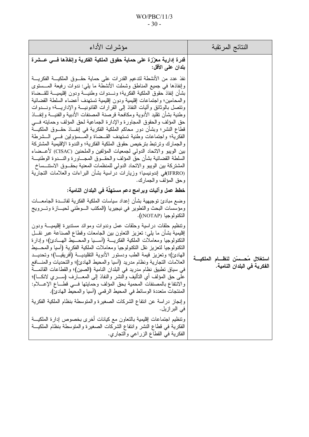## WO/PBC/11/3 - 30 -

| مؤشرات الأداء                                                                                                                                                                                                                                                                                                                                                                                                                                                                                                                                                                                                                                                                                                                                                                                                                                                                                                                                                                                                                                                                                                                         | النتائج المرتقبة                                                         |
|---------------------------------------------------------------------------------------------------------------------------------------------------------------------------------------------------------------------------------------------------------------------------------------------------------------------------------------------------------------------------------------------------------------------------------------------------------------------------------------------------------------------------------------------------------------------------------------------------------------------------------------------------------------------------------------------------------------------------------------------------------------------------------------------------------------------------------------------------------------------------------------------------------------------------------------------------------------------------------------------------------------------------------------------------------------------------------------------------------------------------------------|--------------------------------------------------------------------------|
| قدرة إدارية معزّزة على حماية حقوق الملكية الفكرية وإنفاذها فسي عـــشرة<br>بلدان على الأقل:                                                                                                                                                                                                                                                                                                                                                                                                                                                                                                                                                                                                                                                                                                                                                                                                                                                                                                                                                                                                                                            |                                                                          |
| نفذ عدد من الأنشطة لتدعيم القدرات على حماية حقـــوق الملكيـــة الفكريـــة<br>وإنفاذها في جميع المناطق وشملت الأنشطة ما بلي: ندوات رفيعة المـــستوى<br>بشأن إنفاذ حقوق الملكية الفكرية؛ ونـــدوات وطنيــــة ودون إقليميــــة للقـــضاة<br>والمحامين؛ واجتماعات إقليمية ودون إقليمية تستهدف أعضاء السلطة القضائية<br>ونتصل بالوثائق وأليات النفاذ إلى القرارات القانونيـــة والإداريـــة؛ ونـــدوات<br>وطنية بشأن نقليد الأدوية ومكافحة قرصنة المصنفات الأدبية والفنيـــة وإنفـــاذ<br>حق المؤلف والحقوق المجاورة والإدارة الجماعية لحق المؤلف وحمايته فسي<br>قطاع النشر؛ وبشأن دور محاكم الملكية الفكرية في إنفـــاذ حقـــوق الملكيـــة<br>الفكرية؛ واجتماعات وطنية تستهدف القــضاة والمـــسؤولين فـــي الـــشرطة<br>والجمارك وترتبط بترخيص حقوق الملكية الفكرية؛ والندوة الإقليمية المشتركة<br>بين الويبو والاتحاد الدولمي لجمعيات المؤلفين والملحنين (CISAC) لأعـــضاء<br>السلطة القضائية بشأن حق المؤلف والحقـــوق المجــــاورة والنــــدوة الوطنيـــة<br>المشتركة ببن الويبو والاتحاد الدولي للمنظمات المعنية بحقــوق الاستنـــساخ<br>(IFRRO)في إندونيسيا؛ وزيارات دراسية بشأن البراءات والعلامات التجارية<br>وحق المؤلف والجمارك. |                                                                          |
| خطط عمل وآليات وبرامج دعم مستهلة في البلدان النامية:                                                                                                                                                                                                                                                                                                                                                                                                                                                                                                                                                                                                                                                                                                                                                                                                                                                                                                                                                                                                                                                                                  |                                                                          |
| وضع مبادئ نوجيهية بشأن إعداد سياسات الملكية الفكرية لفائـــدة الجامعـــات<br>ومؤسسات البحث والتطوير في نيجيريا (المكتب السوطني لحيسازة وتسرويج<br>التكنولوجيا (NOTAP).                                                                                                                                                                                                                                                                                                                                                                                                                                                                                                                                                                                                                                                                                                                                                                                                                                                                                                                                                                |                                                                          |
| ونتظيم حلقات دراسية وحلقات عمل وندوات وموائد مستديرة إقليميـــة ودون<br>إقليمية بشأن ما يلي: تعزيز النعاون بين الجامعات وقطاع الصناعة عبر نقـل<br>النكنولوجيا ومعاملات الملكية الفكريــــة (أســــيا والمحــــيط الـهــــادئ)؛ وإدارة<br>النكنولوجيا لنعزيز نقل النكنولوجيا ومعاملات الملكية الفكرية (أسيا والمحسيط<br>المهادئ)؛ وتعزيز قيمة الطب ودستور الأدوية التقليديـــة (أفريقيـــا)؛ وتحديـــد<br>العلامات النجارية ونظام مدريد (أسيا والمحيط الهادئ)؛ والنحديات والمنسافع<br>في سياق تطبيق نظام مدريد في البلدان النامية (الصين)؛ والقطاعات القائمــــة<br>علـَى حقَّ المؤلف أي النَّاليف والنَّشر والنَّفاذ إلـى المعــــارف (ســـــري لانكــــا)؛<br>والانتفاع بالمصنفات المحمية بحق المؤلف وحمايتها فسي قطساع الإعسلام:<br>المنتجات متعددة الوسائط في المحيط الرقمي (آسيا والمحيط الهادئ).                                                                                                                                                                                                                                                                                                                                 | استغلال مُحـــــسّن لنظــــام الملكيــــة<br>الفكرية في البلدان النامية. |
| وإنجاز دراسة عن انتفاع الشركات الصغيرة والمتوسطة بنظام الملكية الفكرية<br>في البر از يل.                                                                                                                                                                                                                                                                                                                                                                                                                                                                                                                                                                                                                                                                                                                                                                                                                                                                                                                                                                                                                                              |                                                                          |
| ونتظيم اجتماعات إقليمية بالنعاون مع كيانات أخرى بخصوص إدارة الملكيـــة<br>الفكرية في قطاع النشر وانتفاع الشركات الصغيرة والمتوسطة بنظام الملكيـــة<br>الفكرية في القطاع الزراعي والتجاري.                                                                                                                                                                                                                                                                                                                                                                                                                                                                                                                                                                                                                                                                                                                                                                                                                                                                                                                                             |                                                                          |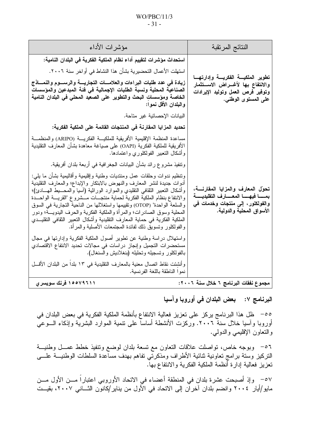#### $WO/PBC/11/3$  $-31-$

| النتائج المرتقبة                                                                                                                                       | مؤشرات الأداء                                                                                                                                                                                                                                                                                                                                                                                                                                                                                                                                                                                                               |
|--------------------------------------------------------------------------------------------------------------------------------------------------------|-----------------------------------------------------------------------------------------------------------------------------------------------------------------------------------------------------------------------------------------------------------------------------------------------------------------------------------------------------------------------------------------------------------------------------------------------------------------------------------------------------------------------------------------------------------------------------------------------------------------------------|
|                                                                                                                                                        | استحداث مؤشرات لتقييم أداع نظام الملكية الفكرية في البلدان النامية:                                                                                                                                                                                                                                                                                                                                                                                                                                                                                                                                                         |
| تطوير الملكيسة الفكريسة وإدارتهسا                                                                                                                      | استهلت الأعمال التحضيرية بشأن هذا النشاط في أواخر سنة ٢٠٠٦.                                                                                                                                                                                                                                                                                                                                                                                                                                                                                                                                                                 |
| والانتفاع بها لأغــراض الاســتثمار<br>وتوفير فرص العمل وتوليد الإيرادات<br>على المستوى الوطن <i>ى</i> .                                                | زيادة فى عدد طلبات البراءات والعلامسات التجاريسة والرسسوم والنمساذج<br>الصناعية المحلية ونسبة الطلبات الإجمالية في فئة المبدعين والمؤسسات<br>الخاصة ومؤسسات البحث والتطوير على الصعيد المحلي في البلدان النامية<br>والبلدان الأقل نموا:                                                                                                                                                                                                                                                                                                                                                                                     |
|                                                                                                                                                        | البيانات الإحصائية غير متاحة.                                                                                                                                                                                                                                                                                                                                                                                                                                                                                                                                                                                               |
|                                                                                                                                                        | تحديد المزايا المقارنة فى المنتجات القائمة على الملكية الفكرية:                                                                                                                                                                                                                                                                                                                                                                                                                                                                                                                                                             |
|                                                                                                                                                        | مساعدة المنظمة الإقليمية الأفريقية للملكيـــة الفكريــــة (ARIPO) والمنظمـــة<br>الأفريقية للملكية الفكرية (OAPI) على صياغة معاهدة بشأن المعارف التقليدية<br>وأشكال النعبير الفولكلوري واعتمادها.                                                                                                                                                                                                                                                                                                                                                                                                                           |
|                                                                                                                                                        | ونتفيذ مشروع رائد بشأن البيانات الجغرافية فـي أربعة بلدان أفريقية.                                                                                                                                                                                                                                                                                                                                                                                                                                                                                                                                                          |
| تحول المعارف والمزايا المقارنسة،<br>بمســـا فيهــــــا المعــــــارف التقليديــــــة<br>والفولكلور ، إلى منتجات وخدمات في<br>الأسواق المحلية والدولية. | ونتظيم ندوات وحلقات عمل ومنتديات وطنية وإقليمية وأقاليمية بشأن ما يلي:<br>أدوات جديدة لنشر المعارف والنهوض بالابتكار والإبداع؛ والمعارف التقليدية<br>وأشكال النعبير النقافي النقليدي والموارد الوراثية (أسيا والمحــــبط المهـــادئ)؛<br>والانتفاع بنظام الملكية الفكرية لحماية منتجـــات مـــشروع "القريــــة الواحـــدة<br>والسلعة الواحدة" (OTOP) وتقييمها واستغلالها من الناحية التجارية في السوق<br>المحلية وسوق الصادرات؛ والمرأة والملكية الفكرية والحرف اليدويـــة؛ ودور<br>الملكية الفكرية في حماية المعارف التقليدية وأشكال النعبير الثقافي النقليــدي<br>والفولكلور ونسويق ذلك لفائدة المجتمعات الأصلية والمرأة. |
|                                                                                                                                                        | واستهلال دراسة وطنية عن نطوير أصول الملكية الفكرية وإدارتها في مجال<br>مستحضرات التجميل وإنجاز دراسات في مجالات تحديد الانتفاع الاقتصادي<br>بالفولكلور وتسجيله وتحليله (بنغلاديش والسنغال).                                                                                                                                                                                                                                                                                                                                                                                                                                 |
|                                                                                                                                                        | وانشِئت نقاط انصال معنية بالمعارف النقليدية في ١٣ بلدا من البلدان الأقسل<br>نموا الناطقة باللغة الفرنسية.                                                                                                                                                                                                                                                                                                                                                                                                                                                                                                                   |
| مجموع نفقات البرنامج ٦ خلال سنة ٢٠٠٦:                                                                                                                  | ۱۵۵۷۹۶۱۱ فرنك سويسرى                                                                                                                                                                                                                                                                                                                                                                                                                                                                                                                                                                                                        |

البرنامج ٧: بعض البلدان في أوروبا وآسيا

00– ظل هذا البرنامج يركز على تعزيز فعالية الانتفاع بأنظمة الملكية الفكرية في بعض البلدان في أوروبا وآسيا خلال سنة ٢٠٠٦. وركزت الأنشطة أساساً على ننمية الموارد البشرية وإذكاء الـــوعـى والنعاون الإقليمي والدولمي.

٥٦– وبوجه خاص، نواصلت علاقات النعاون مع تسعة بلدان لوضع ونتفيذ خطط عمـــل وطنيـــة النركيز وستة برامج تعاونية ثنائية الأطراف ومذكرتى تفاهم بهدف مساعدة السلطات الوطنيـــة علــــى تعزيز فعالية إدارة أنظمة الملكية الفكرية والانتفاع بهآ.

07 – وإذ أصبحت عشرة بلدان في المنطقة أعضاء في الاتحاد الأوروبي اعتباراً مـــن الأول مـــن<br>مايو/أيار ٢٠٠٤ وانضم بلدان آخران إلى الاتحاد في الأول من يناير/كانون الثـــاني ٢٠٠٧، بقيــت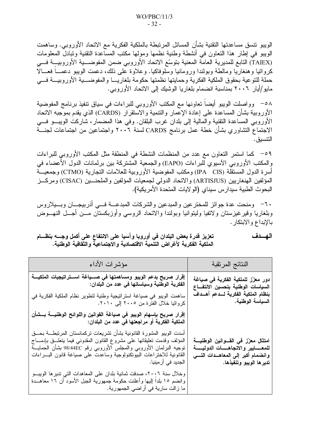الويبو نتسق مساعدتها النقنية بشأن المسائل المرتبطة بالملكية الفكرية مع الاتحاد الأوروبي. وساهمت الويبو في إطار هذا النعاون في أنشطة وطنية نظمها ومولها مكتب المساعدة النقنية وتبادل المعلومات (TAIEX) التابع للمديرية العامة المعنية بنوسّع الاتحاد الأوروبي ضمن المفوضـــية الأوروبيـــة فـــي كرواتيا وهنغاريا ومالطة وبولندا ورومانيا وسلوفاكيا. وعلاوة على ذلك، دعمت الويبو دعمــــاً فعــــالاً حملة للنوعية بحقوق الملكية الفكرية وحمايتها نظمتها حكومة بلغاريـــا والمفوضــــية الأوروبيـــة فــــى مايو/أيار ٢٠٠٦ بمناسبة انضمام بلغاريا الوشيك إلى الاتحاد الأوروبي.

٥٨– وواصلت الويبو أيضاً نعاونها مع المكتب الأوروبي للبراءات في سياق نتفيذ برنامج المفوضية الأوروبية بشأن المساعدة على إعادة الإعمار والنتمية والاستقرار (CARDS) الذي يقدم بموجبه الاتحاد الأوروبي المساعدة النقنية والمالية إلى بلدان غرب البلقان. وفي هذا المضمار، شاركت الويبـــو فـــي الاجتماع التشاوري بشأن خطة عمل برنامج CARDS لسنة ٢٠٠٦ واجتماعين من اجتماعات لجنـــة التنسيق.

٥٩– كما استمر التعاون مع عدد من المنظمات النشطة في المنطقة مثل المكتب الأوروبي للبراءات والمكتب الأوروبي الآسيوي للبراءات (EAPO) والجمعية المُشتركة بين برلمانات الدول الأعضاء في أسرة الدول المستقلَّة (IPA CIS) ومكتب المفوضية الأوروبية للعلامات التجارية (CTMO) وجمعيـــة المؤلفين الهنغاريين (ARTISJUS) والاتحاد الدولي لجمعيات المؤلفين والملحنـــين (CISAC) ومركـــز البحوث الطبية سيدار س سيناي (الو لايات المتحدة الأمر يكية).

٦٠– ومنحت عدة جوائز للمخترعين والمبدعين والشركات المبدعـــة فـــي أذربيجـــان وبـــيلاروس وبلغاريا وقيرغيزستان ولاتفيا وليتوانيا وبولندا والاتحاد الروسي وأوزبكستان مـــن أجـــل النهـــوض بالإبداع والابتكار .

| النتائج المرنقبة                                                                                                                                            | مؤشرات الأداء                                                                                                                                                                                                                                                                                                                    |
|-------------------------------------------------------------------------------------------------------------------------------------------------------------|----------------------------------------------------------------------------------------------------------------------------------------------------------------------------------------------------------------------------------------------------------------------------------------------------------------------------------|
| دور معزّز للملكية الفكرية في صياغة<br>السياسات الوطنية بتحسين الانتفـــاع                                                                                   | الفكرية الوطنية وسياساتها في عدد من البلدان:                                                                                                                                                                                                                                                                                     |
| بنظام الملكية الفكرية لسدعم أهسداف<br>السياسة الوطنية.                                                                                                      | ساهمت الويبو في صياغة استراتيجية وطنية لتطوير نظام الملكية الفكرية في<br>كرواتيا خلال الفترة من ٢٠٠٥ إلى ٢٠١٠.                                                                                                                                                                                                                   |
|                                                                                                                                                             | إقرار صريح بإسهام الويبو في صياغة القوانين واللوائح الوطنيــــة بـــشأن<br>الملكية الفكرية أو مراجعتها في عدد من البلدان:                                                                                                                                                                                                        |
| امتثال معزّز في القسوانين الوطنيسة<br>للمعـــــــايير والاتجاهـــــــات الدوليـــــــة<br>وانضمام أكبر إلى المعاهــدات التــــى<br>تدير ها الويبو وتنفيذها. | أسدت الويبو المشورة القانونية بشأن نشريعات نركمانستان المرنبطـــة بحـــق<br>المؤلف وقدمت نعليقاتها علىى مشروع القانون المقدوني فيما ينعلـــق بإدمــــاج<br>توجيه البرلمان الأوروبي والمجلس الأوروبي رقم 98/44EC بشأن الحمايـــة<br>القانونية للاختراعات الببوتكنولوجية وساعدت على صياغة قانون البسراءات<br>  الجديد في أر مينيا. |
|                                                                                                                                                             | وخلال سنة ٢٠٠٦، صدقت ثمانية بلدان على المعاهدات التي ندير ها الويبـــو<br>وانضم ١٥ بلدًا إليها وأعلنت حكومة جمهورية الجبل الأسود أن ١٦ معاهـــدة<br>ما زالت سارية في أراضي الجمهورية.                                                                                                                                            |

الهسدف تعزيز قدرة بعض البلدان في أوروبا وآسيا على الانتفاع على أكمل وجــــه بنظــــام الملكية الفكرية لأغراض التنمية الاقتصادية والاجتماعية والثقافية الوطنية.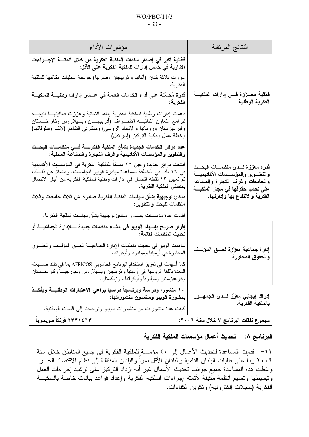#### $WO/PBC/11/3$  $-33-$

| مؤشرات الأداء                                                                                                                                                                                                                                                                      | النتائج المرتقبة                                                                                                                                              |
|------------------------------------------------------------------------------------------------------------------------------------------------------------------------------------------------------------------------------------------------------------------------------------|---------------------------------------------------------------------------------------------------------------------------------------------------------------|
| فعَالية أكبر في إصدار سندات الملكية الفكرية من خلال أتمتــــة الإجــــراءات<br>الإدارية في خمس إدارات للملكية الفكرية على الأقل:                                                                                                                                                   |                                                                                                                                                               |
| عززت ثلاثة بلدان (ألبانيا وأذربيجان وصربيا) حوسبة عمليات مكانبها للملكية<br>الفكر ية.                                                                                                                                                                                              |                                                                                                                                                               |
| قدرة مُحسّنة على أداء الخدمات العامة في عـــشر إدارات وطنيــــة للملكيــــة<br>الفكرية:                                                                                                                                                                                            | فَعَالية معــزّزة فـــي إدارات الملكيـــة<br>الفكرية الوطنية.                                                                                                 |
| دعمت إدارات وطنية للملكية الفكرية بناها التحتية وعززت فعاليتهــــا نتيجـــة<br>لمبرامج التعاون الثنائيـــة الأطــــراف (أذربيجــــان وبـــيلاروس وكاز اخــــستان<br>وقير غيزستان ورومانيا والاتحاد الروسي) ومذكرتي التفاهم (لاتفيا وسلوفاكيا)<br>وخطة عمل وطنية النركيز (إسرائيل). |                                                                                                                                                               |
| عدد دوائر الخدمات الجديدة بشأن الملكية الفكريسة فسى منظمسات البحسث<br>والتطوير والمؤسسات الأكاديمية وغرف التجارة والصناعة المحلية:                                                                                                                                                 |                                                                                                                                                               |
| أنشئت دوائر  جديدة و عين  ٢٥ منسقا للملكية  الفكرية في المؤسساتِ الأكاديمية<br>في ١٦ بلدا في المنطقة بمساعدة مبادرة الويبو للجامعات. وفضلا عن ذلــك،<br>تم تعيين ١٣ نقطة اتصال في إدارات وطنية للملكية الفكرية من أجل الاتصال<br>بمنسقي الملكية الفكرية.                           | قدرة معزّزة لسدى منظمسات البحسث<br>والتطـــوير والمؤســـسات الأكاديميــــة<br>والجامعات وغرف التجارة والصناعة<br>على تحديد حقوقها ف <i>ي</i> مجال الملكيــــة |
| مبادئ توجيهية بشأن سياسات الملكية الفكرية صادرة عن ثلاث جامعات وثلاث<br>منظمات للبحث والتطوير :                                                                                                                                                                                    | الفكرية والانتفاع بها وإدارتها.                                                                                                                               |
| أفادت عدة مؤسسات بصدور  مبادئ نوجيهية بشأن سياسات الملكية الفكرية.                                                                                                                                                                                                                 |                                                                                                                                                               |
| إڤرار صريح بإسهام الويبو في إنشاء منظمات جديدة لــــلإدارة الجماعيــــة أو<br>تحديث المنظمات القائمة:                                                                                                                                                                              |                                                                                                                                                               |
| ساهمت الويبو في تحديث منظمات الإدارة الجماعيـــة لـحـــق المؤلـــف والحقـــوق<br>المجاورة في أرمينيا ومولدوفا وأوكرانيا.                                                                                                                                                           | إدارة جماعية معزّزة لحسق المؤلسف<br>والحقوق المجاورة.                                                                                                         |
| كما اسهمت في تعزيز استخدام البرنامج الحاسوبي AFRICOS بما في ذلك صــــبغته<br>المعدة باللغة الروسية في أرمينيا وأنربيجان وبسيلاروس وجورجيسا وكازاخسستان<br>وقير غيزستان ومولدوفا وأوكرانيا وأوزبكستان.                                                                              |                                                                                                                                                               |
| ٢٠ منشورا ودراسة وبرنامجا دراسيا يراعى الاعتبارات الوطنيـــة ويأخـــذ<br>بمشورة الويبو ومضمون منشوراتها:                                                                                                                                                                           | إدراك إيجابي معزّز لـــدى الجمهـــور                                                                                                                          |
| كيفت عدة منشورات من منشورات الويبو ونرجمت إلىي اللغات الوطنية.                                                                                                                                                                                                                     | بالملكية الفكرية.                                                                                                                                             |
| ٢٣٣٢٤ فرنكا سويسريا                                                                                                                                                                                                                                                                | مجموع نفقات البرنامج ٧ خلال سنة ٢٠٠٦:                                                                                                                         |

# البرنامج ٨: تحديث أعمال مؤسسات الملكية الفكرية

٦١ – قدمتِ المساعدة لتحديث الأعمال إلى ٤٠ مؤسسة ٍللملكية الفكرية في جميع المناطق خلال سنة ٢٠٠٦ رداً على طلبات البلدان النامية والبلدان الأقل نمواً والبلدان المُنتقلة إلى نظّام الاقتصاد الحـــر. وغطت هذه المساعدة جميع جوانب تحديث الأعمال غير أنه ازداد التركيز على ترشيد إجراءات العمل وتبسيطها وتعميم أنظمة مكيفة لأتمتة إجراءات الملكية الفكرية وإعداد فواعد بيانات خاصة بالملكيـــة الفكرية (سجلات إلكترونية) ونكوين الكفاءات.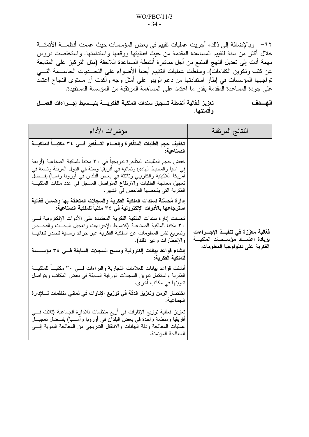٦٢– وبالإضافة إلى ذلك، أجريت عمليات تقييم في بعض المؤسسات حيث عممت أنظمـــة الأتمتـــة خلال أكثر من سنة لتقييم المساعدة المقدمة من حيثٌ فعاليتها ووقعها واستدامتها. واستخلصت دروس مهمة أدت إلى تعديل النهج المتبع من أجل مباشرة أنشطة ٍالمساعدة اللاحقة (مثل التركيز على المتابعة عن كثب وتكوين الكفاءات). وسلطت عمليات التقييم أيضاً الأضواء على التحـــديات الحاســـمة التــــي نواجهها المؤسسات في إطار استفادتها من دعم الويبو على أمثل وجه وأكدت أن مستوى النجاح اعتمد على جودة المساعدة الْمقدمة بقدر ما اعتمد على المساهمة المرتقبة من المؤسسة المستفدة.

تعزيز فعّالية أنشطة تسجيل سندات الملكية الفكريسة بتبسسيط إجسراءات العمسل الهسدف وأتمتتها.

| مؤشرات الأداء                                                                                                                                                                                                                                                                                                                                     | النتائج المرتقبة                                                                 |
|---------------------------------------------------------------------------------------------------------------------------------------------------------------------------------------------------------------------------------------------------------------------------------------------------------------------------------------------------|----------------------------------------------------------------------------------|
| تخفيف حجم الطلبات المتأخرة وإلغساء التسأخير فسى ٣٤ مكتبساً للملكيسة<br>الصناعية:                                                                                                                                                                                                                                                                  |                                                                                  |
| خفض حجم الطلبات المتأخرة تدريجيا في ٣٠ مكتبا للملكية الصناعية (أربعة<br>في أسيا والمحيط الهادئ وثمانية في أفريقيا وستة في الدول العربية وتسعة في<br>أمريكا اللانينية والكاريبي وثلاثة في بعض البلدان في أوروبا واسيا) بفــضل<br>تعجيل معالجة الطلبات والارتفاع المتواصل المسجل في عدد ملفات الملكيـــة<br>  الفكرية التي يفحصها الفاحص في الشهر . |                                                                                  |
| إدارة مُحسّنة لسندات الملكية الفكرية والسجلات المتعلقة بها وضمان فعّالية<br>استرجاعها بالأدوات الإلكترونية في ٣٤ مكتبا للملكية الصناعية:                                                                                                                                                                                                          |                                                                                  |
| تحسنت إدارة سندات الملكية الفكرية المعتمدة على الأدوات الإلكترونية فسي<br>٣٠ مكتبا للملكية الصناعية (كتبسيط الإجراءات وتعجيل البحــث والفحــص<br>وتسريع نشر المعلومات عن الملكية الفكرية عبر جرائد رسمية تصدر نلقائيـــا<br>  والإخطارات وغير ذلك).                                                                                               | فَعَالية معزّزة في تنفيــذ الإجـــراءات<br>بزيادة اعتمـــاد مؤســـسات الملكيـــة |
| إنشاء قواعد بيانات إلكترونية ومسح السجلات السابقة فسي ٣٤ مؤســـسة<br>للملكية الفكرية:                                                                                                                                                                                                                                                             | الفكرية على تكنولوجيا المعلومات.                                                 |
| أنشئت قواعد بيانات للعلامات النجارية والبراءات فسي ٣٠ مكتبـــا للملكيـــة<br>الفكرية واستكمل ندوين السجلات الورقية السابقة في بعض المكانب ويتواصل<br>  تدوينها في مكاتب أخر ى.                                                                                                                                                                    |                                                                                  |
| اختصار الزمن وتعزيز الدقة في توزيع الإتاوات في ثماني منظمات لـــــلإدارة<br>الجماعية:                                                                                                                                                                                                                                                             |                                                                                  |
| تعزيز فعالية توزيع الإتاوات في أربع منظمات للإدارة الجماعية (ثلاث فـــي<br>أفريقيا ومنظمة واحدة في بعض البلدان في أوروبا وأســـيا) بفـــضل تعجيـــل<br>عمليات المعالجة ودقة البيانات والانتقال الندريجي من المعالجة اليدوية إلــــي<br>المعالجة المؤتمتة.                                                                                         |                                                                                  |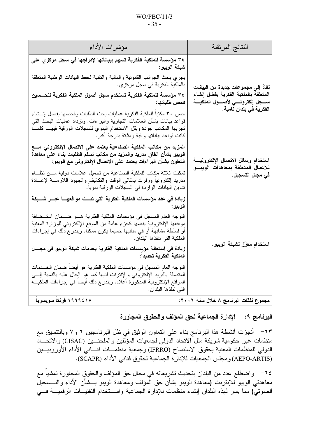#### $WO/PBC/11/3$  $-35-$

| مؤشرات الأداء                                                                                                                                                                                                                                                                 | النتائج المرتقبة                                                                   |
|-------------------------------------------------------------------------------------------------------------------------------------------------------------------------------------------------------------------------------------------------------------------------------|------------------------------------------------------------------------------------|
| ٣٤ مؤسسة للملكية الفكرية تسهم ببياناتها لإدراجها في سجل مركز ي على<br>شبكة الويبو:                                                                                                                                                                                            |                                                                                    |
| يجري بحث الجوانب القانونية والمالية والتقنية لحفظ البيانات الوطنية المتعلقة<br>بالملكية الفكرية في سجل مركزي.                                                                                                                                                                 | نفاذ إلى مجموعات جديدة من البيانات                                                 |
| ٣٤ مؤسسة للملكية الفكرية تستخدم سجل أصول الملكية الفكرية لتحــسين<br>فحص طلباتها:                                                                                                                                                                                             | المتعلقة بالملكية الفكرية بفضل إنشاء<br>ســــجل إلكترونــــي لأصــــول الملكيــــة |
| حسن ٣٠ مكتبا للملكية الفكرية عمليات بحث الطلبات وفحصها بفضل إنسشاء<br>قواعد بيانات بشأن العلامات النجارية والبراءات. ونزداد عمليات البحث النبي<br>تجريها المكاتب جودة ويقل الاستخدام البدوي للسجلات الورقية فيهـــا كلمــــا<br>كانت قواعد بياناتها وافية ومثبتة بدرجة أكبر . | الفكرية في بلدان نامية.                                                            |
| المزيد من مكاتب الملكية الصناعية يعتمد على الاتصال الإلكترونى مسع<br>الويبو بشأن اتفاق مدريد والمزيد من مكاتب تسلم الطلبات بناء على معاهدة<br>التعاون بشأن البراءات يعتمد على الاتصال الإلكتروني مع الويبو:                                                                   | استخدام وسائل الاتصال الإلكترونيسة                                                 |
| تمكنت ثلاثة مكاتب للملكية الصناعية من تحميل علامات دولية مـــن نظـــام<br>مدريد إلكترونيا ووفرت بالنالبي الوقت والنكاليف والجهود اللازمسة لإعسادة<br>تدوين البيانات الواردة في السجلات الورقية يدويا.                                                                         | للأعمال المتعلقة بمعاهدات الويبــو<br>في مجال التسجيل.                             |
| زيادة في عدد مؤسسات الملكية الفكرية التي تبــث مواقعهـــا عبــر شـــبكة<br>الويبو :                                                                                                                                                                                           |                                                                                    |
| النوجه العام المسجل في مؤسسات الملكية الفكرية هــو ضـــمان استــضافة<br>مواقعها الإلكترونية بنفسها كجزء عامة من الموقع الإلكتروني للوزارة المعنية<br>أو لسلطة مشابهة أو في مبانيها حسبما يكون ممكنا. ويندرج ذلك في إجراءات<br>الملكية التي تنفذها البلدان.                    |                                                                                    |
| زيادة في استعانة مؤسِسات الملكية الفكرية بخدمات شبكة الويبو في مجـــال<br>الملكية الفكرية تحديدا:                                                                                                                                                                             | استخدام معزّز لشبكة الويبو.                                                        |
| التوجه العام المسجل في مؤسسات الملكية الفكرية هو أيضاً ضمان الخــدمات<br>المنصلة بالبريد الإلكتروني والإنترنت لديها كما هو الحال عليه بالنسبة إلـــي<br>المواقع الإلكترونية المذكورة أعلاه. ويندرج ذلك أيضا في إجراءات الملكيــة<br>التي تنفذها البلدان.                      |                                                                                    |
| ۱۹۹۹٤۱۸ فرنکا سوبسربا                                                                                                                                                                                                                                                         | مجموع نفقات البرنامج ٨ خلال سنة ٢٠٠٦:                                              |

# البرنامج ٩: الإدارة الجماعية لحق المؤلف والحقوق المجاورة

٦٣– أنجزت أنشطة هذا البرنامج بناء على النعاون الوثيق في ظل البرنامجين ٦ و٧ وبالنتسيق مع منظمات غير حكومية شريكة مثل الاتحاد الدولي لجمعيات المؤلَّفين والملحنـــين (CISAC) والاتحـــاد الدولي للمنظمات المعنية بحقوق الاستنساخ (IFRRO) وجمعية منظمـــات فنـــانـي الأداء الأوروبيـــين (AEPO-ARTIS) ومجلس الجمعيات للإدارة الجماعية لحقوق فناني الأداء (SCAPR).

٦٤– واضطلع عدد من البلدان بتحديث تشريعاته في مجال حق المؤلف والحقوق المجاورة تمشيا مع معاهدتي الويبو للإنترنت (معاهدة الويبو بشأن حق الْمؤلف ومعاهدة الويبو بــشأن الأداء والتــسجيلّ الصوتـيُّ) مما يسر لمهذه البلدان إنشاء منظمات للإدارة الجماعية واســـنخدام النقنيـــات الرقميـــة فــــي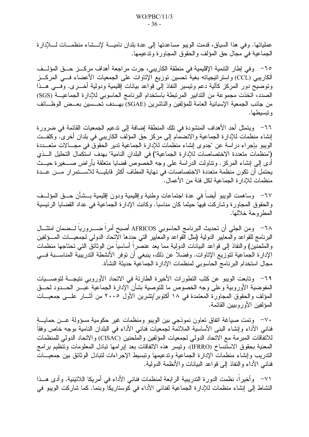عملياتها. وفي هذا السياق، قدمت الويبو مساعدتها إلى عدة بلدان ناميــــة لإنــــشاء منظمــــات لـــــلإدارة الجماعية في مجال حق المؤلف والحقوق المجاور ة وتدعيمها.

٦٥– وفي إطار التنمية الإقليمية في منطقة الكاريبي، جرت مر اجعة أهداف مركـــز حـــق المؤلـــف الكاريبي (CCL) واستراتيجياته بغية تحسين توزيع الإتاوات على الجمعيات الأعضاء فـــي المركـــز وتوضيح دور المركز كألية دعم ونيسير النفاذ إلى قواعد بيانات إقليمية ودولية أخـــرى. وفـــي هـــذا الصدد، اتخذت مجموعة من التدابير المرتبطة باستخدام البرنامج الحاسوبي للإدارة الجماعيـــة (SGS) من جانب الجمعية الإسبانية العامة للمؤلفين والناشرين (SGAE) بهــدف تحــسين بعــض الوظـــائف و تىسىطىما.

٦٦– ويتمثَّل أحد الأهداف المنشودة في تلك المنطقة إضافة إلى تدعيم الجمعيات القائمة في ضرورة إنشاء منظمات للإدارة الجماعية والانضمام إلى مركز حق المؤلف الكاريبي في بلدان أخرى. وكلفــت الويبو بإجراء در اسة عن "جدوى إنشاء منظمات للإدارة الجماعية تدير الحقوق في مجـــالات متعـــددة ("منظمات متعددة الاختصاصات للإدارة الجماعية") في البلدان النامية" بهدف استكمال التحليل السذي أدى إلى إنشاء المركز . ونناولت الدراسة على وجه الخصوص قضايا منعلقة بأراض صــــغيرة حيـــث يحتمل أن تكون منظمة متعددة الاختصاصات في نهاية المطاف أكثر قابليـــة للاســـتمرار مـــن عـــدة منظمات للإدار ة الجماعية لكل فئة من الأعمال.

٦٧− وساهمت الويبو أيضا في عدة اجتماعات وطنية وإقليمية ودون إقليمية بـــشأن حـــق المؤلـــف والحقوق المجاورة وشاركت فيها حيثما كان مناسبا. وكانت الإدارة الجماعية في عداد القضايا الرئيسية المطر وحة خلالها.

٦٨– ومن الجلي أن تحديث البرنامج الحاسوبي AFRICOS أصبح أمراً ضـــــرورياً لـــضمان امتثـــال البرنامج للقواعد والمعابير الدولية (مثل القواعد والمعابير التبي حددها الاتحاد الدولمي لجمعيـــات المـــؤلفين والملحنَّين) والنفاذ إلى قواعد البيانات الدولية مما يعد عنصراً أساسياً من الوثائق التي تحتاجها منظمات الإدارة الجماعية لتوزيع الإتاوات. وفضلاً عن ذلك، ينبغي أن توفر الأنشطة التدريبية المناســبة فـــي مجال استخدام البرنامج الحاسوبي لمنظمات الإدارة الجماعية حديثة النشأة.

٦٩– وتابعت الويبو عن كثب التطور ات الأخيرة الطارئة في الاتحاد الأوروبي نتيجــــة لتوصــــيات المفوضية الأوروبية وعلى وجه الخصوص ما للتوصية بشأن الإدارة الجماعية عبـــر الحـــدود لحـــق المؤلف والحقوق المجاورة المعتمدة في ١٨ أكتوبر/تشرين الأول ٢٠٠٥ من آشــار علـــي جمعيـــات المؤلفين الأور وببين القائمة.

٧٠– وتمت صياغة اتفاق تعاون نموذجي بين الويبو ومنظمات غير حكومية مسؤولة عــن حمايـــة فنانـى الأداء وإنشاء البنـى الأساسية الملائمة لـجمعيات فنانـى الأداء فـى البلدان النامية بوجه خاص وفقاً للاتفاقات المبرمة مع الاتحاد الدولي لجمعيات المؤلفين والملحنين (CISAC) والاتحاد الدولي للمنظمات المعنية بحقوق الاستنساخ (IFRRO). ونيسر هذه الاتفاقات بعد إبرامها نبادل المعلومات ونتظيم برامج الندريب وإنشاء منظمات الإدارة الجماعية وندعيمها ونبسيط الإجراءات لنبادل الوثائق بين جمعيــات فناني الأداء والنفاذ إلى قواعد البيانات والأنظمة الدولية.

٧١– و أخير أ، نظمت الدور ة التدريبية الرابعة لمنظمات فناني الأداء في أمريكا اللاتينية. و أدى هــذا النشاط إلى إنشاء منظمات للإدارة الجماعية لفناني الأداء في كوستاريكا وبنما. كما شاركت الويبو في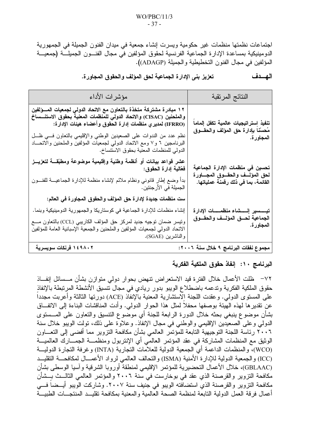اجتماعات نظمتها منظمات غير حكومية ويسرت إنشاء جمعية في ميدان الفنون الجميلة في الجمهورية الدو مينيكية بمساعدة الإدار ة الجماعية الفر نسية لحقوق المؤلفين في مجال الفنـــو ن الجميلــــة (جمعيــــة المؤلفين في مجال الفنون التخطيطية والجميلة (ADAGP).

مؤشر ات الأداء النتائج المرتقبة ١٢ مبادرة مشتركة متخذة بالتعاون مع الاتحاد الدولي لجمعيات المسؤلفين والملحنين (CISAC) والاتحاد الدولي للمنظمات المعنية بحقوق الاستنــساخ تنفيذ استراتيجيات عالمية تكفل إلماما (IFRRO) لمدير ، منظمات إدارة الحقوق وأعضاء هيئات الإدارة: مُحسّنا بإدارة حق المؤلف والحقـــوق نظم عدد من الندوات على الصعيدين الوطني والإقليمي بالتعاون فسي ظل المجاور ة. البرنامجين ٦ و٧ ومع الاتحاد الدولي لجمعيات المؤلفين والملحنين والاتحــاد الدولي للمنظمات المعنية بحقوق الاستتساخ. عشر قواعد بيانات أو أنظمة وطنية وإقليمية موضوعة ومطبّقــــة لتعزيـــز تحسين في منظمات الإدارة الجماعية فَعَالِيهَ إدارة الحقوق: لحق المؤلسف والحقسوق المجساورة بدأ وضع إطار قانوني ونظام ملائم لإنشاء منظمة للإدارة الجماعيـــة للفنـــون القائمة، بما في ذلك رقمنة عملياتها. الجميلة في الأرجنتين. ست منظمات جديدة لإدارة حق المؤلف والحقوق المجاورة في العالم: إنشاء منظمات للإدارة الجماعية في كوستاريكا والجمهورية الدومينيكية وبنما. الجماعية لحسق المؤلسف والحقسوق ونيسر ضمان نوجيه جديد لمركز حق المؤلف الكاريبي (CCL) بالنعاون مـــع المجاور ة. الاتحاد الدولى لجمعيات المؤلفين والملحنين والجمعية آلإسبانية العامة للمؤلفين والناشرين (SGAE). ١٤٩٨٠٢ فرنكات سويسرية مجموع نفقات البرنامج ٩ خلال سنة ٢٠٠٦:

تعزيز بني الإدارة الجماعية لحق المؤلف والحقوق المجاورة. الهسدف

# البرنامج ١٠: إنفاذ حقوق الملكية الفكرية

٧٢– ظلت الأعمال خلال الفترة قيد الاستعراض تنهض بحوار دولمي متوازن بشأن مـــسائل إنفـــاذ حقوق الملكية الفكرية وتدعمه باضطلاع الويبو بدور ريادي في مجال نتسيق الأنشطة المرتبطة بالإنفاذ علـى المستوى الدولـى. وعقدت اللـجنة الاستشارية المعنية بالإنفاذ (ACE) دورتها الثالثة وأعربت مجددا عن نقدير ها لهذه الهيئة بوصفها محفلًا لمثل هذا الحوار الدولي. وأدت المناقشات البناءة إلى الانفــاق بشأن موضوع ينبغي بحثه خلال الدورة الرابعة للجنة أي موضوع النتسيق والنعاون على المـــستوى الدولي وعلى الصعيدين الإقليمي والوطني في مجال الإنفاذ. وعلاوَّة على ذلك، تولت الويبو خلال سنة ٢٠٠٦ رئاسة اللجنة التوجيهية التابعة للمؤتمر العالمي بشأن مكافحة التزوير مما أفضى إلى التعـــاون الوثيق مع المنظمات المشاركة في عقد المؤتمر العالمي أي الإنتربول ومنظمــة الجمـــارك العالميـــة (WCO)، و المنظمات الداعمة أي الجمعية الدولية للعلامات النجارية (INTA) و غرفة النجار ة الدوليـــة (ICC) والجمعية الدولية للإدارة الأمنية (ISMA) والنحالف العالمي لرواد الأعمـــال لمكافحــــة النقليـــد (GBLAAC)، خلال الأعمال التحضيرية للمؤتمر الإقليمي لمنطقة أوروبا الشرقية وآسيا الوسطى بشأن مكافحة التزوير والقرصنة الذي عقد في بوخارست في سنة ٢٠٠٦ والمؤتمر العالمي الثالــث بــشأن مكافحة التزوير والقرصنة الذي استضافته الويبو في جنيف سنة ٢٠٠٧. وشاركت الويبو أيــضاً فـــي أعمال فرقة العمل الدولية التابعة لمنظمة الصحة العالمية والمعنية بمكافحة تقليــد المنتجـــات الطبيـــة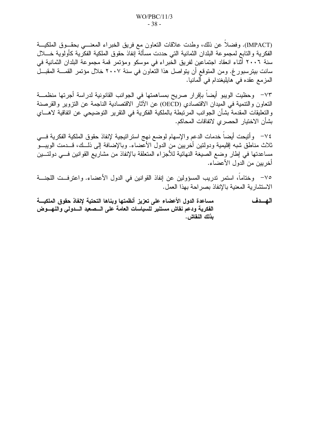(IMPACT). وفضلا عن ذلك، وطدت علاقات النعاون مع فريق الخبراء المعنسي بحقـوق الملكيــة الفكرية والتابع لمجموعة البلدان الثمانية التي حددت مسألة إنفاذ حقوق الملكية الفكرية كأولوية خسلال سنة ٢٠٠٦ أثناء انعقاد اجتماعين لفريق الخبراء في موسكو ومؤتمر قمة مجموعة البلدان الثمانية في سانت بيترسبور غ. ومن المتوقع أن يتواصل هذا التعاون في سنة ٢٠٠٧ خلال مؤتمر القمــــة المقبـــل المزمع عقده في هايليغندام في ألمانيا.

٧٣– وحظيت الويبو أيضا بإقرار صريح بمساهمتها في الجوانب القانونية لدراسة أجرتها منظمـــة النعاون والتنمية في الميدان الاقتصادي (OECD) عن الآثار الاقتصادية الناجمة عن التزوير والقرصنة والتعليقات المقدمة بشأن الجوانب المرتبطة بالملكية الفكرية في التقرير التوضيحي عن اتفاقية لاهـــاي بشأن الاختيار الحصر ي لاتفاقات المحاكم.

٧٤– وأتيحت أيضا خدمات الدعم والإسهام لوضع نهج استراتيجية لإنفاذ حقوق الملكية الفكرية فـــي ثلاث مناطق شبه إقليمية ودولتين أخريين من الدول الأعضاء. وبالإضافة إلى ذلــك، قـــدمت الويبـــو مساعدتها في إطار وضع الصيغة النهائية للأجزاء المتعلقة بالإنفاذ من مشاريع القوانين فـــي دولتـــين أخريين من الدول الأعضاء.

٧٥– وختاما، استمر تدريب المسؤولين عن إنفاذ القوانين في الدول الأعضاء. واعترفــت اللجنـــة الاستشارية المعنية بالإنفاذ بصر احة بهذا العمل.

الهسدف مساعدة الدول الأعضاء على تعزيز أنظمتها وبناها التحتية لإنفاذ حقوق الملكيسة الفكرية ودعم نقاش مستنير للسياسات العامة على السصعيد السدولي والنهسوض بذلك النقاش .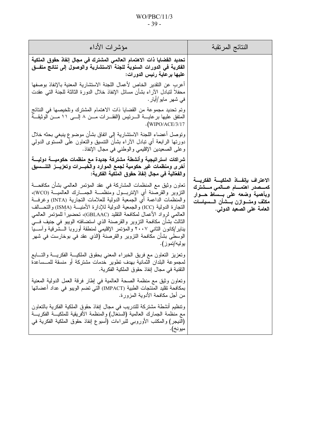## $WO/PBC/11/3$  $-39-$

| مؤشرات الأداء                                                                                                                                                                                                                                                                                                                                                                                                                                                                                                                                                                                                                                | النتائج المرنقبة                                                                                                                                                                      |
|----------------------------------------------------------------------------------------------------------------------------------------------------------------------------------------------------------------------------------------------------------------------------------------------------------------------------------------------------------------------------------------------------------------------------------------------------------------------------------------------------------------------------------------------------------------------------------------------------------------------------------------------|---------------------------------------------------------------------------------------------------------------------------------------------------------------------------------------|
| تحديد القضايا ذات الاهتمام العالمي المشترك في مجال إنفاذ حقوق الملكية<br>الفكرية في الدورات السنوية للجنة الاستشارية والوصول إلى نتائج متفــق<br>عليها برعاية رئيس الدورات:                                                                                                                                                                                                                                                                                                                                                                                                                                                                  |                                                                                                                                                                                       |
| أعرب عن التقدير الخاص لأعمال اللجنة الاستشارية المعنية بالإنفاذ بوصفها<br>محفلا لنتبادل الأراء بشأن مسائل الإنفاذ خلال الدورة الثالثة للجنة التبي عقدت<br>  في شهر مايو/أيار .                                                                                                                                                                                                                                                                                                                                                                                                                                                               |                                                                                                                                                                                       |
| وتم تحديد مجموعة من القضايا ذات الاهتمام المشترك وتلخيصها في النتائج<br>المنفق عليها برعايــــة الــــرئيس (الفقــــرات مــــن ٨ إلــــي ١١ مـــن الوثيقــــة<br>$\cdot$ (WIPO/ACE/3/17                                                                                                                                                                                                                                                                                                                                                                                                                                                      |                                                                                                                                                                                       |
| وتوصل أعضاء اللجنة الاستشارية إلى اتفاق بشأن موضوع ينبغي بحثه خلال<br>دورتها الرابعة أي نبادل الأراء بشأن النتسيق والنعاون على المسنوى الدولي<br>وعلى الصعيدين الإقليمي والوطنبي في مجال الإنفاذ.                                                                                                                                                                                                                                                                                                                                                                                                                                            |                                                                                                                                                                                       |
| شراكات استراتيجية وأنشطة مشتركة جديدة مع منظمات حكوميــــة دوليــــة<br>أخرى ومنظمات غير حكومية لجمع الموارد والخبـــرات وتعزيــــز التنـــــسيق<br>والفعّالية في مجال إنفاذ حقوق الملكية الفكرية:                                                                                                                                                                                                                                                                                                                                                                                                                                           | الاعتراف بإنفـــاذ الملكيــــة الفكريــــة<br>كمـــصدر اهتمــــام عــــالمـى مـــشترك<br>وبأهمية وضعه على بــساط حــوار<br>مكثف ومتسوازن بسشأن السسياسات<br>العامة على الصعيد الدولي. |
| نعاون وثيق مع المنظمات المشاركة في عقد المؤتمر العالمي بشأن مكافحـــة<br>التزوير والقرصنة أي الإنتربـــول ومنظمــــة الـجمــــارك العالميــــة (WCO)،<br>والمنظمات الداعمة أي الجمعية الدولية للعلامات النجارية (INTA) وغرفـــة<br>النجارة الدولية (ICC) والجمعية الدولية للإدارة الأمنيــــة (ISMA) والنحــــالف<br>العالمي لرواد الأعمال لمكافحة النقليد (GBLAAC)، تحضيرًا للمؤتمر العالمي<br>الثالث بشأن مكافحة التزوير والقرصنة الذي استضافته الويبو في جنيف فـــي<br>يناير /كانون الثانبي ٢٠٠٧ والمؤتمر الإقليمي لمنطقة أوروبا الـــشرقية وأســـيا<br>الوسطى بشأن مكافحة التزوير والقرصنة (الذي عقد في بوخارست في شهر<br>  يوليه/تموز). |                                                                                                                                                                                       |
| وتعزيز النعاون مع فريق الخبراء المعنى بحقوق الملكيــة الفكريـــة والتــــابـع<br>لمجموعة البلدان الثمانية بهدف تطوير خدمات مشتركة أو منسقة للمـــساعدة<br>التقنية في مجال إنفاذ حقوق الملكية الفكرية.                                                                                                                                                                                                                                                                                                                                                                                                                                        |                                                                                                                                                                                       |
| ونعاون وثيق مع منظمة الصحة العالمية في إطار فرقة العمل الدولية المعنية<br>بمكافحة تقليد المنتجات الطبية (IMPACT) التي تضم الويبو في عداد أعضائها<br>من أجل مكافحة الأدوية المزورة.                                                                                                                                                                                                                                                                                                                                                                                                                                                           |                                                                                                                                                                                       |
| وتنظيم أنشطة مشتركة للتدريب في مجال إنفاذ حقوق الملكية الفكرية بالنعاون<br>مع منظمة الجمارك العالمية (السنغال) والمنظمة الأفريقية للملكيــة الفكريــة<br>(النيجر) والمكتب الأوروبي للبراءات (أسبوع إنفاذ حقوق الملكية الفكرية في<br>ميونخ).                                                                                                                                                                                                                                                                                                                                                                                                  |                                                                                                                                                                                       |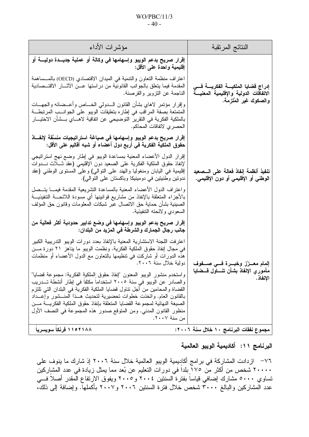### $WO/PBC/11/3$  $-40-$

| مؤشرات الأداء                                                                                                                                                                                                                                                                                                                                                                                                                                                                      | النتائج المرنقبة                                                                                    |
|------------------------------------------------------------------------------------------------------------------------------------------------------------------------------------------------------------------------------------------------------------------------------------------------------------------------------------------------------------------------------------------------------------------------------------------------------------------------------------|-----------------------------------------------------------------------------------------------------|
| إقرار صريح بدعم الويبو وإسهامها في وكالة أو عملية جديــدة دوليـــة أو<br>إقليمية واحدة على الأقل:                                                                                                                                                                                                                                                                                                                                                                                  | إدراج فضايا الملكيسة الفكريسة فسي<br>الاتفاقات الدولية والإقليمية المعنيسة<br>والصكوك غير المُلزمة. |
| اعتراف منظمة النعاون والتنمية في الميدان الاقتصادي (OECD) بالمـــساهمة<br>المقدمة فيما يتعلق بالجوانب القانونية من دراستها عـــن الأثــــار الاقتـــصادية<br>الناجمة عن النزوير والقرصنة.                                                                                                                                                                                                                                                                                          |                                                                                                     |
| وإقرار مؤتمر لاهاي بشأن القانون السدولي الخساص وأعسضائه والجهسات<br>المتمتعة بصفة المراقب في إطاره بتعليقات الويبو على الجوانــب المرتبطــة<br>بالملكية الفكرية في النقرير النوضيحي عن اتفاقية لاهـــاي بـــشأن الاختيـــار<br>  الحصر ي لاتفاقات المحاكم.                                                                                                                                                                                                                         |                                                                                                     |
| إقرار صريح بدعم الويبو وإسهامها في صياغة استراتيجيات منسَّقة لإنفـــاذ<br>حقوق الملكية الفكرية في أربع دول أعضاء أو شبه أقاليم على الأقل:                                                                                                                                                                                                                                                                                                                                          | تنفيذ أنظمة إنفاذ فعالة على السصعيد<br>الوطني أو الإقليمي أو دون الإقليمي.                          |
| إقرار الدول الأعضاء المعنية بمساعدة الويبو في إطار وضع نهج استراتيجي<br>لإنفاذ حقوق الملكية الفكرية على الصعيد دون الإقليمي (عقد ثـــلاث نــــدوات<br>إقليمية في اليابان ومنغوليا والهند على النوالي) وعلى المستوى الوطني (عقد<br>ندونين وطنيتين في دومينيكا وباكستان على التوالي).                                                                                                                                                                                                |                                                                                                     |
| واعتراف الدول الأعضاء المعنية بالمساعدة النشريعية المقدمة فيمـــا يتـــصل<br>بالأجزاء المتعلقة بالإنفاذ من مشاريع قوانينها أي مسودة اللائحــة التنفيذيـــة<br>الصبينية بشأن حماية حق الاتصال عبر شبكات المعلومات وقانون حق المؤلف<br>السعودي ولائحته التتفيذية.                                                                                                                                                                                                                    |                                                                                                     |
| إقرار صريح بدعم الويبو وإسهامها في وضع تدابير حدودية أكثر فعالية من<br>جانب رجال الجمارك والشرطة في المزيد من البلدان:                                                                                                                                                                                                                                                                                                                                                             | إلمام معــزز وخبــرة فـــي صـــفوف<br>مأموري الإنفاذ بشأن تنساول قسضايا<br>الإنفاذ.                 |
| اعترفت اللجنة الاستشارية المعنية بالإنفاذ بعدد دورات الويبو التدريبية الكبير<br>في مجال إنفاذ حقوق الملكية الفكرية. ونظمت الويبو ما يناهز ٢١ دورة مـــن<br>هذه الدورات أو شاركت في نتظيمها بالنعاون مع الدول الأعضاء أو منظمات<br>دولية خلال سنة ٢٠٠٦.                                                                                                                                                                                                                             |                                                                                                     |
| واستخدم منشور الويبو المعنون "إنفاذ حقوق الملكية الفكرية: مجموعة قضايا"<br>والصادر عن الويبو في سنة ٢٠٠٥ استخداما مكثفا في إطار أنشطة تـــدريب<br>القضـاة والمـحامين من أجل نتـاول قضـايـا الملكيـة الفكريـة فـي البلدان التـي تلتزـم<br>بالقانون العام. واتخذت خطوات تحضيرية لتحديث هــذا المنـــشور وإعـــداد<br>الصيغة النهائية لمجموعة القضايا المتعلقة بإنفاذ حقوق الملكية الفكريسة مسن<br>منظور القانون المدني. ومن المتوقع صدور هذه المجموعة في النصف الأول<br>من سنة ٢٠٠٧. |                                                                                                     |
| ۱۱۰۲۱۸۸ فرنکا سویسریا                                                                                                                                                                                                                                                                                                                                                                                                                                                              | مجموع نفقات البرنامج ١٠ خلال سنة ٢٠٠٦:                                                              |

البرنامج ١١: أكاديمية الويبو العالمية

٧٦– ازدادت المشاركة في برامج أكادِيمية الويبو العالمية خلال سنة ٢٠٠٦ إذ شارك ما ينوف على ٢٠٠٠٠ شخص من أَكثر من ١٧٥ إبلداً في دورات النعليم عن بُعد مما يمثل زيادة في عدد المشاركين نساوي ٥٠٠٠ مشارك إضافي قياساً بفترة السنتين ٢٠٠٤ و٢٠٠٥ ويفوق الارتفاع المقدر أصلاً فـــي عدد الْمشاركين والبالغ ٣٠٠٠ شخص خلال فترة السنتين ٢٠٠٦ و٢٠٠٧ بأكملها. وإضافة إلى ذلك،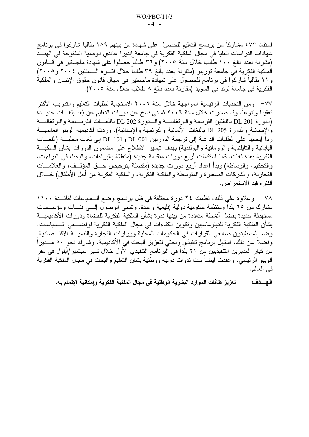استفاد ٤٧٣ مشاركا من برنامج التعليم للحصول على شهادة من بينهم ١٨٩ طالبا شاركوا في برنامج شهادات الدر اسات العليا في مجال الملكية الفكرية في جامعة إندير ا غاندي الوطنية المفتوحة في الهنـــد (مقارنة بعدد بالغ ١٠٠ طالب خلال سنة ٢٠٠٥) و ٣٦ طالباً حصلوا على شهادة ماجستير في قـــانون الملكية الفكرية في جامعة تورينو (مقارنة بعدد بالغ ٣٩ طالبا خلال فتـــرة الـــسنتين ٢٠٠٤ و ٢٠٠٥) و ١١ طالبا شاركوا في برنامج للحصول على شهادة ماجستير في مجال قانون حقوق الإنسان والملكية الفكرية في جامعة لوند في السويد (مقارنة بعدد بالغ ٨ طلاب خلال سنة ٢٠٠٥).

٧٧– ومن التحديات الرئيسية المواجهة خلال سنة ٢٠٠٦ الاستجابة لطلبات التعليم والتدريب الأكثر تعقيدا وتنوعا. وقد صدرت خلال سنة ٢٠٠٦ ثماني نسخ عن دورات التعليم عن بُعد بلغــات جديـــدة (الدور ة DL-201 باللغتين الفرنسية والبر تغاليسة والسدور ة DL-202 باللغسات الفرنسسية والبر تغاليسة والإسبانية والدورة DL-205 باللغات الألمانية والفرنسية والإسبانية). وردت أكاديمية الويبو العالميـــة ردا إيجابيا على الطلبات الداعية إلى نرجمة الدوريين DL-001 و DL-101 إلى لغات محليـــة (اللغـــات اليابانية والتايلندية والرومانية والبولندية) بهدف نيسير الاطلاع على مضمون الدورات بشأن الملكيـــة الفكرية بعدة لغات. كما استكملت أربع دورات متقدمة جديدة (متعلقة بالبراءات، والبحث في البراءات، والتحكيم، والوساطة) وبدأ إعداد أربع دورات جديدة (متصلة بترخيص حــق المؤلــف، والعلامـــات النجارية، والشركات الصغيرة والمتوسطة والملكية الفكرية، والملكية الفكرية من أجل الأطفال) خــــلال الفتر ة قيد الاستعر اض.

٧٨– وعلاوة على ذلك، نظمت ٢٤ دورة مختلفة في ظل برنامج وضع الـسياسات لفائـــدة ١١٠٠ مشار ك من ٦٥ بلدا و منظمة حكومية دولية إقليمية و احدة. و تسنى الوصول إلـــي فئـــات و مؤســـسات مستهدفة جديدة بفضل أنشطة متعددة من بينها ندوة بشأن الملكية الفكرية للقضاة ودورات الأكاديميـــة بشأن الملكية الفكرية للدبلوماسيين وتكوين الكفاءات في مجال الملكية الفكرية لواضــــعي الـــسياسات. وضع المستفيدون صانعي القرارات في الحكومات المحلية ووزارات التجارة والتنميـــة الاقتـــصادية. وفضلاً عن ذلك، استهل برنامج تنفيذيّ وبحثى لتعزيز البحث في الأكاديمية. وشارك نحو ٥٠ مـــديراً من كبار المديرين التنفيذيين من ٢١ بلداً في البرنامج التنفيذي الأول خلال شهر سبتمبر/أيلول في مقر الويبو الرئيسي. وعقدت أيضاً ست ندوات دولية ووطنية بشأن النعليم والبحث في مجال الملكية الفكرية في العالم.

تعزيز طاقات الموارد البشرية الوطنية في مجال الملكية الفكرية وإمكانية الإلمام به. الهسدف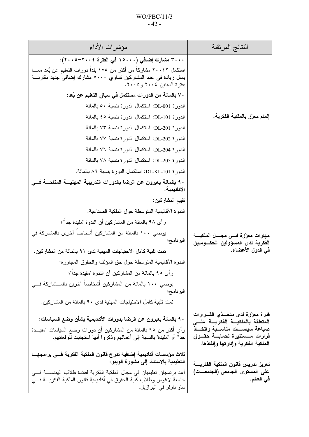## $WO/PBC/11/3$  $-42-$

| النتائج المرنقبة                                                                                                                                                                            | مؤشرات الأداء                                                                                                                                                                                                                                                                                                                                                                                                                                                                                                                                                                   |
|---------------------------------------------------------------------------------------------------------------------------------------------------------------------------------------------|---------------------------------------------------------------------------------------------------------------------------------------------------------------------------------------------------------------------------------------------------------------------------------------------------------------------------------------------------------------------------------------------------------------------------------------------------------------------------------------------------------------------------------------------------------------------------------|
| بفترة السنتين ٢٠٠٤ و٢٠٠٥.                                                                                                                                                                   | ٣٠٠٠ مشارك إضافي (١٥٠٠٠ في الفترة ٢٠٠٤–٢٠٠٥):<br>استكمل ٢٠٠١٢ مشاركاً من أكثر من ١٧٥ بلداً دورات النعليم عن بُعد ممـــا<br>يمثل زيادة في عدد المشاركين تساوي ٥٠٠٠ مشارك إضافي جديد مقارنــــة                                                                                                                                                                                                                                                                                                                                                                                   |
| إلمام معزّز بالملكية الفكرية.                                                                                                                                                               | ٧٠ بالمائة من الدورات مستكمل في سياق التعليم عن بُعد:<br>الدورة DL-001: استكمال الدورة بنسبة ٥٠ بالمائة<br>الدورة DL-101: استكمال الدورة بنسبة ٤٥ بالمائة<br>الدورة DL-201: استكمال الدورة بنسبة ٧٣ بالمائة<br>الدورة DL-202: استكمال الدورة بنسبة ٧٧ بالمائة<br>الدورة DL-204: استكمال الدورة بنسبة ٧٦ بالمائة<br>الدورة DL-205: استكمال الدورة بنسبة ٧٨ بالمائة<br>الدورة DL-KL-101: استكمال الدورة بنسبة ٨٦ بالمائة.                                                                                                                                                         |
| الأكاديمية:<br>نقييم المشاركين:<br>مهارات معزّزة فسي مجسال الملكيسة<br>البرنامج؛<br>الفكرية لدى المسؤولين الحكـــوميين<br>في الدول الأعضاء.<br>البرنامج؛                                    | ٩٠ بالمائة يعبرون عن الرضا بالدورات التدريبية المهنيـــة المتاحـــة فـــي<br>الندوة الأقاليمية المنوسطة حول الملكية الصناعية:<br>رِ أي ٩٨ بالمائة من المشاركين أن الندوة "مفيدة جدا"؛<br>يوصـي ١٠٠ بالمائة من المشاركين أشخاصـا آخرين بالمشاركة في<br>تمت تلبية كامل الاحتياجات المهنية لدى ٩١ بالمائة من المشاركين.<br>الندوة الأقاليمية المتوسطة حول حق المؤلف والحقوق المجاورة:<br>ر أي ٩٥ بالمائة من المشاركين أن الندوة "مفيدة جداً"؛<br>يوصـي ١٠٠ بالمائة من المشاركين أشخاصـا آخرين بالمـــشاركة فـــي<br>تمت تلبية كامل الاحتياجات المهنية لدى ٩٠ بالمائة من المشاركين. |
| قدرة معزّزة لدى متخـــذى القــــرارات<br>المتعلقة بالملكيسة الفكريسة علسى<br>صياغة سياســات مناســبة واتخــاذ<br>قرارات مـــستنيرة لحمايــــة حقـــوق<br>الملكية الفكرية وإدارتها وإنفاذها. | ٩٠ بالمائـة يعبرون عن الرضا بدورات الأكاديميـة بشأن وضع السياسات:<br>رأي أكثر من ٩٥ بالمائة من المشاركين أن دورات وضع السياسات "مفيـــدة<br>جدا" أو "مفيدة" بالنسبة إلى أعمالهم وذكروا أنها استجابت لنوقعاتهم.                                                                                                                                                                                                                                                                                                                                                                  |
| تعزيز تدريس قانون الملكية الفكريسة<br>على المستوى الجامعي (الجامعـــات)<br>في العالم.<br>ساو باولو في البرازيل.                                                                             | ثلاث مؤسسات أكاديمية إضافية تدرج فانون الملكية الفكرية فسي برامجهـــا<br>التعليمية بالاستناد إلى مشورة الويبو :<br>أعد برنمجان تعليميان في مجال الملكية الفكرية لفائدة طلاب الهندســــة فــــى<br>جامعة لاغوس وطلاب كلية الحقوق في أكاديمية قانون الملكية الفكريــــة فــــي                                                                                                                                                                                                                                                                                                    |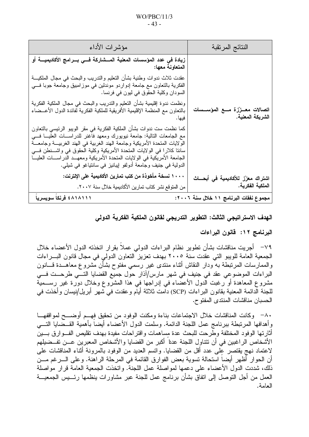| النتائج المرتقبة                                        | مؤشرات الأداء                                                                                                                                                                                                                                                                                                                                                                                                                                                    |
|---------------------------------------------------------|------------------------------------------------------------------------------------------------------------------------------------------------------------------------------------------------------------------------------------------------------------------------------------------------------------------------------------------------------------------------------------------------------------------------------------------------------------------|
|                                                         | زيادة في عدد المؤسسات المعلية المـــشاركة فـــي بـــرامج الأكاديميـــة أو<br>  المتعاونة معها:                                                                                                                                                                                                                                                                                                                                                                   |
|                                                         | عقدت ثلاث ندوات وطنية بشأن النعليم والندريب والبحث في مجال الملكيـــة<br>الفكرية بالنعاون مع جامعة إدواردو موندلين في موزامبيق وجامعة جوبا فسي<br>  السودان وكلية الحقوق في ليون في فرنسا.                                                                                                                                                                                                                                                                       |
| اتصالات معــززة مـــع المؤســسات<br>الشريكة المعنية.    | ونظمت ندوة إقليمية بشأن النعليم والندريب والبحث في مجال الملكية الفكرية<br>بالنعاون مع المنظمة الإقليمية الأفريقية للملكية الفكرية لفائدة الدول الأعـــضاء<br>فيها .                                                                                                                                                                                                                                                                                             |
|                                                         | كما نظمت ست ندوات بشأن الملكية الفكرية في مقر الويبو الرئيسي بالتعاون<br>مع الجامعات التالية: جامعة نيويورك ومعهد فاغنر للدراســـات العليـــا فــــي<br>الولايات المتحدة الأمريكية وجامعة الهند الغربية في الهند الغربيـــة وجامعـــة<br>ساننا كلارا في الولايات المنحدة الأمريكية وكلية الحقوق في واشــنطن فـــي<br>الجامعة الأمريكية في الولايات المتحدة الأمريكية ومعهــد الدراســـات العليـــا<br>الدولية في جنيف وجامعة أدولفو ٳيبانيز في سانتياغو في شيلي. |
| اشتراك معزّز للأكاديمية في أبحـــاث<br>الملكية الفكرية. | ١٠٠٠ نسخة مأخوذة من كتب تمارين الأكاديمية على الإنترنت:<br>من المتوقع نشر كتاب تمارين الأكاديمية خلال سنة ٢٠٠٧.                                                                                                                                                                                                                                                                                                                                                  |
| مجموع نفقات البرنامج ١١ خلال سنة ٢٠٠٦:                  | ٤٨١٨١١١ فرنكا سويسرياً                                                                                                                                                                                                                                                                                                                                                                                                                                           |

الهدف الاستراتيجي الثالث: التطوير التدريجي لقانون الملكية الفكرية الدولي

البرنامج ١٢: قانون البراءات

٧٩– أجريت مناقشات بشأن تطوير نظام البراءات الدولمي عملا بقرار انخذنه الدول الأعضاء خلال الجمعية العامة للويبو التي عقدت سنة ٢٠٠٥ بهدف تعزيز التعاون الدولي في مجال قانون البــــراءات والممارسات المرتبطة به ودار النقاش أثناء منتدى غير رسمي مفتوح بشأن مشروع معاهــدة قـــانون البراءات الموضوعي عقد في جنيف في شهر مارس/آذار حول جميع القضايا التسي طرحــت فسي مشروع المعاهدة أو رغبت الدول الأعضاء في إدراجها في هذا المشروع وخلال دورة غير رســـمية للجنة الدائمة المعنية بقانون البر اءات (SCP) دامت ثلاثة أيام وعقدت في شهر أبريل/نيسان وأخذت في الحسبان مناقشات المنتدى المفتوح.

٨٠– وكانت المناقشات خلال الاجتماعات بناءة ومكنت الوفود من تحقيق فهــم أوضـــح لمواقفهـــا وأهدافها المرتبطة ببرنامج عمل اللجنة الدائمة. وسلمت الدول الأعضاء أيضاً بأهمية القـــضايا التــــى أثارتها الوفود المختلفة وطرحت للبحث عدة مساهمات واقتراحات مفيدة بهدف تقليص الفسوارق بسين الأشخاص الراغبين في أن نتناول اللجنة عداً أكبر من القضايا والأشخاص المعبرين عــن تفــضيلهم لاعتماد نهج يقتصر على عدد أقل من القضايا. واتسم العديد من الوفود بالمرونة أثناء المناقشات على أن الحوار أظهر أيضا استحالة تسوية بعض الفوارق القائمة في المرحلة الراهنة. وعلى الــــرغم مــــن ذلك، شددت الدول الأعضاء على دعمها لمواصلة عمل اللجنة. واتخذت الجمعية العامة قرار مواصلة العمل من أجل التوصل إلى اتفاق بشأن برنامج عمل للجنة عبر مشاورات ينظمها رئـــبس الجمعيـــة العامة.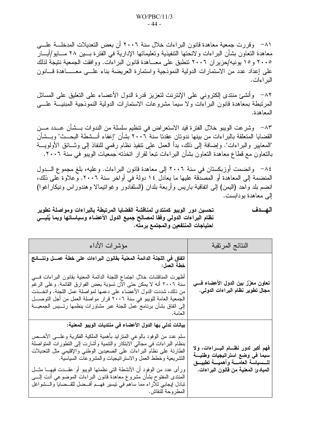٨١− وقررت جمعية معاهدة قانون البر اءات خلال سنة ٢٠٠٦ أن بعض التعديلات المدخلـــة علــــى معاهدة النعاون بشأن البر اءات و لائحتها التنفيذية و نعليماتها الإدار ية في الفتر ة بـــين ٢٨ مـــايو /أيـــار ٢٠٠٥ و ١٥ بونيه/حزير ان ٢٠٠٦ تنطبق على معـــاهدة قانون البر اءات. ووافقت الجمعية نتيجة لذلك على إعداد عدد من الاستمارات الدولية النموذجية واستمارة العريضة بناء علـــى معــــــاهدة قـــانون البر اءات.

٨٢– وأنشئ منتدى إلكتروني على الإنترنت لتعزيز قدرة الدول الأعضاء على التعليق على المسائل المرتبطة بمعاهدة قانون البراءات ولا سيما مشروعات الاستمارات الدولية النموذجية المبنيـــة علــــي المعاهدة.

٨٣ – وشرعت الويبو خلال الفترة قيد الاستعراض في تنظيم سلسلة من الندوات بـــشأن عـــدد مـــن القضايا المتعلقة بالبراءات من بينها ندوتان عقدتا سنة ٢٠٠٦ بشأن "إعفاء أنـــشطة البحـــث" وبـــشأن "المعايير والبراءات". وإضافة إلى ذلك، بدأ العمل على نتفيذ نظام رقمي للنفاذ إلى وشــائق الأولويـــة بالنعاون مع قطاع معاهدة النعاون بشأن البر اءات نبعا لقرار انخذته جمعيات الويبو في سنة ٢٠٠٦.

٨٤ – وانضمت أوزبكستان في سنة ٢٠٠٦ إلى معاهدة قانون البر اءات. وعليه، بلغ مجموع الـــدول المنضمة إلى المعاهدة أو المصدقة عليها ما يعادل ١٤ دولة في أواخر سنة ٢٠٠٢. وعلاوة على ذلك، انضم بلد واحد (اليمن) إلى اتفاقية باريس وأربعة بلدان (السلفادور وغواتيمالا وهندوراس ونيكاراغوا) إلى معاهدة بو دابست.

الهسدف تحسين دور الويبو كمنتدى لمناقشة القضايا المرتبطة بالبراءات ومواصلة تطوير نظام البراءات الدولمي وفقا لمصالح جميع الدول الأعضاء وسياساتها وبما يُلبسي احتياجات المنتفعين والمجتمع برمته.

| النتائج المرتقبة                                                                                               | مؤشرات الأداء                                                                                                                                                                                                                                                                                                                                                                   |
|----------------------------------------------------------------------------------------------------------------|---------------------------------------------------------------------------------------------------------------------------------------------------------------------------------------------------------------------------------------------------------------------------------------------------------------------------------------------------------------------------------|
|                                                                                                                | اتفاق في اللجنة الدائمة المعنية بقانون البراءات على خطة عمــل ونتـــائـج<br>خطة العمل:                                                                                                                                                                                                                                                                                          |
| تعاون معزّز بين الدول الأعضاء فسي<br>مجال تطوير نظام البراءات الدولي.                                          | أظهرت المناقشات خلال اجتماع اللجنة الدائمة المعنية بقانون البراءات فسي<br>سنة ٢٠٠٦ أنه لا يمكن حتى الآن تسوية بعض الفوارق القائمة. وعلى الرغم<br>من ذلك، شددت الدول الأعضاء على دعمها لمواصلة عمل اللجنة. واتخـــذت<br>الجمعية العامة للويبو في سنة ٢٠٠٦ قرار مواصلة العمل من أجل التوصـــل<br>إلى اتفاق بشأن برنامج عمل للجنة عبر مشاورات ينظمها رئـــيس الجمعيـــة<br>العامة. |
|                                                                                                                | بيانات تدلي بها الدول الأعضاء في منتديات الويبو المعنية:                                                                                                                                                                                                                                                                                                                        |
| فهم أكبر لدور نظـــام البــــراءات، ولا<br>سيما في وضع استراتيجيات وطنيـــة<br>للسسياسة العامسة وأهميسة تطبيسق | سلم عدد من الوفود بالوعبي المنزايد بأهمية الملكية الفكرية وعلـــي الأخـــص<br>بنظام البراءات في مجالي الابنكار والنتمية وأشارت إلىي النطورات المنواصلة<br>الطارئة على نظام البراءات على الصعيدين الوطني والإقليمي مثل التعديلات<br>التشريعية وخطط العمل والاستراتيجيات والمشروعات السياسية.                                                                                     |
| المبادئ المعنية من قانون البراءات.                                                                             | ورأى عدد من الوفود أن الأنشطة التي نظمتها الويبو أو عقـــدت فيهــــا مثـــل<br>المنتدى المفتوح بشأن مشروع معاهدة قانون البراءات الموضوعي أدت إلسي<br>تبادل إيجابي للأراء مما ساهم في نيسير فهــم أفــضل للقــضايا والـــشواغل<br>المطروحة للنقاش.                                                                                                                               |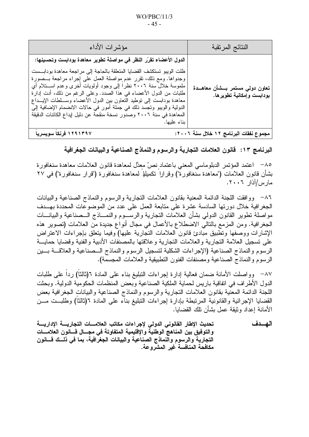| النتائج المرتقبة                                                | مؤشرات الأداء                                                                                                                                                                                                                                                                                                                                                                                                                                                                                                                                                                                          |
|-----------------------------------------------------------------|--------------------------------------------------------------------------------------------------------------------------------------------------------------------------------------------------------------------------------------------------------------------------------------------------------------------------------------------------------------------------------------------------------------------------------------------------------------------------------------------------------------------------------------------------------------------------------------------------------|
| تعاون دولي مستمر بـــشأن معاهـــدة<br>بودابست وإمكانية تطويرها. | الدول الأعضاء تقرّر النظر في مواصلة تطوير معاهدة بودابست وتحسينها:<br>ظلت الويبو تستكشف القضايا المتعلقة بالحاجة إلى مراجعة معاهدة بودابست<br>وجدواها. ومع ذلك، نقرر عدم مواصلة العمل على إجراء مراجعة بـــصورة<br>ملموسة خلال سنة ٢٠٠٦ نظرًا إلى وجود أولويات أخرى وعدم اســـنلام أي<br>طلبات من الدول الأعضاء في هذا الصدد. وعلى الرغم من ذلك، أدت إدارة<br>معاهدة بودابست إلىي نوطيد النعاون بين الدول الأعضاء وســـلطات الإيـــداع<br>الدولية والويبو ونجسد ذلك في جملة أمور في حالات الانضمام الإضافية إلى<br>المعاهدة في سنة ٢٠٠٦ وصدور نسخة منقحة عن دليل إيداع الكائنات الدقيقة<br>بناء عليها. |
| محمه ع نفقات الد نامج ١٢ خلال سنة ٢٠٠٦:                         | ١٢٩١٣٩٧ في نكأ سوسير بأ                                                                                                                                                                                                                                                                                                                                                                                                                                                                                                                                                                                |

# البرنامج ١٣: فَانون العلامات النجارية والرسوم والنماذج الصناعية والبيانات الجغرافية

٨٥– اعتمد المؤتمر الدبلوماسي المعنى باعتماد نصّ معدَّل لمعاهدة قانون العلامات معاهدة سنغافورة بشأن قانون العلامات ("معاهدة سنغافورة") وقراراً نكميلياً لمعاهدة سنغافورة ("قرار سنغافورة") في ٢٧ مار س/آذار ۲۰۰۲.

٨٦– ووافقت اللجنة الدائمة المعنية بقانون العلامات النجارية والرسوم والنماذج الصناعية والبيانات الجغرافية خلال دورتها السادسة عشرة على متابعة العمل على عدد من الموضوعات المحددة بهــدف مواصلة تطوير القانون الدولمي بشأن العلامات التجارية والرســـوم والنمــــاذج الـــصناعية والبيانــــات الجغرافية. ومن المزمع بالتالي الاضطلاع بالأعمال في مجال أنواع جديدة من العلامات (تصوير هذه الإشارات ووصفها وتطبيق مبادئ قانون العلامات التجارية عليها) وفيما يتعلق بإجراءات الاعتراض على تسجيل العلامة التجار ية و العلامات التجار ية و علاقتها بالمصنفات الأدبية و الفنية و قضايا حمايـــة الرسوم والنماذج الصناعية (الإجراءات الشكلية لتسجيل الرسوم والنماذج السصناعية والعلاقسة بسين الرسوم والنماذج الصناعية ومصنفات الفنون النطبيقية والعلامات المجسمة).

٨٧– وواصلت الأمانة ضمان فعالية إدارة إجراءات النبليغ بناء على المادة ٦(ثالثاً) رداً على طلبات الدول الأطراف في اتفاقية باريس لحماية الملكية الصناعية وبعض المنظمات الحكومية الدولية. وبحثت اللجنة الدائمة المعنية بقانون العلامات النجارية والرسوم والنماذج الصناعية والبيانات الجغرافية بعض القضايا الإجرائية والقانونية المرتبطة بإدارة إجراءات التبليغ بناء على المادة ٦(ثالثا) وطلبــت مـــن الأمانة إعداد وثبقة عمل بشأن تلك القضابا.

تحديث الإطار القانوني الدولي لإجراءات مكاتب العلامسات التجاريسة الإداريسة الهسدف والتوفيق بين المناهج الوطنية والإقليمية المتفاوتة في مجسال قسانون العلامسات التجارية والرسوم والنماذج الصناعية والبيانات الجغرافية، بما في ذلــك قـــانون مكافحة المنافسة غير المشروعة.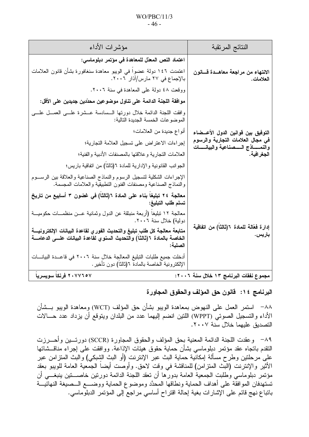| النتائج المرتقبة                                                                     | مؤشرات الأداء                                                                                                                                                       |
|--------------------------------------------------------------------------------------|---------------------------------------------------------------------------------------------------------------------------------------------------------------------|
|                                                                                      | اعتماد النص المعدّل للمعاهدة في مؤتمر دبلوماسي:                                                                                                                     |
| الانتهاء من مراجعة معاهــدة قـــانون<br>العلامات.                                    | اعتمدت ١٤٦ دولة عضواً في الويبو معاهدة سنغافورة بشأن قانون العلامات<br>بالإجماع في ٢٧ مارس/آذار ٢٠٠٦.                                                               |
|                                                                                      | ووقعت ٤٨ دولة على المعاهدة في سنة ٢٠٠٦.                                                                                                                             |
|                                                                                      | موافقة اللجنة الدائمة على تناول موضوعين محدّدين جديدين على الأقل:                                                                                                   |
|                                                                                      | وافقت اللجنة الدائمة خلال دورتها السسادسة عــشرة علـــى العمـــل علــــى<br>الموضوعات الخمسة الجديدة التالية:                                                       |
| التوفيق بين فوانين الدول الأعسضاء                                                    | أنواع جديدة من العلامات؛                                                                                                                                            |
| في مجال العلامات التجارية والرسوم<br>والنمــــــاذج الـــــصنـاعيـة والبيانـــــــات | إجراءات الاعتراض على تسجيل العلامة التجارية؛                                                                                                                        |
| الجغرافية.                                                                           | العلامات التجارية وعلاقتها بالمصنفات الأدبية والفنية؛                                                                                                               |
|                                                                                      | الجوانب القانونية والإدارية للمادة ٦(ثالثاً) من اتفاقية باريس؛                                                                                                      |
|                                                                                      | الإجراءات الشكلية لتسجيل الرسوم والنماذج الصناعية والعلاقة ببن الرســـوم<br>والنماذج الصناعية ومصنفات الفنون النطبيقية والعلامات المجسمة.                           |
| إدار ة فعّالة للمادة ٦(ثالثاً) من اتفاقية<br>باريس.                                  | معالجة ٢٤ تبليغاً بناء على المادة ٦(ثالثاً) في غضون ٣ أسابيع من تاريخ<br>تسلم طلب التبليغ:                                                                          |
|                                                                                      | معالجة ١٢ نبليغاً (أربعة منبثقة عن الدول وثمانية عـــن منظمــــات حكوميــــة<br>دولية) خلال سنة ٢٠٠٦.                                                               |
|                                                                                      | متابعة معالجة كل طلب تبليغ والتحديث الفوري لقاعدة البيانات الإلكترونيــــة<br>الخاصة بالمادة ٦(ثالثا) والتحديث السنوي لقاعدة البيانات علـــى الدعامــــة<br>الصلبة: |
|                                                                                      | أدخلت جميع طلبات التبليغ المعالجة خلال سنة ٢٠٠٦ في قاعــدة البيانـــات<br>الإلكترونية الخاصة بالمادة ٦(ثالثا) دون تأخير .                                           |
| مجموع نفقات البرنامج ١٣ خلال سنة ٢٠٠٦:                                               | ٢٠٧٧٦٥٧ فرنكا سويسريا                                                                                                                                               |

# البرنامج ١٤: فانون حق المؤلف والحقوق المجاورة

٨٨– استمر العمل على النهوض بمعاهدة الويبو بشأن حق المؤلف (WCT) ومعاهدة الويبو بــشأن الأداء والتسجيل الصوتي (WPPT) اللتين انضم إليهما عدد من البلدان ويتوقع أن يزداد عدد حـــالات التصديق عليهما خلال سنة ٢٠٠٧.

٨٩− وعقدت اللجنة الدائمة المعنية بحق المؤلف والحقوق المجاورة (SCCR) دورتـــين وأحــــرزت النقدم بانجاه عقد مؤتمر دبلوماسي بشأن حماية حقوق هيئات الإذاعة. ووافقت على إجراء مناقـــشاتها على مرحلتين وطرح مسألة إمكانية حماية البث عبر الإنترنت (أو البث الشبكي) والبث المنزامن عبر الأثير والإنترنت (البث المنزامن) للمناقشة في وقت لاحق. وأوصت أيضاً الجمعية العامة للويبو بعقد مؤتمر دبلوماسي وطلبت الجمعية العامة بدورها أن نعقد اللجنة الدائمة دورنين خاصــــنين ينبغــــي أن تستهدفان الموافقة على أهداف الحماية ونطاقها المحدَّد وموضوع الحماية ووضــــع الـــصيغة النهائيـــة بانباع نهج قائم على الإشارات بغية إحالة اقتراح أساسي مراجع إلى المؤتمر الدبلوماسي.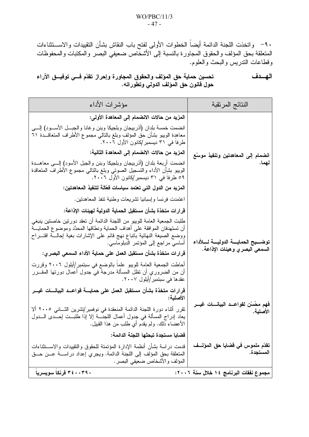٩٠– واتخذت اللجنة الدائمة أيضاً الخطوات الأولى لفتح باب النقاش بشأن التقييدات والاســـتثناءات المتعلقة بحق المؤلف والحقوق المجاورة بالنسبة إلى الأشخاص ضعيفي البصر والمكتبات والمحفوظات وقطاعات الندريس والبحث والعلوم.

الهسدف تحسين حماية حق المؤلف والحقوق المجاورة وإحراز تقدّم فسي توفيسق الآراء حول قانون حق المؤلف الدولي وتطوراته.

| النتائج المرتقبة                                                              | مؤشرات الأداء                                                                                                                                                                                                                                                                                                                                                                                                                                                                                                                                                                       |
|-------------------------------------------------------------------------------|-------------------------------------------------------------------------------------------------------------------------------------------------------------------------------------------------------------------------------------------------------------------------------------------------------------------------------------------------------------------------------------------------------------------------------------------------------------------------------------------------------------------------------------------------------------------------------------|
| انضمام إلى المعاهدتين وتنفيذ موسّع<br>نهما.                                   | المزيد من حالات الانضمام إلى المعاهدة الأولى:<br>انضمت خمسة بلدان (أذربيجان وبلجيكا وبنن وغانا والجبـــل الأســــود) إلـــــى<br>معاهدة الويبو بشأن حق المؤلف وبلغ بالنالي مجموع الأطراف المنعاقـــدة ٦١<br>طرفا في ٣١ ديسمبر/كانون الأول ٢٠٠٦.                                                                                                                                                                                                                                                                                                                                     |
|                                                                               | المزيد من حالات الانضمام إلى المعاهدة الثانية:<br>انضمت أربعة بلدان (أذربيجان وبلجيكا وبنن والجبل الأسود) إلـــي معاهـــدة<br>الويبو بشإن الأداء والتسجيل الصوتى وبلغ بالتالي مجموع الأطراف المتعاقدة<br>٥٩ طرفا في ٣١ ديسمبر/كانون الأول ٢٠٠٦.                                                                                                                                                                                                                                                                                                                                     |
|                                                                               | المزيد من الدول التي تعتمد سياسات فعّالـة لتنفيذ المعاهدتين:<br>اعتمدت فرنسا وإسبانيا تشريعات وطنية تنفذ المعاهدتين.                                                                                                                                                                                                                                                                                                                                                                                                                                                                |
| توضــــيح الحمايــــة الدوليــــة لــــلأداء<br>السمعي البصري وهيئات الإذاعة. | قر ار ات متخذة بشأن مستقبل الحماية الدولية لهيئات الإذاعة:<br>طلبت الجمعية العامة للويبو من اللجنة الدائمة أن تعقد دورتين خاصتين ينبغي<br>أن تستهدفان الموافقة على أهداف الحماية ونطاقها المحدَّد وموضوع الحمايـــة<br>ووضع الصيغة النهائية بانباع نهج قائم على الإشارات بغية إحالـــة اقتـــراح<br>أساسي مراجع إلى المؤتمر الدبلوماسي.<br>قرارات متخذة بشأن مستقبل العمل على حماية الأداء السمعى البصري:<br>أحاطت الجمعية العامة للويبو علما بالوضع في سبتمبر/أيلول ٢٠٠٦ وقررت<br>أن من الضروري أن نظل المسألة مدرجة في جدول أعمال دورتها المقـــرر<br>عقدها في سبتمبر/أيلول ٢٠٠٧. |
| فهم محُسّن لقواعــد البيانــــات غيـــر<br>الأصلية.                           | قرارات متخذة بشأن مستقبل العمل على حمايــــة قواعـــد البيانــــات غيـــر<br>الأصلية:<br>نقرر أثناء دورة اللجنة الدائمة المنعقدة في نوفمبر/تشرين الثـــانـي ٢٠٠٥ ألا<br>يعاد إدراج المسألة في جدول أعمال اللجنـــة إلا إذا طلبـــت إحـــدى الـــدول<br>الأعضـاء ذلك. ولم يقدم أي طلب من هذا القبيل.                                                                                                                                                                                                                                                                                 |
| تقدّم ملموس في قضايا حق المؤلـــف<br>المستجدة.                                | فضايا مستجدة تبحثها اللجنة الدائمة:<br>قدمت دراسة بشأن أنظمة الإدارة المؤتمتة للحقوق والتقييدات والاســـتثناءات<br>المتعلقة بحق المؤلف إلى اللجنة الدائمة. ويجري إعداد دراسة عـن حـق<br>المؤلف والأشخاص ضعيفي البصر .                                                                                                                                                                                                                                                                                                                                                               |
| مجموع نفقات البرنامج ١٤ خلال سنة ٢٠٠٦:                                        | ٣٤٠٠٣٩٠ فرنكاً سويسرياً                                                                                                                                                                                                                                                                                                                                                                                                                                                                                                                                                             |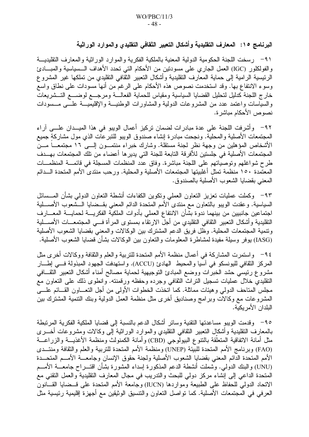البرنامج ١٥: المعارف التقليدية وأشكال التعبير الثقافي التقليدي والموارد الوراثية

٩١ – رسخت اللجنة الحكومية الدولية المعنية بالملكية الفكرية والموارد الوراثية والمعارف التقليديـــة والفولكلور (IGC) العمل الجاري على مسودتين من الأحكام التي تحدد الأهداف الـــسياسية والمبــــادئ الرئيسية الرامية إلى حماية المعارف النقليدية وأشكال النعبير الثقافي النقليدي من تملكها غير المشروع وسوء الانتفاع بها. وقد استخدمت نصوص هذه الأحكام على الرغم من أنها مسودات على نطاق واسع خارج اللجنة كدليل لتحليل القضايا السياسية ومقياس للحماية الفعالسة ومرجسع لوضسع التسشريعات والسياسات واعتمد عدد من المشروعات الدولية والمشاورات الوطنيـــة والإقليميـــة علــــى مـــسودات نصوص الأحكام مباشر ة.

٩٢– وأشرفت اللجنة على عدة مبادرات لضمان تركيز أعمال الويبو في هذا الميــدان علـــي آراء المجتمعات الأصلية والمحلية. ونجحت مبادرة إنشاء صندوق الويبو للتبرعات الذي مول مشاركة جميع الأشخاص المؤهلين من وجهة نظر لجنة مستقلة. وشارك خبراء منتمــون إلـــى ١٦ مجتمعـــاً مـــن المجتمعات الأصلية في جلستين للأفرقة التابعة للجنة التي يدير ها أعضاء من تلك المجتمعات بهـــدف طرح شواغلهم وتوصيَّاتهم على اللجنة مباشرة. وفاق عدَّد المنظمات المسجلة في قائمــــة المنظمـــات المعتمدة ١٥٠ منظمة تمثل أغلبيتها المجتمعات الأصلية والمحلية. ورحب منتدى الأمم المتحدة الـــدائم المعنى بقضايا الشعوب الأصلية بالصندوق.

٩٣– وكملت عمليات نعزيز النعاون العملي ونكوين الكفاءات أنشطة النعاون الدولمي بشأن المـــسائل السياسية. وعقدت الويبو بالنعاون مع منتدى الأمم المتحدة الدائم المعنى بقــضايا الــشعوب الأصـــلية اجتماعين جانبيين من بينهما ندوة بشأن الانتفاع العملي بأدوات الملكية الفكريسة لحمايسة المعسارف النقليدية وأشكال النعبير الثقافي النقليدي من أجلُّ الارتقاء بمستوى المرأة فـــي المجتمعـــات الأصــــلية وتنمية المجتمعات المحلية. وظل فريق الدعم المشترك بين الوكالات والمعنى بقضايا الشعوب الأصلية (IASG) يوفر وسيلة مفيدة لمشاطرة المعلومات والتعاون بين الوكالات بشأن قضايا الشعوب الأصلية.

٩٤-- واستمرت المشاركة في أعمال منظمة الأمم المتحدة للتربية والعلم والثقافة ووكالات أخرى مثل المركز الثقافي لليونسكو في آسيا والمحيط الهادئ (ACCU). واستهدفت الجهود المبذولة فسي إطسار مشروع رئيسي حشد الخبرات ووضع المبادئ النوجيهية لحماية مصالح أمناء أشكال النعبير الثقــافي النقليدي خلال عمليات تسجيل النراث الثقافي وجرده وحفظه ورقمنته. وإنطوي ذلك على النعاون مع مجلس المتاحف الدولي وهيئات مماثلة. كما اتخذت الخطوات الأولىي من أجل النعـــاون القـــائم علــــي المشروعات مع وكالات وبرامج وصناديق أخرى مثل منظمة العمل الدولية وبنك التنمية المشترك بين البلدان الأمر بكبة.

٩٥− وقدمت الويبو مساعدتها النقنية وسائر أشكال الدعم بالنسبة إلى قضايا الملكية الفكرية المرتبطة بالمعارف التقليدية وأشكال النعبير الثقافي النقليدي والموارد الوراثية إلى وكالات ومشروعات أخـــرى مثل أمانة الاتفاقية المتعلقة بالتنوع الببولوجي (CBD) وأمانة الكمنولث ومنظمة الأغذيـــة والزراعـــة (FAO) وبرنامج الأمم المتحدة للبيئة (UNEP) ومنظمة الأمم المتحدة للتربية والعلم والثقافة ومنتــدى الأمم المتحدة الدائم المعنبي بقضايا الشعوب الأصلية ولجنة حقوق الإنسان وجامعـــة الأمـــم المتحـــدة (UNU) والبنك الدولمي. وشملت أنشطة الدعم المذكورة إسداء المشورة بشأن اقتـــراح جامعــــة الأمــــم المتحدة الداعي إلى إنشاء مركز دولي للبحث والندريب في مجال المعارف التقليدية والعمل التقني مع الاتحاد الدولمي للحفاظ على الطبيعة ومواردها (IUCN) وجامعة الأمم المتحدة على قـــضايا القـــانون العرفي في المجتمعات الأصلية. كما تواصل التعاون والتتسيق الوثيقين مع أجهزة إقليمية رئيسية مثل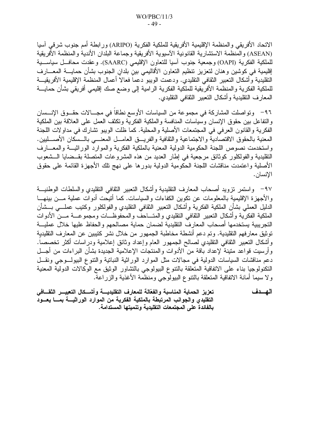الاتحاد الأفريقي والمنظمة الإقليمية الأفريقية للملكية الفكرية (ARIPO) ورابطة أمم جنوب شرقي آسيا (ASEAN) و المنظمة الاستشارية القانونية الآسيوية الأفريقية وجماعة البلدان الأندية و المنظمة الأفريقية للملكية الفكرية (OAPI) وجمعية جنوب آسيا للتعاون الإقليمي (SAARC). وعقدت محافــل سياســـية إقليمية في كوشين وهنان لتعزيز تنظيم التعاون الأقاليمي بين بلدان الجنوب بشأن حمايــــة المعــــارف النقليدية وأشكال النعبير الثقافي النقليدي. ودعمت الويبو دعماً فعالاً أعمال المنظمة الإقليمية الأفريقيــة للملكية الفكرية والمنظمة الأفريقية للملكية الفكرية الرامية إلى وضع صك إقليمي أفريقي بشأن حمايــــة المعارف النقليدية وأشكال النعبير النقافي النقليدي.

٩٦- وتواصلت المشاركة في مجموعة من السياسات الأوسع نطاقاً في مجـــالات حقـــوق الإنـــسان والنفاعل بين حقوق الإنسان وسياسات المنافسة والملكية الفكرية ونكثف العمل على العلاقة بين الملكية الفكرية والقانون العرفي في المجتمعات الأصلية والمحلية. كما ظلت الويبو تشارك في مداولات اللجنة المعنية بالحقوق الاقتصادية والاجتماعية والثقافية والفريــق العامــل المعنـــي بالــسكان الأصــــليين. واستخدمت نصوص اللجنة الحكومية الدولية المعنية بالملكية الفكرية والموارد الوراثيــة والمعـــارف النقليدية والفولكلور كوثائق مرجعية في إطار العديد من هذه المشروعات المتصلة بقــضايا الـــشعوب الأصلية واعتمدت مناقشات اللجنة الحكومية الدولية بدورها على نهج تلك الأجهزة القائمة على حقوق الإنسان .

٩٧– واستمر نزويد أصحاب المعارف التقليدية وأشكال التعبير الثقافي التقليدي والسلطات الوطنيـــة والأجهزة الإقليمية بالمعلومات عن نكوين الكفاءات والسياسات. كما أنيحت أدوات عملية مـــن بينهـــا الدليل العملي بشأن الملكية الفكرية وأشكال النعبير الثقافي التقليدي والفولكلور وكتيب عملـــي بـــشأن الملكية الفكرية وأشكال النعبير الثقافي النقليدي والمتساحف والمحفوظسات ومجموعسة مسن الأدوات التجريبية يستخدمها أصحاب المعارف التقليدية لضمان حماية مصالحهم والحفاظ عليها خلال عمليـــة توثيق معارفهم التقليدية. وتم دعم أنشطة مخاطبة الجمهور من خلال نشر كتيبين عن المعارف التقليدية وأشكال التعبير الثقافي النقليدي لصالح الجمهور العام وإعداد وثائق إعلامية ودراسات أكثر تخصصا. وأرسيت قواعد متينة لإعداد باقة من الأدوات والمنتجات الإعلامية الجديدة بشأن البراءات من أجـــل دعم مناقشات السياسات الدولية في مجالات مثل الموارد الوراثية النباتية والتنوع البيولـوجي ونقــل النكنولوجيا بناء على الاتفاقية المتعلقة بالنتوع البيولوجي بالتشاور الوثيق مع الوكالات الدولية المعنية ولا سيما أمانة الاتفاقية المتعلقة بالنتوع البيولوجي ومنظمة الأغذية والزراعة.

تعزيز الحماية المناسبة والفعّالة للمعارف التقليديسة وأشسكال التعبيس الثقسافي الهسدف التقليدي والجوانب المرتبطة بالملكية الفكرية من الموارد الوراثيــــة بمــــا يعـــود بالفائدة على المجتمعات التقليدية وتنميتها المستدامة.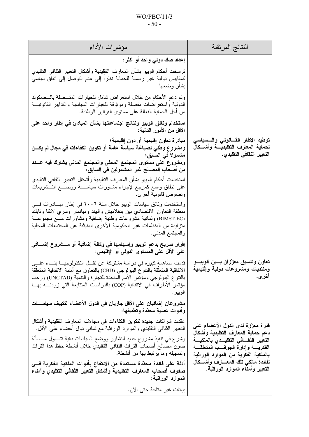## $WO/PBC/11/3$  $-50-$

| مؤشرات الأداء                                                                                                                                                                                                                                                                                                                       | النتائج المرتقبة                                                                                                                                                                                    |
|-------------------------------------------------------------------------------------------------------------------------------------------------------------------------------------------------------------------------------------------------------------------------------------------------------------------------------------|-----------------------------------------------------------------------------------------------------------------------------------------------------------------------------------------------------|
| إعداد صك دولمي واحد أو أكثر:                                                                                                                                                                                                                                                                                                        |                                                                                                                                                                                                     |
| نرسخت أحكام الويبو بشأن المعارف النقليدية وأشكال النعبير الثقافى النقليدي<br>كمقابيس دولية غير رسمية للحماية نظرا إلىي عدم التوصل إلىي اتفاق سياسي<br>بشأن وضعها.                                                                                                                                                                   |                                                                                                                                                                                                     |
| وتم دعم الأحكام من خلال استعراض شامل للخيارات المتـــصلة بالـــصكوك<br>الدولية واستعراضات مفصلة وموثوقة للخيارات السياسية والتدابير القانونيـــة<br>من أجل الحماية الفعالة على مسنوى القوانين الوطنية.                                                                                                                              |                                                                                                                                                                                                     |
| استخدام وثائق الويبو ونتائج اجتماعاتها بشأن المبادئ في إطار واحد على<br>الأقل من الأمور التالية:                                                                                                                                                                                                                                    |                                                                                                                                                                                                     |
| مبادرة تعاون إقليمية أو دون إقليمية؛<br>ومشروع وطني لصياغة سياسة عامة أو تكوين الكفاءات في مجال لم يكـــن<br>مشمولا في السابق؛                                                                                                                                                                                                      | توطيد الإطار القسانوني والسسياسي<br>لحماية المعارف التقليديسة وأشسكال<br>التعبير الثقافي التقلي <i>دي</i> .                                                                                         |
| ومشروع على مستوى المجتمع المحلي والمجتمع المدني يشارك فيه عــدد<br>من أصحاب المصالح غير المشمولين في السابق:                                                                                                                                                                                                                        |                                                                                                                                                                                                     |
| استخدمت أحكام الويبو بشأن المعارف النقليدية وأشكال النعبير الثقافي النقليدي<br>على نطاق واسع كمرجع لإجراء مشاورات سياســـية ووضــــع التـــشريعات<br>ونصوص قانونية أخرى.                                                                                                                                                            |                                                                                                                                                                                                     |
| واستخدمت وثائق سياسات الويبو خلال سنة ٢٠٠٦ في إطار مبـــادرات فـــي<br>منطقة النعاون الاقتصادي ببن بنغلاديش والهند وميانمار وسري لانكا ونايلند<br>(BIMST-EC) وثمانية مشروعات وطنية إضافية ومشاورات مـــع مجموعـــة<br>متز ايدة من المنظمات غير الحكومية الأخرى المنبثقة عن المجتمعات المحلية<br>والمجتمع المدني.                    |                                                                                                                                                                                                     |
| إقرار صريح بدعم الويبو وإسهامها في وكالة إضافية أو مـــشروع إضـــافي<br>على الأقل على المستوى الدولمي أو الإقليمي:                                                                                                                                                                                                                  |                                                                                                                                                                                                     |
| قدمت مساهمة كبيرة في در اسة مشتركة عن نقـــل التكنولوجيــــا بنــــاء علــــي<br>الاتفاقية المتعلقة بالتنوع الببولوجي (CBD) بالتعاون مع أمانة الاتفاقية المتعلقة<br>بالنتوع البيولوجي ومؤتمر الأمم المتحدة للتجارة والنتمية (UNCTAD) ورحب<br>مؤتمر الأطراف في الاتفاقية (COP) بالدراسات المتتابعة التي زودتـــه بـهـــا<br>الويبو . | تعاون وتنسيق معززان بسين الويبسو<br>ومنتديات ومشروعات دولية وإقليمية<br>اخر ي.                                                                                                                      |
| مشروعان إضافيان على الأقل جاريان في الدول الأعضاء لتكييف سياســـات<br>وأدوات عملية محدّدة وتطبيقها:                                                                                                                                                                                                                                 | قدرة معزّزة لدى الدول الأعضاء على<br>دعم حماية المعارف النقليدية وأشكال<br>التعبير الثقـــافى التقليـــدى بالملكيـــة<br>الفكريسة وإدارة الجوانسب المتعلقسة<br>بالملكية الفكرية من الموارد الوراثية |
| عقدت شراكات جديدة لتكوين الكفاءات في مجالات المعارف التقليدية وأشكال<br>النعبير الثقافي النقليدي والموارد الوراثية مع ثماني دول أعضاء على الأقل.                                                                                                                                                                                    |                                                                                                                                                                                                     |
| وشرع في تنفيذ مشروع جديد للتشاور ووضع السياسات بغية تنــــاول مـــسألة<br>صون مصالح أصحاب النراث الثقافي النقليدي خلال أنشطة حفظ هذا النراث<br>وتسجيله وما يرتبط بها من أنشطة.                                                                                                                                                      |                                                                                                                                                                                                     |
| أدلة على فائدة محدّدة مستمدة من الانتفاع بأدوات الملكية الفكرية فـــى<br>صفوف أصحاب المعارف التقليدية وأشكال التعبير الثقافي التقليدي وأمناء<br>الموارد الوراثية:                                                                                                                                                                   | لفائدة مالكي تلك المعسارف وأشسكال<br>التعبير وأمناء الموارد الوراثية.                                                                                                                               |
| بيانات غير متاحة حتى الآن.                                                                                                                                                                                                                                                                                                          |                                                                                                                                                                                                     |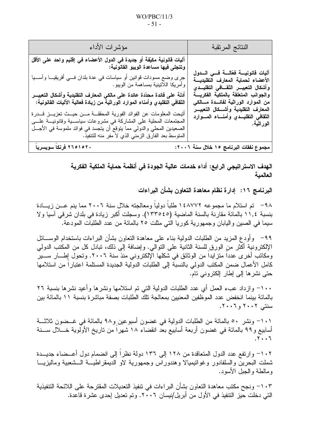| مؤشرات الأداء                                                                                                                                                                                                                                                                                                                                                                                                                                                                                                                                                                                                                                                                                     | النتائج المرتقبة                                                                                                                                                                                                                                                                                       |
|---------------------------------------------------------------------------------------------------------------------------------------------------------------------------------------------------------------------------------------------------------------------------------------------------------------------------------------------------------------------------------------------------------------------------------------------------------------------------------------------------------------------------------------------------------------------------------------------------------------------------------------------------------------------------------------------------|--------------------------------------------------------------------------------------------------------------------------------------------------------------------------------------------------------------------------------------------------------------------------------------------------------|
| آليات قانونية مكيّفة أو جديدة في الدول الأعضاء في إقليم واحد على الأقل<br>وتتجلى فيها مساعدة الويبو القانونية:<br>جرى وضع مسودات قوانين أو سياسات في عدة بلدان فـــي أفريقيـــا وآســـيا<br>  وأمريكا اللاتينية بمساهمة من الويبو .<br>أدلة على فائدة محدّدة عائدة على مالكي المعارف التقليدية وأشكال التعبيــــر<br>النْقافي التقليدي وأمناء الموارد الوراثية من زيادة فعالية الآليات القانونية:<br>أتيحت المعلومات عن الفوائد الفورية المحققـــة مـــن حيـــث تعزيـــز قــــدرة<br>المُجتمعات المُحلَّبة على المشاركة في مشروعات سياســــية وقانونيـــة علــــي<br>الصعيدين المحلي والدولي مما يتوقع أن يتجسد في فوائد ملموسة في الأجـــل<br>المتوسط بعد الفارق الزمني الذي لا مفر منه للتتفيذ. | آليات فانونيسة فعّالسة فسى السدول<br>الأعضاء لحماية المعارف التقليديسة<br>وأشكال التعبيـــر الثقـــافي التقليـــدى<br>والجوانب المتعلقة بالملكية الفكريسة<br>من الموارد الوراثية لفائـــدة مــــالكي<br>المعارف التقليدية وأشـــكال التعبيـــر<br>الثقافى التقليــدي وأمنـــاء المـــوارد<br>الوراثية. |
| ٢٦٥١٥٢٠ فرنكا سويسريا                                                                                                                                                                                                                                                                                                                                                                                                                                                                                                                                                                                                                                                                             | مجموع نفقات البرنامج ١٥ خلال سنة ٢٠٠٢:                                                                                                                                                                                                                                                                 |

الـهدف الاستراتيجي الرابـع: أداء خدمات عالية الجودة في أنظمة حماية الملكية الفكرية العالمية

البرنامج ١٦: إدارة نظام معاهدة التعاون بشأن البراءات

٩٨– تم استلام ما مجموعه ١٤٨٧٧٢ طلباً دولياً ومعالجته خلال سنة ٢٠٠٦ مما ينم عـــن زيــــادة بنسبة ١١,٤ بالمائة مقارنة بالسنة الماضية (١٣٣٥٤٥). وسجلت أكبر زيادة في بلدان شرقي آسيا ولا سيما في الصين واليابان وجمهورية كوريا التي مثلت ٢٥ بالمائة من عدد الطلبات المودعة.

٩٩– وأودع المزيد من الطلبات الدولية بناء على معاهدة النعاون بشأن البراءات باستخدام الوســـائل الإلكترونية أكثر من الورق للسنة الثانية على النوالي. وإضافة إلى ذلك، نبادل كل من المكتب الدولي ومكانب أخرى عددا متزايدا من الوثائق في شكلها الإلكتروني منذ سنة ٢٠٠٦. وتحول إطـــار ســـير كامل الأعمال ضمن المكتب الدولي بالنسبة إلى الطلبات الدولية الجديدة المستلمة اعتبارا من استلامها حتی نشر ها إلی إطار إلكترونی تام.

١٠٠- وازداد عبء العمل أي عدد الطلبات الدولية التي تم استلامها ونشرها وأعيد نشرها بنسبة ٢٦ بالمائة بينما انخفض عدد الموظفين المعنيين بمعالجة تلك الطلبات بصفة مباشرة بنسبة ١١ بالمائة بين سنتے ۲۰۰۲ و ۲۰۰۲.

١٠١– ونشر ٥٠ بالمائة من الطلبات الدولية في غضون أسبوعين و٩٨ بالمائة في غــضون ثلاثـــة أسابيع و٩٩ بالمائة في غضون أربعة أسابيع بعد انقضاء ١٨ شهرًا من ناريخ الأولوية خـــلال ســـنة  $.7.7$ 

١٠٢– وارتفع عدد الدول المتعاقدة من ١٢٨ إلى ١٣٦ دولة نظراً إلى انضمام دول أعــضاء جديـــدة شملت البحرين والسلفادور وغوانيميالا وهندوراس وجمهورية لاو الديمقراطيـــة الـــشعبية وماليزيــــا و مالطة و الجبل الأسود.

١٠٣– ونجح مكتب معاهدة النعاون بشأن البراءات في تنفيذ النعديلات المقترحة على اللائحة التنفيذية التبي دخلت حيز التنفيذ في الأول من أبريل/نيسان ٢٠٠٦. وتم تعديل إحدى عشرة قاعدة.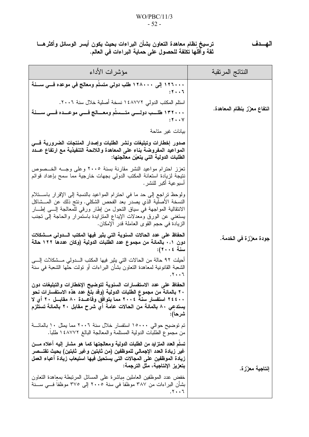#### $WO/PBC/11/3$  $-52-$

ترسيخ نظام معاهدة التعاون بشأن البراءات بحيث يكون أيسر الوسائل وأكثرهـــا ثقة وأقلها تكلفة للحصول على حماية البراءات فى العالم.

مؤشر ات الأداء النتائج المرتقبة ۱۲۲۰۰۰ إلى ۱۲۸۰۰۰ طلب دولي متسلم ومعالج في موعده فــي ســـنة  $: 5 \cdot .5$ استلم المكتب الدولي ١٤٨٧٧٢ نسخة أصلية خلال سنة ٢٠٠٦. انتفاع معزّز بنظام المعاهدة. ١٣٢٠٠٠ طلــب دولـــى متـــسلم ومعـــالج فـــى موعـــده فـــى ســـنة  $:Y \cdot Y$ بيانات غير متاحة صدور إخطارات وتبليغات ونشر الطلبات وإصدار المنتجات الضرورية فسى المواعيد المفروضة بناء على المعاهدة واللائحة التنفيذية مع ارتفاع عــدد الطلبات الدولية التي يتعيّن معالجتها: تعزز احترام مواعيد النشر مقارنة بسنة ٢٠٠٥ وعلى وجــه الخــصوص نتيجة لزيادة استعانة المكتب الدولى بجهات خارجية مما سمح بإعداد قوائم أسبو عية أكبر للنشر . ولوحظ نراجع إلى حد ما في احترام المواعيد بالنسبة إلى الإقرار باستلام النسخة الأصلِّية الذي يصدر بعد الفحص الشكلي. ونتج ذلك عن المــشاكل الانتقالية المواجهة في سياق التحول من إطار ورقي للمعالجة إلـــى إطـــار يستغني عن الورق ومعدلات الإيداع المتزايدة باستمرار والحاجة إلىي تجنب الزيادة في حجم القوى العاملة قدر الإمكان. الحفاظ على عدد الحالات السنوية التي يثير فيها المكتب السدولي مسشكلات جودة معزّزة في الخدمة. دون ٠٫١ بالمائة من مجموع عدد الطلبات الدولية (وكان عددها ١٢٢ حالة سنة ٢٠٠٤): أحيلت ٩٢ حالة من الحالات التي يثير فيها المكتب الــــدولي مـــشكلات إلــــي الشعبة القانونية لمعاهدة النعاون بشأن البراءات أو نولت حلها الشعبة في سنة الحفاظ على عدد الاستفسارات السنوية لتوضيح الإخطارات والتبليغات دون ٢٠ بالمائة من مجموع الطلبات الدولية (وقد بلغ عدد هذه الاستفسارات نحو ٢٤٤٠٠ استفسار سنة ٢٠٠٤ مما يتوافق وقاعــدة ٨٠ مقابــل ٢٠ أي لا يستدعِي ٨٠ بالمائة من الحالات عامة أي شرح مقابل ٢٠ بالمائة تستلزم شرحا): تم توضيح حوالي ١٥٠٠٠ استفسار خلال سنة ٢٠٠٦ مما يمثل ١٠ بالمائـــة من مجموع الطلبات الدولية المستلمة والمعالجة البالغ ١٤٨٧٧٢ طلبا. تسلم العدد المتزايد من الطلبات الدولية ومعالجتها كمـا هو مشار إليـه أعلاه مـــن غير زيادة العدد الإجمالى للموظفين (من ثابتين وغير ثابتين) بحيث تقتـــصر زيادة الموظفين على المجالات التي يستحيل فيها استيعاب زيادة أعباء العمل بتعزيز الإنتاجية، مثل الترجمة: إنتاجية معزّز ة. خفض عدد الموظفين العاملين مباشرة على المسائل المرتبطة بمعاهدة النعاون بشأن البراءات من ٣٨٧ موظفا في سنة ٢٠٠٥ إلى ٣٧٥ موظفا فـــي ســـنة  $.7.7$ 

#### الهسدف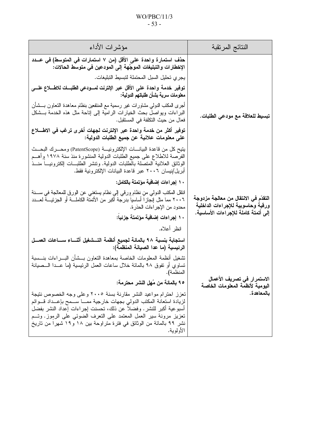| مؤشرات الأداء                                                                                                                                                                                                                                                                                                                                                                | النتائج المرتقبة                                                          |  |
|------------------------------------------------------------------------------------------------------------------------------------------------------------------------------------------------------------------------------------------------------------------------------------------------------------------------------------------------------------------------------|---------------------------------------------------------------------------|--|
|                                                                                                                                                                                                                                                                                                                                                                              |                                                                           |  |
| يجر ي تحليل السبل المحتملة لتبسيط التبليغات.                                                                                                                                                                                                                                                                                                                                 |                                                                           |  |
| توفير خدمة واحدة على الأقل عبر الإنترنت لمــودعي الطلبـــات للاطــــلاع علـــــى<br>  معلومات سرية بشأن طلباتهم الدولية:                                                                                                                                                                                                                                                     | تبسيط للعلاقة مع مودعي الطلبات.                                           |  |
| أجرى للمكتب للنولي مشاورات غير رسمية مع المنتفعين بنظام معاهدة التعاون بــــشأن<br>البراءات ويواصل بحث الخيارات الرامية إلى إناحة مثل هذه الخدمة بـــشكل<br>فعال من حيث النكلفة في المستقبل.                                                                                                                                                                                 |                                                                           |  |
| توفير أكثر من خدمة واحدة عبر الإنترنت لجهات أخرى ترغب في الاطــــلاع<br>على معلومات علانية عن جميع الطلبات الدولية:                                                                                                                                                                                                                                                          |                                                                           |  |
| بتيح كل من قاعدة البيانــــات الإلكترونيــــة (PatentScope) ومحــــرك البحـــث<br>الفرصة للاطلاع على جميع الطلبات الدولية المنشورة منذ سنة ١٩٧٨ وأهــم<br>الوثائق العلانية المتصلة بالطلبات الدولية. ونتشر الطلبـــات الكترونيـــا منـــذ<br>أبريل/نيسان ٢٠٠٦ عبر قاعدة البيانات الإلكترونية فقط.                                                                            |                                                                           |  |
| ١٠ إجراءات إضافية مؤتمتة بالكامل:                                                                                                                                                                                                                                                                                                                                            |                                                                           |  |
| انتقل المكتب الدولي منٍ نظام وِرقي إلى نظام يستغني عن الورق للمعالجة في ســـــنة<br>٢٠٠٦ مما مثل إنجازاً أساسياً بدرجة أكبر من الأتمتة الكاملـــة أو الجزئيـــة لعـــدد<br>محدود من الإجراءات الحذرة.                                                                                                                                                                        | التقدّم في الانتقال من معالجة مزدوجة<br>ورقية وحاسوبية للإجراءات الداخلية |  |
| ١٠ إجراءات إضافية مؤتمتة جزئيا:                                                                                                                                                                                                                                                                                                                                              | إلى أتمتة كاملة للإجراءات الأساسية.                                       |  |
| انظر أعلاه.                                                                                                                                                                                                                                                                                                                                                                  |                                                                           |  |
| استجابة بنسبة ٩٨ بالمائة لجميع أنظمة التــشغيل أثنـــاء ســـاعات العمـــل<br>الرئيسية (ما عدا الصيانة المنظمة):                                                                                                                                                                                                                                                              |                                                                           |  |
| تشغيل أنظمة المعلومات الخاصة بمعاهدة النعاون بـــشأن البــــراءات بنـــسبة<br>تساوي أو نفوق ٩٨ بالمائة خلال ساعات العمل الرئيسية (ما عــدا الـــصيانة<br>المنظمة).                                                                                                                                                                                                           | الاستمرار في تصريف الأعمال<br>اليومية لأنظمة المعلومات الخاصة             |  |
| ٩٥ بالمائة من مُهل النشر محترمة:                                                                                                                                                                                                                                                                                                                                             |                                                                           |  |
| تعزز احترام مواعيد النشر مقارنة بسنة ٢٠٠٥ وعلى وجه الخصوص نتيجة<br>لزيادة استعانة المكتب الدولمي بجهات خارجية ممـــا ســـمح بإعـــداد قـــوائم<br>أسبوعية أكبر للنشر . وفضلا عن ذلك، تحسنت إجراءات إعداد النشر بفضل<br>تعزيز مرونة سير العمل المعتمد على النعرف الضوئي على الرموز. وتـــم<br>نشر ۹۹ بالمائة من الوثائق في فترة متراوحة بين ۱۸ و۱۹ شهرا من تاريخ<br>الأولوية. | بالمعاهدة.                                                                |  |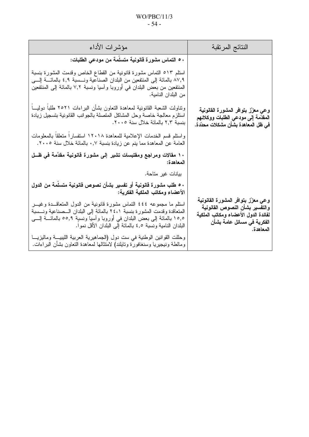## $WO/PBC/11/3$  $-54-$

| النتائج المرتقبة                                                                                                                                       | مؤشرات الأداء                                                                                                                                                                                                                                                                                                                     |
|--------------------------------------------------------------------------------------------------------------------------------------------------------|-----------------------------------------------------------------------------------------------------------------------------------------------------------------------------------------------------------------------------------------------------------------------------------------------------------------------------------|
|                                                                                                                                                        | ٥٠ التماس مشورة قانونية متسلمة من مودعي الطلبات:                                                                                                                                                                                                                                                                                  |
|                                                                                                                                                        | استلم ٥١٣ التماس مشورة قانونية من القطاع الخاص وقدمت المشورة بنسبة<br>٨٧,٩ بالمائة إلى المنتفعين من البلدان الصناعية ونـــسبة ٤,٩ بالمائــــة إلــــي<br>المنتفعين من بعض البلدان في أوروبا وأسيا ونسبة ٧,٢ بالمائة إلى المنتفعين<br>من البلدان النامية.                                                                          |
| وعى معزّز بتوافر المشورة القانونية<br>المقدّمة إلى مودعى الطلبات ووكلائهم<br>في ظل المعاهدة بشأن مشكلات محدّدة.                                        | وتناولت الشعبة القانونية لمعاهدة التعاون بشأن البراءات ٢٥٢١ طلباً دوليباً<br>استلزم معالجة خاصىة وحل المشاكل المتصلة بالجوانب القانونية بتسجيل زيادة<br>بنسبة ٢,٣ بالمائة خلال سنة ٢٠٠٥.                                                                                                                                          |
|                                                                                                                                                        | واستلع قسم الخدمات الإعلامية للمعاهدة ١٢٠١٨ استفسارا متعلقا بالمعلومات<br>العامة عن المعاهدة مما ينم عن زيادة بنسبة ٠٫٧ بالمائة خلال سنة ٢٠٠٥.                                                                                                                                                                                    |
|                                                                                                                                                        | ١٠ مقالات ومراجع ومقتبسات تشير إلى مشورة قانونية مقدَّمة في ظــل<br>المعاهدة:                                                                                                                                                                                                                                                     |
|                                                                                                                                                        | بيانات غير متاحة.                                                                                                                                                                                                                                                                                                                 |
|                                                                                                                                                        | ٥٠ طلب مشورة قانونية أو تفسير بشأن نصوص قانونية متسلمة من الدول<br>الأعضاء ومكاتب الملكية الفكرية:                                                                                                                                                                                                                                |
| وعى معزّز بتوافر المشورة القانونية<br>والتفسير بشأن النصوص القانونية<br>لفائدة الدول الأعضاء ومكاتب الملكية<br>الفكرية في مسائل عامة بشأن<br>المعاهدة. | استلم ما مجموعه ٤٤٤ التماس مشورة قانونية من الدول المتعاقــدة وغيـــر<br>المتعاقدة وقدمت المشورة بنسبة ٢٤،١ بالمائة إلى البلدان الـــصناعية ونـــسبة<br>١٥,٥ بالمائة إلى بعض البلدان في أوروبا وأسيا ونسبِّة ٥٥,٩ بالمائــــة إلــــى<br>الْبَلْدَانِ النَّامِيةِ ونَسْبَةٍ ٤٫٥ بِالْمَائَةِ إِلَى الْبَلْدَانِ الْأَقْلِ نَمُوا. |
|                                                                                                                                                        | وحللت القوانين الوطنية في ست دول (الجماهيرية العربية الليبيـــة وماليزيـــا<br>ومالطة ونيجيريا وسنغافورة وتايلند) لامتثالها لمعاهدة النعاون بشأن البراءات.                                                                                                                                                                        |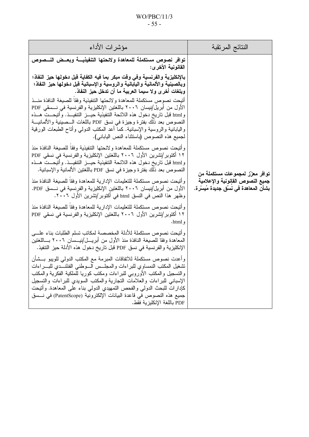## WO/PBC/11/3 - 55 -

| مؤشرات الأداء                                                                                                                                                                                                                                                                                                                                                                                                                                                                                                                                                                                                                                                   | النتائج المرتقبة                                                         |
|-----------------------------------------------------------------------------------------------------------------------------------------------------------------------------------------------------------------------------------------------------------------------------------------------------------------------------------------------------------------------------------------------------------------------------------------------------------------------------------------------------------------------------------------------------------------------------------------------------------------------------------------------------------------|--------------------------------------------------------------------------|
| توافر نصوص مستكملة للمعاهدة ولائحتها التنفيذيـــة وبعــض النـــصوص<br>القانونية الأخر ي:                                                                                                                                                                                                                                                                                                                                                                                                                                                                                                                                                                        |                                                                          |
| بالإنكليزية والفرنسية وفي وفت مبكر بما فيه الكفاية فبل دخولها حيز النفاذ؛<br>وبالصينية والألمانية واليابانية والروسية والإسبانية قبل دخولها حيز النفاذ؛<br>وبلغات أخرى ولا سيما العربية ما أن تدخل حيز النفاذ.<br>أتبحت نصوص مستكملة للمعاهدة ولائحتها التنفيذية وفقا للصيغة النافذة منسذ<br>الأول من أبريل/نيسان ٢٠٠٦ باللغتين الإنكليزية والفرنسية في نـــسقى PDF<br>و html قبل ناريخ دخول هذه اللائحة التنفيذية حيـــز التنفيـــذ. وأُتيحـــت هـــذه<br>النصوص بعد ذلك بفترة وجيزة في نسق PDF باللغات الـــصينية والألمانيـــة<br>واليابانية والروسية والإسبانية. كما أعد المكتب الدولمي وأناح الطبعات الورقية<br>لجميع هذه النصوص (باستثناء النص الياباني). |                                                                          |
| وأتيحت نصوص مستكملة للمعاهدة ولائحتها التنفيذية وفقا للصيغة النافذة منذ<br>١٢ أكتوبر/تشرين الأول ٢٠٠٦ باللغتين الإنكليزية والفرنسية في نسقى PDF<br>و html قبل ناريخ دخول هذه اللائحة التنفيذية حيـــز التنفيـــذ. وأتيحـــت هـــذه<br>النصوص بعد ذلك بفترة وجيزة في نسق PDF باللغتين الألمانية والإسبانية.                                                                                                                                                                                                                                                                                                                                                      | توافر معزّز لمجموعات مستكملة من                                          |
| وأتيحت نصوص مستكملة للتعليمات الإدارية للمعاهدة وفقا للصيغة النافذة منذ<br>الأول من أبريل/نيسان ٢٠٠٦ باللغتين الإنكليزية والفرنسية في نـــسق PDF.<br>وظهر هذا النص في النسق html في أكتوبر/تشرين الأول ٢٠٠٦.                                                                                                                                                                                                                                                                                                                                                                                                                                                    | جميع النصوص القانونية والإعلامية<br>بشأن المعاهدة في نسُق جديدة مُيسّرة. |
| وأتبحت نصوص مستكملة للتعليمات الإدارية للمعاهدة وفقا للصيغة النافذة منذ<br>١٢ أكتوبر/تشرين الأول ٢٠٠٦ باللغتين الإنكليزية والفرنسية في نسقي PDF<br>و html.                                                                                                                                                                                                                                                                                                                                                                                                                                                                                                      |                                                                          |
| وأتيحت نصوص مستكملة للأدلة المخصصة لمكاتب تسلم الطلبات بناء علسى<br>المعاهدة وفقا للصيغة النافذة منذ الأول من أبريــــل/نيــــسان ٢٠٠٦ بــــاللغتين<br>الإنكليزية والفرنسية في نسق PDF قبل تاريخ دخول هذه الأدلة حيز التنفيذ.                                                                                                                                                                                                                                                                                                                                                                                                                                   |                                                                          |
| وأعدت نصوص مستكملة للاتفاقات المبرمة مع المكتب الدولمي للويبو بـــشأن<br>تشغيل المكتب النمساوي للبراءات والمجلس السوطنى الفنلنسدي للبسراءات<br>والتسجيل والمكتب الأوروبي للبراءات ومكتب كوريا للملكية الفكرية والمكتب<br>الإسباني للبراءات والعلامات النجارية والمكتب السويدى للبراءات والتسجيل<br>كإدارات للبحث الدولمي والفحص التمهيدي الدولمي بناء على المعاهدة. وأنيحت<br>جميع هذه النصوص في قاعدة البيانات الإلكترونية (PatentScope) في نـــسق<br>PDF باللغة الإنكليزية فقط.                                                                                                                                                                               |                                                                          |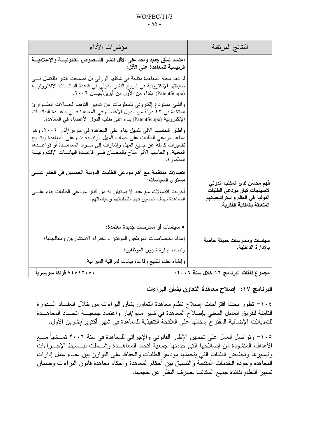### $WO/PBC/11/3$  $-56-$

| النتائج المرتقبة                                                                                                                | مؤشرات الأداء                                                                                                                                                                                                                                                                                                              |
|---------------------------------------------------------------------------------------------------------------------------------|----------------------------------------------------------------------------------------------------------------------------------------------------------------------------------------------------------------------------------------------------------------------------------------------------------------------------|
|                                                                                                                                 | اعتماد نسق جديد واحد على الأقل لنشر النـــصوص القانونيـــة والإعلاميـــة<br>الرئيسية للمعاهدة على الأقل:                                                                                                                                                                                                                   |
|                                                                                                                                 | لم تعد مجلة المعاهدة متاحة في شكلها الورقي بل أصبحت نتشر بالكامل فـــى<br>صيغتها الإلكترونية في تاريخ النشر الدولي في قاعدة البيانــــات الإلكترونيــــة<br>(PatentScope) ابنداء من الأول من أبريل/نيسان ٢٠٠٦.                                                                                                             |
|                                                                                                                                 | وأنشئ مستودع إلكتروني للمعلومات عن تدابير التأهب لمسالات الطـــوارئ<br>المتخذة في ٢٢ دولة من الدول الأعضاء في المعاهدة فــي قاعـــدة البيانـــات<br>الإلكترونية (PatentScope) بناء على طلب الدول الأعضاء في المعاهدة.                                                                                                      |
|                                                                                                                                 | وأطلق الحاسب الآلي للمهل بناء على المعاهدة في مارس/أذار ٢٠٠٦. وهو<br>يساعد مودعى الطلبات على حساب المهل الرئيسية بناء على المعاهدة ويتسيح<br>نفسيرات كاملة عن جميع المهل وإشارات إلى مـــواد المعاهـــدة أو قواعـــدها<br>المعنية. والحاسب الآلي مناح بالمجـــان فـــي قاعـــدة البيانــــات الإلكترونيــــة<br>المذكور ة. |
| فهم مُحسّن لدى المكتب الدولى<br>لاحتياجات كبار مودعى الطلبات<br>الدولية في العالم واستر اتيجياتهم<br>المتعلقة بالملكية الفكرية. | اتصالات منتظمة مع أهم مودعي الطلبات الدولية الخمسين في العالم علــــى<br>مستوى السياسات:<br>أجريت اتصالات مع عدد لا يستهان به من كبار مودعي الطلبات بناء علــــى<br>المعاهدة بهدف تحسين فهم منطلباتهم وسياساتهم.                                                                                                           |
|                                                                                                                                 | ٥ سياسات أو ممارسات جديدة معتمدة:                                                                                                                                                                                                                                                                                          |
| سياسات وممارسات حديثة خاصة                                                                                                      | إعداد اختصاصات الموظفين المؤقتين والخبراء الاستشاريين ومعالجتها؛                                                                                                                                                                                                                                                           |
| بالإدارة الداخلية.                                                                                                              | ونبسيط إدارة شؤون الموظفين؛                                                                                                                                                                                                                                                                                                |
|                                                                                                                                 | وإنشاء نظام للنتبع وقاعدة بيانات لمراقبة الميزانية.                                                                                                                                                                                                                                                                        |
| مجموع نفقات البرنامج ١٦ خلال سنة ٢٠٠٦:                                                                                          | ۷٤۸۱۲۰۸۰ فرنکا سویسریا                                                                                                                                                                                                                                                                                                     |

# البرنامج ١٧: إصلاح معاهدة التعاون بشأن البراءات

١٠٤– تطور بحث اقتراحات إصلاح نظام معاهدة التعاون بشأن البراءات من خلال انعقـــاد الــــدورة الثامنة للفريق العامل المعنى بإصلاح المعاهدة في شهر مايو/أيار واعتماد جمعيـــة اتحـــاد المعاهـــدة للتعديلات الإضافية المقتر ح إدخالها على اللائحة التنفيذية للمعاهدة في شهر أكتوبر /تشرين الأول.

١٠٥– وتواصل العمل على تحسين الإطار القانوني والإجرائي للمعاهدة في سنة ٢٠٠٦ تمـــشياً مـــع الأهداف المنشودة من إصلاحها التي حددتها جمعية اتحاد المعاهــدة وشـــملت تبــسيط الإجـــراءات ونيسيرها وتخفيض النفقات الني يتحملها مودعو الطلبات والحفاظ على النوازن بين عبء عمل إدارات المعاهدة وجودة الخدمات المقدمة والتتسيق بين أحكام المعاهدة وأحكام معاهدة قانون البراءات وضمان تسيير النظام لفائدة جميع المكاتب بصرف النظر عن حجمها.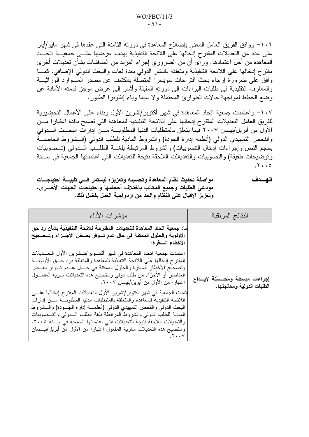١٠٦- ووافق الفريق العامل المعني بإصلاح المعاهدة في دورته الثامنة التي عقدها في شهر مايو/أيار على عدد من التعديلات المقترح إدخالها على اللائحة التنفيذية بهدف عرضها علـــى جمعيـــة اتحــــاد المعاهدة من أجل اعتمادها. ورأى أن من الضروري إجراء المزيد من المناقشات بشأن تعديلات أخرى مقترح إدخالها على اللائحة التنفيذية ومتعلقة بالنشر الدولمي بعدة لغات والبحث الدولمي الإضافي. كمـــا وافق على ضرورة إرجاء بحث اقتراحات سويسرا المتصلة بالكشف عن مصدر المسوارد الوراثيـــة والمعارف النقليدية في طلبات البراءات إلى دورته المقبلة وأشار إلى عرض موجز قدمته الأمانة عن وضع الخطط لمواجهة حالات الطوارئ المحتملة ولا سيما وباء إنفلونزا الطيور.

١٠٧– واعتمدت جمعية اتحاد المعاهدة في شهر أكتوبر/تشرين الأول وبناء على الأعمال التحضيرية للفريق العامل التعديلات المقترح إدخالها على اللائحة التنفيذية للمعاهدة التي تصبح نافذة اعتبار ا مـــن الأول من أبريل/نيسان ٢٠٠٧ فيما يتعلق بالمتطلبات الدنيا المطلوبـــة مـــن إدارات البحــث الـــدولي والفحص التمهيدي الدولمي (أنظمة إدارة الجودة) والشروط المادية للطلب الدولمي (السشروط الخاصسة بحجم النص وإجراءات إدخال النصويبات) والشروط المرنبطة بلغـــة الطلـــب الـــدولي (تـــصويبات وتوضيحات طفيفة) والتصويبات والتعديلات اللاحقة نتيجة للتعديلات التي اعتمدتها الجمعية في ســنة  $.7...0$ 

الهسدف مواصلة تحديث نظام المعاهدة وتحسينه وتعزيزه ليستمر فسي تلبيسة احتياجسات مودعى الطلبات وجميع المكاتب باختلاف أحجامها واحتياجات الجهات الأخـــرى، وتعزيز الإقبال على النظام والحدّ من ازدواجية العمل بفضل ذلك.

| مؤشرات الأداء                                                                                                                                                                                                                                                                                                                                                                                                                         | النتائج المرتقبة                                               |
|---------------------------------------------------------------------------------------------------------------------------------------------------------------------------------------------------------------------------------------------------------------------------------------------------------------------------------------------------------------------------------------------------------------------------------------|----------------------------------------------------------------|
| ماد جمعية اتحاد المعاهدة للتعديلات المقترحة للائحة التنفيذية بشأن ردّ حق<br>الأولوية والحلول الممكنة في حال عدم تــوفر بعــض الأجــزاء وتــصحيح<br>الأخطاء السافرة:                                                                                                                                                                                                                                                                   |                                                                |
| اعتمدت جمعية اتحاد المعاهدة في شهر أكتـــوبر/تـــشرين الأول التعـــديلات<br>المقترح إدخالها على اللائحة التنفيذية للمعاهدة والمتعلقة برد حـــق الأولويــــة<br>وتصحيح الأخطار السافرة والحلول الممكنة في حـــال عـــدم تـــوفر بعـــض<br>العناصير أو الأجزاء من طلب دولي وستصبح هذه النعديلات سارية المفعـــول<br>اعتبارًا من الأول من أبريل/نيسان ٢٠٠٧.<br>لنمدت الجمعية في شهر أكتوبر/تشرين الأول النعديلات المقترح إدخالها علــــى | إجراءات مبسطة ومُحـستنة لإيــداع<br>الطلبات الدولية ومعالجتها. |
| اللائحة التنفيذية للمعاهدة والمتعلقة بالمنطلبات الدنيا المطلوبسة مسن إدارات<br>البحث الدولمي والفحص النمهيدي الدولمي (أنظمـــة إدارة الـجـــودة) والــــشروط<br>المادية للطلب الدولي والشروط المرتبطة بلغة الطلب السدولمي والتسصويبات<br>والتعديلات اللاحقة نتيجة للتعديلات التي اعتمدتِها الجمعية في ســـنة ٢٠٠٥.<br>وستصبح هذه التعديلات سارية المفعول اعتبارا من الأول من أبريل/نيـــسان<br>. ۲۰۰۷                                 |                                                                |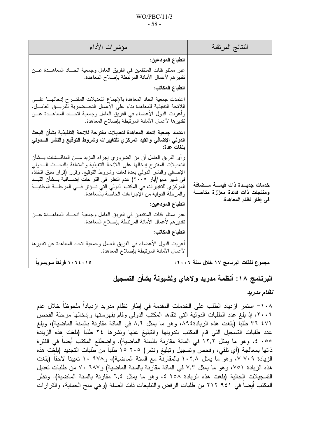#### $WO/PBC/11/3$  $-58-$

| النتائج المرتقبة                                                          | مؤشرات الأداء                                                                                                                                                                                                                                                                                                                                                                                                                                    |
|---------------------------------------------------------------------------|--------------------------------------------------------------------------------------------------------------------------------------------------------------------------------------------------------------------------------------------------------------------------------------------------------------------------------------------------------------------------------------------------------------------------------------------------|
|                                                                           | انطباع المودعين:                                                                                                                                                                                                                                                                                                                                                                                                                                 |
|                                                                           | عبر ممثلو فئات المنتفعين في الفريق العامل وجمعية اتحـــاد المعاهـــدة عـــن<br>نقدير هم لأعمال الأمانة المرتبطة بإصلاح المعاهدة.                                                                                                                                                                                                                                                                                                                 |
|                                                                           | انطباع المكاتب:                                                                                                                                                                                                                                                                                                                                                                                                                                  |
|                                                                           | اعتمدت جمعية اتحاد المعاهدة بالإجماع التعديلات المقتــــرح إدخالهــــا علـــــى<br>اللائحة التنفيذية للمعاهدة بناء على الأعمال التحــضيرية للفريـــق العامـــل.<br>وأعربت الدول الأعضاء في الفريق العامل وجمعية اتحـــاد المعاهـــدة عـــن<br>تقدير ها لأعمال الأمانة المرتبطة بإصلاح المعاهدة.                                                                                                                                                  |
|                                                                           | اعتماد جمعية اتحاد المعاهدة لتعديلات مقترحة للائحة التنفيذية بشأن البحث<br>الدولي الإضافي والقيد المركزي للتغييرات وشروط التوقيع والنشر السدولي<br>بلغات عدة:                                                                                                                                                                                                                                                                                    |
| خدمات جديـــدة ذات قيمــــة مـــضافة<br>ومنتجات ذات فائدة معزّزة متاحـــة | رأى الفريق العامل أن من الضروري إجراء المزيد مـــن المناقـــشات بـــشأن<br>التعديلات المقترح إدخالها على اللائحة التنفيذية والمتعلقة بالبحــث الـــدولمي<br>الإضافي والنشر الدولمي بعدة لغات وشروط النوقيع. وقرر (قرار سبق اتخاذه<br>في شهر مايو/أيار ٢٠٠٥) عدم النظر في اقتراحات إضــــافية بـــشأن القيـــد<br>المركزي للتغييرات في المكتب الدولي التي تـــؤثر فـــي المرحلــــة الوطنيـــة<br>والمرحلة الدولية من الإجراءات الخاصة بالمعاهدة. |
| في إطار نظام المعاهدة.                                                    | انطباع المودعين:                                                                                                                                                                                                                                                                                                                                                                                                                                 |
|                                                                           | عبر ممثلو فئات المنتفعين في الفريق العامل وجمعية اتحـــاد المعاهـــدة عـــن<br>تقدير هم لأعمال الأمانة المرتبطة بإصلاح المعاهدة.                                                                                                                                                                                                                                                                                                                 |
|                                                                           | انطباع المكاتب:                                                                                                                                                                                                                                                                                                                                                                                                                                  |
|                                                                           | أعربت الدول الأعضاء في الفريق العامل وجمعية اتحاد المعاهدة عن تقديرها<br>لأعمال الأمانة المرتبطة بإصلاح المعاهدة.                                                                                                                                                                                                                                                                                                                                |
| مجموع نفقات البرنامج ١٧ خلال سنة ٢٠٠٦:                                    | ۱۰۶٤۰۱۵ فرنکا سویسریا                                                                                                                                                                                                                                                                                                                                                                                                                            |

# البرنامج ١٨: أنظمة مدريد ولاهاى ولشبونة بشأن التسجيل

## نظام مدريد

١٠٨– استمر ازدياد الطلب على الخدمات المقدمة في إطار نظام مدريد ازديادا ملحوظا خلال عام ٢٠٠٦، إذ بلغ عدد الطلبات الدولية التي تلقاها المكتب الدولي وقام بفهر ستها وإدخالها مر حلة الفحص ٤٧١ ٣٦ طلباً (بلغت هذه الزيادة١٩٤،، وهو ما يمثل ٨٫٦ في المائة مقارنة بالسنة الماضية)، وبلغ عدد طلبات التسجيل التي قام المكتب بتدوينها والتبليغ عنها ونشرها ٢٤ طلباً (بلغت هذه الزيادة ٠٥٥. ٤، وهو ما يمثل ١٢,٢ في المائة مقارنة بالسنة الماضية). واضطلع المكتب أيضاً في الفترة ذاتها بمعالجة (أي تلقى، وفحص وتسجيل وتبليغ ونشر) ٢٠٥ ١٥ طلباً من طلبات التجديد (بلغت هذه الزيادة ٧٠٩ ٧، وهو ما يمثل ١٠٢,٨ بالمقارنة مع السنة الماضية)، و١٠٩٧٨ نعيينا لاحقاً (بلغت هذه الزيادة ٧٥١، وهو ما يمثل ٧٫٣ في المائة مقارنة بالسنة الماضية) و٦٨٧ ٧٠ من طلبات تعديل التسجيلات الحالية (بلغت هذه الزيادة ٢٥٨ ٤، وهو ما يمثل ٦,٤ مقارنة بالسنة الماضية). ونظر المكتب أيضاً في ٩٤١ ٢١٢ من طلبات الرفض والتبليغات ذات الصلة (و هي منح الحماية، والقرارات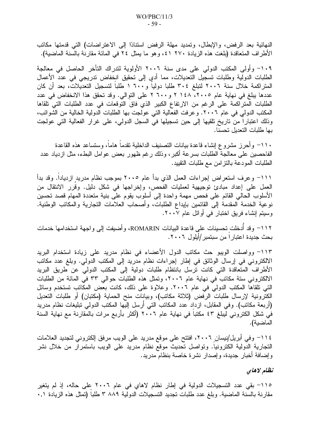النهائية بعد الرفض، والإبطال، وتمديد مهلة الرفض استنادًا إلى الاعتراضات) التي قدمتها مكاتب الأطراف المتعاقدة (بلغت هذه الزيادة ٢٧٠ ٤١، وهو ما يمثل ٢٤ في المائة مقارنة بالسنة الماضية).

١٠٩– وأولى المكتب الدولي على مدى سنة ٢٠٠٦ الأولوية لتدراك التأخر الحاصل في معالجة الطلبات الدولية وطلبات تسجيل التعديلات، مما أدى إلى تحقيق انخفاض ندريجي في عدد الأعمال المتر اكمة خلال سنة ٢٠٠٦ لتبلغ ٣٠٤ طلبا دوليا و٦٠٠ ١ طلبا لتسجيل التعديلات، بعد أن كان عددها يبلغ في نهاية عام ٢١٠٠٥، ٢١٤٨ ٢ و٢٦٠٠ على التوالي. وقد تحقق هذا الانخفاض في عدد الطلبات المنز اكمة على الرغم من الارتفاع الكبير الذي فاق التوقعات في عدد الطلبات التي تلقاها المكتب الدولي في عام ٢٠٠٦. وعرفت الفعالية التي عولجت بها الطلبات الدولية الخالية من الشوائب، وذلك اعتبارًا من تاريخ تلقيها إلى حين تسجيلها في السجل الدولي، على غرار الفعالية التي عولجت بها طلبات التعديل تحسنا.

١١٠- وأحرز مشروع إنشاء فاعدة بيانات التصنيف الداخلية تقدماً هاماً، وستساعد هذه القاعدة الفاحصين على معالجة الطلبات بسرعة أكبر ، وذلك رغم ظهور بعض عوامل البطء، مثل ازدياد عدد الطلبات المودعة بالنزامن مع طلبات النقييد.

111– وعرف استعراض إجراءات العمل الذي بدأ عام ٢٠٠٥ بموجب نظام مدريد ازديادا. وقد بدأ العمل على إعداد مبادئ توجيهية لعمليات الفحص، وإخراجها في شكل دليل. وقُرر الانتقال من الأسلوب الحالي القائم على فحص مهمة واحدة إلى أسلوب يقوم على بنية متعددة المهام قصد تحسين نوعية الخدمة المقدمة إلى القائمين بإيداع الطلبات، وأصحاب العلامات النجارية والمكانب الوطنية. وسيتم إنشاء فريق اختبار في أوائل عام ٢٠٠٧.

1١٢– وقد أدخلت تحسينات على قاعدة البيانات ROMARIN، وأضبيفت إلى واجهة استخدامها خدمات بحث جديدة اعتبارا من سبتمبر/أيلول ٢٠٠٦.

1۱۳– وواصلت الويبو حث مكاتب الدول الأعضاء في نظام مدريد على زيادة استخدام البريد الالكتروني في إرسال الوثائق في إطار إجراءات نظام مدريد إلى المكتب الدولي. وبلغ عدد مكاتب الأطراف المتعاقدة التي كانت ترسل بانتظام طلبات دولية إلى المكتب الدولي عن طريق البريد الالكتروني ستة مكانب في نهاية عام ٢٠٠٦، وتمثَّل هذه الطلبات حوالي ٣٣ في المائة من الطلبات التي تلقاها المكتب الدولي في عام ٢٠٠٦. وعلاوة على ذلك، كانت بعض المكاتب تستخدم وسائل الكترونية لإرسال طلبات الرفض (ثلاثة مكاتب)، وبيانات منح الحماية (مكتبان) أو طلبات التعديل (أربعة مكانب). وفي المقابل، ازداد عدد المكانب التي أرسل إليها المكنب الدولي نبليغات نظام مدريد في شكل الكتروني ليبلغ ٤٣ مكتبا في نهاية عام ٢٠٠٦ (أكثر بأربع مرات بالمقارنة مع نهاية السنة الماضية).

١١٤– وفي أبريل/نيسان ٢٠٠٦، افتتح على موقع مدريد على الويب مرفق إلكتروني لتجديد العلامات التجارية الدولية الكترونيا. وتواصل تحديث موقع نظام مدريد على الويب باستمرار من خلال نشر وإضافة أخبار جديدة، وإصدار نشرة خاصة بنظام مدريد.

### تظام لاهاي

110– بقى عدد التسجيلات الدولية فى إطار نظام لاهاى فى عام ٢٠٠٦ على حاله، إذ لم يتغير مقارنة بالسنة الماضية. وبلغ عدد طلبات تجديد التسجيلات الدولية ٨٨٩ ٣ طلبا (تمثل هذه الزيادة ٠,١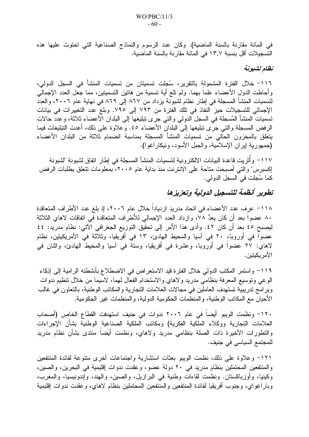في المائة مقارنة بالسنة الماضية). وكان عدد الرسوم والنماذج الصناعية التي احتوت عليها هذه التسجيلات أقل بنسبة ١٣٫٧ في المائة مقارنة بالسنة الماضية.

### نظام لشبونة

١١٦– خلال الفترة المشمولة بالتقرير، سُجلت تسميتان من تسميات المنشأ في السجل الدولي، وأحاطت الدول الأعضاء علماً بهما. ولم نلغ أية نسمية من هانين التسميتين، مما جعل العدد الإجمالي لتسميات المنشأ المسجلة في إطار نظام لشبونة يزداد من ٨٦٧ إلى ٨٦٩ في نهاية عام ٢٠٠٦، والعدد الإجمالي للتسجيلات حيز النفاذ في تلك الفترة من ٧٩٣ إلى ٧٩٥. وبلغ عدد التغييرات في بيانات تسميات المنشأ المُسجلة في السجل الدولي والتي جرى تبليغها إلى البلدان الأعضاء ثلاثة، وعدد حالات الرفض المسجلة والتي جرى نبليغها إلى البلدان الأعضاء ٤٥. وعلاوة على ذلك، أعدت التبليغات فيما يتعلق بالمخزون الحالي من تسميات المنشأ المسجلة بمناسبة انضمام ثلاثة من البلدان الأعضاء (جمهورية إيران الإسلامية، والجبل الأسود، ونيكار اغوا).

١١٧– وأَثريت قاعدة البيانات الالكترونية لتسميات المنشأ المسجلة في إطار اتفاق لشبونة "لشبونة إكسبرس" والتي أصبحت متاحة على الانترنت منذ بداية عام ٢٠٠٥، بمعلومات تتعلق بطلبات الرفض كما سُجلت في السجل الدولي.

# تطوير أنظمة للتسجيل الدولية وتعزيزها

١١٨– عرف عدد الأعضاء في اتحاد مدريد ازديادا خلال عام ٢٠٠٦، إذ بلغ عدد الأطراف المتعاقدة ٨٠ عضوا بعد أن كان بعدُّ ٧٨، وازداد العدد الإجمالي للأطراف المتعاقدة في اتفاقات لاهاي الثلاثة ليصبح ٤٥ بعد أن كان ٤٢. وأدى هذا الأمر إلى تحقيق التوزيع الجغرافي الآتي: نظام مدريد: ٤٤ عضوا في أوروبا، ٢٠ في آسيا والمحيط الهادئ، ١٣ في أفريقيا، وثلاثة في الأمريكيتين، نظام لاهاي: ٢٧ عضوا في أوروبا، وعشرة في أفريقيا، وسنة في أسيا والمحيط الهادئ، واثنان في الأمريكيتين.

1١٩– واستمر المكتب الدولي خلال الفترة قيد الاستعراض في الاضطلاع بأنشطته الرامية إلى إنكاء الوعي ونوسيع المعرفة بنظامي مدريد ولاهاي والاستخدام الفعال لمهما، لاسيما من خلال نتظيم ندوات وبرامج تدريبية تستهدف العاملين في مجالات العلامات التجارية والمكاتب الوطنية، بالتعاون في غالب الأحيان مع المكانب الوطنية، والمنظمات الحكومية الدولية، والمنظمات غير الحكومية.

١٢٠- ونظمت الويبو أيضا في عام ٢٠٠٦ ندوات في جنيف استهدفت القطاع الخاص (أصحاب العلامات التجارية ووكلاء الملكية الفكرية) ومكاتب الملكية الصناعية الوطنية بشأن الإجراءات والتطورات الأخيرة ذات الصلة بنظامى مدريد ولاهاى، ونظمت أيضاً منتدى بشأن نظام مدريد للمجتمع السياسي في جنيف.

1٢١– وعلاوة على ذلك، نظمت الويبو بعثات استثىارية واجتماعات أخرى متنوعة لفائدة المنتفعين والمنتفعين المحتملين بنظام مدريد في ٢٠ دولة عضو، وعقدت ندوات إقليمية في البحرين، والصين، وكينيا، وأوزباكستان. ونظمت لقاءات وطنية في البرازيل، والصين، والهند، وإندونيسيا، والمغرب، وبار اغواى، وجنوب أفريقيا لفائدة المنتفعين والمنتفعين المحتملين بنظام لاهاى، وعقدت ندوات إقليمية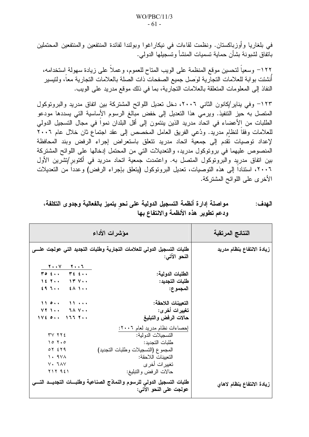في بلغاريا وأوزباكستان. ونظمت لقاءات في نيكاراغوا وبولندا لفائدة المنتفعين والمنتفعين المحتملين باتفاق لشبونة بشأن حماية تسميات المنشأ وتسجيلها الدولي.

١٢٢– وسعياً لتحسين موقع المنظمة على الويب المتاح للعموم، وعملاً على زيادة سهولة استخدامه، أنشئت بوابة للعلامات النجارية لوَصل جميع الصفحات ذات الصلة بالعلامات النجارية معاً، ولنيسير النفاذ إلى المعلومات المتعلقة بالعلامات التجارية، بما في ذلك موقع مدريد على الويب.

١٢٣– وفي يناير/كانون الثاني ٢٠٠٦، دخل تعديل اللوائح المشتركة بين اتفاق مدريد والبروتوكول المتصل به حيز التنفيذ. ويرمى هذا التعديل إلى خفض مبالغ الرسوم الأساسية التي يسددها مودعو الطلبات من الأعضاء في اتحاد مدريد الذين ينتمون إلى أقل البلدان نمواً في مجال التسجيل الدولي للعلامات وفقا لنظام مدريد. ودُعى الفريق العامل المخصص إلى عقد اجتماع ثان خلال عام ٢٠٠٦ لإعداد توصيات تقدم إلى جمعية اتحاد مدريد تتعلق باستعراض إجراء الرفض وبند المحافظة المنصوص عليهما في برونوكول مدريد، والتعديلات التي من المحتمل إدخالها على اللوائح المشتركة بين اتفاق مدريد والبرونوكول المنصل به. واعتمدت جمعية اتحاد مدريد في أكتوبر/تشرين الأول ٢٠٠٦، استنادا إلى هذه التوصيات، تعديل البروتوكول (يتعلق بإجراء الرفض) وعددا من التعديلات الأخرى على اللوائح المشتركة.

| مواصلة إدارة أنظمة التسجيل الدولية على نحو يتميز بالفعالية وجدوى التكلفة، | الـهدف : |
|---------------------------------------------------------------------------|----------|
| ودعم تطوير هذه الأنظمة والانتفاع بها                                      |          |

|                                                                                                               | مؤشرات الأداء                                                                                  | النتائج المرتقبة           |
|---------------------------------------------------------------------------------------------------------------|------------------------------------------------------------------------------------------------|----------------------------|
|                                                                                                               | طلبات التسجيل الدولى للعلامات التجارية وطلبات التجديد التى عولجت علسى<br>النحو الاتي:          | زيادة الانتفاع بنظام مدريد |
| $\begin{array}{c c} \hline \mathbf{Y} \cdot \cdot \mathbf{V} & \mathbf{Y} \cdot \cdot \mathbf{Y} \end{array}$ |                                                                                                |                            |
| $\forall o \in \mathcal{L}$ , $\forall \in \mathcal{L}$ ,                                                     | الطلبات الدولية:                                                                               |                            |
| $16.7$ $17.7$                                                                                                 | طلبات التجديد:                                                                                 |                            |
| $29.7$ $20.1$                                                                                                 | المجموع:                                                                                       |                            |
| 110<br>$\mathbf{11}$                                                                                          | التعيينات اللاحقة:                                                                             |                            |
| $VY$ $\rightarrow$ $\rightarrow$<br>$7 \wedge 7 \cdots$                                                       | تغييرات أخر ي:                                                                                 |                            |
| $1 \vee 2$ $0 \cdots$ $1 \vee 7$ $1 \cdots$                                                                   | حالات الرفض والتبليغ                                                                           |                            |
|                                                                                                               | إحصاءات نظام مدريد لعام ٢٠٠٦:                                                                  |                            |
| YV Y Y E                                                                                                      | التسجيلات الدو لية:                                                                            |                            |
| 10.7.0                                                                                                        | طلبات التجديد:                                                                                 |                            |
| $OY$ $EY$ 9                                                                                                   | المجموع (التسجيلات وطلبات التجديد)                                                             |                            |
| $\lambda \cdot 9V$                                                                                            | التعيينات اللاحقة:                                                                             |                            |
| $V \cdot TAV$                                                                                                 | تغيير ات أخر ي                                                                                 |                            |
| $Y \setminus Y$ $9 \leq Y$                                                                                    | حالات الرفض والتبليغ:                                                                          |                            |
|                                                                                                               | طلبات التسجيل الدولي للرسوم والنماذج الصناعية وطلبسات التجديسد التسي<br>عولجت على النحو الاتي: | زيادة الانتفاع بنظام لاهاي |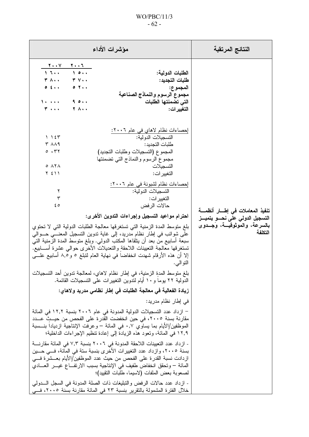## $WO/PBC/11/3$  $-62-$

| مؤشرات الأداء                                                                                                                                                                                                                                                                                                                                                                                                                                                                                                                                                                                                                                                                                                                                                                                                                                                      | النتائج المرتقبة                                                                                                 |
|--------------------------------------------------------------------------------------------------------------------------------------------------------------------------------------------------------------------------------------------------------------------------------------------------------------------------------------------------------------------------------------------------------------------------------------------------------------------------------------------------------------------------------------------------------------------------------------------------------------------------------------------------------------------------------------------------------------------------------------------------------------------------------------------------------------------------------------------------------------------|------------------------------------------------------------------------------------------------------------------|
| $\overline{\phantom{a}}$<br>$\mathbf{y} \cdot \mathbf{y}$<br>10<br>1.5<br>الطلبات الدولية:<br><b>۳ A</b><br>$\mathbf{r} \vee \mathbf{v}$<br>طلبات التجديد:<br>$0 \leq x$<br>$\circ$ 7<br>المجموع:<br>مجموع الرسوم والنماذج الصناعية<br>1<br>9.0.1<br>التى تضمنتها الطلبات<br>$T \rightarrow + +$<br>Y A<br>التغيير ات:                                                                                                                                                                                                                                                                                                                                                                                                                                                                                                                                             |                                                                                                                  |
| إحصاءات نظام لاهاي في عام ٢٠٠٦:<br>التسجيلات الدو لية:<br>1.15<br>$T$ $\wedge\wedge$ 9<br>طلبات التجديد:<br>0.77<br>المجموع (التسجيلات وطلبات التجديد)<br>مجموع الرسوم والنماذج التي تضمنتها<br>$0$ $\Lambda$ $\Lambda$<br>التسجيلات<br>$Y \leq Y$<br>التغيير ات:<br>إحصاءات نظام لشبونة في عام ٢٠٠٦:<br>التسجيلات الدولية:<br>٢<br>$\mathbf{r}$<br>التغيير ات:<br>حالات الرفض<br>ه ٤<br>احترام مواعيد التسجيل وإجراءات التدوين الأخرى:<br>بلغ متوسط المدة الزمنية التي تستغرقها معالجة الطلبات الدولية التي لا تحتوي<br>على شوائب في إطار نظام مدريد، إلى غاية تدوين التسجيل المعنـــي حـــوالـي<br>سبعة أسابيع من بعد أن ينلقاها المكتب الدولمي. وبلغ متوسط المدة الزمنية التي<br>تستغرقها معالجة التعيينات اللاحقة والتعديلات الأخرى حوالى عشرة أســـابيع.<br>إلا أن هذه الأرقام شهدت انخفاضا في نهاية العام لتبلغ ٥ و ٨,٥ أسابيع علـــي<br>النو الى.           | تنفيذ المعاملات في إطسار أنظمسة<br>التسجيل الدولى على نحسو يتميــز<br>بالسرعة، والموثوقيــة، وَجــدوى<br>التكلفة |
| بلغ متوسط المدةِ الزمنية، في إطار نظام لاهاي، لمعالجة تدوين أحد التسجيلات<br>الدولية ٢٢ يوما و ١٠ أيام لندوين النغيير ات على التسجيلات القائمة.<br>زيادة الفعالية في معالجة الطلبات في إطار نظامي مدريد ولاهاي:<br>في إطار نظام مدريد:<br>– ازداد عدد التسجيلات الدولية المدونة في عام ٢٠٠٦ بنسبة ١٢,٢ في المائة<br>مقارنة بسنة ٢٠٠٥، في حين انخفضت القدرة على الفحص من حيــث عـــدد<br>الموظَّفين/الأيام بما يساوي ٠,٧ في المائة – وعرفت الإنتاجية ازديادا بنــــسبة<br>١٢,٩ في المائة، وتعود هذه الزيادة إلى إعادة تنظيم الإجراءات الداخلية؛<br>- ازداد عدد التعيينات اللاحقة المدونة في ٢٠٠٦ بنسبة ٧,٣ في المائة مقارنــــة<br>بسنة ٢٠٠٥، وازداد عدد التغييرات الأخرى بنسبة ستة في المائة، فـــي حـــين<br>ازدادت نسبة القدرة على الفحص من حيث عدد الموظفين/الأيام بعـــشرة فـــي<br>المائة – وتحقق انخفاض طفيف في الإنتاجية بسبب الارتفــاع غيــــر العــــادي |                                                                                                                  |
| لصعوبة بعض الملفات (لاسيما، طلبات النقييد)؛<br>- ازداد عدد حالات الرفض والتبليغات ذات الصلة المدونة في السجل الــــدولمي<br>خلال الفترة المشمولة بالتقرير بنسبة ٢٣ في المائة مقارنة بسنة ٢٠٠٥، فـــي                                                                                                                                                                                                                                                                                                                                                                                                                                                                                                                                                                                                                                                               |                                                                                                                  |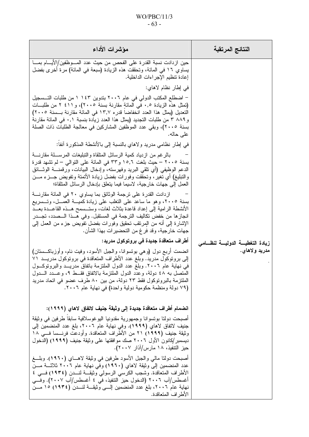## $WO/PBC/11/3$  $-63-$

| مؤشرات الأداء                                                                                                                                                                                                                                                                                                                                                                                                                                                                                                                                                                                                                                                                                                                                                                                                                                                                                                                                                                                                                                                                                                                                                                                                                                                                                                                                                                                                                                                                                                                                                                                                                                                                                                                                                             | النتائج المرتقبة                                 |
|---------------------------------------------------------------------------------------------------------------------------------------------------------------------------------------------------------------------------------------------------------------------------------------------------------------------------------------------------------------------------------------------------------------------------------------------------------------------------------------------------------------------------------------------------------------------------------------------------------------------------------------------------------------------------------------------------------------------------------------------------------------------------------------------------------------------------------------------------------------------------------------------------------------------------------------------------------------------------------------------------------------------------------------------------------------------------------------------------------------------------------------------------------------------------------------------------------------------------------------------------------------------------------------------------------------------------------------------------------------------------------------------------------------------------------------------------------------------------------------------------------------------------------------------------------------------------------------------------------------------------------------------------------------------------------------------------------------------------------------------------------------------------|--------------------------------------------------|
| حين ازدادت نسبة القدرة على الفحص من حيث عدد المـــوظفين/الأيــــام بمــــا<br>يساوي ١٦ في المائة، وتحققت هذه الزيادة (سبعة في المائة) مرة أخرى بفضل<br>إعادة نتظيم الإجراءات الداخلية.<br>في إطار نظام لاهاي:<br>– اضطلع المكتب الدولي في عام ٢٠٠٦ بتدوين ١٤٣ ١ من طلبات التــسجيل<br>(نَمثل هذه الزيادة ٠٫٥ في المائةِ مقارنة بسنة ٢٠٠٥)، و ٤١١ ٢ من طلبات<br>التعديل (يمثل هذا العدد انخفاضا قدر ٥ ١٣٫٧ في المائة مقارنة بـــسنة ٢٠٠٥)<br>و ٨٨٩ ٣ من طلبات النجديد (يمثل هذا العدد زيادة بنسبة ٠,١ في المائة مقارنة<br>بسنة ٢٠٠٥)، وبقي عدد الموظفين المشاركين في معالجة الطلبات ذات الصلة<br>على حاله.<br>في إطار نظامي مدريد ولاهاي بالنسبة إلى بالأنشطة المذكورة أنفا:<br>بالرغم من ازدياد كمية الرسائل المتلقاة والتبليغات المرســـلة مقارنــــة<br>بسنة ٢٠٠٥ – حيث بلغت ١٥,٦ و٣٣ في المائة على التوالي – لم تشهد قدرة<br>الدعم الوظيفي (أي تلقى البريد وفهرسته، وإدخال البيانات، ورقمنــــة الوثــــائق<br>والتبليغ) أي تغير، وتحققت وفورات بفضل زيادة الأتمتة وتفويض جـــزء مـــن<br>العمل إلى جهات خارجية، لاسيما فيما يتعلق بإدخال الرسائل المتلقاة؛<br>ازدادت القدر ة على ترجمة الوثائق بما يساوى ٢٠ في المائة مقارنــــة<br>بسنة ٢٠٠٥، وهو ما ساعد على التغلب على زيادة كميـــة العمـــل، وتـــسريع<br>الأنشطة الرامية إلى إعداد قاعدة بثلاث لغات، وستــسمح هــذه القاعـــدة بعـــد<br>انجازها من خفض نكاليف الترجمة في المستقبل. وفي هــذا الـــصدد، تجـــدر<br>الإشارة إلى أنه من المرتقب تحقيق وفورات بفضل تفويض جزء من العمل إلى<br>جهات خارجية، وقد فرغ من التحضيرات بهذا الشأن.<br>أطراف متعاقدة جديدة في بروتوكول مدريد:<br>انضمت أربع دول (وهي بونسوانا، والجبل الأسود، وفيت نام، وأوزباكـــستان)<br>إلى بروتوكول مدريد. وبلغ عدد الأطراف المتعاقدة في بروتوكول مدريــد ٧١<br>في نهاية عام ٢٠٠٦. وبلغ عدد الدول الملتزمة باتفاق مدريــد والبرونوكــول | زيادة التغطيسة الدوليسة لنظسامى<br>مدريد ولاهاي. |
| المتصل به ٤٨ دولة، وعدد الدول الملتزمة بالاتفاق فقــط ٩، وعــدد الـــدول<br>الْمَلْتَزِمَةَ بِالْبِرْوِتُوكُولَ فَقَطْ ٢٣ دُولَةً، مِنْ بَيْنِ ٨٠ طَرِفٍ عَضُو فَيِ اتَّحَادَ مَدريد<br>(٧٩ دولة ومنظمة حكومية دولية واحدة) في نهاية عام ٢٠٠٦.<br>انضمام أطراف متعاقدة جديدة إلى وثيقة جنيف لاتفاق لاهاي (١٩٩٩):<br>أصبحت دولتا بوتسوانا وجمهورية مقدونيا اليوغوسلافية سابقا طرفين في وثيقة<br>جنيف لاتفاق لاهاي (١٩٩٩). وفي نهاية عام ٢٠٠٦، بلغ عدد المنضمين إلى<br>وثيقة جنيف (١٩٩٩) ٢١ من الأطراف المتعاقدة. وأودعت فرنـــسا فــــى ١٨<br>ديسمبر /كانون الأول ٢٠٠٦ صك موافقتها على وثيقة جنيف (١٩٩٩) (الدخول<br>حيز التنفيذ، ١٨ مارس/آذار ٢٠٠٧).<br>أصبحت دولتا مالـي والـجبل الأسود طرفين فـي وثيقة لاهــــاي (١٩٦٠). وبلــــغ<br>عدد المنضمين إلى وثيقة لاهاي (١٩٦٠) وفي نهاية عام ٢٠٠٦ ثلاثـــة مـــن<br>الأطراف المتعاقدة. وشجب الكرسي الرسولي وثيقـــة لنــــدن (١٩٣٤) فـــي ٤<br>أغسطس/آب ٢٠٠٦ (الدخول حيز التنفيذ، في ٤ أغسطس/آب ٢٠٠٧). وفــي<br>نهاية عام ٢٠٠٦، بلغ عدد المنضمين إلـــي وثيقـــة لنـــدن (١٩٣٤) ١٥ مـــن<br>الأطراف المتعاقدة.                                                                                                                                                                                                                                                                                                                                                                                                                                                                                                                                                                                                                                                                                                                 |                                                  |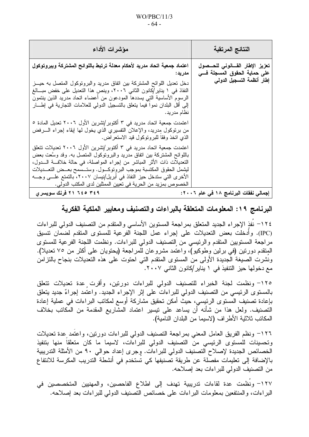| مؤشرات الأداء                                                                                                                                                                                                                                                                                                                                                                                                                                         | النتائج المرتقبة                                                                                     |
|-------------------------------------------------------------------------------------------------------------------------------------------------------------------------------------------------------------------------------------------------------------------------------------------------------------------------------------------------------------------------------------------------------------------------------------------------------|------------------------------------------------------------------------------------------------------|
| اعتماد جمعية اتحاد مدريد لأحكام معدلة ترتبط باللوائح المشتركة وببروتوكول<br>مدريد:<br>دخل تعديل اللوائح المشتركة بين اتفاق مدريد والبرونوكول المتصل به حيــز<br>النفاذ في ١ يناير/كانون الثاني ٢٠٠٦، وينص هذا التعديل على خفض مبـــالـغ<br>الرسوم الأساسية التي يسددها المودعون من أعضاء اتحاد مدريد الذين ينتمون<br>إلى أقل البلدان نموا فيما يتعلق بالتسجيل الدولي للعلامات التجارية في إطــــار<br>  نظام مدريد.                                   | تعزيز الإطار القسانونى للحسصول<br>على حماية الحقوق المسجلة ف <i>ــى</i><br>إطار أنظمة التسجيل الدولى |
| اعتمدت جمعية اتحاد مدريد في ٣ أكتوبر/تشرين الأول ٢٠٠٦ تعديل المادة ٥<br>من برنوكول مدريد، والإعلان التفسيري الذي يخول لمها إبقاء إجراء السرفض<br>  الذي اتخذ وفقا للبرونوكول قيد الاستعراض.                                                                                                                                                                                                                                                           |                                                                                                      |
| اعتمدت جمعية اتحاد مدريد في ٣ أكتوبر/تشرين الأول ٢٠٠٦ تعديلات تتعلق<br>باللوائح المشتركة بين انفاق مدريد والبرونوكول المنصل به. وقد وسَّعت بعض<br>التعديلات ذات الأثر المباشر من إجراء المواصلة، في حالة خلافــــة الـــــدول،<br>ليشمل الحقوق المكتسبة بموجب البروتوكـــول. وستـــسمح بعـــض التعــــديلات<br>الأخرى التي ستدخل حيز النفاذ في أبريل/نيسان ٢٠٠٧، بالتمتع علـــي وجـــه<br>الخصوص بمزيد من الحرية في تعيين الممثلين لدى المكتب الدولي. |                                                                                                      |
| ۲۱ ۲٤۹ م ۲۹ ۲۱ فرنك سويسرى                                                                                                                                                                                                                                                                                                                                                                                                                            | إجمالي نفقات البرنامج ١٨ في عام ٢٠٠٦:                                                                |

البرنامج ١٩: المعلومات المتعلقة بالبراءات والتصنيف ومعايير الملكية الفكرية

٢٢٤ - نُفذ الإجراء الجديد المتعلق بمراجعة المستوين الأساسى والمتقدم من التصنيف الدولي للبراءات (IPC). وأدخلت بعض التعديلات على إجراء عمل اللجنة الفرعية للمستوى المتقدم لضمان نتسيق مراجعة المستويين المنقدم والرئيسي من التصنيف الدولي للبراءات. ونظمت اللجنة الفرعية للمستوى المنقدم دورتين (في برلين وطوكيو)، واعتمد مشروعان للمراجعة (يحتويان على أكثر من ٧٥ تعديلا). ونُشرت الصيغة الجديدة الأولى من المستوى المتقدم التي احتوت على هذه التعديلات بنجاح بالتزامن مع دخولها حيز التنفيذ في ١ يناير /كانون الثاني ٢٠٠٧.

١٢٥– ونظمت لجنة الخبراء للتصنيف الدولي للبراءات دورنين، وأقرت عدة تعديلات تتعلق بالمستوى الرئيسي من التصنيف الدولي للبراءات على إثر الإجراء الجديد. واعتمد إجراءٌ جديد يتعلق بإعادة تصنيف المُستوى الرئيسى، حيثٌ أمكن تحقيق مشاركة أوسع لمكاتب البراءات في عملية إعادة التَصنيف. ولعل هذا من شأنه أن يساعد على تيسير اعتماد المشَّاريع المقدمة من المكاتب بخلاف المكانب ثلاثية الأطراف (لاسيما من البلدان النامية).

١٢٦– ونظم الفريق العامل المعنى بمراجعة التصنيف الدولي للبراءات دورتين، واعتمد عدة تعديلات وتحسينات للمستوى الرئيسي من التصنيف الدولي للبراءات، لاسيما ما كان متعلقا منها بتتفيذ الخصائص الجديدة لإصلاح التصنيف الدولي للبراءات. وجرى إعداد حوالي ٩٠ من الأمثلة التدريبية بالإضافة إلى تعليمات مفصلة عن طريقة تصنيفها كي تستخدم في أنشطة التدريب المكرسة للانتفاع من النصنيف الدولي للبراءات بعد إصلاحه.

١٢٧– ونظمت عدة لقاءات تدريبية تهدف إلى اطلاع الفاحصين، والمهنيين المتخصصين في البراءات، والمنتفعين بمعلومات البراءات على خصائص التصنيف الدولي للبراءات بعد إصلاحه.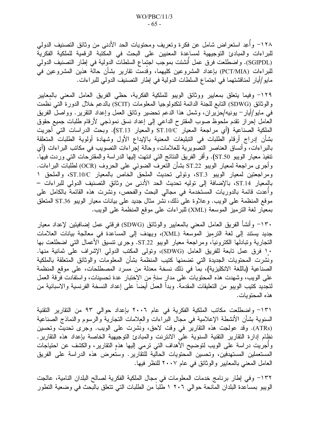١٢٨– وأعِد استعراض شامل عن فكرة وتعريف ومحتويات الحد الأدنى من وثائق التصنيف الدولي للبراءات والمبادئ النوجيهية لمساعدة المعنيين على البحث في المكتبة الرقمية للملكية الفكرية (SGIPDL). واضطلعت فرق عمل أُنشئت بموجب اجتماع السلطات الدولية في إطار التصنيف الدولي للبراءات (PCT/MIA) بإعداد المشروعين كليهما، وقدمت نقارير بشأن حالة هذين المشروعين في مايو/أيار لمناقشتهما في اجتماع السلطات الدولية في إطار التصنيف الدولي للبر اءات.

١٢٩– وفيما يتعلق بمعايير ووثائق الويبو للملكية الفكرية، حظى الفريق العامل المعنى بالمعايير والوثائق (SDWG) التابع للجنة الدائمة لتكنولوجيا المعلومات (SCIT) بالدعم خلال الدورة التبي نظمت في مايو/أيار – بونيه/حزيران، وشمل هذا الدعم تحضير وثائق العمل وإعداد النقرير . وواصل الفريق العامل إحراز نقدم ملحوظ صوب المقترح الداعي إلى إعداد نسق نموذجي لأرقام طلبات جميع حقوق الملكية الصناعية (أي مراجعة المعيار ST.10/C والمعيار ST.13). وبحث الدراسات التي أجريت بشأن إدراج أرقام الطلبات في التبليغات المعنية بالإيداع الأول وشهادة أولوية الطلبات المتعلقة بالبراءات، وأنساق العناصر النصويرية للعلامات، وحالة إجراءات النصويب في مكانب البراءات (أي نتفيذ معيار الويبو ST.50). وأقر الفريق النتائج التي انتهت إليها الدراسة والمقترحات التي وردت فيها. وأجرى مراجعة لمعيار الويبو ST.22 بشأن التعرف الضوئي على الحروف (OCR) لطلبات البراءات. ومراجعتين لمعيار الويبو ST.3، وتولَّى تحديث الملحق الخاص بالمعيار ST.10/C، والملحق ١ بالمعيار ST.14، بالإضافة إلى نوليه تحديث الحد الأدنى من وثائق التصنيف الدولي للبراءات – وأُعدت قائمة بالدوريات المستخدمة في مجالي البحث والفحص، ونُشرت هذه القائمة بالكامل على موقع المنظمة على الويب. وعلاوة على ذلك، نشر مثال جديد على بيانات معيار الويبو ST.36 المتعلق بمعيار لغة الترميز الموسعة (XML) للبراءات على موقع المنظمة على الويب.

+١٣٠ وأنشأ الفريق العامل المعنى بالمعايير والوثائق (SDWG) فرقتي عمل إضافيتين لإعداد معيار جديد يستند إلى لغة الترميز الموسعة (XML)، ويهدف إلى المساعدة في معالجة بيانات العلامات النجارية وتبادلها الكترونياً، ومراجعة معيار الويبو ST.22. وجرى تنسيق الأعمال التي اضطلعت بها ١٠ فرق عمل نابعة للفريق العامل (SDWG)، وتولَّى المكتب الدولي الإشراف على ثمانية منها. ونشرت المحتويات الجديدة التي تضمنها كتيب المنظمة بشأن المعلومات والوثائق المتعلقة بالملكية الصناعية (باللغة الانكليزية)، بما في ذلك نسخة معدلة من مسرد المصطلحات، على موقع المنظمة على الويب، وشهدت هذه المحتويات على مدار سنةٍ من الاختبار عدة تحسينات، واستفادت فرقة العمل لتجديد كتيب الويبو من التعليقات المقدمة. وبدأ العمل أيضا على إعداد النسخة الفرنسية والاسبانية من هذه المحتويات.

1٣١– واضطلعت مكاتب الملكية الفكرية في عام ٢٠٠٦ بإعداد حوالي ٩٣ من التقارير التقنية السنوية بشأن الأنشطة الإعلامية في مجال البراءات والعلامات النجارية والرسوم والنماذج الصناعية (ATRs). وقد عولجت هذه التقارير في وقت لاحق، ونشرت على الويب. وجرى تحديث وتحسين نظام إدارة النقارير النقنية السنوية على الانترنت والمبادئ التوجيهية الخاصة بإعداد هذه النقارير. وأجريت دراسة على الويب لتوضيح الأهداف التي ترمي إليها هذه التقارير، والكشف عن احتياجات المستعملين المستهدفين، وتحسين المحتويات الحالية للتقارير . وستعرض هذه الدراسة على الفريق العامل المعنى بالمعايير والوثائق في عام ٢٠٠٧ للنظر فيها.

١٣٢– وفي إطار برنامج خدمات المعلومات في مجال الملكية الفكرية لصالح البلدان النامية، عالجت الويبو بمساعدة البلدان المانحة حوالي ٢٠٦ ١ طلبا من الطلبات التي تتعلق بالبحث في وضعية التطور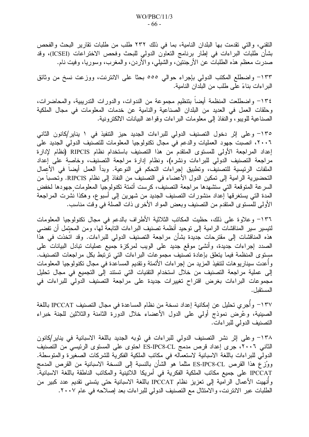النقني، والتي تقدمت بها البلدان النامية، بما في ذلك ٢٣٢ طلب من طلبات نقارير البحث والفحص بشأن طلبات البراءات في إطار برنامج التعاون الدولي للبحث وفحص الاختراعات (ICSEI)، وقد صدرت معظم هذه الطلبات عن الأرجنتين، والشيلبي، والأردن، والمغرب، وسوريا، وفيت نام.

١٣٣– واضطلع المكتب الدولي بإجراء حوالي ٥٥٥ بحثًا على الانترنت، ووزعت نسخ من وثائق البر اءات بناءً على طلب من البلدان النامية.

١٣٤– واضطلعت المنظمة أيضاً بتنظيم مجموعة من الندوات، والدورات الندريبية، والمحاضرات، وحلقات العمل في العديد من البلدان الصناعية والنامية عن خدمات المعلومات في مجال الملكية الصناعية للويبو، والنفاذ إلى معلومات البراءات وقواعد البيانات الالكترونية.

١٣٥– وعلى إثر دخول التصنيف الدولي للبراءات الجديد حيز التنفيذ في ١ يناير/كانون الثاني ٢٠٠٦، انصبت جهود العمليات والدعم في مجال تكنولوجيا المعلومات للتصنيف الدولي الجديد على إعداد المراجعة الأولى للمستوى المتقدم من هذا التصنيف باستخدام نظام RIPCIS (نظام لإدارة مراجعة التصنيف الدولي للبراءات ونشره)، ونظام إدارة مراجعة التصنيف، وخاصبة على إعداد الملفات الرئيسية للتصنيف، وتطبيق إجراءات التحكم في النوعية. وبدأ العمل أيضا في الأعمال التحضيرية الرامية إلى تمكين الدول الأعضاء في التصنيف من النفاذ إلى نظام RIPCIS. وتحسبا من السرعة المتوقعة التي ستشهدها مراجعة التصنيف، كرست أتمتة تكنولوجيا المعلومات جهودها لخفض المدة التي يستغرقها إعداد منشورات التصنيف الجديد من شهرين إلى أسبوع، وهكذا نشرت المراجعة الأولى للمستوى المتقدم من التصنيف وبعض المواد الأخرى ذات الصلة في وقت مناسب.

١٣٦– وعلاوة على ذلك، حظيت المكاتب الثلاثية الأطراف بالدعم في مجال تكنولوجيا المعلومات لتيسير سير المناقشات الرامية إلى توحيد أنظمة تصنيف البراءات التابعة لمها، ومن المحتمل أن تفضي هذه المناقشات إلى مقترحات جديدة بشأن مراجعة التصنيف الدولي للبراءات. وقد اتخذت في هذا الصدد إجراءات جديدة، وأنشئ موقع جديد على الويب لمركزة جميع عمليات تبادل البيانات على مستوى المنظمة فيما يتعلق بإعادة تصنيف مجموعات البراءات التي ترتبط بكل مراجعات التصنيف. و أعدت سيناريو هات لتنفيذ المزيد من إجر اءات الأتمتة وتقديم المساعدة في مجال تكنولوجيا المعلومات إلى عملية مراجعة التصنيف من خلال استخدام التقنيات التي تستند إلى التجميع في مجال تحليل مجموعات البراءات بغرض اقتراح تغييرات جديدة على مراجعة التصنيف الدولي للبراءات في المستقبل.

١٣٧– وأُجرِي تحليل عن إمكانية إعداد نسخة من نظام المساعدة في مجال التصنيف IPCCAT باللغة الصينية، وعُرِض نموذج أولى على الدول الأعضاء خلال الدورة الثامنة والثلاثين للجنة خبراء التصنيف الدولي للبراءات.

١٣٨– وعلى إثر نشر التصنيف الدولي للبراءات في ثوبه الجديد باللغة الاسبانية في يناير/كانون الثاني ٢٠٠٦، جرى إعداد قرص مدمج ES-IPC8-CL احتوى على المستوى الرئيسي من التصنيف الدولي للبراءات باللغة الاسبانية لاستعماله في مكاتب الملكية الفكرية للشركات الصغيرة والمتوسطة. ووُزِع هذا القرص ES-IPC8-CL مثلما هو الشأن بالنسبة إلى النسخة الاسبانية من القرص المدمج IPCCAT على جميع مكاتب الملكية الفكرية في أمريكا اللاتينية والمكاتب الناطقة باللغة الاسبانية. وأنهيت الأعمال الرامية إلى تعزيز نظام IPCCAT باللغة الاسبانية حتى يتسنى تقديم عدد كبير من الطلبات عبر الانترنت، والامتثال مع التصنيف الدولي للبراءات بعد إصلاحه في عام ٢٠٠٧.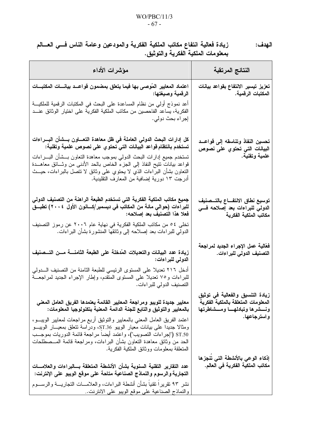زيادة فعالية انتفاع مكاتب الملكية الفكرية والمودعين وعامة الناس فسي العسالم الـهدف: بمعلومات الملكية الفكرية والتوثيق.

| مؤشرات الأداء                                                                                                                                                                                                                                                                                                                                                                                                                                                                                                                                  | النتائج المرتقبة                                                                                                       |
|------------------------------------------------------------------------------------------------------------------------------------------------------------------------------------------------------------------------------------------------------------------------------------------------------------------------------------------------------------------------------------------------------------------------------------------------------------------------------------------------------------------------------------------------|------------------------------------------------------------------------------------------------------------------------|
| اعتماد المعايير المُوصىي بها فيما يتعلق بمضمون قواعــد بيانــــات المكتبـــات<br>الرقمية وصيغتها:<br>أعد نموذج أولي من نظام المساعدة على البحث في المكتبات الرقمية للملكيـــة<br>الفكرية، يساعد الفاحصين من مكاتب الملكية الفكرية على اختيار الوثائق عنـــد<br>إجراء بحث دولي.                                                                                                                                                                                                                                                                 | تعزيز تيسير الانتفاع بقواعد بيانات<br>المكتبات الرقمية.                                                                |
| كل إدارات البحث الدولي العاملة في ظل معاهدة التعساون بسشأن البسراءات<br>تستخدم بانتظام قواعد البيانات التي تحتوي على نصوص علمية وتقنية:<br>تستخدم جميع إدارات البحث الدولمي بموجب معاهدة التعاون بـــشأن البــــراءات<br>قواعد بيانات تتيح النفاذ إلى الجزء الخاص بالحد الأدنى من وثـــائق معاهـــدة<br>النعاون بشأن البراءات الذي لا يحتوي على وثائق لا نتصل بالبراءات، حيــث<br>أدرجت ١٣ دورية إضافية من المعارف التقليدية.                                                                                                                  | تحسين النفاذ وتناسقه إلى قواعــد<br>البيانات التي تحتوي على نصوص<br>علمية وتقنية.                                      |
| جميع مكاتب الملكية الفكرية التي تستخدم الطبعة الراهنة من التصنيف الدولي<br>للبراءات (حوالي مائة من المكاتب في ديسمبر/كـــانون الأول ٢٠٠٤) تطبـــق<br>فعلا هذا التصنيف بعد إصلاحه:<br>تخلَّى ٥٤ من مكاتب الملكية الفكرية في نهاية عام ٢٠٠٦ عن رموز التصنيف<br>الدولي للبراءات بعد إصلاحه إلى وثائقها المنشورة بشأن البراءات.                                                                                                                                                                                                                    | توسيع نطاق الانتفــاع بالتــصنيف<br>الدولى للبراءات بعد إصلاحه فسى<br>مكاتب الملكية الفكرية                            |
| زيادة عدد البيانات والنعديلات المُدخلة على الطبعة الثامنــــة مـــن التـــصنيف<br>الدولى للبراءات:<br>أدخل ٢١٦ تعديلا على المستوى الرئيسي للطبعة الثامنة من التصنيف الــــدولي<br>للبراءات و٧٥ تعديلا على المستوى المتقدم، وإطار الإجراء الجديد لمراجعـــة                                                                                                                                                                                                                                                                                     | فعّالية عمل الإجراء الجديد لمراجعة<br>التصنيف الدولي للبراءات.                                                         |
| التصنيف الدولي للبر اءات.<br>معايير جديدة للويبو ومراجعة المعايير القائمة يعتمدها الفريق العامل المعنى<br>بالمعايير والتوثيق والتابع للجنة الدائمة المعنية بتكنولوجيا المعلومات:<br>اعتمد الفريق العامل المعنى بالمعايير والنوثيق أربع مراجعات لمعايير الويبـــو،<br>ومثالا جديدا على بيانات معيار الويبو ST.36، ودراسة تتعلق بمعيــار الويبـــو<br>ST.50 ("إجراءات التصويب")، واعتمد أيضا مراجعة قائمة الدوريات بموجــب<br>الحد من وثائق معاهدة التعاون بشأن البراءات، ومراجعة قائمة المــصطلحات<br>المنعلقة بمعلومات ووثائق الملكية الفكرية. | زيادة التنسيق والفعالية في توثيق<br>المعلومات المتعلقة بالملكية الفكرية<br>ونسشرها وتبادلهسا ومسشاطرتها<br>واسترجاعها. |
| عدد النقارير التقنية السنوية بشأن الأنشطة المتعلقة بسالبراءات والعلامسات<br>التجارية والرسوم والنماذج الصناعية متاحة على موقع الويبو على الإنترنت:<br>نشر ٩٣ نقريرًا نقنياً بشأن أنشطة البراءات، والعلامـــات النجاريــــة والرســــوم<br>والنماذج الصناعية على موقع الويبو على الانترنت.                                                                                                                                                                                                                                                      | إذكاء الوعي بالأنشطة التى تنجزها<br>مكاتب الملكية الفكرية في العالم.                                                   |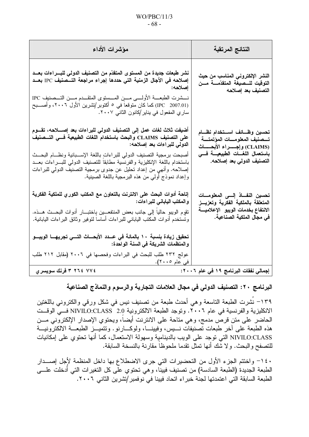### $WO/PBC/11/3$  $-68-$

| مؤشرات الأداء                                                                                                                                                                                                                                                                                                                                                                                                                                                                      | النتائج المرتقبة                                                                                                                                                          |
|------------------------------------------------------------------------------------------------------------------------------------------------------------------------------------------------------------------------------------------------------------------------------------------------------------------------------------------------------------------------------------------------------------------------------------------------------------------------------------|---------------------------------------------------------------------------------------------------------------------------------------------------------------------------|
| نشر طبعات جديدة من المستوى المتقدّم من التصنيف الدولى للبــــراءات بعـــد<br>إصلاحه في الاجال الزمنية التي حددها إجراء مراجعة التـــصنيف IPC بعــد<br>إصلاحه:<br>(IPC   2007.01) كما كان متوقعا في ٥ أكتوبر/تشرين الأول ٢٠٠٦، وأصـــبح<br>ساري المفعول في بناير/كانون الثانبي ٢٠٠٧.                                                                                                                                                                                                | النشر الإلكتروني المناسب من حيث<br>التوقيت للـــصيغة المتقدّمــــة مـــن<br>التصنيف بعد إصلاحه                                                                            |
| أضيفت ثلاث لغات عمل إلى التصنيف الدولي للبراءات بعد إصــــلاحه، تقـــوم<br>على التصنيف CLAIMS والبحث باستخدام اللغات الطبيعية فسي التسصنيف<br>الدولى للبراءات بعد إصلاحه:<br>أصبحت برمجية التصنيف الدولمي للبراءات باللغة الإســبانية ونظــام البحــث<br>باستخدام باللغة الإنكليزية والفرنسية مطابقا للتصنيف الدولمي للبسراءات بعسد<br>إصلاحه. وأنهى من إعداد تحليل عن جدوى برمجية التصنيف الدولي للبراءات<br>وإعداد نموذج أولي من هذه البرمجية باللغة الصينية.                    | تحسين وظـائف اســتخدام نظــام<br>تـــصنيف المعلومــــات المؤتمتــــة<br>(CLAIMS) وإجسراء الأبحسات<br>باستعمال اللغـــات الطبيعيــــة فــــى<br>التصنيف الدولي بعد إصلاحه. |
| إتاحة أدوات البحث على الانترنت بالتعاون مع المكتب الكور ي للملكية الفكرية<br>والمكتب الياباني للبراءات:<br>نقوٍم الويبو حاليا إلى جانب بعض المنتفعـــين بِاختبـــار أدوات البحـــث هـــذه.<br>وتستخدم أدوات المكتب الياباني للبراءات أساسا لتوفير وثائق البراءات اليابانية.<br>تحقيق زيادة بنسبة ١٠ بالمائة في عــدد الأبحــاث التـــي تجريهـــا الويبـــو<br>والمنظمات الشريكة في السنة الواحدة:<br>عولج ٢٣٢ طلب للبحث في البراءات وفحصها في ٢٠٠٦ (مقابل ٢١٢ طلب<br>في عام ٢٠٠٥). | تحسين النف ذ إلــــى المعلومـــات<br>المتعلقة بالملكية الفكرية وتعزيــز<br>الانتفاع بخدمات الويبو الإعلاميسة<br>في مجال الملكية الصناعية.                                 |
| ٢ ٢٦٤ ٢ ٢ فرنك سويسري                                                                                                                                                                                                                                                                                                                                                                                                                                                              | إجمالي نفقات البرنامج ١٩ في عام ٢٠٠٦:                                                                                                                                     |

البرنامج ٢٠: التصنيف الدولي في مجال العلامات التجارية والرسوم والنماذج الصناعية

١٣٩– نُشرت الطبعة التاسعة وهي أحدث طبعة من تصنيف نيس في شكل ورقي والكتروني باللغتين الانكليزية والفرنسية في عام ٢٠٠٦. ونوجد الطبعة الالكترونية NIVILO:CLASS 2.0 فـــي الوقـــت الحاضر على متن قرص مدمج، وهي متاحة على الانترنت أيضاً، ويحتوي الإصدار الإلكتروني مـــن هذه الطبعة على أخر طبعات تصنيفات نسيس، وفيينـــا، ولوكـــارنو . ونتميـــز الطبعـــة الالكترونيـــة NIVILO:CLASS التي نوجد على الويب بالدينامية وسهولة الاستعمال، كما أنها تحتوي على إمكانيات للتصفح والبحث. ولا شْك أنها تمثِّل تقدما ملحوظاً مقارنة بالنسخة السابقة.

١٤٠- واختتم الجزء الأول من التحضيرات التي جرى الاضطلاع بها داخل المنظمة لأجل إصــدار الطبعة الجديدة (الطبعة السادسة) من نصنيف فيينا، وهي نحتوي على كل التغيرات التي أدخلت علــــى الطبعة السابقة التي اعتمدتها لجنة خبر اء اتحاد فيينا في نوفمبر /تشرين الثاني ٢٠٠٦.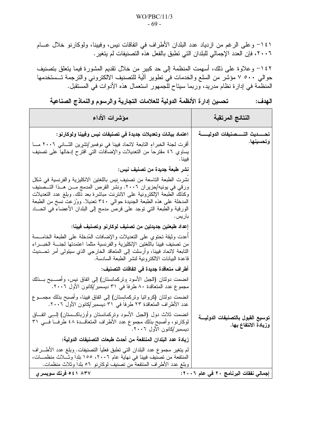١٤١– وعلى الرغم من ازدياد عدد البلدان الأطراف في اتفاقات نيس، وفيينا، ولوكارنو خلال عـــام ٢٠٠٦، فإن العدد الإجمالي للبلدان التي تطبق بالفعل هذه التصنيفات لم يتغير .

١٤٢– وعلاوة على ذلك، أسهمت المنظمة إلى حد كبير من خلال نقديم المشورة فيما يتعلق بتصنيف حوالي ٥٠٠ ٧ مؤشر من السلع والخدمات في تطوير آليَة للتصنيف الالكتروني والترجمة تــستخدمها المنظمة في إدارة نظام مدريد، وربما سيناح للَّجمهور استعمال هذه الأدوات في المستقبل.

تحسين إدارة الأنظمة الدولية للعلامات التجارية والرسوم والنماذج الصناعية الـهدف:

| مؤشرات الأداء                                                                                                                                                                                                                                                                                                                                                                             | النتائج المرتقبة                                         |
|-------------------------------------------------------------------------------------------------------------------------------------------------------------------------------------------------------------------------------------------------------------------------------------------------------------------------------------------------------------------------------------------|----------------------------------------------------------|
| اعتماد بيانات وتعديلات جديدة في تصنيفات نيس وفيينا ولوكارنو :                                                                                                                                                                                                                                                                                                                             | تحـــــديث التـــــصنيفات الدوليـــــــة                 |
| أقرت لمجنة الخبراءِ التابعة لاتحاد فيينا في نوفمبر/تشرين الثـــانـي ٢٠٠٦ مـــا<br>يساوي ٤٦ مقترحا من التعديلات والإضافات التبي اقترح إدخالها علىي تصنيف<br>فىىنا.                                                                                                                                                                                                                         | وتحسينها.                                                |
| نشر طبعة جديدة من تصنيف نيس:                                                                                                                                                                                                                                                                                                                                                              |                                                          |
| نشرت الطبعة التاسعة من تصنيف نيس باللغتين الانكليزية والفرنسية في شكل<br>ورقى في يونيه/حزير ان ٢٠٠٦. ونشر القرص المدمج مـــن هــذا التـــصنيف<br>وكذلك الطبعة الإلكترونية على الانترنت مباشرة بعد ذلك. وبلغ عدد التعديلات<br>المدخلة على هذه الطبعة الجديدة حوالبي ٣٤٠ تعديلًا. ووُزعت نسخ من الطبعة<br>الورقية والطبعة التبي نوجد على قرص مدمج إلى البلدان الأعضاء في انحـــاد<br>باريس. |                                                          |
| إعداد طبعتين جديدتين من تصنيف لوكارنو وتصنيف فيينا:                                                                                                                                                                                                                                                                                                                                       |                                                          |
| أعدت وثيقة تحتوى على التعديلات والإضافات المُدخلة على الطبعة الخامـــسة<br>من نصنيف فيينا باللغتين الإنكليزية والفرنسية مثلما اعتمدتها لجنسة الخبسراء<br>النابعة لاتحاد فيينا، وأرسلت إلى المتعاقد الخارجي الذي سيتولى أمر تحـــديث<br>قاعدة البيانات الالكترونية لنشر الطبعة السادسة.                                                                                                    |                                                          |
| أطراف متعاقدة جديدة في اتفاقات التصنيف:                                                                                                                                                                                                                                                                                                                                                   |                                                          |
| انضمت دولتان (الجبل الأسود وِتركمانستان) إلى اتفاق نيس، وأصــــبح بـــذلك<br>مجموع عدد المتعاقدة ٨٠ طرفا في ٣١ ديسمبر/كانون الأول ٢٠٠٦.<br>انضمت دولتان (كروانيا ونركمانسِتان) إلى انفاق فيينا، وأصبح بذلك مجمـــوع                                                                                                                                                                       |                                                          |
| عدد الأطراف المتعاقدة ٢٣ طرفا في ٣١ ديسمبر/كانون الأول ٢٠٠٦.                                                                                                                                                                                                                                                                                                                              |                                                          |
| انضمت ثلاث دول (الجبل الأسود ونركمانستان وأوزباكـــستان) إلـــِي انفـــاق<br>لوكارنو، وأصبح بذلك مجموع عدد الأطراف المتعاقـــدة ٤٨ طرفـــا فـــي ٣١<br>ديسمبر/كانون الأول ٢٠٠٦.                                                                                                                                                                                                           | توسيع القبول بالتصنيفات الدوليسة<br>وزيادة الانتفاع بها. |
| زيادة عدد البلدان المنتفعة من أحدث طبعات التصنيفات الدولية:                                                                                                                                                                                                                                                                                                                               |                                                          |
| لم يتغير مجموع عدد البلدان التي تطبق فعليا التصنيفات. وبلغ عدد الأطـــــراف<br>المنتفعة من تصنيف فيينا في نهاية عام ٢٠٠٦، ١٥٥ بلدا وثـــلاث منظمـــات،<br>وبلغ عدد الأطراف المنتفعة من تصنيف لوكارنو ٥٦ بلدا وثلاث منظمات.                                                                                                                                                                |                                                          |
| ۸۳۷ ۶۱ ۵ فرنك سويسرى                                                                                                                                                                                                                                                                                                                                                                      | إجمالي نفقات البرنامج ٢٠ في عام ٢٠٠٦:                    |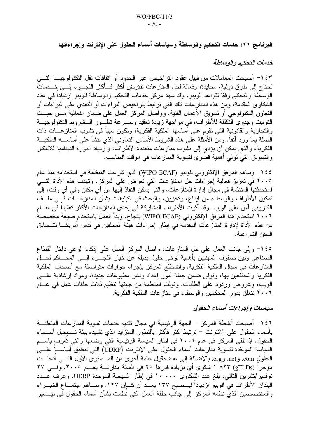البرنامج ٢١: خدمات التحكيم والوساطة وسياسات أسماء الحقول على الإنترنت وإجراءاتها

# خدمات التحكيم والوساطة

١٤٣ أصبحت المعاملات من قبيل عقود التراخيص عبر الحدود أو اتفاقات نقل التكنولوجيـــا التــــى تحتاج إلى طرق دولية، محايدة، وفعالة لحل المنازعات تفترض أكثر فــأكثر اللجـــوء إلــــي خــــدمات الوساطة والتحكيم وفقاً لقواعد الويبو. وقد شهد مركز خدمات التحكيم والوساطة للويبو ازدياداً في عدد الشكاوى المقدمة، ومن هذه المنازعات نلك التي نرتبط بتراخيص البراءات أو التعدي على البراءات أو النعاون النكنولوجي أو نسويق الأعمال الفنية. وواصل المركز العمل على ضمان الفعالية مـــن حيـــث التوفيت وجدوى التكلفة للأطراف، في مواجهة زيادة تعقيد وســـرعة تطـــور الـــشروط التكنولوجيـــة والنجارية والقانونية التبي نقوم على أساسها الملكية الفكرية، ونكون سبباً في نشوب المناز عـــات ذات الصلة بما ورد أنفا. ومن الأمثلة على هذه الشروط الأساس النعاونبي الذي نتشأ على أساســـه الملكيـــة الفكرية، والذي يمكن أن يؤدي إلى نشوب مناز عات متعددة الأطراف، وازدياد الدورة الدينامية للابتكار والنسويق التي تولَّى أهمية قصوى لتسوية المنازعات في الوقت المناسب.

٤٤ ١- وساهم المرفق الإلكتروني للويبو (WIPO ECAF) الذي شرعت المنظمة في استخدامه منذ عام ٢٠٠٥ في تعزيز فعالية إجراءات حل المنازعات التي تعرض على المركز . وتهدف هذه الأداة التـــي استحدثتها المنظمة في مجال إدارة المنازعات، والتي يمكن النفاذ إليها من أي مكان وفي أي وقت، إلى تمكين الأطراف والوسطاء من إيداع، وتخزين، والبَحث في التبليغات بشأن المنازعـــات فـــي ملـــف الكتروني آمن على الويب. وقد آثرت الأطراف المشاركة في إحدى المنازعات الأكثر تعقيدا في عـــام ٢٠٠٦ استخدام هذا المرفق الإلكتروني (WIPO ECAF) بنجاح. وبدأ العمل باستخدام صبغة مخصصة من هذه الأداة لإدارة المناز عات المقدمة في إطار إجراءات هيئة المحلفين في كأس أمريكـــا لتـــسابق السفن الشر اعية.

١٤٥– وإلى جانب العمل على حل المنازعات، واصل المركز العمل على إذكاء الوعي داخل القطاع الصناعي وبين صفوف المهنيين بأهمية توخي حلول بديلة عن خيار اللجسوع إلسي المحساكم لحسل المنازعات في مجال الملكية الفكرية. واضطلع المركز بإجراء حوارات متواصلة مع أصحاب الملكية الفكرية والمنتفعين بها، ونولَّى ضمن جملة أمور إعداد ونشر مطبوعات جديدة، ومواد إرشادية علـــي الويب، وعروض وردود على الطلبات. وتولت المنظمة من جهتها تنظيم ثلاث حلقات عمل في عسام ٢٠٠٦ نتعلق بدور المحكمين والوسطاء في مناز عات الملكية الفكرية.

# سياسات وإجراءات أسماء الحقول

١٤٦ أصبحت أنشطة المركز – الجهة الرئيسية في مجال تقديم خدمات تسوية المناز عات المتعلقـــة بأسماء الحقول على الانترنت – ترتبط أكثر فأكثر بالتطور المتزايد الذي تشهده بيئة تــسجيل أســـماء الحقول. إذ نلقى المركز في عام ٢٠٠٦ في إطار السياسة الرئيسية التي وضعها والتي تعرفٍ باســم السياسة الموحَّدة لتسوية منَّاز عات أسماء الْحقول على الإنترنت (UDRP) التي تنطبق أساســـاً علــــى الحقول com. وnet. وorg. بالإضافة إلى عدة حقول عامة أخرى من المـــستوى الأول التــــى أدخلـــت مؤخراً (gTLDs) ٨٢٣ ١ شكوى أي بزيادة قدرها ٢٥ في المائة مقارنــــة بعـــام ٢٠٠٥. وفـــي ٢٧ نوفمبر/تشرين الثاني، بلغ عدد الشكاوى ١٠٠٠٠ في إطار السياسة الموحدة UDRP. وعرف عــدد البلدان الأطراف في الويبو از دياداً ليـــصبح ١٣٧ بعــد أن كـــان ١٢٧. وســـاهم اجتمـــاع الخبـــراء والمتخصصين الذي نظمه المركز إلى جانب حلقة العمل التي نظمت بشأن أسماء الحقول في نيـــسير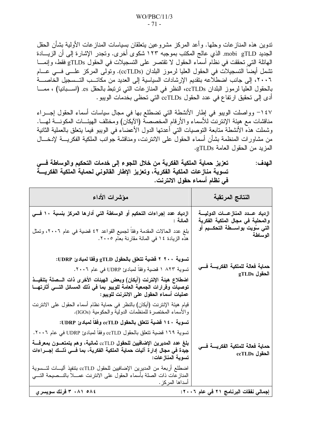ندوين هذه المنازعات وحلها. وأعد المركز مشروعين يتعلقان بسياسات المنازعات الأولية بشأن الحقل الجديد mobi gTLD. الذي عالج المكتب بموجبه ١٢٣ شكوى أخرى. وتجدر الإشار ة إلى أن الزيسادة الـهائلة التـي تحققت فـي نظـّام أسماء الـحقول لا تقتصـر علـي التسجيلات فـي الحقول gTLDs فقط، وإنمـــا تشمل أيضا التسجيلات في الحقول العليا لرموز البلدان (ccTLDs). وتولَّى المركز علـــي فـــي عـــام ٢٠٠٦، إلى جانب اضطلاعه بتقديم الإرشادات السياسية إلى العديد من مكاتــب التــسجيل الخاصـــة بالحقول العليا لرموز البلدان ccTLDs، النظر في المنازعات التي ترتبط بالحقل es. (اسـبانيا) ، ممــا أدى إلى تحقيق ارتفاع في عدد الحقول ccTLDs التي تحظي بخدمات الويبو .

١٤٧- وواصلت الويبو في إطار الأنشطة التي تضطلع بها في مجال سياسات أسماء الحقول إجـــراء مناقشات مع هيئة الإنترنت للأسماء والأرقام الْمخصصة (الآيكان) ومختلف الهيئـــات المكونــــة لهـــا. وشملت هذه الأنشطة متابعة التوصيات التي أعدتها الدول الأعضاء في الويبو فيما يتعلق بالعملية الثانية من مشاورات المنظمة بشأن أسماء الحقول على الانترنت، ومناقشة جوانب الملكية الفكريسة لإدخـــال المزيد من الحقول العامة gTLDs.

تعزيز حماية الملكية الفكرية من خلال اللجوء إلى خدمات التحكيم والوساطة فسى الـهدف : تسوية منازعات الملكية الفكرية، وتعزيز الإطار القانوني لحماية الملكية الفكريسة في نظام أسماء حقول الانترنت.

| النتائج المرتقبة                                                                                                               | مؤشرات الأداء                                                                                                                                                                                   |
|--------------------------------------------------------------------------------------------------------------------------------|-------------------------------------------------------------------------------------------------------------------------------------------------------------------------------------------------|
| ازدياد عـــدد المنـاز عــــات الدوليــــة<br>والمحلية في مجال الملكية الفكرية<br>التي سُويت بواســـطة التحكـــيم أو<br>الوساطة | ازدياد عدد إجراءات التحكيم أو الوساطة التي أدارها المركز بنسبة ١٠ فــي<br>المائة :                                                                                                              |
|                                                                                                                                | بلغ عدد الحالات المقدمة وفقاً لجميع القواعد ٤٢ قضية في عام ٢٠٠٦، وتمثل<br>هذه الزيادة ١٤ في المائة مقارنة بعام ٢٠٠٥.                                                                            |
| حماية فعالة للملكية الفكريسة فسي<br>$\bold{gTLDs}$ الحقول                                                                      | تسوية ٢٠٠ ٢ قضية تتعلق بالحقول gTLD وفقا لمبادئ UDRP:                                                                                                                                           |
|                                                                                                                                | نسوية ٨٢٣ ١ قضية وفقا لمبادئ UDRP في عام ٢٠٠٦.                                                                                                                                                  |
|                                                                                                                                | اضطلاع هيئة الإنترنت (آيكان) وبعض الهيئات الأخرى ذات السصلة بتنفيــذ<br>توصياتٌ وقرارات الجمعيَّة العامة للويبو بما في ذلك المسائل التسي أثارتهــا<br>عمليات أسماء الحقول على الانترنت للويبو : |
|                                                                                                                                | قيام هيئة الإنترنت (أيكان) بالنظر في حماية نظام أسماء الحقول على الانترنت<br>والأسماء المختصرة للمنظمات الدولية والحكومية (IGOs).                                                               |
| حماية فعالة للملكية الفكريسة فسي<br>ccTLDs الحقول                                                                              | تسوية ١٤٠ قضية تتعلق بالحقول ccTLD وفقا لمبادئ UDRP:                                                                                                                                            |
|                                                                                                                                | تسوية ١٦٩ قضية تتعلق بالحقول ccTLD وفقا لمبادئ UDRP في عام ٢٠٠٦.                                                                                                                                |
|                                                                                                                                | بلغ عدد المديرين الإضافيين للحقول ccTLD ثمانية، وهم يتمتعـــون بمعرفــــة<br>جيّدة في مجال إدارة آليات حماية الملكية الفكرية، بما فسي ذلــك إجــــراءات<br>تسوية المنازعات:                     |
|                                                                                                                                | اضطلع أربعة من المديرين الإضافيين للحقول ccTLD بتنفيذ أليـــات لتـــسوية<br>المنازعات ذات الصلة بأسماء الحقول على الانترنت عمـــلا بالنـــصيحة التــــي<br>أسداها المركز .                      |
| إجمالي نفقات البرنامج ٢١ في عام ٢٠٠٦:                                                                                          | ٢٠٨١ ٠٨١ ثمرنك سويسري                                                                                                                                                                           |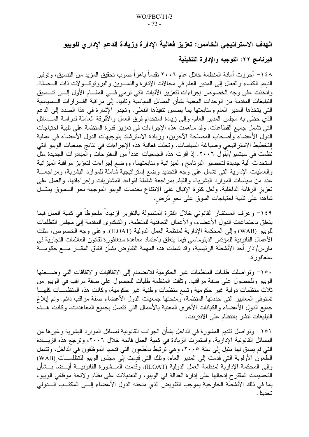# الهدف الاستراتيجي الخامس: تعزيز فعالية الإدارة وزيادة الدعم الإدار ي للويبو

### البرنامج ٢٢: التوجيه والإدارة التنفيذية

١٤٨– أحرزت أمانة المنظمة خلال عام ٢٠٠٦ تقدماً باهراً صوب تحقيق المزيد من التتسيق، وتوفير الدعم الكفء والفعال إلى المدير العام في مجالات الإدارة والنمـــوين والبرونوكـــولات ذات الـــصلة. واتخذت على وجه الخصوص إجراءات لتعزيز الآليات التي نرمي فسي المقــام الأول إلـــي تنـــسيق التبليغات المقدمة من الوحدات المعنية بشأن المسائل السياسية وثانياً، إلى مر اقبة القـــر ار ات الـــسياسية التي يتخذها المدير العام ومتابعتها بما يضمن تنفيذها الفعلي. وتجدر الإشارة في هذا الصدد إلى الدعم الذي حظى به مجلس المدير العام، وإلى زيادة استخدام فرق العمل والأفرقة العاملة لدراسة المـــسائل التي نشمل جميع القطاعات. وقد ساهمت هذه الإجراءات في نعزيز قدرة المنظمة على نلبية احتياجات الدول الأعضاء وأصحاب المصلحة الآخرين، وزيادة الاسترشاد بتوجيهات الدول الأعضاء في عملية التخطيط الاستر اتيجي وصياغة السياسات. وتجلت فعالية هذه الإجر اءات في نتائج جمعيات الويبو التي نظمت في سبتمبر /أيلول ٢٠٠٦. إذ أقرت هذه الجمعيات عددا من المقترحات والمبادرات الجديدة مثل استحداث ألية جديدة لتحضير البرنامج والميزانية ومتابعتهما، ووضع إجراءات لتعزيز مراقبة الميزانية والعمليات الإدارية التبي نشمل على وجه التحديد وضع إستراتيجية شاملة للموارد البشرية، ومراجعـــة عدد من سياسات الموارد البشرية، والقيام بمراجعة شاملة لقواعد المشتريات وإجراءاتها، والعمل على تعزيز الرقابة الداخلية. ولعل كثرة الإقبال على الانتفاع بخدمات الويبو الموجهة نحو الــسوق يمثــل شاهدا على نلبية احتياجات السوق على نحو مُرض.

١٤٩– وعرف المستشار القانوني خلال الفتر ة المشمولة بالنقرير از ديادا ملحوظا في كمية العمل فيما يتعلق باجتماعات الدول الأعضاء، والأعمال التعاقدية للمنظمة، والشكاوي المقدمة إلىّ مجلس التظلمات للويبو (WAB) وإلى المحكمة الإدارية لمنظمة العمل الدولية (ILOAT). وعلى وجه الخصوص، مثلت الأعمال القانونية للمؤتمر الدبلوماسي فيما يتعلق باعتماد معاهدة سنغافورة لقانون العلامات التجارية في مارس/آذار أحد الأنشطة الرئيسية، وقد شملت هذه المهمة التفاوض بشأن اتفاق المقـــر مــــع حكومــــة سنغافور ة.

١٥٠– وتواصلت طلبات المنظمات غير الحكومية للانضمام إلى الاتفاقيات والاتفاقات التي وضـــعتها الويبو وللحصول على صفة مراقب. وتلقت المنظمة طلبات للحصول على صفة مراقب في الويبو من ثلاث منظمات دولية غير حكومية وتسع منظمات وطنية غير حكومية، وكانت هذه المنظمـــات كلـهـــا تستوفي المعايير التي حددتها المنظمة، ومنحتها جمعيات الدول الأعضاء صفة مراقب دائم. وتم إبلاغ جميع الدول الأعضاء والكيانات الأخرى المعنية بالأعمال التبي نتصل بجميع المعاهدات، وكانت هـــذه التبليغات تتشر بانتظام على الانترنت.

١٥١– وتواصل تقديم المشورة في الداخل بشأن الجوانب القانونية لمسائل الموارد البشرية وغيرها من المسائل القانونية الإدارية. واستمرت الزيادة في كمية العمل قائمة خلال ٢٠٠٦، وترجع هذه الزيــادة التي لم يسبق لها مثيل إلى سنة ٢٠٠٥، وهي ترتبط بالطعون التي قدمها الموظفون في الداخل، وتشمل الطعون الأولوية التي قدمت إلى المدير العام، ونلك التي قدمت إلى مجلس الويبو للتظلمـــات (WAB) وإلى المحكمة الإدارية لمنظمة العمل الدولية (ILOAT). وقدمت المـــشورة القانونيــــة أيـــضـا بـــشأن التحسينات المقترح إدخالها على إدارة العدالة في الويبو ، والتعديلات على نظام ولائحة موظفى الويبو ، بما في ذلك الأنشطة الخارجية بموجب التفويض الذي منحته الدول الأعضاء إلـــي المكتــب الـــدولي تحدينا .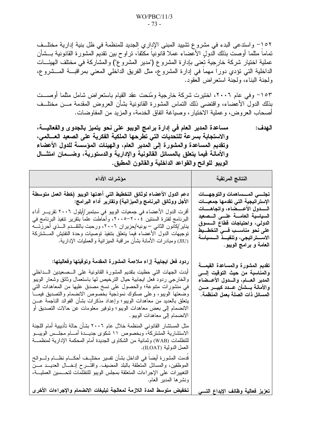١٥٢– واستدعى البدء في مشروع تشييد المبنى الإداري الجديد للمنظمة في ظل بنية إدارية مختلف تماما مثلما أوصت بذلك الدول الأعضاء عملا قانونيا مكثفا، تراوح بين نقديم المشورة القانونية بـــشأن عملية اختيار شركة خارجية تعني بإدارة المشروع ("مدير المشروع") والمشاركة في مختلف الهيئـــات الداخلية التي تؤدي دورًا مهما في إدارة المشروع، مثل الفريق الداخلي المعنى بمراقبـــة المـــشروع، ولجنة البناء، ولجنة استعراض العقود.

١٥٣– وفي عام ٢٠٠٦، اختيرت شركة خارجية ومُنحت عقد القيام باستعراض شامل مثلما أوصـــت بذلك الدول الأعضاء، واقتضى ذلك النماس المشورة القانونية بشأن العروض المقدمة مـــن مختلــف أصبحاب العروض، وعملية الاختيار ، وصياغة اتفاق الخدمة، والمزيد من المفاوضات.

مساعدة المدير العام في إدارة برامج الويبو على نحو يتميز بالجدوى والفعاليــــة، الهدف: والاستجابة بسرعة للتحديات التي تطرحها الملكية الفكرية على الصعيد العسالمي، وتقديم المساعدة والمشورة إلى المدير العام، والهيئات المؤسسة للدول الأعضاء والأمانة فيما يتعلق بالمسائل القانونية والإدارية والدستورية، وضــمان امتثـــال الويبو للوائح والقواعد الداخلية والقانون المطبق.

| مؤشرات الأداء                                                                                                                                                                                                                                                                                                                                                                                                                                                                                                                                           | النتائج المرتقبة                                                                                                                                                                                                                                                  |
|---------------------------------------------------------------------------------------------------------------------------------------------------------------------------------------------------------------------------------------------------------------------------------------------------------------------------------------------------------------------------------------------------------------------------------------------------------------------------------------------------------------------------------------------------------|-------------------------------------------------------------------------------------------------------------------------------------------------------------------------------------------------------------------------------------------------------------------|
| دعم الدول الأعضاء لوثائق التخطيط التي أعدتها الويبو (خطة العمل متوسطة<br>الأجل ووثائق البرنامج والميزانية) وتقارير أداء البرامج:<br>أقرت الدول الأعضاء في جمعيات الويبو في سبتمبر/إُيلول ٢٠٠٦ تقريـــر أداء<br>البرنامج لفترة السنتين ٢٠٠٤–٢٠٠٥، وأحاطت علما بتقرير تنفيذ البرنامج في<br>يناير  كانون الثاني – يونيه حزير ان ٢٠٠٦، ورحبت بالتقـــدم الـــذي أحرزتـــه<br>توجيهات الدول الأعضاء فيما يتعلق بتنفيذ توصيات وحدة التفتيش المسشتركة<br>(JIU) ومبادرات الأمانة بشأن مراقبة الميزانية والعمليات الإدارية.                                      | تجلسي المسساهمات والتوجهسات<br>الإستراتيجية التى تقدمها جمعيسات<br>السدول الأعسضاء، واتجاهسات<br>السياسية العامسة علسى السصعيد<br>الدولى، واحتياجات قطاع السسوق<br>على نحو مناســب فـــى التخطــيط<br>الاستراتيجي، وتنفيـــذ الـــسياسة<br>العامة و برامج الويبو. |
| ردود فعل ايجابية إزاء ملاءمة المشورة المقدمة وتوقيتها وفعاليتها:<br>أبدت الجهات التي حظيت بتقديم المشورة القانونية على الـــصعيدين الــــداخلي<br>والخارجي ردود فعل ايجابية حيال النرخيص لها باستعمال وثائق وشعار الويبو<br>في منشورات منتوعة؛ والـحصول على نسخ مصدق عليها من المعاهدات التي<br>وضعتها الويبو، وعلى صكوك نموذجية بخصوص الانضمام والتصديق فيمـــا<br>يتعلَّق بالعديد من معاهدات الويبو؛ وإعداد مذكرات بشأن الفوائد الناجمة عـــن<br>الانضمام إلى بعض معاهدات الويبو؛ ونوفير معلومات عن حالات النصديق او<br>الانضمام إلى معاهدات الويبو . | تقديم المشورة والمساعدة القيمــــة<br>والمناسبة من حيث التوفيت إلـــــى<br>المدير العسام، والسدول الأعسضاء<br>والأمانة بـــشأن عـــدد كبيــــر مــــن<br>المسائل ذات الصلة بعمل المنظمة.                                                                          |
| مثل المستشار القانوني المنظمة خلال عام ٢٠٠٦ بشأن حالة تأديبية أمام اللجنة<br>الاستشارية المشتركة، وبخصوص ١١ شكوى جديـــدة أمــــام مجلـــس الويبـــو<br>للتظلمات (WAB) وثمانية من الشكاوى الجديدة أمام المحكمة الإدارية لمنظمـــة<br>العمل الدولية (ILOAT).                                                                                                                                                                                                                                                                                             |                                                                                                                                                                                                                                                                   |
| قدمت المشورة أيضا فـي الداخل بشأن نفسير مختلبـف أحكـــام نظـــام ولــــوائـح<br>الموظَّفين، والمسائل المتعلَّقة بالبلد المضيف. واقتــــرح إدخــــال العديــــد مــــن<br>التغييرات على الإجراءات المتعلقة بمجلس الويبو للتظلمات لتحسسين العمليــة،<br>ونشرها المدير العام.                                                                                                                                                                                                                                                                              |                                                                                                                                                                                                                                                                   |
| تخفيض متوسط المدة اللازمة لمعالجة تبليغات الانضمام والإجراءات الأخرى                                                                                                                                                                                                                                                                                                                                                                                                                                                                                    | تعزيز فعالية وظائف الإيداع التسي                                                                                                                                                                                                                                  |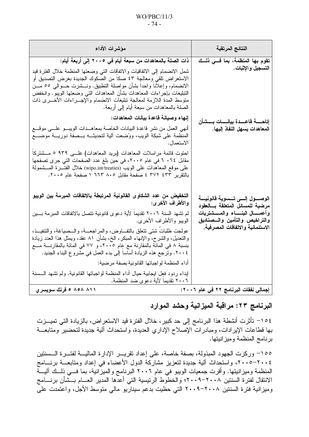### $WO/PBC/11/3$  $-74-$

| مؤشرات الأداء                                                                                                                                                                                                                                                                                                    | النتائج المرتقبة                                                               |
|------------------------------------------------------------------------------------------------------------------------------------------------------------------------------------------------------------------------------------------------------------------------------------------------------------------|--------------------------------------------------------------------------------|
| ذات الصلة بالمعاهدات من سبعة أيام في ٢٠٠٥ إلى أربعة أيام:<br>شمل الانضمام إلى الاتفاقيات والاتفاقات التـي وضعتها المنظمة خلال الفترة قيد<br>الاستعراض تلقى ومعالجة ٤٣ صكا من الصكوك الجديدة بغرض التصديق أو                                                                                                      | تقوم بها المنظمة، بما فــي ذلــك<br>التسجيل والإثبات.                          |
| الانضمام، وإعلانا واحدًا بشأن مواصلة النطبيق. ونـــشرت حـــوالـي ٥٥ مـــن<br>التبليغات بإجراءات المعاهدات بشأن المعاهدات التي وضعتها الويبو ووانخفض<br>منوسط المدة اللازمة لمعالجة نبليغات الانضمام والإجـــراءات الأخــــرى ذات<br>الصلة بالمعاهدات من سبعة أيام إلىي أربعة.                                    |                                                                                |
| إنهاء وصيانة قاعدة بيانات المعاهدات:                                                                                                                                                                                                                                                                             | إتاحــــــة فاعـــــدة بيانــــــات بــــشأن                                   |
| أنهى العمل من نشر قاعدة البيانات الخاصة بمعاهــدات الويبـــو علــــى موقــــع<br>المنظمة على شبكة الويب، ووُضعت ألية لتحديثـــه بـــصفة دوريــــة موضــــع<br>الاستعمال.                                                                                                                                         | المعاهدات يسهل النفاذ إليها.                                                   |
| احتوت قائمة مراسلات المعاهدات (بريد المعاهدات) علـــى ٩٣٩ ٥ مـــشتركا<br>مقابل ٢٠٦٤ في عام ٢٠٠٥، في حين بلغ عدد الصفحات التي جرى تصفحها<br>على موقع المعاهدات على الويب (wipo.int/treaties) خلال الفتــــرة المــــشمولـة<br>بالنقرير ٤٣٣ ٤٣٧ ٤ صفحة مقابل ٨٠٥ ٦٦٣ ١ صفحة عام ٢٠٠٥.                              |                                                                                |
| التخفيض من عدد الشكاوى القانونية المرتبطة بالاتفاقات المبرمة بين الويبو<br>والأطراف الأخرى:                                                                                                                                                                                                                      | الوصــــول إلـــــي تــــــسوية فانونيــــة<br>مرضية للمسائل المتعلقة بسالعقود |
| لم تشهد السنة ٢٠٠٦ تقديما لأية دعوى قانونية تتصل بالاتفاقات المبرمة بسين<br>الويبو والأطراف الأخرى.                                                                                                                                                                                                              | وأعمـــــال البنــــــاء والمـــــشتريـات<br>والتراخيص والتأمين والسصناديق     |
| عولجت طلبات شتى نتعلق بالنفــاوض، والمراجعـــة، والـــصياغة، والتنفيــذ،<br>والتعديل، والشرح، والإنهاء المبكر ، الخ، بشأن ٨١ عقد، ويمثل هذا العدد زيادة<br>بنسبة ٨ في المائة بالمقارنة مع عِام ٢٠٠٥، و ٧٧ في المائة بالمقارنــــة مــــع<br>٢٠٠٤. وترجع هذه الزيادة أساسا إلىي بدء العمل في مشروع البناء الجديد. | الاستئمانية والاتفاقات المصرفية.                                               |
| أداء المنظمة لواجباتها القانونية بصفة مرضية:                                                                                                                                                                                                                                                                     |                                                                                |
| إبداء ردود فعٍل ايجابية حيال أداء المنظمة لواجباتها القانونية. ولم تشهد الـــسنة<br>٢٠٠٦ تقديما لأية دعوى ضد المنظمة.                                                                                                                                                                                            |                                                                                |
| ۸۱۱ ۸۵۸ ۵ فرنك سويسري                                                                                                                                                                                                                                                                                            | إجمالي نفقات البرنامج ٢٢ في عام ٢٠٠٦:                                          |

البرنامج ٢٣: مراقبة الميزانية وحشد الموارد

١٥٤– تأثرت أنشطة هذا البرنامج إلى حد كبير ، خلال الفترة قيد الاستعراض، بالزيادة التي تميـــزت بها قطاعات الإيرادات، ومبادرات الإصلاح الإداري العديدة، واستحداث ألية جديدة لتحضير ومتابعـــة برنامج المنظمة وميز انيتها.

١٥٥– وركزت الجهود المبذولة، بصفة خاصة، على إعداد تقريـــر الإدارة الماليـــة لفتـــرة الـــسنتين ٢٠٠٤–٢٠٠٥، واستحداث ألية جديدة لتعزيز مشاركة الدول الأعضاء في إعداد ومتابعــــة برنـــــامج المنظمة وميز انيتها. وأقرت جمعيات الويبو في عام ٢٠٠٦ البرنامج والميز انية، بما فــي ذلــك آليـــة الانتقال لفترة السنتين ٢٠٠٨–٢٠٠٩ والخطوط الرئيسية التي أعدها المدير العسام بسشأن برنسامج وميزانية فترة السنتين ٢٠٠٨-٢٠٠٩ التي حظيت بدعم سيناريو مالي متوسط الأجل، واعتمدت على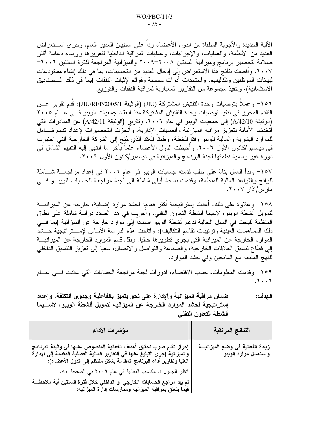الآلية الجديدة والأجوبة المتلقاة من الدول الأعضاء ردا على استبيان المدير العام. وجرى اســـتعراض العديد من الأنظمة، والعمليات، والإجراءات، وعمليات المراقبة الداخلية لتعزيزها وإرساء دعامة أكثر صلابة لتحضير برنامج وميزانية السنتين ٢٠٠٨–٢٠٠٩ والميزانية المراجعة لفترة السنتين ٢٠٠٦– ٢٠٠٧. وأفضت نتائج هذا الاستعر اض إلى إدخال العديد من التحسينات، بما في ذلك إنشاء مستودعات لبيانات الموظفين وتكاليفهم، واستحداث أدوات محسنة وقوائم لإثبات النفقات (بما في ذلك الـــصناديق الاستئمانية)، وتنفيذ مجموعة من التقارير المعيارية لمراقبة النفقات والتوزيع.

١٥٦- وعملا بتوصيات وحدة التفتيش المشتركة (JIU) (الوثيقة JIU/REP/2005/1)، قدم تقرير عــن التقدم المحرز في نتفيذ توصيات وحدة التفتيش المشتركة منذ انعقاد جمعيات الويبو فسى عسام ٢٠٠٥ (الوثيقة A/42/10) إلى جمعيات الويبو في عام ٢٠٠٦، وتقرير (الوثيقة A/42/11) عن المبادرات التي اتخذتها الأمانة لتعزيز مراقبة الميزانية والعمليات الإدارية. وأنجزت التحضيرات لإعداد نقييم شـــامل للموارد البشرية والمالية للويبو وفقاً للخطة، وطبقاً للعقد الذي مُنِح إلى الشركة الخارجية التي اختيرت في ديسمبر/كانون الأول ٢٠٠٦. وأُحيطت الدول الأعضاء علماً بآخر ما انتهى إليه التقييم الشامل في دورة غير رسمية نظمتها لجنة البرنامج والميزانية في ديسمبر/كانون الأول ٢٠٠٦.

١٥٧– وبدأ العمل بناءً على طلب قدمته جمعيات الويبو في عام ٢٠٠٦ في إعداد مراجعـــة شــــاملة للوائح والقواعد المالية للمنظمة، وقدمت نسخة أولىي شاملة إلىي لجنة مراجعة الحسابات للويبـــو فــــي مارس/آذار ۲۰۰۷.

١٥٨– وعلاوة على ذلك، أعدت إستراتيجية أكثر فعالية لحشد موارد إضافية، خارجة عن الميزانيـــة لتمويل أنشطة الويبو، لاسيما أنشطة التعاون النقني. وأجريت في هذا الصدد دراسة شاملة على نطاق المنظمة للبحث في السبل الحالية لدعم أنشطة الويبو استناداً إلى موارد خارجة عن الميزانية (بما فـــي ذلك المساهمات العينية وترتيبات تقاسم التكاليف)، وأتاحت هذه الدراسة الأساس لإســـتراتيجية حـــشد الموارد الخارجة عن الميزانية التي يجري تطويرها حاليا. ونقل قسم الموارد الخارجة عن الميزانيـــة إلى قطاع تنسيق العلاقات الخارجية، والصناعة والنواصل والاتصال، سعيا إلى نعزيز النتسيق الداخلي للنهج المتبعة مع المانحين وفي حشد الموارد.

١٥٩– وقدمت المعلومات، حسب الاقتضاء، لدورات لجنة مراجعة الحسابات التي عقدت فسي عسام  $.7.7$ 

ضمان مراقبة الميزانية والإدارة على نحو يتميز بالفاعلية وجدوى التكلفة، وإعداد الـهدف: إستراتيجية لحشد الموارد الخارجة عن الميزانية لتمويل أنشطة الويبو ، لاســـبما أنشطة التعاون التقني

| مؤشرات الأداء                                                                                                                                                                                                              | النتائج المرتقبة                                            |
|----------------------------------------------------------------------------------------------------------------------------------------------------------------------------------------------------------------------------|-------------------------------------------------------------|
| إحراز تقدم صوب تحقيق أهداف الفعالية المنصوص عليها في وثيقة البرنامج<br>والميزانية (جرى التبليغ عنها في التقارير المالية الفصلية المقدمة إلى الإدارة<br>العليا وتقارير أداء البرنامج المقدمة بشكل منتظم إلى الدول الأعضاء): | زيادة الفعالية في وضع الميزانيـــة<br>واستعمال موارد الويبو |
| انظر الجدول I: مكاسب الفعالية في عام ٢٠٠٦ في الصفحة ٨٠.<br>لم يبد مراجع الحسابات الخارجي أو الداخلي خلال فترة السنتين أية ملاحظـــة<br>فيما يتعلق بمراقبة الميزانية وممارسات إدارة الميزانية:                              |                                                             |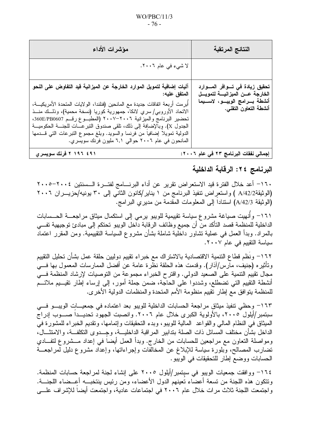$-76-$ 

| مؤشرات الأداء                                                                                                                                                                                                                                                                                                                                                                                                                                                                                                                            | النتائج المرتقبة                                                                                                                         |
|------------------------------------------------------------------------------------------------------------------------------------------------------------------------------------------------------------------------------------------------------------------------------------------------------------------------------------------------------------------------------------------------------------------------------------------------------------------------------------------------------------------------------------------|------------------------------------------------------------------------------------------------------------------------------------------|
| لا شيء في عام ٢٠٠٦.                                                                                                                                                                                                                                                                                                                                                                                                                                                                                                                      |                                                                                                                                          |
| آليات إضافية لتمويل الموارد الخارجة عن الميزانية قيد التفاوض على النحو<br>المتفق عليه:<br>أبرمت أربعة اتفاقات جديدة مع المانحين (فنلندا، الولايات المتحدة الأمريكيـــة،<br>الاتحاد الأوروبـي/سري لانكا، جمهورية كوريا (نسخة محمية)، وذلـــك منـــذ<br>تحضير البرنامج والميزانية ٢٠٠٦–٢٠٠٧ (المطبــوع رقــم 360E/PB0607،<br>الجدول X). وِبالإضافةِ إلى ذلك، نلقى صندوق التبرعـــات للجنـــة الحكوميـــة<br>الدولية تمويلا إضافيا من فرنسا والسويد. وبلغ مجموع النبرعات التي قـــدمها<br>المانحون في عام ٢٠٠٦ حوالي ٦,١ مليون فرنك سويسري. | تحقيق زيادة في تــوافر المـــوارد<br>الخارجة عــن الميزانيــــة لتمويـــل<br>أنشطة بــرامج الويبـــو، لاســـيما<br>أنشطة التعاون التقني. |
| ۲ ۱۹۶ ۲ فرنك سويسري                                                                                                                                                                                                                                                                                                                                                                                                                                                                                                                      | إجمالي نفقات البرنامج ٢٣ في عام ٢٠٠٦:                                                                                                    |

## البرنامج ٢٤: الرقابة الداخلية

1٦٠− أعد خلال الفترة قيد الاستعراض تقرير عن أداء البرنــــامج لفتـــرة الـــسنتين ٢٠٠٤−٢٠٠٥ (الوثيقة4/A/42 ) واستعراض تنفيذ البرنامج من ١ يناير/كانون الثاني إلى ٣٠ يونيه/حزيـــران ٢٠٠٦ (الوثيقة A/42/3) استناداً إلى المعلومات المقدمة من مديري البر امج.

١٦١– وأُنهيت صياغة مشروع سياسة تقييمية للويبو يرمي إلى استكمال ميثاق مراجعــــة الحـــسابات الداخلية للمنظمة قصد التأكد منّ أن جميع وظائف الرقابة داخل الويبو تحتكم إلى مبادئ توجيهية تفـــي بالمراد. وبدأ العمل في عملية تشاور داخلية شاملة بشأن مشروع السياسة النقييمية. ومن المقرر اعتماد سياسة التقييم في عام ٢٠٠٧.

١٦٢– ونظم قطاع النتمية الاقتصادية بالاشتراك مع خبراء تقييم دوليين حلقة عمل بشأن تحليل التقييم وتأثيره (جنيف، مآرس/آذار). وقدمت هذه الحلقة نظَّرة عامة عن أفضل الممارسات المعمول بها فـــي مجال نقييم النتمية على الصعيد الدولي. واقترح الخبر اء مجموعة من التوصيات لإرشاد المنظمة فـــي أنشطة النقييم التبي نضطلع، وشددوا على الحاجة، ضمن جملة أمور، إلىي إرساء إطار نقيـــيم ملائـــم للمنظمة يتوافق مَع إطارٍ تُقييم منظومة الأمم المتحدة والمنظمات الدولية الأخرى.

1٦٣– وحظى تنفيذ ميثاق مراجعة الحسابات الداخلية للويبو بعد اعتماده في جمعيـــات الويبـــو فـــي سبتمبر/أيلول ٢٠٠٥، بالأولوية الكبرى خلال عام ٢٠٠٦. وانصبت الجهود تحديــداً صـــوب إدراج الميثاق في النظام المالي والقواعد المالية للويبو، وبدء التحقيقات وإتمامها، وتقديم الخبراء للمشورة في الداخل بشأن مختلف المسائل ذات الصلة بتدابير المراقبة الداخليـــة، وجـــدوى التكلفـــة، والامتثـــال، ومواصلة التعاون مع مراجعين للحسابات من الخارج. وبدأ العمل أيضاً في إعداد مـــشروع لنفـــادي نضارب المصالح، وبلورة سياسة للإبلاغ عن المخالفات وإجراءاتها، وإعداد مشروع دليل لمراجعـــة الحسابات ووضع إطار للتحقيقات في الويبو.

١٦٤– ووافقت جمعيات الويبو في سبتمبر/أيلول ٢٠٠٥ على إنشاء لجنة لمراجعة حسابات المنظمة. ونتكون هذه اللجنة من تسعة أعضاء تعينهم الدول الأعضاء، ومن رئيس بنتخبـــه أعـــضاء اللجنــــة. واجتمعت اللجنة ثلاث مرات خلال عام ٢٠٠٦ في اجتماعات عادية، واجتمعت أيضا للإشراف علـــي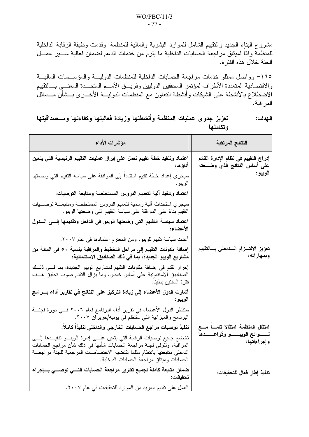مشروع البناء الجديد والتقييم الشامل للموارد البشرية والمالية للمنظمة. وقدمت وظيفة الرقابة الداخلية للمنظمة وفقاً لميثاق مراجعة الحسابات الداخلية ما يلزم من خدمات الدعم لضمان فعالية ســـير عمـــل الجنة خلال هذه الفتر ة.

١٦٥- وواصل ممثلو خدمات مراجعة الحسابات الداخلية للمنظمات الدوليسة والمؤسسات الماليسة والاقتصادية المتعددة الأطراف لمؤتمر المحققين الدوليين وفريـــق الأمـــم المتحـــدة المعنـــي بـــالتقييم الاضطلاع بالأنشطة علىى الشبكات وأنشطة النعاون مع المنظمات الدوليـــة الأخــــرى بـــشأن مـــسائل المر اقبة.

| تعزيز جدوى عمليات المنظمة وأنشطتها وزيادة فعاليتها وكفاءتها ومــصداقيتها | الـهدف : |
|--------------------------------------------------------------------------|----------|
|                                                                          | وتكاملها |

| مؤشرات الأداء                                                                                                                                                                                                                                                                     | النتائج المرتقبة                                                       |
|-----------------------------------------------------------------------------------------------------------------------------------------------------------------------------------------------------------------------------------------------------------------------------------|------------------------------------------------------------------------|
| اعتماد وتنفيذ خطة تقييم تعمل على إبراز عمليات التقييم الرئيسية التي يتعين<br>أداؤها:                                                                                                                                                                                              | إدراج التقييم في نظام الإدارة القائم<br>على أساس النتائج الذي وضـــعته |
| سيجري إعداد خطة نقييم استنادا إلى الموافقة على سياسة التقييم التي وضعتها<br>الويبو .                                                                                                                                                                                              | الويبو :                                                               |
| اعتماد وتنفيذ آلية لتعميم الدروس المستخلصة ومتابعة التوصيات:                                                                                                                                                                                                                      |                                                                        |
| سيجري استحداث ألية رسمية لنعميم الدروس المستخلصة ومتابعـــة نوصـــيات<br>النقييم بناءً على الموافقة على سياسة النقييم التي وضعتها الويبو .                                                                                                                                        |                                                                        |
| اعتماِد سياسة التقييم التي وضعتها الويبو في الداخل وتقديمها إلـــى الـــدول<br>الأعضاء:                                                                                                                                                                                           |                                                                        |
| أعدت سياسة نقييم للويبو، ومن المعتزم اعتمادها في عام ٢٠٠٧.                                                                                                                                                                                                                        |                                                                        |
| إضافة مكونات التقييم إلى مراحل التخطيط والمراقبة بنسبة ٥٠ في المائة من<br>مشاريع الويبو الجديدة، بِما في ذلك الصناديق الاستئمانية:                                                                                                                                                | تعزيز الالتسزام السداخلي بسالتقييم<br>وبمهار اته:                      |
| إحراز نقدم في إضافة مكونات التقييم لمشاريع الويبو الجديدة، بما فـــي ذلـــك<br>الصناديق الاسْتئمانِية على أساس خاص. وما بزال النقدم صوب نحقيق هــف<br>فترة السنتين بطيئا.                                                                                                         |                                                                        |
| أشارت الدول الأعضاء إلى زيادة التركيز على النتائج في تقارير أداء بـــرامج<br>الويبو :                                                                                                                                                                                             |                                                                        |
| ستنظر الدول الأعضاء في نقرير أداء البرنامج لعام ٢٠٠٦ فــي دورة لجنـــة<br>البرنامج والميزانية التي ستنظم في يونيه/حزيران ٢٠٠٧.                                                                                                                                                    |                                                                        |
| تنفيذ توصيات مراجع الحسابات الخارجي والداخلي تنفيذا كاملا:                                                                                                                                                                                                                        | امتثال المنظمة امتثالا تامسا مسع                                       |
| تخضع جميع توصيات الرقابة التي يتعين علـــي إدارة الويبـــو نتفيـــذها إلــــي<br>المراقبة، ونتولَّى لجنة مراجعة الحسابات شأنها في ذلك شأن مراجع الحسابات<br>الداخلي منابعتها بانتظام مثلما نقتضيه الاختصاصات المرجعية للجنة مراجعــة<br>الحسابات وميثاق مراجعة الحسابات الداخلية. | لمسوائح الويبسو وقواعسدها<br>وإجراءاتها:                               |
| ضمان متابعة كاملة لجميع تقارير مراجعة الحسابات التسي توصسي بسإجراء<br>تحقيقات:                                                                                                                                                                                                    | تنفيذ إطار فعال للتحقيقات:                                             |
| العمل على نقديم المزيد من الموارد للتحقيقات في عام ٢٠٠٧.                                                                                                                                                                                                                          |                                                                        |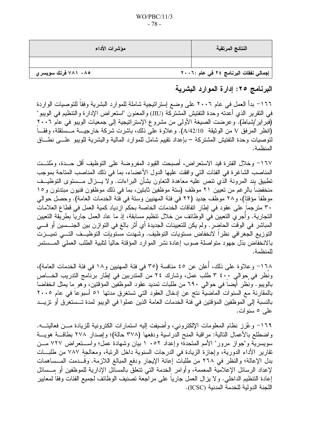### $WO/PBC/11/3$  $-78-$

| مؤشرات الأداء       | النتائج المرتقبة                      |
|---------------------|---------------------------------------|
|                     |                                       |
| ۷۸۱ ۰۸۵ فرنك سويسري | إجمالي نفقات البرنامج ٢٤ في عام :٢٠٠٦ |

## البرنامج ٢٥: إدارة الموارد البشرية

١٦٦- بدأ العمل في عام ٢٠٠٦ على وضع إستراتيجية شاملة للموارد البشرية وفقاً للتوصيات الواردة في النقرير الذي أعدنه وحدة النفتيش المشتركة (JIU) والمعنون "استعراض الإدارة والتنظيم في الويبو" (فبر اير/شباط). و عرضت الصيغة الأولى من مشروع الإستر انيجية إلى جمعيات الويبو في عام ٢٠٠٦ (انظر المرفق V من الوثيقة A/42/10). وعلاوة على ذلك، باشرت شركة خارجيـــة مـــستقلة، وفقـــاً لنوصيات وحدة النفتيش المشتركة – بإعداد نقييم شامل للموارد المالية والبشرية للويبو علـــى نطــاق المنظمة.

١٦٧– وخلال الفتر ة قيد الاستعر اض، أصبحت القيود المفر وضنة على التوظيف أقل حـــدة، ومُلئــت المناصب الشاغرة في الفئات التي وافقت عليها الدول الأعضاء، بما في ذلك المناصب المتاحة بموجب تطبيق بند المرونة الذي نتص عليه معاهدة التعاون بشأن البراءات. ولا يـــزال مـــستوى التوظيــف منخفضا بالرغم من تعيين ٢١ موظف (ستة موظفين ثابتين، بما في ذلك موظفون فنيون مبتدئون و١٥ موظفاً مؤقتاً)، و٢٨ موظف جديد (٢٢ في فئة المهنيين وستة في فَئة الخدمات العامة). وحصل حوالي ٣٠ مترجما على عقود في إطار اتفاقات الخدمات الخاصة بحكم ازدياد كمية العمل في قطاع العلامات التجارية. وأُجرى التعيين في الوظائف من خلال تنظيم مسابقة، إذ ما عاد العمل جارياً بطريقة التعيين المباشر في الوقت الحاضر . ولم يكن للتعيينات الجديدة أي أثر بالغ في التوازن بين الجنـــسين أو فـــي التوزيع الجغرافي نظراً لانخفاض مستويات التوظيف. وشهدت مستويات التوظيــف التـــي تميـــزت بالانخفاض بذل جهود متواصلة صوب إعادة نشر الموارد المؤقتة حاليا لنلبية الطلب العملى المسستمر للمنظمة.

١٦٨– وعلاوة على ذلك، أعلن عن ٤٥ منافسة (٣٥ في فئة المهنيين و١٨ في فئة الخدمات العامة)، ونظر في حوالي ٤٠٠ ٣ طلب عمل، وشارك ٢٤ من المتدربين في إطار برنامج التدريب الخـــاص بالويبو. ونظر أيضا في حوالي ٦٩٠ من طلبات تمديد عقود الموظفين المؤقتين، وهو ما يمثل انخفاضا بالمقارنة مع السنوات الماضية نتج عن إدخال العقود التي تستغرق مدتها ٥١ أسبوعا في عام ٢٠٠٥ بالنسبة إلى الموظفين المؤقتين في فئة الخدمات العامة الذين عملوا في الويبو لمدة تــستغرق أو تزيـــد على ٥ سنوات.

١٦٩– وعُزز نظام المعلومات الإلكتروني، وأضبفت إليه استمارات الكترونية للزيادة مـــن فعاليتـــه. واضطلع بالأعمال النالية: مراقبة المنح الدراسية ودفعها (٣٧٨ حالة)؛ وإصدار ٢٧٨ بطاقـــة هويـــة سويسرية و"جواز مرور" الأمم المتحدة؛ وإعداد ٥٢ . ١ بيان وشهادة عمل؛ واســتعراض ٧٢٧ مــن تقارير الأداء الدورية، وإجازة الزيادة في الدرجات السنوية داخل الرنبة، ومعالجة ٧٨٧ من طلبــات بدل الإعالة؛ والنظر في ٢٦٨ من طلبات إعانة الإيجار ودفع المبالغ اللازمة. وقــدمت المــساهمات لإعداد الرسائل الإعلامية المعممة، وأوامر الخدمة التي نتعلق بالمسائل الإدارية للموظفين أو مــسائل إعادة التنظيم الداخلي. و لا يز ال العمل جارياً على مر اجعة تصنيف الوظائف لجميع الفئات وفقاً لمعايير اللجنة الدولية للخدمة المدنية (ICSC).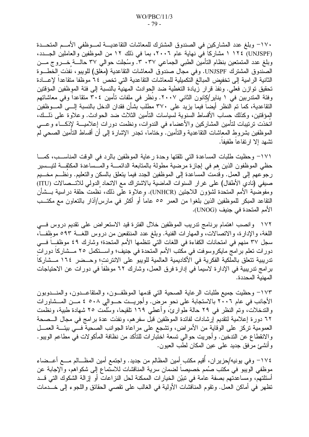١٧٠– وبلغ عدد المشاركين في الصندوق المشترك للمعاشات النقاعديــــة لمــــوظفي الأمــــم المتحــــدة (UNJSPF) ١١٢٤ مشاركا في نهاية عام ٢٠٠٦، بما في ذلك ١٢ من الموظفين والعاملين الجــدد، وبلغ عدد المتمتعين بنظام التأمين الطبي الجماعي ٣٠٣٧. وسُجلت حوالي ٣٧ حالـــة خــــروج مــــن الصندوق المشترك UNJSPF. وفي مجال صندوق المعاشات التقاعدية (مغلق) للويبو، نفذت الخطـــوة الثانية الرامية إلى تخفيض المبالغ التكميلية للمعاشات النقاعدية التي تخص ٢٤ موظفا متقاعدا لإعسادة تحقيق توازن فعلى. ونَفذ قرار زّيادة التغطية ضد الحوادث المهنية بالنسبة إلى فئة الموِظفين المؤقتين وفئة المتدربين في ١ يناير/كانون الثاني ٢٠٠٧. ونظر في ملفات تأمين ٣٠٤ متقاعدا وفي معاشاتهم النقاعدية، كما تم النظر أيضاً فيما يزيد على ٣٧٠ مطلب بشأن فقدان الدخل بالنسبة إلـــى المـــوظفين المِوْقَتين، وكذلك حساب الأقساط السنوية لسياسات التأمين الثلاث ضد الحوادث. وعلاوة على ذلـــك، اتخذت نرنيبات لتأمين المشاركين والأعضاء في الندوات، ونظمت دورات إعلاميــــة لإذكــــاء وعــــي الموظفين بشروط المعاشات النقاعدية والنأمين. وختاما، نجدر الإشارة إلى أن أقساط النأمين الصحبي لم تشهد إلا ارتفاعا طفيفا.

١٧١– وحظيت طلبات المساعدة التي تلقتها وحدة رعاية الموظفين بالرد في الوقت المناسـب، كمـــا حظى الموظفون الذين هم في إجازة مرضية مطولة بالمتابعة الدائمـــة والمـــساعدة المكثفـــة لنيـــسير رجوعهم إلى العمل. وقدمت المساعدة إلى الموظفين الجدد فيما يتعلق بالسكن والتعليم. ونظــم مخـــيم صيفي (نادي الأطفال) على غرار السنوات الماضية بالاشتراك مع الاتحاد الدولي للاتـــصالات (ITU) ومفوضية الأمم المتحدة لشؤون اللاجئين (UNHCR). وعلاوة على ذلك، نُظمت حلقة دراسية بـــشأن النقاعد المبكر للموظفين الذين بلغوا من العمر ٥٥ عاما أو أكثر في مارس/آذار بالنعاون مع مكتــب الأمم المتحدة في جنيف (UNOG).

١٧٢ وانصب اهتمام برنامج ندريب الموظفين خلال الفترة قيد الاستعراض على تقديم دروس فـــي اللغة، والإدارة، والاتصالات، والمهارات الفنية. وبلغ عدد المنتفعين من دروس اللغـــة ٥٩٣ موظفــا، سجل ٣٧ منهم في امتحانات الكفاءة في اللغات التيِّ تنظمها الأمم المتحدة؛ وشارك ٤٩ موظفً فــي دورات تعلم برامج مايكروسوفت في مكتب الأمم المتحدة في جنيف؛ واســـتكمل ٢٥ مـــشاركا دورات تدريبية تتعلَّق بالملكية الفكرية في الأكاديمية العالمية للويبو على الانترنت؛ وحــضر ١٦٤ مــشاركاً برامج تدريبية في الإدارة لاسيما في إدارة فرق العمل، وشارك ٦٢ موظفا في دورات عن الاحتياجات المهنية المحددة.

١٧٣- وحظيت جميع طلبات الرعاية الصحية التي قدمها الموظفـون، والمتقاعــدون، والمنـــدوبون الأجانب في عام ٢٠٠٦ بالاستجابة على نحو مرض. وأجريــت حـــوالي ٥٠٨ ٤ مـــن المــشاورات والنندخلات، وتمَّ النظر في ٢٩ حالة طوارئ، وأعطى ١٦٩ نلقيحا، وسُلَمَت ٢٥ شهادة طبية، ونظمت ٦٢ دورة إعلامية لتقديم إرشادات لفائدة الموظفين قبل سفرهم، ونفذت عدة برامج في مجال السصحة العمومية نركز على الوقاية من الأمراض، ونشجع على مراعاة الجوانب الصحية فـــي بيئـــة العمـــل والانقطاع عن التدخين. وأجريت حوالي تسعة اختبارات للتأكد من نظافة المأكولات في مطاعم الويبو. وأنشئ مرفق جديد على عين المكان لطب العيون.

١٧٤– وفي يونيه/حزيران، أقيم مكتب أمين المظالم من جديد. واجتمع أمين المظـــالم مــــع أعـــضاء موظفي الويبو في مكتب صُمم خصيصاً لضمان سرية المناقشات للاستماع إلى شكواهم، والإجابة عن أسئلتهم، ومساعدتهم بصفة عامة في تبيِّن الخيارات الممكنة لحل النزاعات أو إزالة الشكوك التي قــد نظهر في أماكن العمل. ونقوم المناقشات الأولية في الغالب على نقصبي الحقائق واللجوء إلى خـــدمات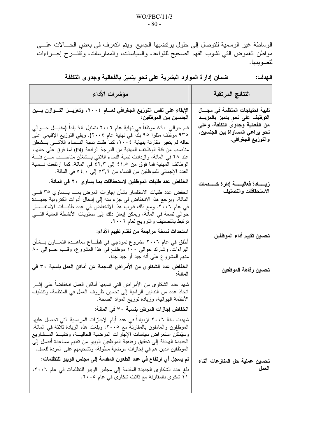الوساطة غير الرسمية للتوصل إلى حلول يرتضيها الجميع. ويتم التعرف في بعضٍ الحــالات علـــى مواطن الغموض التي نشوب الفهم الصحيح للقواعد، والسياسات، والممارسات، وتُقتـــرح إجــــراءات لتصويبها.

 $\mathbf{r}$ 

|  |  |  | ضمان إدارة الموارد البشرية على نحو يتميز بالفعالية وجدوى التكلفة | الـهدف: |
|--|--|--|------------------------------------------------------------------|---------|
|  |  |  |                                                                  |         |

| مؤشرات الأداء                                                                                                                                                                                                                                                                                                                                                                                                                                                                                                                       | النتائج المرتقبة                                                                                        |
|-------------------------------------------------------------------------------------------------------------------------------------------------------------------------------------------------------------------------------------------------------------------------------------------------------------------------------------------------------------------------------------------------------------------------------------------------------------------------------------------------------------------------------------|---------------------------------------------------------------------------------------------------------|
| الإبقاء على نفس التوزيع الجغرافي لعسام ٢٠٠٤، وتعزيـــز التــــوازن بــــين<br>  الجنسين بين الموظفين:                                                                                                                                                                                                                                                                                                                                                                                                                               | تلبية احتياجات المنظمة في مجـــال<br>التوظيف على نحو يتميز بالمزيــد<br>من الفعالية وجدوى التكلفة، وعلى |
| قام حوالي ٨٩٠ موظفا في نهاية عام ٢٠٠٦ بتمثيل ٩٤ بلدا (مقابـــل حـــوالي<br>٩٣٥ موظف مثلوا ٩٥ بلدا في نهاية عام ٢٠٠٤). وبقي التوزيع الإقليمي على<br>حاله لم يتغير مقارنة بنهاية ٢٠٠٤، كما ظلت نسبة النــساء اللائـــي يــشغلن<br>مناصب من فئة الوظائف المهنية من الدرجة الرابعة (P4) فما فوق على حالها،<br>عند ٢٨ في المائة، وازدادت نسبة النساء اللائبي يـــشغلن مناصــــب مـــن فئــــة<br>الوظائف المهنية فما فوق من ٤١,٥ إلى ٤٢,٣ في المائة. كما ارتفعت نـــسبة<br>العدد الإجمالي للموظفين من النساء من ٥٣٫٦ إلى ٤,٠٥ في المائة. | نحو يراعي المساواة بين الجنسين،<br>والتوزيع الجغراف <i>ي</i> .                                          |
| انخفاض عدد طلبات الموظفين لاستحقاقات بما يساو ي ٢٠ في المائة.                                                                                                                                                                                                                                                                                                                                                                                                                                                                       | زيــــــــادة فعاليـــــــــة إدارة خــــــــدمـات                                                      |
| انخفض عدد طلبات الاستفسار بشأن إجازات المرض بمـــا يــــساوي ٣٥ فـــي<br>المائة، ويرجع هذا الانخفاض في جزء منه إلى إدخال أدوات الكترونية جديـــدة<br>في عام ٢٠٠٦. ومع ذلك قارب هذا الانخفاض في عدد طلبـــات الاستفـــسار<br>حوالي تسعة في المائة، ويمكن إيعاز ذلك إلى مستويات الأنشطة العالية التــــي<br>ترتبط بالتصنيف والترويج لعام ٢٠٠٦.                                                                                                                                                                                        | الاستحقاقات والتصنيف                                                                                    |
| استحداث نسخة مراجعة من نظام تقييم الأداء:                                                                                                                                                                                                                                                                                                                                                                                                                                                                                           | تحسين تقييم أداء الموظفين                                                                               |
| أطلق في عام ٢٠٠٦ مشروع نموذجي في قطـــاع معاهـــدة النعــــاون بـــشأن<br>البراءات. وشارك حوالي ١٠٠ موظفٍ في هذا المشروع، وقـــيم حـــوالي ٨٠<br>منهم المشروع على أنه جيد أو جيد جدا.                                                                                                                                                                                                                                                                                                                                               |                                                                                                         |
| انخفاض عدد الشكاوى من الأمراض الناجمة عن أماكن العمل بنسبة ٣٠ في<br>المائة:                                                                                                                                                                                                                                                                                                                                                                                                                                                         | تحسين رفاهة الموظفين                                                                                    |
| شهد عدد الشكاوي من الأمراض التي تسببها أماكن العمل انخفاضا على إثـــر<br>اتخاذ عدد من التدابير الرامية إلى تحسين ظروف العمل في المنظمة، وتنظيف<br>الأنظمة الـهوائية، وزيادة توزيع المواد الصحة.                                                                                                                                                                                                                                                                                                                                     |                                                                                                         |
| انخفاض إجازات المرض بنسبة ٣٠ في المائة:                                                                                                                                                                                                                                                                                                                                                                                                                                                                                             |                                                                                                         |
| شهدت سنة ٢٠٠٦ ازديادا في عدد أيام الإجازات المرضية التي تحصل عليها<br>الموظَّفِون والعاملون بالمقارنة مع ٢٠٠٥، وبلغت هذه الزيادة ثلاثة في المائة.<br>وسيُمكن استعراض سياسات الإجازات المرضية الحاليسة، وتنفيـــذ المـــشاريع<br>الجديدة الهادفة إلى تحقيق رفاهية الموظفين الويبو من تقديم مساعدة أفضل إلى<br>الموظَّفين الذين هم في إجازات مرضية مطولة، وتشجيعهم على العودة للعمل.                                                                                                                                                  |                                                                                                         |
| لم يسجل أي ارتفاع في عدد الطعون المقدمة إلى مجلس الويبو للتظلمات:                                                                                                                                                                                                                                                                                                                                                                                                                                                                   | تحسين عملية حل المنازعات أثناء                                                                          |
| بلغ عدد الشكاوى الجديدة المقدمة إلى مجلس الويبو للتظلمات في عام ٢٠٠٦،<br>۱۱ شکوی بالمقارنة مع ثلاث شکاوی فی عام ۲۰۰۰.                                                                                                                                                                                                                                                                                                                                                                                                               | العمل                                                                                                   |
|                                                                                                                                                                                                                                                                                                                                                                                                                                                                                                                                     |                                                                                                         |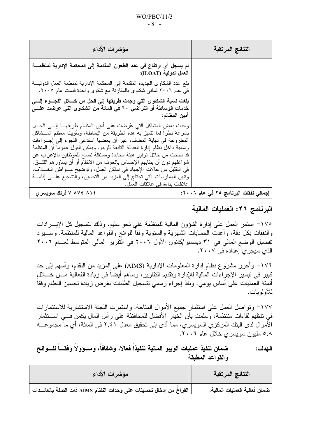| مؤشرات الأداء                                                                                                                                                                                                                 | النتائج المرتقبة                      |
|-------------------------------------------------------------------------------------------------------------------------------------------------------------------------------------------------------------------------------|---------------------------------------|
| لم يسجل أي ارتفاع في عدد الطعون المقدمة إلى المحكمة الإدارية لمنظمــــة<br>  العمل الدولية (ILOAT):                                                                                                                           |                                       |
| بلغ عدد الشكاوى الجديدة المقدمة إلى المحكمة الإدارية لمنظمة العمل الدوليـــة<br>في عام ٢٠٠٦ ثماني شكاوي بالمقارنة مع شكوي واحدة قدمت عام ٢٠٠٥.                                                                                |                                       |
| بلغت نسبة الشكاوى التي وجدت طريقها إلى الحل من خــــلال اللجـــوع إلــــي<br>خدمات الوساطة أو التراضي ٦٠ في المائة من الشكاوى التي عرضت علـــى<br>  امين المظالم:                                                             |                                       |
| وجدت بعض المشاكل التي عُرضت على أمين المظالم طريقهـــا إلــــى الحـــل<br>بسرعة نظرًا لما نتميزٍ به هذه الطريقة من البساطة، وسُويت معظم المـــشاكل                                                                            |                                       |
| المطروحة في نهاية المطاف، غير أن بعضها استدعى اللجوء إلى إجـــراءات<br>رسمية داخل نظام إدارة العدالة التابعة للويبو. ويمكن القول عموما أن المنظمة<br>قد نـجـحت من خلال نوفير  هيئة مـحايدة ومستقلة نسمح للموظفين بـالإعراب عن |                                       |
| شواغلهم دون أن ينتابهم الإحساس بالخوف من الانتقام أو أن يساور هم القلــــق،<br>في النقليل من حالات الإجهاد في أماكن العمل، وتوضيح مـــواطن الخــــلاف،                                                                        |                                       |
| وتبين الممارسات التي تحتاج إلى المزيد من التحسين، والتشجيع علـــي إقامــــة<br>علاقات بناءة في علاقات العمل.<br>٧ ٨٧٤ ٨١٤ لفرنك سويسرى                                                                                        | إجمالي نفقات البرنامج ٢٥ في عام ٢٠٠٦: |

### البرنامج ٢٦: العمليات المالية

١٧٥– استمر العمل على إدارة الشؤون المالية للمنظمة على نحو سليم، وذلك بتسجيل كل الإيــــرادات والنفقات بكل دقة، وأعدت الحسابات الشهرية والسنوية وفقاً للوائح والقواعد المالية للمنظمة. وســــيرد تفصيل الوضع المالي في ٣١ ديسمبر/كانون الأول ٢٠٠٦ في التقرير المالي المتوسط لعـــام ٢٠٠٦ الذي سيجرى إعداده في ٢٠٠٧.

١٧٦– وأحرز مشروع نظام إدارة المعلومات الإدارية (AIMS) على المزيد من التقدم، وأسهم إلى حد كبير في نيسير الإجراءات المالية للإدار ة ونقديم النقارير ، وساهم أيضا في زيادة الفعالية مـــن خــــلل أنمتة العمليات على أساس بومي. ونُفذ إجراء رسمي لتسجيل الطلبات بغرض زيادة تحسين النظام وفقاً للأولوبات.

١٧٧– وتواصل العمل على استثمار جميع الأموال المتاحة. واستمرت اللجنة الاستشارية للاستثمارات في نتظيم لقاءات منتظمة، وسلمت بأن الخيار الأفضل للمحافظة على رأس المال يكمن فـــي اســـتثمار الأموال لدى البنك المركزي السويسري، مما أدى إلى نحقيق معدل ٢,٤١ في المائة، أي ما مجموعـــه ۰٫۸ ملیون سویسری خلال عام ۲۰۰۲.

#### ضمان تنفيذ عمليات الويبو المالية تنفيذا فعالا، وشفافاً، ومسؤولاً وفقـــاً للـــوائح الـهدف: والقواعد المطبقة

| مؤشرات الأداء                                                           | النتائج المرتقبة                |
|-------------------------------------------------------------------------|---------------------------------|
| . الفراغُ من إدخال تحسينات على وحدات النظام AIMS ذات الصلة بالعائـــدات | ً ضمان فعالية العمليات المالية. |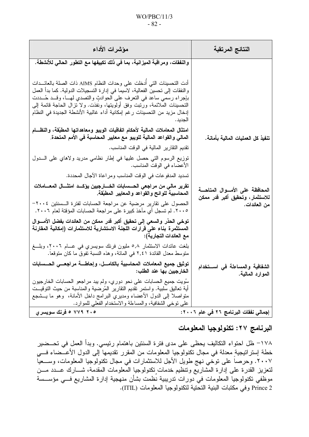### $WO/PBC/11/3$  $-82-$

| مؤشرات الأداء                                                                                                                                                                                                                                                                                                                                                                                         | النتائج المرتقبة                                                   |
|-------------------------------------------------------------------------------------------------------------------------------------------------------------------------------------------------------------------------------------------------------------------------------------------------------------------------------------------------------------------------------------------------------|--------------------------------------------------------------------|
| والنفقات، ومراقبة الميزانية، بما في ذلك تكييفها مع التطور الحالي للأنشطة.                                                                                                                                                                                                                                                                                                                             |                                                                    |
| أدت التحسينات التي أدخلت على وحدات النظام AIMS ذات الصلة بالعائـــدات<br>والنفقات إلى نحسين الفعالية، لاسيما في إدارة التسجيلات الدولية. كما بدأ العمل<br>بإجراء رسمي ساعد في النعرف على الحوادث والنصدي لهـــا، وقـــد حُـــددت<br>التحسينات الملائمة، ورتبت وفق أولويتها، ونفذت. ولا نزال الحاجة قائمة إلى<br>إدخال مزيد من التحسينات رغم إمكانية أداء غالبية الأنشطة الجديدة في النظام<br>الجديد . |                                                                    |
| امتثال المعاملات المالية لأحكام اتفاقيات الويبو ومعاهداتها المطبّقة، والنظــام<br>المالي والقواعد المالية للويبو مع معايير المحاسبة في الأمم المتحدة.                                                                                                                                                                                                                                                 | تنفيذ كل العمليات المالية بأمانة.                                  |
| تقديم النقارير المالية في الوقت المناسب.                                                                                                                                                                                                                                                                                                                                                              |                                                                    |
| توزيع الرسوم التي حصل عليها في إطار نظامي مدريد ولاهاي على السدول<br>الأعضاء في الوقت المناسب.                                                                                                                                                                                                                                                                                                        |                                                                    |
| تسديد المدفوعات في الوقت المناسب ومر اعاة الأجال المحددة.                                                                                                                                                                                                                                                                                                                                             |                                                                    |
| تقرير مالي من مراجعي الحـــسابات الخــــارجيين يؤكـــد امتثــــال المعــــاملات<br>المحاسبية للوائح والقواعد والمعايير المطبّقة.                                                                                                                                                                                                                                                                      | المحافظة على الأمسوال المتاحسة<br>للاستثمار ، وتحقيق أكبر قدر ممكن |
| الحصول على نقارير مرضية عن مراجعة الحسابات لفترة الـسنتين ٢٠٠٤–<br>٢٠٠٥. لم تسجل أي مآخذ كبيرة على مر اجعة الحسابات المؤقتة لعام ٢٠٠٦.                                                                                                                                                                                                                                                                | من العائدات.                                                       |
| توخي الحذر والسعى إلى تحقيق أكبر قدر ممكن من العائدات بفضل الأمسوال<br>المستثمرة بناء على قرارات اللجنة الاستشارية للاستثمارات (إمكانية المقارنة<br>مع العائدات التجارية):                                                                                                                                                                                                                            |                                                                    |
| بلغت عائدات الاستثمار ٥٫٨ مليون فرنك سويسري في عـــام ٢٠٠٦، وبلـــغ<br>متوسط معدل الفائدة ٢,٤١ في المائة، وهذه النسبة نفوق ما كان متوقعا.                                                                                                                                                                                                                                                             |                                                                    |
| توثيق جميع المعاملات المحاسبية بالكامـــل، وإحاطــــة مراجعــــى الحــــسابات<br>الخارجيين بها عند الطلب:                                                                                                                                                                                                                                                                                             | الشفافية والمساءلة في استخدام<br>الموارد المالية.                  |
| سُويت جميع الحسابات على نحو دوري، ولم يبد مراجعو الحسابات الخارجيون<br>أية نعاليق سلبية. واستمر نقديم النقارير المُرضية والمناسبة من حيث النوقيــت<br>متواصلا إلى الدول الأعضاء ومديري البرامج داخل الأمانة، ۖ وهو ما يـــشجع<br>على نوخي الشفافية، والمساءلة والاستخدام الفعلي للموارد.                                                                                                              |                                                                    |
| ۰۵ ۷۷۹ ۵ فرنك سويسري                                                                                                                                                                                                                                                                                                                                                                                  | إجمالي نفقات البرنامج ٢٦ في عام ٢٠٠٦:                              |

البرنامج ٢٧: تكنولوجيا المعلومات

١٧٨– ظل احتواء التكاليف يحظى على مدى فترة السنتين باهتمام رئيسي. وبدأ العمل في تحــضير خطة إستراتيجيةٍ معدلة في مجال تكنولوجيا المعلومات من المقرر تقديمها ًإلى الدول الأعـــضـاء فــــي ٢٠٠٧. وحرصاً على توحَّى نهج طويل الأجل للاستثمارات في مجال تكنولوجيا المعلومات، وســـعيّاً لتعزيز القدرة على إدارة المشاريع ونتظيم خدمات نكنولوجيا المعلومات المقدمة، شـــارك عـــدد مـــن موظَّفي تكنولوجياً المعلُّومات في دورات تدريبية نُظمت بشأن منهجية إدارة المشاريع فـــي مؤســسة Prince 2 وفي مكتبات البنية التحتية لتكنولوجيا المعلومات (ITIL).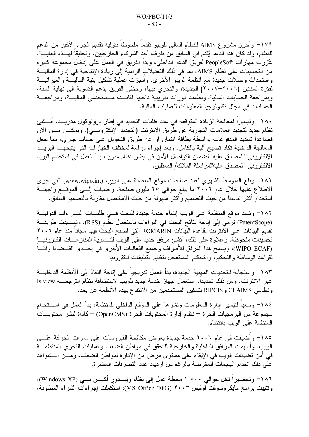١٧٩– وأحرز مشروع AIMS للنظام المالي للويبو نقدماً ملحوظاً بتوليه نقديم الجزء الأكبر من الدعم للنظام، وقد كان هذا الدعم يُقدم في السابق من طرف أحد الشركاء الخارجيين. وتحقيقاً لمهـــذه الغايــــة، عُززت مهارات PeopleSoft لفريق الدعم الداخلي، وبدأ الفريق في العمل على إدخال مجموعة كبيرة من التحسينات على نظام AIMS، بما في ذلك التعديلات الرامية إلى زيادة الإنتاجية في إدارة الماليـــة واستحداث وصلات جديدة مع أنظمة الويبو الأخرى. وأنجزت عملية تشكيل بنية الماليــــة والميزانيـــة لفترة السنتين (٢٠٠٦–٢٠٠٧) الجديدة، والتحري فيها، وحظى الفريق بدعم التسوية إلى نهاية السنة، وبمراجعة الحسابات المالية. ونظمت دورات ندريبية داخلية لفائـــدة مـــستخدمي الماليـــة، ومراجعـــة الحسابات في مجال تكنو لوجبا المعلومات للعمليات المالية.

١٨٠– ونيسيرا لمعالجة الزيادة المتوقعة في عدد طلبات التجديد في إطار بروتوكول مدريــد، أنـــشئ نظام جديد لتجديد العلامات التجارية عن طريق الانترنت (التجديد الإلكترونـــي). ويمكـــن مـــن الآن فصاعدا تسديد المدفوعات بواسطة بطاقة ائتمان أو عن طريق التحويل على حساب جاري، مما جعل المعالجة الداخلية تكاد تصبح آلية بالكامل. وبعد إجراء دراسة لمختلف الخيارات التي يتيحهـــا البريـــد الإلكتروني "المصدق عليه" لضمان التواصل الآمن في إطار نظام مدريد، بدأ العمل في استخدام البريد الالكتروني "المصدق عليه"لمر اسلة الملاك/ الممثلين.

١٨١– وبلغ المتوسط الشهري لعدد صفحات موقع المنظمة على الويب (www.wipo.int) التي جرى الاطلاع عليها خلالٍ عام ٢٠٠٦ ما يبلغ حوالي ٢٥ مليون صفحة. وأضيفت إلـــى الموقـــع وَّاجهـــة استخدام أكثر نناسقاً من حيث التصميم وأكثر سهولة من حيث الاستعمال مقارنة بالتصميم السّابق.

١٨٢– وشهد موقع المنظمة على الويب إنشاء خدمة جديدة للبحث فسى طلبات البسراءات الدولية (PatentScope) ترمّي إلى إناحة نتائج البحث في البراءات باستعمال نظّام (RSS). وشــــهدت طريقـــة تقديم البيانات على الآنترنت لقاعدة البيانات ROMARIN التي أصبح البحث فيها مجاناً منذ عام ٢٠٠٦ تحسينات ملحوظة. وعلاوة على ذلك، أنشئ مرفق جديد على الويب لتـــسوية المناز عـــات الكترونيــــاً (WIPO ECAF)، ويسمح هذا المرفق للأطراف وجميع الفعاليات الأخرى في إحـــدى القـــضايا وفقـــاً لقواعد الوساطة والتحكيم، والتحكيم المستعجل بتقديم التبليغات الكترونيا.

١٨٣– واستجابة للتحديات المهنية الجديدة، بدأ العمل تدريجياً على إتاحة النفاذ إلى الأنظمة الداخليـــة عبر الانترنت. ومن ذلك تحديدا، استعمال جهاز خدمة جديد للويب لاستضافة نظام الترجمـــة Isiview ونظامي CLAIMS و RIPCIS لتمكين المستخدمين من الانتفاع بهذه الأنظمة عن بعد.

١٨٤– وسعياً لنيسير إدارة المعلومات ونشرها على الموقع الداخلي للمنظمة، بدأ العمل في اســـتخدام مجموعة من البرمجيات الحرة – نظام إدارة المحتويات الحرة (OpenCMS) – كأداة لنشر محتويـــات المنظمة على الويب بانتظام.

١٨٥– وأُضيفت في عام ٢٠٠٦ خدمة جديدة بغرض مكافحة الفيروسات على ممرات الحركة علـــي الويب. وأسهمت المرافق الداخلية والخارجية للتحقق في مواطن الضعف وعمليات التحري المنتظمـــة في أمن نطبيقات الويب في الإبقاء على مستوى مرض من الإدارة لمواطن الضعف، ومــن الــشواهد على ذلك انعدام الهجمات المغرضة بالرغم من ازدياد عدد التصرفات المضرة.

١٨٦- وتحضيراً لنقل حوالي ٥٠٠ ١ محطة عمل إلى نظام وينـــدوزٍ أكــس بـــي (Windows XP)، وتثبيت برامج مايكروسوفت أوفيس ٢٠٠٣ (MS Office 2003)، استكملت إجراءات الشراء المطلوبة،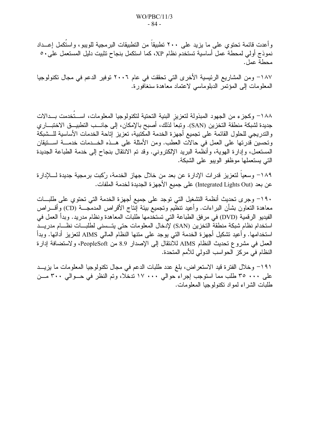وأعدت قائمة تحتوي على ما يزيد على ٢٠٠ تطبيقاً من التطبيقات البرمجية للويبو، واستُكمل إعــداد نموذج أولى لمحطة عمل أساسية تستخدم نظام XP، كما استكمل بنجاح تثبيت دليل المستعمل على٥٠ محطة عمل.

١٨٧– ومن المشاريع الرئيسية الأخرى التي تحققت في عام ٢٠٠٦ توفير الدعم في مجال تكنولوجيا المعلومات إلى المؤتمر الدبلوماسي لاعتماد معاهدة سنغافورة.

١٨٨– وكجزء من الجهود المبذولة لتعزيز البنية التحتية لتكنولوجيا المعلومات، اســـتخدمت بـــدالات جديدة لشبكة منطقة التخزين (SAN). وتبعاً لذلك، أصبح بالإمكان، إلى جانــب التطبيــق الاختبـــار ي والندريجي للحلول القائمة على تجميع أجهزة الخدمة المكتبية، تعزيز إتاحة الخدمات الأساسية للـــشبكة وتحسين قدرتها على العمل في حالات العطب. ومن الأمثلة على هــذه الخـــدمات خدمـــة اســـتيقان المستعمل، وإدارة الهوية، وأنظمة البريد الإلكتروني. وقد تم الانتقال بنجاح إلى خدمة الطباعة الجديدة التي يستعملها موظفو الويبو على الشبكة.

١٨٩– وسعيا لتعزيز قدرات الإدارة عن بعد من خلال جهاز الخدمة، رُكبت برمجية جديدة لـــــلإدارة عن بعد (Integrated Lights Out) على جميع الأجهزة الجديدة لخدمة الملفات.

١٩٠– وجرى تحديث أنظمة التشغيل التي توجد على جميع أجهزة الخدمة التي تحتوي على طلبــات معاهدة النعاون بشأن البراءات. وأعيد ننظيم ونجميع بيئة إنتاج الأقراص المدمجـــة (CD) وأقــــراص الفيديو الرقمية (DVD) في مرفق الطباعة التي تستخدمها طلبات المعاهدة ونظام مدريد. وبدأ العمل في استخدام نظام شبكة منطقة التخزين (SAN) لإدخال المعلومات حتى يتــسنى لطلبـــات نظـــام مدريـــد استخدامها. وأعيد تشكيل أجهزة الخدمة التى يوجد على متنها النظام المالي AIMS لتعزيز أدائها. وبدأ العمل في مشروع تحديث النظام AIMS للأنتقال إلى الإصدار 8.9 من PeopleSoft، ولاستضافة إدارة النظام في مركز الحواسب الدولي للأمم المتحدة.

١٩١– وخلال الفترة قيد الاستعراض، بلغ عدد طلبات الدعم في مجال تكنولوجيا المعلومات ما يزيــد على ٣٠٠ ٣٥ طلب مما استوجب إجراء حوالي ١٧٠٠ تدخلا، وتم النظر في حـوالي ٣٠٠ مــن طلبات الشر اء لمو اد نكنو لو جيا المعلو مات.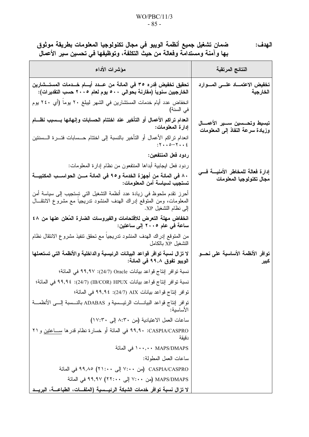### $WO/PBC/11/3$  $-85-$

ضمان تشغيل جميع أنظمة الويبو في مجال تكنولوجيا المعلومات بطريقة موثوق<br>بها وآمنة ومستدامة وفعالة من حيث التكلفة، وتوظيفها في تحسين سير الأعمال الـهدف:

| مؤشرات الأداء                                                                                                                                                            | النتائج المرتقبة                                                |
|--------------------------------------------------------------------------------------------------------------------------------------------------------------------------|-----------------------------------------------------------------|
| تحقيق تخفيض قِدره ٣٥ في المائة من عــدد أيـــام خــدمات المستــشارين<br>الخارجيين سنويا (مقارنة بحوالي ٥٠٠ يوم لعام ٢٠٠٥ حسب التقديرات):                                 | تخفيض الاعتمــــاد علــــى المــــوارد<br>الخارجية              |
| انخفاض عدد أيام خدمات المستشارين في الشهر ليبلغ ٢٠ يوما (أي ٢٤٠ يوم<br>في السنة)                                                                                         |                                                                 |
| انعدام تراكم الأعمال أو التأخير عند اختتام الحسابات وإنهائها بـــسبب نظـــام<br>إدارة المعلومات:                                                                         | تبسيط وتحسسين سسير الأعمسال<br>وزيادة سرعة النفاذ إلى المعلومات |
| انعدام نراكم الأعمال أو التأخير بالنسبة إلى اختتام حـــسابات فتــــرة الـــسنتين<br>$: Y \cdot \cdot \circ - Y \cdot \cdot \xi$                                          |                                                                 |
| ردود فعل المنتفعين:                                                                                                                                                      |                                                                 |
| ردود فعل ايجابية أبداها المنتفعون من نظام إدارة المعلومات:                                                                                                               |                                                                 |
| ٨٠ فى المائة من أجهزة الخدمة و٩٥ في المائة مــن الحواســب المكتبيـــة<br>  تستجيب لسياسة أمن المعلومات:                                                                  | إدارة فعالة للمخاطر الأمنيسة فسي<br>مجال تكنولوجيا المعلومات    |
| أحرز نقدم ملحوظ في زيادة عدد أنظمة التشغيل التي تستجيب إلى سياسة أمن<br>المعلومات، ومن المنوقع إدراك الهدف المنشود ندريجيا مع مشروع الانتقــال<br>  إلى نظام التشغيل XP. |                                                                 |
| انخفاض مهلة التعرض للاقتحامات والفيروسات الضارة المُعلن عنها من ٤٨<br>ساعة في عام ٢٠٠٥ إلى ساعتين:                                                                       |                                                                 |
| من المتوقع إدراك الهدف المنشود تدريجيا مع تحقق تنفيذ مشروع الانتقال نظام<br>التشغيل XP بالكامل                                                                           |                                                                 |
| لا تزال نسبة توافر قواعد البيانات الرئيسية والداخلية والأنظمة التي تستعملها<br>الويبو تفوق ٩٩,٨ في المائة:                                                               | توافر الأنظمة الأساسية على نحسو<br>كبير                         |
| نسبة نوافر إنتاج قواعد بيانات Oracle (24/7): ٩٩,٩٧ في المائة؛                                                                                                            |                                                                 |
| نسبة توافر إنتاج قواعد بيانات IB/COR) HPUX) (19,9 £ 99,9 في المائة؛                                                                                                      |                                                                 |
| توافر إنتاج قواعد بيانات AIX (24/7): ٩٩,٩٤ في المائة؛                                                                                                                    |                                                                 |
| توافر إنتاج قواعد البيانــــات الرئيــــسية و ADABAS بالنــــسبة إلــــي الأنظمــــة<br>الأساسبة:                                                                        |                                                                 |
| ساعات العمل الاعتيادية (من ٨:٣٠ إلى ١٧:٣٠)                                                                                                                               |                                                                 |
| CASPIA/CASPRO: • 19,9- في المائة أو خسارة نظام قدرها ســـاعتين و ٢١<br>دقيقة                                                                                             |                                                                 |
| ۱۰۰,۰۰ MAPS/DMAPS افی المائة                                                                                                                                             |                                                                 |
| ساعات العمل المطولة:                                                                                                                                                     |                                                                 |
| CASPIA/CASPRO (من ٧:٠٠ إلى ٩٩,٨٥) ٩٩,٨٥ في المائة                                                                                                                        |                                                                 |
| MAPS/DMAPS (من ٧:٠٠ إلى ٩٩,٩٧ (٢٢:٠٠ في المائة                                                                                                                           |                                                                 |
| لا تز ال نسبة تو افر خدمات الشبكة الرئيسبية (الملفــات، الطباعـــة، البريـــد                                                                                            |                                                                 |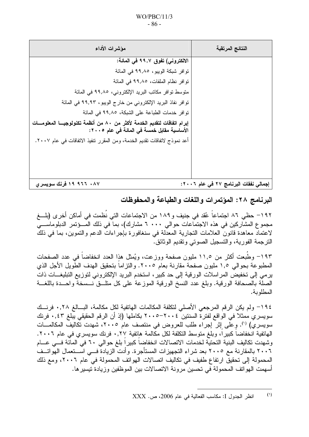| مؤشرات الأداء                                                                                                            | النتائج المرتقبة                      |
|--------------------------------------------------------------------------------------------------------------------------|---------------------------------------|
| الالكتروني) تفوق ٩٩,٧ في المائة:                                                                                         |                                       |
| توافر شبكة الويبو ، ٩٩,٨٥ في المائة                                                                                      |                                       |
| توافر نظام الملفات، ٩٩,٨٥ في المائة                                                                                      |                                       |
| متوسط نوافر مكاتب البريد الإلكتروني، ٩٩,٨٥ في المائة                                                                     |                                       |
| توافر نفاذ البريد الإلكتروني من خارج الويبو، ٩٩,٩٣ في المائة                                                             |                                       |
| توافر خدمات الطباعة على الشبكة، ٩٩,٨٥ في المائة                                                                          |                                       |
| إبرام اتفاقات لتقديم الخدمة لأكثر من ٨٠ من أنظمة تكنولوجيـــا المعلومـــات<br>الأساسية مقابل خمسة في المائة في عام ٢٠٠٥: |                                       |
| أعد نموذج لاتفاقات تقديم الخدمة، ومن المقرر نتفيذ الاتفاقات في عام ٢٠٠٧.                                                 |                                       |
|                                                                                                                          |                                       |
|                                                                                                                          |                                       |
|                                                                                                                          |                                       |
| ١٩ ، ٩٦٦ ١٩ فرنك سويسري                                                                                                  | إجمالي نفقات البرنامج ٢٧ في عام ٢٠٠٦: |

البرنامج ٢٨: المؤتمرات واللغات والطباعة والمحفوظات

١٩٢– حظى ٨٦ اجتماعاً عُقد في جنيف و١٨٩ من الاجتماعات التي نُظمت في أماكن أخرى (بلـــغ مجموع المشاركين في هذه الاجتماعات حوالي ٢٠٠٠ مشارك)، بما في ذلك المسؤتمر الدبلوماسي لاعتماد معاهدة قانون العلامات النجارية المعدلة في سنغافورة بإجراءات الدعم والنموين، بما في ذلك النرجمة الفورية، والتسجيل الصوتبي وتقديم الوثائق.

١٩٣– وطُبعت أكثر من ١١,٥ مليون صفحة ووزعت، ويُمثل هذا العدد انخفاضا في عدد الصفحات المطبوعة بحوالي ١,٥ مليون صفحة مقارنة بعام ٢٠٠٥. والنزاماً بتحقيق الهدف الطويل الأجل الذي ير مي إلى تخفيض المر اسلات الورقية إلى حد كبير ، استخدم البريد الإلكتروني لتوزيع التبليغـــات ذات الصلة بالصحافة الورقية. وبلغ عدد النسخ الورقية الموزعة على كل منلـــق نـــسخة واحـــدة باللغـــة المطلوبة.

١٩٤– ولم يكن الرقم المرجعي الأصلي لتكلفة المكالمات الهاتفية لكل مكالمة، البسالغ ٠,٢٨ فرنسك سويسري ممثلا في الواقع لفترة السنتين ٢٠٠٤–٢٠٠٥ بكاملها (إذ أن الرقم الحقيقي يبلغ ٠,٤٣ فرنك سويسري) (''). وِ على إِثْرِ ۖ إجراء طلب للعروض في منتصف عام ٢٠٠٥، شهدت تكاليف المكالمـــات الهاتفية انخفاضا كبيرا، وبلغ متوسط التكلفة لكل مكالمة هاتفية ٠,٢٧ فرنك سويسري في عام ٢٠٠٦. وشهدت تكاليف البنية التحتية لخدمات الاتصالات انخفاضا كبيرا بلغ حوالي ٦٠ في المائة فــي عـــام ٢٠٠٦ بالمقارنة مع ٢٠٠٥ بعد شراء التجهيزات المستأجرة. وأدت الزيادة فـــي اســـتعمال الهواتــف المحمولة إلى تحقيق ارتفاع طفيف في تكاليف اتصالات الهواتف المحمولة في عام ٢٠٠٦، ومع ذلك أسهمت الـهواتف المحمولة في تحسين مرونة الاتصـالات بين الموظفين وزيادة تيسير ها.

 $(1)$ انظر الجدول I: مكاسب الفعالية في عام 2006، ص. XXX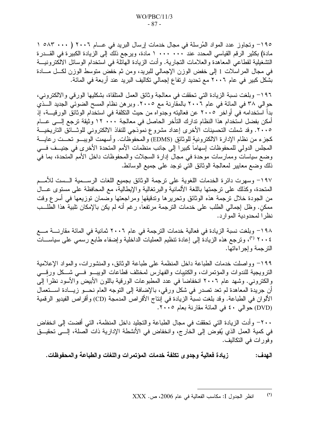١٩٥– وتجاوز عدد المواد المُرسلة في مجال خدمات إرسال البريد في عـــام ٢٠٠٦ ( ٥٨٣ ٠٠٠ ) ١ مادة) بكثير الرقم القياسي المحدد عند ١٠٠٠ ٠٠٠ ١ مادة، ويرجع ذلك إلى الزيادة الكبير ة في القـــدر ة التشغيلية لقطاعي المعاهدة والعلامات النجارية. وأدت الزيادة الهائلة في استخدام الوسائل الالكترونيـــة في مجال المراسلات 1 إلى خفض الوزن الإجمالي للبريد، ومن ثم خفض متوسط الوزن لكـــل مــــادة بشكل كبير في عام ٢٠٠٦ مع تحديد ارتفاع إجمالي تكاليف البريد عند أربعة في المائة.

١٩٦– وبلغت نسبة الزيادة التي تحققت في معالجة وثائق العمل المتلقاة، بشكليها الورقي والالكتروني، حوالي ٣٨ في المائة في عام ٢٠٠٦ بالمقارنة مع ٢٠٠٥. وبر هن نظام المسح الضوئي الجديد الــذي بدأ استخدامه في أواخر ٢٠٠٥ عن فعاليته وجدواه من حيث التكلفة في استخدام الوثائق الورقيـــة، إذ أمكن بفضل استخدام هذا النظام تدارك التأخر الحاصل في معالجة ١٢٠٠ ٢ وثيقة ترجع إلـــي عـــام ٢٠٠٥. وقد شملت التحسينات الأخرى إعداد مشروع نموذجي للنفاذ الالكتروني للوشائق التاريخيـــة كجزء من نظام الإدار ة الالكترونية للوثائق (EDMS) والمحفوظات. و أسهمت الويبـــو تحـــت ر عايــــة المجلس الدولي للمحفوظات إسهاما كبيرا إلى جانب منظمات الأمم المتحدة الأخرى في جنيــف فـــي وضع سياسات وممارسات موحدة في مجال إدارة السجلات والمحفوظات داخل الأمم المتحدة، بما في ذلك وضع معايير لمعالجة الوثائق التي نوجد على جميع الوسائط.

١٩٧– وسهرت دائرة الخدمات اللغوية على ترجمة الوثائق بجميع اللغات الرســمية الــست للأمـــم المتحدة، وكذلك على نرجمتها باللغة الألمانية والبرنغالية والإيطالية، مع المحافظة على مستوى عـــال من الجودة خلال نرجمة هذه الوثائق وتحريرها وندقيقها ومراجعتها وضمان نوزيعها في أسرع وقت ممكن. وظل إجمالي الطلب على خدمات النرجمة مرتفعا، رغم أنه لم يكن بالإمكان تلبية هذا الطلـــب نظر ا لمحدو دية المو ار د.

١٩٨– وبلغت نسبة الزيادة في فعالية خدمات الترجمة في عام ٢٠٠٦ ثمانية في المائة مقارنــــة مــــع ٢٠٠٤ <sup>(٢)</sup>، ونرجع هذه الزيادة إلى إعادة نتظيم العمليات الداخلية وإضفاء طابع رسمي على سياســـات التر جمة وإجراءاتها.

١٩٩– وواصلت خدمات الطباعة داخل المنظمة على طباعة الوثائق، والمنشورات، والمواد الإعلامية الترويجية للندوات والمؤتمرات، والكتيبات والفهارس لمختلف قطاعات الويبو فسى شكل ورقسى والكتروني. وشهد عام ٢٠٠٦ انخفاضا في عدد المطبوعات الورقية باللون الأبيض والأسود نظرا إلى أن جريدة المعاهدة لم نعد نصدر في شكل ورقي، بالإضافة إلى النوجه العام نحـــو زيـــادة اســـنعمال الألوان في الطباعة. وقد بلغت نسبة الزيادة في إنتاج الأقراص المدمجة (CD) وأقراص الفيديو الرقمية (DVD) حوالي ٤٠ في المائة مقارنة بعام ٢٠٠٥.

٢٠٠– وأدت الزيادة التي تحققت في مجال الطباعة والتجليد داخل المنظمة، التي أفضت إلى انخفاض في كمية العمل الذي يُفوض إلى الخارج، وانخفاض في الأنشطة الإدارية ذات الصلة، إلـــي تحقيـــق وفورات في التكاليف.

زيادة فعالية وجدوى تكلفة خدمات المؤتمرات واللغات والطباعة والمحفوظات. الـهدف:

 $(1)$ انظر الجدول I: مكاسب الفعالية في عام 2006، ص. XXX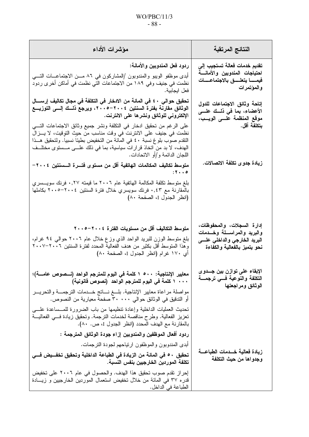### $WO/PBC/11/3$  $-88-$

| مؤشرات الأداء                                                                                                                                                                                                                                                          | النتائج المرتقبة                                                                                                             |
|------------------------------------------------------------------------------------------------------------------------------------------------------------------------------------------------------------------------------------------------------------------------|------------------------------------------------------------------------------------------------------------------------------|
| ردود فعل المندوبين والأمانـة:<br>أبدى موظفو الويبو والمندوبون /المشاركون في ٨٦ مـــن الاجتماعــــات التـــــي<br>نظمت في جنيف وفي ١٨٩ من الاجتماعات التي نظمت في أماكن أخر ى ردود<br>فعل ايجابية.                                                                      | تقديم خدمات فعالة تستجيب إلى<br>احتياجات المندوبين والأمانسة<br>فيمسا يتعلسق بالاجتماعسات<br>والمؤتمرات                      |
| تحقيق حوالي ٤٠ في المائة من الادخار في التكلفة في مجال تكاليف إرســــال<br>الوثائق مقارنة بفترة السنتين ٢٠٠٤–٢٠٠٥، ويرجع ذلــك إلـــي التوزيـــع<br>الإلكتروني للوثائق ونشرها على الانترنت.<br>على الرغم من تحقيق ادخار في النكلفة ونشر جميع وثائق الاجتماعات التــــي | إتاحة وثائق الاجتماعات للدول<br>الأعضاء، بما في ذلك علـــو<br>موقع المنظمة علـــى الويـــب،<br>بتكلفة أقل.                   |
| نظمت في جنيف على الانترنت في وقت مناسب من حيث التوِقيت، لا يــــزال<br>النقدم صوب بلوغ نسبة ٤٠ في المائة من التخفيض بطيئا نسبيا. ولتحقيق هــذا<br>الهدف، لا بد من اتخاذ قرارات سياسية، بما في ذلك علـــي مـــستوى مختلـــف<br>اللجان الدائمة و/أو الاتحادات.           |                                                                                                                              |
| متوسط تكاليف المكالمات الهاتفية أقل من مستوى فتـــرة الـــسنتين ٢٠٠٤–<br>$: 5 \cdot \cdot \cdot$                                                                                                                                                                       | زيادة جدو ى تكلفة الاتصالات.                                                                                                 |
| بلغ متوسط تكلفة المكالمة الهاتفية عام ٢٠٠٦ ما قيمته ٠,٢٧ فرنك سويــــسري<br>بالمقارنة مع ٠,٤٣ فرنك سويسري خلال فترة السنتين ٢٠٠٤–٢٠٠٥ بكاملها<br>(انظر الجدول I، الصفحة ٨٠)                                                                                            |                                                                                                                              |
| متوسط التكاليف أقل من مستويات الفترة ٢٠٠٤–٢٠٠٥<br>بلغ متوسط الوزِن للبريد الواحد الذي وزع خلال عام ٢٠٠٦ حوالي ٩٤ غرام،<br>وهذا المتوسط أقل بكثير من هدف الفعالية المحدد لفترة السنتين ٢٠٠٦–٢٠٠٧<br>أي ١٧٠ غرام (انظر الجدول I، الصفحة ٨٠)                              | إدارة السجلات، والمحفوظات،<br>والبريد والمراســـلة وخـــدمات<br>البريد الخارجي والداخلي علسي<br>نحو يتميز بالفعالية والكفاءة |
| معايير الإنتاجية: ٥٠٠ ١ كلمة في اليوم للمترجم الواحد (نــصوص عامــــة)؛<br>١ ٠٠٠ كلمة في اليوم للمترجم الواحد (نصوص قانونية)                                                                                                                                           | الإبقاء على توازن بين جـــدوى<br>التكلفة والنوعية فسى ترجمسة<br>الوثائق ومراجعتها                                            |
| مواصلة مراعاة معايير الإنتاجية. بلـــغ نــــاتج خـــدمات الترجمـــة والتحريـــر<br>أو التدقيق في الوثائق حوالي ٣٠٠٠٠ صفحة معيارية من النصوص.                                                                                                                           |                                                                                                                              |
| تحديث العمليات الداخلية وإعادة نتظيمها من باب الضرورة للمــساعدة علـــي<br>تعزيز الفعالية. وطرح مناقصة لخدمات الترجمة. وتحقيق زيادة فـــي الفعاليـــة<br>بالمقارنة مع الهدف المحدد (انظر الجدول I، ص. ٨٠).                                                             |                                                                                                                              |
| ردود أفعال الموظفين والمندوبين إزاء جودة الوثائق المترجمة :                                                                                                                                                                                                            |                                                                                                                              |
| أبدى المندوبون والموظفون ارتياحهم لجودة الترجمات.<br>تحقيق ٥٠ في المائة من الزيادة في الطباعة الداخلية وتحقيق تخفــيض فـــي<br>تكلفة الموردين الخارجيين بنفس النسبة.                                                                                                   | زيادة فعالية خــدمات الطباعـــة<br>وجدواها من حيث التكلفة                                                                    |
| إحراز نقدم صوب تحقيق هذا الهدف. والحصول في عام ٢٠٠٦ على تخفيض<br>قدره ٣٧ في المائة من خلال تخفيض استعمال الموردين الخارجيين و زيــادة<br>الطباعة في الداخل.                                                                                                            |                                                                                                                              |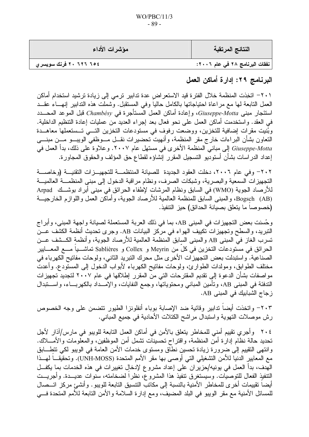| مؤشرات الأداء               | النتائج المرتقبة               |
|-----------------------------|--------------------------------|
| ٢٠ ٦٢٦ ٢٠ فرنك سويسر ي    ' | نفقات البرنامج ٢٨ في عام ٢٠٠٦: |

البرنامج ٢٩: إدارة أماكن العمل

٢٠١− اتخِذت المنظمة خلال الفترة قيد الاستعراض عدة تدابير ترمي إلى زيادة ترشيد استخدام أماكن العمل التابعة لها مع مراعاة احتياجاتها بالكامل حاليا وفي المستقبل. وشملت هذه التدابير إنهـــاء عقـــد استئجار مبنى Giuseppe-Motta، وإعادة أماكن العمل المستأجرة في Chambésy قبل الموعد المحـــدد في العقد. واستخدمت أماكن العمل على نحو فعال بعد إجراء العديد من عمليات إعادة التنظيم الداخلية. وبُنيت مقرات إضافية للتخزين، ووضعت رفوف في مستودعات التخزين التسي تـستعملها معاهــدة النعاون بشأن البراءات خارج مقر المنظمة، وأنهيت تحضيرات نقـــل مـــوظفي الويبـــو مـــن مبنــــي Giuseppe-Motta إلى مباني المنظمة الأخرى في مستهل عام ٢٠٠٧. وعلاوة على ذلك، بدأ العمل في إعداد الدراسات بشأن أستوديو التسجيل المقرر إنشاؤه لقطاع حق المؤلف والحقوق المجاورة.

٢٠٢– وفي عام ٢٠٠٦، دخلت العقود الجديدة للصيانة المنتظمـــة للتجهيـــزات التقنيـــة (وخاصــــة التجهيزات السمعية والبصرية، وشبكات الصرف، ونظام مراقبة الدخول إلى مبنى المنظمـــة العالميـــة للأرصاد الجوية (WMO) في السابق ونظام المرشات لإطفاء الحرائق في مبنى أبراد بوشــك Arpad (AB) Bogsch، والمبنى السابق للمنظمة العالمية للأرصاد الجوية، وأماكن العمل واللوازم الخارجيـــة (خصوصا ما يتعلق بصيانة الحدائق) حيز التنفيذ.

وحُسنت بعض النجهيزات في المبنى AB، بما في ذلك العربة المستعملة لصيانة واجهة المبنى، وأبراج التبريد، والسطح وتجهيزات تكييف الهواء في مركز البيانات AB. وجرى تحديث أنظمة الكشف عـــن تسرب الغاز في المبنى AB والمبنى السابق المنظمة العالمية للأرصاد الجوية، وأنظمة الكــشف عـــن الحرائق في مستودعات التخزين في كل من Meyrin و Collex و Sablières تماشـــيا مـــع المعـــايير الصناعية. واستبدلت بعض التجهيزات الأخرى مثل محرك التبريد الثاني، ولوحات مفاتيح الكهرباء في مختلف الطوابق، ومولدات الطوارئ، ولوحات مفاتيح الكهرباء لأبواب الدخول إلىي المستودع. وأعدت مو اصفات بشأن الدعوة إلى تقديم المقترحات التي من المقرر إطلاقها في عام ٢٠٠٧ لتجديد تجهيزات النَّدفئة في المبنى AB، وتأمين المباني ومحتوياتها، وجمع النفايات، والإمـــداد بالكهربــــاء، واســــتبدال زجاج الشبابيك في المبني AB.

٢٠٣- واتخذت أيضاً تدابير وقائية ضد الإصابة بوباء أنفلونزا الطيور تتضمن على وجه الخصوص رش موصلات النهوية واستبدال مراشح الكتلات الأحادية في جميع المباني.

٢٠٤ وأجرى تقييم أمني للمخاطر يتعلق بالأمن في أماكن العمل التابعة للويبو في مارس/آذار لأجل تحديد حالة نظام إدارة أمن المنظمة، واقتراح تحسينات تشمل أمن الموظفين، والمعلومات والأمــــلاك. وانتهى التقييم إلى ضرورة زيادة تحسين نطاق ومستوى خدمات الأمن العامة في الويبو لكي تتطــابق مع المعايير الدنيا للأمن التشغيلي التي أوصبي بها مقر الأمم المتحدة (UNH-MOSS). وتحقيقـــا لمهــذا الهدف، بدأ العمل في يونيه/حزير إن على إعداد مشروع لإدخال تغيير ات في هذه الخدمات بما يكفــل النتفيذ الفعال للتوصيَّات. وسيستغرق تنفيذ هذا المشروع، نظراً لضخامته، سنوات عديـــدة. وأجريـــت أيضاً تقييمات أخر ي للمخاطر الأمنية بالنسبة إلى مكانب النتسيق النابعة للويبو . وأنشئ مركز اتـــصـال للمسائل الأمنية مع مقر الويبو في البلد المضيف، ومع إدارة السلامة والأمن التابعة للأمم المتحدة فسي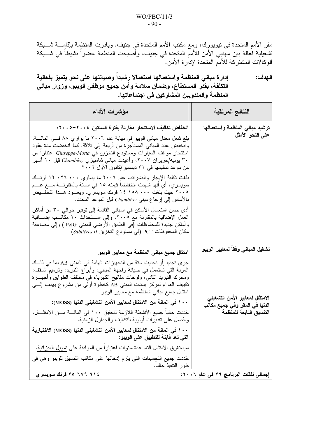مقر الأمم المتحدة في نيويورك، ومع مكتب الأمم المتحدة في جنيف. وبادرت المنظمة بإقامٍــــة شــــبكة تشغيلية فعالة بين مهَّنيي الأمن للأممّ المتحدة في جنيف، وأصبحت المنظمة عضواً نشيطاً في شـــبكة الوكالات المشتركة للأمم المتحدة لإدارة الأمن.

إدارة مباني المنظمة واستعمالها استعمالا رشيداً وصيانتها على نحو يتميز بفعالية الـهدف: التكلفة، بقدر المستطاع، وضمان سلامة وأمن جميع موظفي الويبو، وزوار مباني المنظمة والمندوبين المشاركين فى اجتماعاتها.

| مؤشرات الأداء                                                                                                                                                                                                                                                                                                                                                                                                                                                                                                                                                                                                                                                                                                                                                                                                                                                                                                                                                                          | النتائج المرتقبة                                                                                                                   |
|----------------------------------------------------------------------------------------------------------------------------------------------------------------------------------------------------------------------------------------------------------------------------------------------------------------------------------------------------------------------------------------------------------------------------------------------------------------------------------------------------------------------------------------------------------------------------------------------------------------------------------------------------------------------------------------------------------------------------------------------------------------------------------------------------------------------------------------------------------------------------------------------------------------------------------------------------------------------------------------|------------------------------------------------------------------------------------------------------------------------------------|
| انخفاض تكاليف الاستئجار مقارنة بفترة السنتين ٢٠٠٤–٢٠٠٥:<br>بلغ شغل معدل مباني الويبو في نهاية عام ٢٠٠٦ ما يوازي ٨٨ فــى المائـــة،<br>وانخفض عدد المبانـي المستأجرة من أربعة إلـي ثلاثة. كما انخفضت مدة عِقود<br>استئجار مواقف السيارات ومستودع التخزين في Giuseppe-Motta اعتبارا من<br>۳۰ بونیه/حزیران ۲۰۰۷، وأعیدت مبانی شامبیزیِ Chambésy قبل ۱۰ أشهر<br>من موعد تسليمها في ٣١ ديسمبر/كانون الأول ٢٠٠٦<br>بلغت نكلفة الإيجار والضرائب عام ٢٠٠٦ ما يساوي ٠٠٠ ٢٦ ٢٠ فرنسك<br>سويسري، أي أنها شهدت انخفاضا قيمته ١٥ في المائة بالمقارنــــة مــــع عــــام<br>٢٠٠٥ حيث بلغت ١٥٨ ٢٠٠ ١٥٨ فرنك سويسري. ويعـــود هـــذا التخفـــيض<br>بالأساس إلى <u>إرجاع مبنى</u> Chambésy قبل الموعد المحدد.<br>أدى حسن استعمال الأماكن في المباني القائمة إلى توفير حوالي ٣٠ من أماكن<br>العمل الإضافية بالمقارنة مع ٢٠٠٥، وإلى اســـنحداث ١٠ مكَّاتـــب إضــــافية<br>وأماكن جديدة للمحفوظات (في الطابق الأرضـي للمبنـي P&G ) وإلـي مضـاعفة                                                          | ترشيد مباني المنظمة واستعمالها<br>على النحو الأمثل                                                                                 |
| مكان المحفوظات PCT (في مستودع التخزين Sablières II)<br>امتثال جميع مباني المنظمة مع معايير الويبو<br>جرى تجديد أو تحديث ستة من التجهيزات الهامة في المبنى AB بما في ذلـك<br>العربة التي تستعمل في صيانة واجهة المباني، وأبراج التبريد، ونرميم السقف،<br>ومحرك النبريد الثاني، ولوحات مفاتيح الكهرباء في مختلف الطوابق وأجهـــزة<br>تكييف العواء لمركز بيانات المبنى AB كخطوة أولى من مشروع يهدف إلــــى<br>امتثال جميع مباني المنظمة مع معايير الويبو<br>١٠٠ في المائـة من الامتثال لمعايير الأمن التشغيلي الدنيا (MOSS):<br>حُددت حاليا جميع الأنشطة اللازمة لتحقيق ١٠٠ في المائــــة مــــن الامتثــــال،<br>وحُصل على نقدير ات أولوية للنكاليف والجداول الزمنية.<br>١٠٠ في المائة من الامتثال لمعايير الأمن التشغيلي الدنيا (MOSS) الاختيارية<br>التي تعد فابلة للتطبيق على الويبو :<br>سيستغرق الامتثال النام عدة سنوات اعتبارًا من الموافقة على <u>تمويل الميزاني</u> ة.<br>حُددت جميع التحسينات التي يلزم إدخالها على مكاتب التتسيق للويبو وهي في<br>طور ال <u>نتفيذ حالي</u> ا. | تشغيل المباني وفقا لمعايير الويبو<br>الامتثال لمعايير الأمن التشغيلي<br>الدنيا في المقرّ وفي جميع مكاتب<br>التنسيق التابعة للمنظمة |
| ٢١٤ ٦٧٩ ٢٥ فرنك سويسري                                                                                                                                                                                                                                                                                                                                                                                                                                                                                                                                                                                                                                                                                                                                                                                                                                                                                                                                                                 | إجمالي نفقات البرنامج ٢٩ في عام ٢٠٠٦:                                                                                              |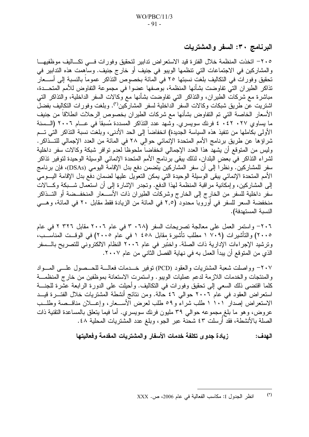البرنامج ٣٠: السفر والمشتريات

٢٠٥– انخذت المنظمة خلال الفترة قيد الاستعراض ندابير لتحقيق وفورات فسي تكساليف موظفيهسا والمشاركين في الاجتماعات التي تنظمها الويبو في جنيف أو خارج جنيف. وساهمت هذه التدابير في تحقيق وفورات في التكاليف بلغت نسبتها ٢٥ في المائة بخصوص التذاكر عموماً بالنسبة إلى أســـعار تذاكر الطيران التي تفاوضت بشأنها المنظمة، بوصفها عضوا في مجموعة التفاوض للأمم المتحــدة، مباشرة مع شركات الطيران، والنذاكر التي نفاوضت بشأنها مع وكالات السفر الداخلية، والنذاكر التي اشتريت عن طريق شبكات وكالات السفر الداخلية لسفر المشاركين<sup>(r)</sup>. وبلغت وفورات التكاليف بفضل الأسعار الخاصة التي تم التفاوض بشأنها مع شركات الطيران بخصوص الرحلات انطلاقا من جنيف ما يساوى ٢٧. ٤٢. ٤ فرنك سويسرى. وشهد عدد التذاكر المسددة مُسبقاً في عـــام ٢٠٠٦ (الـــسنة الأولى بكاملها من نتفيذ هذه السياسة الجديدة) انخفاضا إلى الحد الأدنى، وبلغت نسبة النذاكر التي تـــم شر اؤ ها عن طريق برنامج الأمم المتحدة الإنمائي حوالي ٢٨ فى المائة من العدد الإجمالى للتــذاكر . وليس من المتوقع أن يشهد هذا العدد الإجمالي انْخفاضاً ملحوظاً لعدم نوافر شبكة وكالات سفر داخلية لشراء التذاكر في بعض البلدان، لذلك يبقى برنامج الأمم المتحدة الإنمائي الوسيلة الوحيدة لتوفير تذاكر سفر للمشاركين. ونظرًا إلى أن سفر المشاركين يتضمن دفع بدل الإقامة اليومي (DSAs)، فإن برنامج الأمم المتحدة الإنمائي يبقى الوسيلة الوحيدة التي يمكن التعويل عليها لضمان دفع بدل الإقامة اليـــومي إلى المشاركين، وإمكانية مراقبة المنظمة لـهذا الدفع. وتجدر الإشارة إلى أن استعمال شـــبكة وكـــالات سفر داخلية للسفر من الخارج إلى الخارج وشركات الطيران ذات الأســـعار المنخفــضة أو التـــذاكر منخفضة السعر للسفر في أوروبا محدود (٢,٥ في المائة من الزيادة فقط مقابل ٢٠ في المائة، وهـــي النسبة المستهدفة).

٢٠٦- واستمر العمل على معالجة تصريحات السفر (٦٨ ٣ في عام ٢٠٠٦ مقابل ٣٢٦ ٢ في عام ٢٠٠٥) والتأشيرات (٧٠٩ ١ مطلب تأشيرة مقابل ٤٥٨ ١ في عام ٢٠٠٥) في الوقــت المناســب، وترشيد الإجراءات الإدارية ذات الصلة. واختُبر في عام ٢٠٠٦ النظام الالكتروني للتصريح بالــسفر الذي من المتوقع أن يبدأ العمل به في نهاية الفصل الثاني من عام ٢٠٠٧.

٢٠٧- وواصلت شعبة المشتريات والعقود (PCD) توفير خــدمات فعالـــة للحــصول علـــي المـــواد والمنتجات والخدمات اللازمة لدعم عمليات الويبو واستمرت الاستعانة بموظفين من خارج المنظمــة كلما اقتضى ذلك السعى إلى تحقيق وفورات في التكاليف. وأحيلت على الدورة الرابعة عشرة للجنسة استعراض العقود في عام ٢٠٠٦ حوالي ٤٦ حالة. ومن نتائج أنشطة المشتريات خلال الفتـــرة قيـــد الاستعراض إصدار ١٠١ ١ طلب شراءً و ٥٩ طلب لعرض الأســعار ، وإعـــلان مناقــصة وطلــب عروض، وهو ما بلغ مجموعه حوالي ٣٩ مليون فرنك سويسري. أما فيما يتعلق بالمساعدة النقنية ذات الصلة بالأنشطة، فقد أرسلت ٤٣ شحنة عبر الجو ، وبلغ عدد المشتريات المحلية ٤٨ .

> زيادة جدوى تكلفة خدمات الأسفار والمشتريات المقدمة وفعاليتها الـهدف:

 $(7)$ انظر الجدول I: مكاسب الفعالية في عام 2006، ص. XXX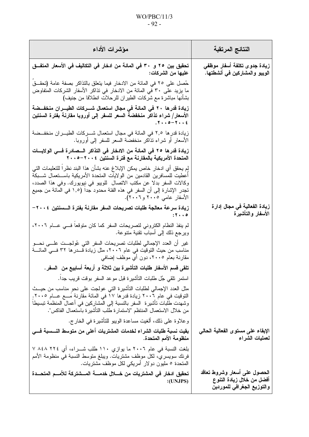### $WO/PBC/11/3$  $-92-$

| مؤشرات الأداء                                                                                                                                                                                                                                                                                                                         |                         | النتائج المرتقبة                                                                        |
|---------------------------------------------------------------------------------------------------------------------------------------------------------------------------------------------------------------------------------------------------------------------------------------------------------------------------------------|-------------------------|-----------------------------------------------------------------------------------------|
| تحقيق بين ٢٥ و ٣٠ في المائة من ادخار في التكاليف في الأسعار المتفــق                                                                                                                                                                                                                                                                  | عليها من الشركات:       | زيادة جدوى تكلفة أسفار موظفى<br>الويبو والمشاركين في أنشطتها.                           |
| حُصل على ٢٥ في المائة من الادخار فيما يتعلق بالتذاكر بصفة عامة (تحقــق<br>ما يزيد على ٣٠ في المائة من الادخار في تذاكر الأسفار الشركات المتفاوض<br>بشأنها مباشرة مع شركات الطيران للرحلات انطلاقا من جنيف)                                                                                                                            |                         |                                                                                         |
| زيادة قدرها ٢٠ في المائة في مجال استعمال شـــركات الطيـــران منخفـــضة<br>الأسعار/ شراء تذاكر منخفضة السعر للسفر إلى أوروبا مقارنة بفترة السنتين                                                                                                                                                                                      | $.7.0 - 7.12$           |                                                                                         |
| زيادة قدر ها ٢,٥ في المائة في مجال استعمال شـــركات الطيـــران منخفـــضة<br>الأسعار أو شراء تذاكر منخفضة السعر للسفر إلىي أوروبا.                                                                                                                                                                                                     |                         |                                                                                         |
| زيادة قدرها ٢٥ في المائة من الادخار في التذاكر السصادرة فسي الولايسات<br>المتحدة الأمريكية بالمقارنة مع فترة السنتين ٢٠٠٤–٢٠٠٥                                                                                                                                                                                                        |                         |                                                                                         |
| لم يحقق أي ادخار خاص يمكن الإبلاغ عنه بشأن هذا البند نظرا للتعليمات التي<br>أعطيت للمسافرين القادمين من الولايات المتحدة الأمريكية باســـتعمال شـــبكة<br>وكالات السفر بدلا عن مكتب الاتصال للويبو في نيويورك. وفي هذا الصدد،<br>تجدر الإشارة إلى أن السفر في هذه الفئة محدود جدا (١,٥ في المائة من جميع<br>الأسفار عامى ٢٠٠٥ و٢٠٠٦). |                         |                                                                                         |
| زيادة سرعة معالجة طلبات تصريحات السفر مقارنة بفترة السسنتين ٢٠٠٤–                                                                                                                                                                                                                                                                     | $: 5 \cdot \cdot \cdot$ | زيادة الفعالية في مجال إدارة<br>الأسفار والتأشيرة                                       |
| لم ينفذ النظام الكتروني لتصريحات السفر كما كان متوقعا فـــي عــــام ٢٠٠٦،<br>ويرجع ذلك إلى أسباب نقنية منتوعة.                                                                                                                                                                                                                        |                         |                                                                                         |
| غير أن العدد الإجمالي لطلبات تصريحات السفر التي عُولجــت علـــي نـحـــو<br>مناسب من حيث النوقيت في عام ٢٠٠٦، مثل زيادة قــــدر ها ٣٢ فـــي المائــــة<br>مقارنة بعام ٢٠٠٥، دون أي موظف إضافي                                                                                                                                          |                         |                                                                                         |
| تلقى قسم الأسفار طلبات التأشيرة بين ثلاثة و أربعة أسابيع من  السفر .                                                                                                                                                                                                                                                                  |                         |                                                                                         |
| استمر نلقي جُل طلبات التأشيرة قبل موعد السفر بوقت قريب جدا.                                                                                                                                                                                                                                                                           |                         |                                                                                         |
| مثل العدد الإجمالي لطلبات التأشيرة التي عولجت على نحو مناسب من حيــث<br>التوقيت في عام ٢٠٠٦ زيادة قدرها ١٧ في المائة مقارنة مَسـع عـــام ٢٠٠٥.<br>وشهدت طلبات تأشيرة  السفر بالنسبة إلى المشاركين في أعمال المنظمة نبسيطا<br>من خلال الاستعمال المنتظم "لاستمارة طلب التأشيرة باستعمال الفاكس".                                       |                         |                                                                                         |
| وعلاوة على ذلك، ألغيت مساعدة الويبو للتأشيرة في الخارج.                                                                                                                                                                                                                                                                               |                         |                                                                                         |
| بقيت نسبة طلبات الشراء لخدمات المشتريات أعلى من متوسط النـــسبة فـــى                                                                                                                                                                                                                                                                 | منظومة الأمم المتحدة.   | الإبقاء على مستوى الفعالية الحالي<br>لعمليات الشراء                                     |
| بلغت النسبة في عام ٢٠٠٦ ما يوازي ١١٠ طلب شـــراء، أي ٢٢٤ ٨٤٨ ٧<br>فرنك سويسري، لكل موظف مشتريات. ويبلغ متوسط النسبة في منظومة الأمم<br>المتحدة ٥ مليون دولار أمريكي لكل موظف مشتريات.                                                                                                                                                 |                         |                                                                                         |
| تحقيق ادخار في المشتريات من خـــلال خدمــــة المـــشتركة للأمـــم المتحـــدة                                                                                                                                                                                                                                                          | : (UNJPS)               | الحصول على أسعار وشروط تعاقد<br>أفضل من خلال زيادة التنوع<br>والتوزيع الجغرافى للموردين |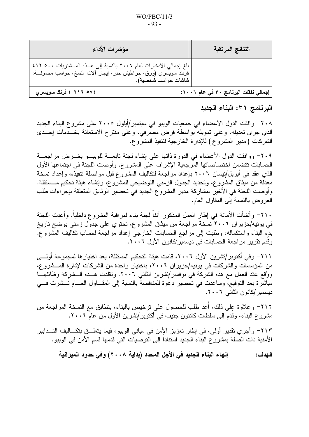| مؤشرات الأداء                                                                                                                                                                    | النتائج المرتقبة                      |
|----------------------------------------------------------------------------------------------------------------------------------------------------------------------------------|---------------------------------------|
| بلغ إجمالي الادخارات لعام ٢٠٠٦ بالنسبة إلى هـــذه المـــشتريات ٥٠٠ ٤١٢<br>  فرنك سويسري (ورق، خراطيش حبر، إيجار آلات النسخ، حواسب محمولـــة، <sub>ا</sub><br>شاشات حواسب شخصية). |                                       |
| ٢١٦ ٢١٢ ٤ فرنك سويسري                                                                                                                                                            | إجمالي نفقات البرنامج ٣٠ في عام ٢٠٠٦: |

البرنامج ٣١: البناء الجديد

٢٠٨– وافقت الدول الأعضاء في جمعيات الويبو في سبتمبر/أيلول ٢٠٠٥ على مشروع البناء الجديد الذي جرى نعديله، وعلى نمويله بواسطة قرض مصرفى، وعلى مقترح الاستعانة بخــدمات إحــدى الشركات ("مدير المشروع") للإدارة الخارجية لتنفيذ المشروع.

٢٠٩– ووافقت الدول الأعضاء في الدور ة ذاتها على إنشاء لجنة تابعـــة للوبيـــو بغـــر ض مر اجعـــة الحسابات تتضمن اختصاصاتها المرجعية الإشراف على المشروع. وأوصت اللجنة في اجتماعها الأول الذي عقد في أبريل/نيسان ٢٠٠٦ بإعداد مراجعة لتكاليف المشروع قبل مواصلة تنفيذه، وإعداد نسخة معدلة من ميثاق المشروع، وتحديد الجدول الزمني النوضيحي للمشروع، وإنشاء هيئة تحكيم مـــستقلة. وأوصت اللجنة في الأخير بمشاركة مدير المشروع الجديد في تحضير الوثائق المتعلقة بإجراءات طلب العروض بالنسبة إلى المقاول العام.

٢١٠- وأنشأت الأمانة في إطار العمل المذكور آنفاً لجنة بناء لمراقبة المشروع داخلياً. وأعدت اللجنة فی یونیه/حزیر ان ۲۰۰۲ نسخة مراجعة من میثاق المشروع، تحتوي علی جدول زمني یوضح تاریخ بدِءِ البناءِ واستكماله، وطلبت إلى مراجع الحسابات الخارجي إعداد مراجعة لحساب نكاليف المشروع. وقَدِم تقريرٍ مراجعة الحسابات في ديسمبر/كانون الأول ٢٠٠٦.

٢١١٦- وفي أكتوبر/تشرين الأول ٢٠٠٦، قامت هيئة التحكيم المستقلة، بعد اختيارها لمجموعة أولـــي من المؤسسات والشركات في يونيه/حزير ان ٢٠٠٦، باختيار واحدة من الشركات لإدارة المـــشروع، ووُقع عقد العمل مع هذه الشركة في نوفمبر/نشرين الثاني ٢٠٠٦. وتقلدت هــذه الـــشركة وظائفهـــا مباشرة بعد التوقيع، وساعدت في تحضير دعوة للمناقصة بالنسبة إلى المقــاول العــام نـــشرت فـــي ديسمبر /كانون الثاني ٢٠٠٦.

٢١٢– وعلاوة على ذلك، أُعد طلب للحصول على ترخيص بالبناء، يتطابق مع النسخة المراجعة من مشروع البناء، وقدم إلى سلطات كانتون جنيف في أكتوبر/تشرين الأول من عام ٢٠٠٦.

٢١٣– وأجرىِ نقديرٍ أولى، في إطارٍ تعزيزٍ الأمن في مباني الويبو، فيما يتعلـــق بتكــــاليف التـــدابير الأمنية ذات الصلة بمشروع البناء الجديد استناداً إلى النوصيات التي قدمها قسم الأمن في الويبو .

إنهاع البناع الجديد في الأجل المحدد (بداية ٢٠٠٨) وفي حدود المبز انية الـهدف: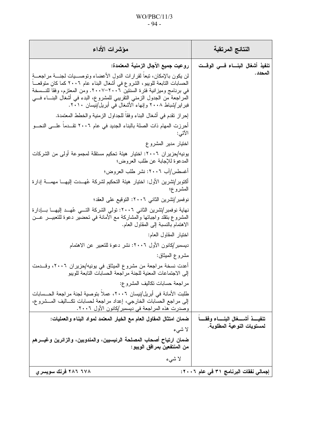### $WO/PBC/11/3$  $-94-$

| مؤشرات الأداء                                                                                                                                                                                                                                                                                                                                                              | النتائج المرتقبة                             |
|----------------------------------------------------------------------------------------------------------------------------------------------------------------------------------------------------------------------------------------------------------------------------------------------------------------------------------------------------------------------------|----------------------------------------------|
| روعيت جميع الأجال الزمنية المعتمدة:                                                                                                                                                                                                                                                                                                                                        | تنفيذ أشغال البنساء فسى الوقست               |
| لن يكون بالإمكان، تبعا لقرارات الدول الأعضاء وتوصـــيات لجنـــة مراجعـــة<br>الحسابات التابعة للويبو ، الشروع في أشغال البناء عام ٢٠٠٦ كما كان متوقعــا<br>في برنامج وميزانية فترة السنتين ٢٠٠٦–٢٠٠٧. ومن المعتزم، وفقا للنــسخة<br>المراجعة من الجدول الزمني النقريبي للمشروع، البدء في أشغال البنـــاء فـــي<br>فبر ایر /شباط ۲۰۰۸ و اِنهاء الأشغال فی أبریل/نیسان ۲۰۱۰. | المحدد .                                     |
| إحراز نقدم في أشغال البناء وفقا للجداول الزمنية والخطط المعتمدة.                                                                                                                                                                                                                                                                                                           |                                              |
| أحرزت المهام ذات الصلة بالبناء الجديد في عام ٢٠٠٦ تقــدما علـــى النحـــو<br>الاتبي:                                                                                                                                                                                                                                                                                       |                                              |
| اختيار مدير المشروع                                                                                                                                                                                                                                                                                                                                                        |                                              |
| يونيه/حزير ان ٢٠٠٦: اختيار  هيئة تحكيم مستقلة لمجموعة أولى من الشركات<br>المدعوة للإجابة عن طلب العروض؛                                                                                                                                                                                                                                                                    |                                              |
| أغسطس/آب ٢٠٠٦: نشر طلب العروض؛                                                                                                                                                                                                                                                                                                                                             |                                              |
| أكتوبر/تشرين الأول: اختيار هيئة التحكيم لشركة عُهـــدت إليهــــا مهمــــة إدارة<br>المشروع؛                                                                                                                                                                                                                                                                                |                                              |
| نوفمبر/نشرين الثاني ٢٠٠٦: النوقيع على العقد؛                                                                                                                                                                                                                                                                                                                               |                                              |
| نهاية نوفمبر/تشرين الثاني ٢٠٠٦: تولَّى الشركة التَّـــي عُهـــد إليهـــا بــــادارة<br>المشروع بتقلد واجباتها والمشاركة مع الأمانة في تحضير دعوة للتعبيـــر عـــن<br>الاهتمام بالنسبة إلىي المقاول العام.                                                                                                                                                                  |                                              |
| اختيار المقاول العام:                                                                                                                                                                                                                                                                                                                                                      |                                              |
| ديسمبر/كانون الأول ٢٠٠٦: نشر دعوة للتعبير عن الاهتمام                                                                                                                                                                                                                                                                                                                      |                                              |
| مشروع الميثاق:                                                                                                                                                                                                                                                                                                                                                             |                                              |
| أعدت نسخة مراجعة من مشروع الميثاق في يونيه/حزيران ٢٠٠٦، وقـــدمت<br>إلى الاجتماعات المعنية للجنة مر اجعة الحسابات التابعة للويبو                                                                                                                                                                                                                                           |                                              |
| مراجعة حسابات تكاليف المشروع:                                                                                                                                                                                                                                                                                                                                              |                                              |
| طلبت الأمانة في أبريل/نيسان ٢٠٠٦، عملا بتوصية لجنة مراجعة الحــسابات<br>إلى مراجع الحسابات الخارجي، إعداد مراجعة لحسابات تكــاليف المـــشروع،<br>وصدرت هذه المراجعة في ديسمبر/كانون الأول ٢٠٠٦.                                                                                                                                                                            |                                              |
| ضمان امتثال المقاول العام مع الخيار المعتمد لمواد البناء والعمليات:                                                                                                                                                                                                                                                                                                        | تنفيــــذ أشــــــغال البنــــــاء وفقـــــا |
| لا شىء                                                                                                                                                                                                                                                                                                                                                                     | لمستويات النوعية المطلوبة.                   |
| ضمان ارتياح أصحاب المصلحة الرئيسيين، والمندوبين، والزائرين وغيـــرهم<br>من المنتفعين بمرافق الويبو :                                                                                                                                                                                                                                                                       |                                              |
| لا شىء                                                                                                                                                                                                                                                                                                                                                                     |                                              |
| ۲۸۶ ۲۸۲ فرنك سويسري                                                                                                                                                                                                                                                                                                                                                        | إجمالي نفقات البرنامج ٣١ في عام ٢٠٠٦:        |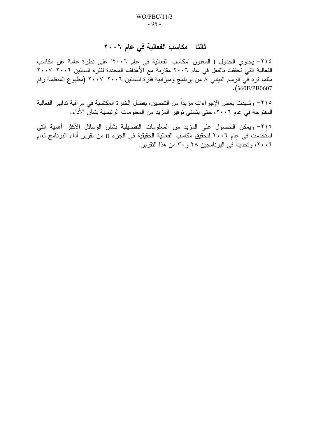## ثالثًا مكاسب الفعالية في عام ٢٠٠٦

٢١٤- يحتوي الجدول I المعنون "مكاسب الفعالية في عام ٢٠٠٦" على نظرة عامة عن مكاسب الفعالية التي تحققت بالفعل في عام ٢٠٠٦ مقارنة مع الأهداف المحددة لفترة السنتين ٢٠٠٦–٢٠٠٧ مثلما نرد في الرسم البياني ٨ من برنامج وميزانية فتَّرة السنتين ٢٠٠٦–٢٠٠٧ (مطبوع المنظمة رقم  $. (360E/PB0607$ 

٢١٥– وشهدت بعض الإجراءات مزيداً من التحسين، بفضل الخبرة المكتسبة في مراقبة تدابير الفعالية المقترحة في عام ٢٠٠٦، حتى يتسنى توفير المزيد من المعلومات الرئيسية بشأن الأداء.

٢١٦– ويمكن الحصول على المزيد من المعلومات التفصيلية بشأن الوسائل الأكثر أهمية التي استُخدمت في عام ٢٠٠٦ لتحقيق مكاسب الفعالية الحقيقية في الجزء II من تقرير أداء البرنامج لعام ٢٠٠٦، وتحديدا في البرنامجين ٢٨ و ٣٠ من هذا التقرير .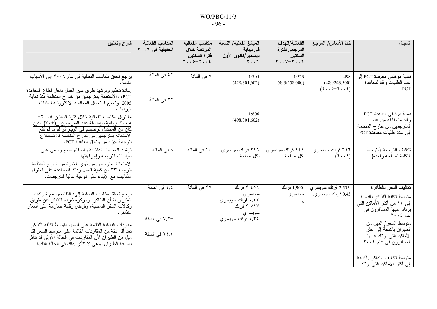| شرح وتعليق                                                                                                                                                                                                                                                                                                                                                                                                  | المكاسب الفعالية<br>الحقيقية في ٢٠٠٦               | مكاسب الفعالية<br>المرتقبة خلال<br>فترة السنتين<br>$Y \cdot 0 - Y \cdot 12$ | المبالغ الفعلية/ النسبة<br>في نهاية<br>ديسمبر/كانون الأول<br>$Y \cdot Y$              | الفعالية/الهدف<br>المرجعى لفترة<br>السنتين<br>$Y \cdot Y - Y \cdot Y$ | خط الأساس/ المرجع                                                          | المجال                                                                                                                                                                                                                                            |
|-------------------------------------------------------------------------------------------------------------------------------------------------------------------------------------------------------------------------------------------------------------------------------------------------------------------------------------------------------------------------------------------------------------|----------------------------------------------------|-----------------------------------------------------------------------------|---------------------------------------------------------------------------------------|-----------------------------------------------------------------------|----------------------------------------------------------------------------|---------------------------------------------------------------------------------------------------------------------------------------------------------------------------------------------------------------------------------------------------|
| يرجع تحقق مكاسب الفعالية في عام ٢٠٠٦ إلى الأسباب<br>إعادة نتظيم ونرشيد طرق سير العمل داخل قطاع المعاهدة<br>PCT، والاستعانة بمترجمين من خارج المنظمة منذ نهاية<br>2005، وتعميم استعمال المعالجة الالكترونية لطلبات<br>البر اءات.                                                                                                                                                                             | ٤٢ في المائة<br>٢٢ في المائة                       | ٥ في المائة                                                                 | 1:705<br>(428/301,602)                                                                | 1:523<br>(493/258,000)                                                | 1:498<br>(489/243,500)<br>$(Y \cdot \cdot \circ - Y \cdot \cdot \epsilon)$ | نسبة موظفى معاهدة PCT إلى<br>عدد الطلبات وفقا لمعاهدة<br><b>PCT</b>                                                                                                                                                                               |
| ما نزال مكاسب الفعالية خلال فترة السنتين ٢٠٠٤–<br>٢٠٠٥ ايجابية، بإضافة عدد المترجمين _(٧٠+) الذين<br>كان من المحتمل توظيفهم في الويبو لو لم ما لم تقع<br>الاستعانة بمترجمين من خارج المنظمة للاضطلاع<br>بترجمة جزء من وثائق معاهدة PCT.                                                                                                                                                                     |                                                    |                                                                             | 1:606<br>(498/301,602)                                                                |                                                                       |                                                                            | نسبة موظفي معاهدة PCT<br>  زائد ما يقابله من عدد<br>المترجمين من خار ج المنظمة<br>إلى عدد طلبات معاهدة PCT                                                                                                                                        |
| نرشيد العمليات الداخلية وإضفاء طابع رسمي على<br>سياسات النرجمة وإجراءاتها.<br>الاستعانة بمترجمين من ذوي الخبرة من خار ج المنظمة<br>لترجمة ٣٣ من كمية العمل،وذلك للمساعدة على احتواء<br>التكاليف مع الإبقاء على نوعية عالية للترجمات.                                                                                                                                                                        | ۸ في المائة                                        | ١٠ في المائة                                                                | ٢٢٦ فرنك سويسري<br>لكل صفحة                                                           | ۲۲۱ فرنك سويسري<br>لكل صفحة                                           | ٢٤٦ فرنك سويسري<br>$(7 \cdot \cdot 2)$                                     | تكاليف الترجمة (متوسط<br>التكلفة لصفحة واحدة)                                                                                                                                                                                                     |
| يرجع تحقق مكاسب الفعالية إلى: النفاوض مع شركات<br>الطيران بشأن النذاكر، ومركزة شراء النذاكر عن طريق<br>وكالات السفر الداخلية، وفرض رقابة صارمة على أسعار<br>التذاكر .<br>مقار نات الفعالية القائمة على أساس منوسط نكلفة النذاكر<br>تعد أقل دقة من المقارنات القائمة على متوسط السعر لكل<br>ميل من الطير ان لأن المقارنات في الحالة الأولىي قد تتأثر<br>بمسافة الطيران، وهي لا نتأثر بذلك في الحالة الثانية. | ٤,٤ في المائة<br>− ∨,۲ في المائة<br>٢٤,٤ في المائة | ٢٥ في المائة                                                                | ٢٥٦ ٢ فرنك<br>سويسري<br>٠,٤٣ فرنك سويسري<br>۷۱۷ ۲ فر نك<br>سويسري<br>٠,٣٤ فرنك سويسري | 1,900 فرنك<br>سويسري                                                  | 2,535 فرنك سويسري<br>0.45 فرنك سويسري                                      | تكاليف السفر بالطائرة<br>منوسط تكلفة التذاكر بالنسبة<br>إلى ١٢ من أكثر الأماكن التي<br>برناد عليها المسافرون في<br>  عام ۲۰۰٤<br>  متوسط السعر   المبل من<br>  الطير ان بالنسبة إلى أكثر<br>  الأماكن التي يرتاد عليها<br>  المسافرون في عام ٢٠٠٤ |
|                                                                                                                                                                                                                                                                                                                                                                                                             |                                                    |                                                                             |                                                                                       |                                                                       |                                                                            | منوسط تكاليف النذاكر بالنسبة<br><u>  إلى أكثر الأماكن التي يرتاد</u>                                                                                                                                                                              |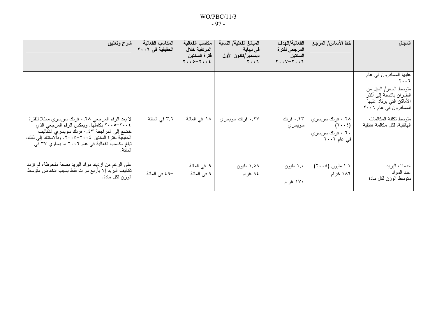### $WO/PBC/11/3$  $-97-$

| شرح وتعليق                                                                                                                                                                                                                                                             | المكاسب الفعالية<br>الحقيقية في ٢٠٠٦ | مكاسب الفعالية<br>المرتقبة خلال<br>فترة السنتين<br>$Y \cdot 0 - Y \cdot 2$ | المبالغ الفعلية/ النسبة<br>ِ في نـهايـة<br>ديسمبر/كانون الأول<br>$\mathbf{Y} \cdot \cdot \mathbf{Y}$ | الفعالية/الهدف<br>المرجع <i>ى</i> لفتر ة<br>السنتين<br>$Y \cdot V - Y \cdot V$ | خط الأساس/ المرجع                                                              | المجال                                                                                                                                                                       |
|------------------------------------------------------------------------------------------------------------------------------------------------------------------------------------------------------------------------------------------------------------------------|--------------------------------------|----------------------------------------------------------------------------|------------------------------------------------------------------------------------------------------|--------------------------------------------------------------------------------|--------------------------------------------------------------------------------|------------------------------------------------------------------------------------------------------------------------------------------------------------------------------|
|                                                                                                                                                                                                                                                                        |                                      |                                                                            |                                                                                                      |                                                                                |                                                                                | عليها المسافرون في عام<br>$\mathbf{Y} \bullet \bullet \mathbf{Y}$<br>منوسط السعر/ المبل من<br>الطير ان بالنسبة إلى أكثر<br>الأماكن التي برناد عليها<br>المسافرون في عام ٢٠٠٦ |
| لا يعد الرقم المرجعي ٠,٢٨ فرنك سويسري ممثلا للفترة<br>٢٠٠٤–٢٠٠٥ بكاملها. ويعكس الرقم المرجعي الذي<br>خضع إلى المراجعة ٠,٤٣ فرنك سويسري التكاليف<br>الحقيقية لفترة السنتين ٢٠٠٤–٢٠٠٥. وبالاستناد إلىي ذلك،<br>تبلغ مكاسب الفعالية في عام ٢٠٠٦ ما يساوي ٣٧ في<br>المائة. | ۳٫٦ في المائة                        | ۱۸ في المائة                                                               | ۰٫۲۷ فرنك سويسري                                                                                     | ۰٬۲۳ فرنك<br>سويسري                                                            | ۰٫۲۸ فرنك سويسري<br>$(\tau \cdot \epsilon)$<br>۰٫٦۰ فرنك سويسري<br>فی عام ۲۰۰۲ | متوسط تكلفة المكالمات<br>المهانفية، لكل مكالمة هاتفية                                                                                                                        |
| على الرغم من ازدياد مواد البريد بصفة ملحوظة، لم تزدد<br>تكاليف البريد إلا بأربع مرات فقط بسبب انخفاض متوسط<br>الوزن لكل مادة.                                                                                                                                          | -٤٩ في المائة                        | ۹ في المائة<br>۹ في المائة                                                 | ۱٬۰۸ ملیون<br>۹٤ غرام                                                                                | ۱٫۰ مليون<br>۱۷۰ غرام                                                          | ۱٫۱ ملیون (۲۰۰٤)<br>۱۸٦ غرام                                                   | خدمات البريد<br>عدد المواد<br>منوسط الوزن لكل مادة                                                                                                                           |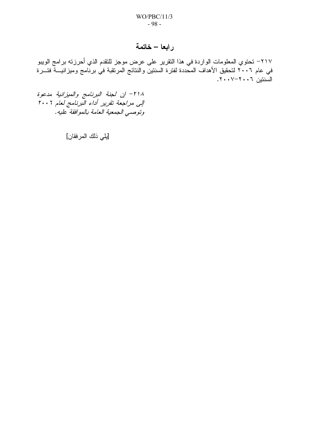## رابعا – خاتمة

٢١٧– تحتوي المعلومات الواردة في هذا التقرير على عرض موجز للتقدم الذي أحرزته برامج الويبو في عام ٢٠٠٦ لتحقيق الأهداف المحددة لفترة السنتين والنتائج المرتقبة في برنَّامج وميزانيـــة فتـــرة السَّنتين ٢٠٠٦-٢٠٠٧.

٢١٨ - إن لجنة البرنامج والميزانية مدعوة الی مراجعة تقریر أداء البرنامج لعام ٢٠٠٦ وتوصى الجمعية العامة بالموافقة عليه.

[يلي ذلك المرفقان]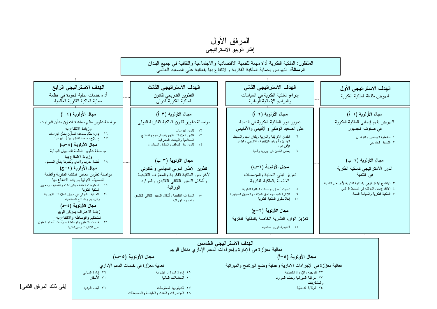





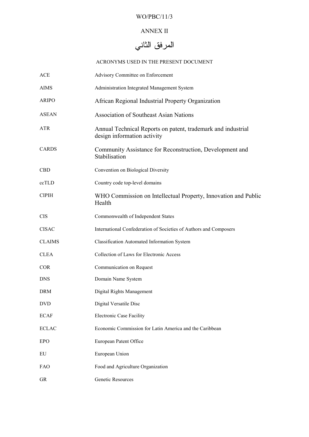### WO/PBC/11/3

### ANNEX II

# المرفق الثاني

### ACRONYMS USED IN THE PRESENT DOCUMENT

| <b>ACE</b>    | Advisory Committee on Enforcement                                                           |
|---------------|---------------------------------------------------------------------------------------------|
| <b>AIMS</b>   | Administration Integrated Management System                                                 |
| <b>ARIPO</b>  | African Regional Industrial Property Organization                                           |
| <b>ASEAN</b>  | <b>Association of Southeast Asian Nations</b>                                               |
| <b>ATR</b>    | Annual Technical Reports on patent, trademark and industrial<br>design information activity |
| <b>CARDS</b>  | Community Assistance for Reconstruction, Development and<br>Stabilisation                   |
| <b>CBD</b>    | Convention on Biological Diversity                                                          |
| ccTLD         | Country code top-level domains                                                              |
| <b>CIPIH</b>  | WHO Commission on Intellectual Property, Innovation and Public<br>Health                    |
| <b>CIS</b>    | Commonwealth of Independent States                                                          |
| <b>CISAC</b>  | International Confederation of Societies of Authors and Composers                           |
| <b>CLAIMS</b> | Classification Automated Information System                                                 |
| <b>CLEA</b>   | Collection of Laws for Electronic Access                                                    |
| <b>COR</b>    | Communication on Request                                                                    |
| <b>DNS</b>    | Domain Name System                                                                          |
| <b>DRM</b>    | Digital Rights Management                                                                   |
| <b>DVD</b>    | Digital Versatile Disc                                                                      |
| <b>ECAF</b>   | <b>Electronic Case Facility</b>                                                             |
| <b>ECLAC</b>  | Economic Commission for Latin America and the Caribbean                                     |
| <b>EPO</b>    | European Patent Office                                                                      |
| EU            | European Union                                                                              |
| FAO           | Food and Agriculture Organization                                                           |
| GR            | Genetic Resources                                                                           |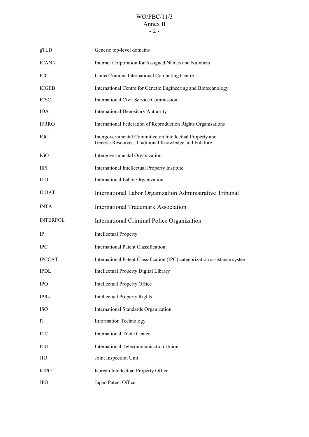### WO/PBC/11/3 Annex II  $- 2 -$

| gTLD            | Generic top-level domains                                                                                         |
|-----------------|-------------------------------------------------------------------------------------------------------------------|
| <b>ICANN</b>    | Internet Corporation for Assigned Names and Numbers                                                               |
| ICC             | United Nations International Computing Centre                                                                     |
| <b>ICGEB</b>    | International Centre for Genetic Engineering and Biotechnology                                                    |
| <b>ICSC</b>     | <b>International Civil Service Commission</b>                                                                     |
| <b>IDA</b>      | <b>International Depositary Authority</b>                                                                         |
| <b>IFRRO</b>    | International Federation of Reproduction Rights Organisations                                                     |
| <b>IGC</b>      | Intergovernmental Committee on Intellectual Property and<br>Genetic Resources, Traditional Knowledge and Folklore |
| <b>IGO</b>      | Intergovernmental Organization                                                                                    |
| <b>IIPI</b>     | International Intellectual Property Institute                                                                     |
| ILO             | International Labor Organization                                                                                  |
| <b>ILOAT</b>    | International Labor Organization Administrative Tribunal                                                          |
| <b>INTA</b>     | <b>International Trademark Association</b>                                                                        |
| <b>INTERPOL</b> | International Criminal Police Organization                                                                        |
| IP              | <b>Intellectual Property</b>                                                                                      |
| <b>IPC</b>      | <b>International Patent Classification</b>                                                                        |
|                 |                                                                                                                   |
| <b>IPCCAT</b>   | International Patent Classification (IPC) categorization assistance system                                        |
| <b>IPDL</b>     | Intellectual Property Digital Library                                                                             |
| <b>IPO</b>      | Intellectual Property Office                                                                                      |
| <b>IPRs</b>     | <b>Intellectual Property Rights</b>                                                                               |
| <b>ISO</b>      | International Standards Organization                                                                              |
| IT              | <b>Information Technology</b>                                                                                     |
| <b>ITC</b>      | <b>International Trade Center</b>                                                                                 |
| ITU             | International Telecommunication Union                                                                             |
| <b>JIU</b>      | Joint Inspection Unit                                                                                             |
| <b>KIPO</b>     | Korean Intellectual Property Office                                                                               |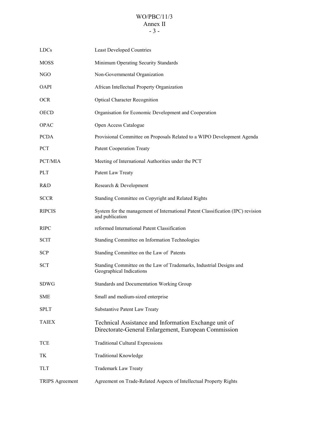### WO/PBC/11/3 Annex II - 3 -

| <b>LDCs</b>            | <b>Least Developed Countries</b>                                                                              |
|------------------------|---------------------------------------------------------------------------------------------------------------|
| <b>MOSS</b>            | Minimum Operating Security Standards                                                                          |
| NGO                    | Non-Governmental Organization                                                                                 |
| <b>OAPI</b>            | African Intellectual Property Organization                                                                    |
| <b>OCR</b>             | <b>Optical Character Recognition</b>                                                                          |
| <b>OECD</b>            | Organisation for Economic Development and Cooperation                                                         |
| <b>OPAC</b>            | Open Access Catalogue                                                                                         |
| <b>PCDA</b>            | Provisional Committee on Proposals Related to a WIPO Development Agenda                                       |
| <b>PCT</b>             | <b>Patent Cooperation Treaty</b>                                                                              |
| PCT/MIA                | Meeting of International Authorities under the PCT                                                            |
| <b>PLT</b>             | Patent Law Treaty                                                                                             |
| R&D                    | Research & Development                                                                                        |
| <b>SCCR</b>            | Standing Committee on Copyright and Related Rights                                                            |
| <b>RIPCIS</b>          | System for the management of International Patent Classification (IPC) revision<br>and publication            |
| <b>RIPC</b>            | reformed International Patent Classification                                                                  |
| <b>SCIT</b>            | Standing Committee on Information Technologies                                                                |
| <b>SCP</b>             | Standing Committee on the Law of Patents                                                                      |
| <b>SCT</b>             | Standing Committee on the Law of Trademarks, Industrial Designs and<br>Geographical Indications               |
| <b>SDWG</b>            | <b>Standards and Documentation Working Group</b>                                                              |
| <b>SME</b>             | Small and medium-sized enterprise                                                                             |
| <b>SPLT</b>            | <b>Substantive Patent Law Treaty</b>                                                                          |
| <b>TAIEX</b>           | Technical Assistance and Information Exchange unit of<br>Directorate-General Enlargement, European Commission |
| <b>TCE</b>             | <b>Traditional Cultural Expressions</b>                                                                       |
| TK                     | <b>Traditional Knowledge</b>                                                                                  |
| <b>TLT</b>             | <b>Trademark Law Treaty</b>                                                                                   |
| <b>TRIPS</b> Agreement | Agreement on Trade-Related Aspects of Intellectual Property Rights                                            |